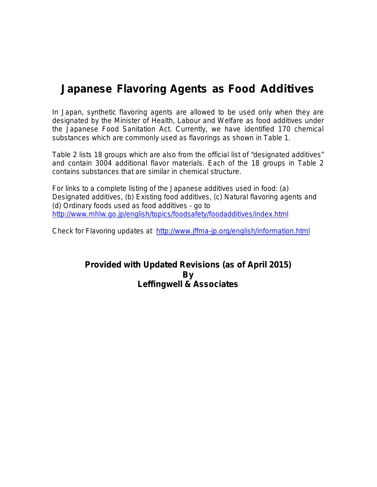# **Japanese Flavoring Agents as Food Additives**

In Japan, synthetic flavoring agents are allowed to be used only when they are designated by the Minister of Health, Labour and Welfare as food additives under the Japanese Food Sanitation Act. Currently, we have identified 170 chemical substances which are commonly used as flavorings as shown in Table 1.

Table 2 lists 18 groups which are also from the official list of "designated additives" and contain 3004 additional flavor materials. Each of the 18 groups in Table 2 contains substances that are similar in chemical structure.

For links to a complete listing of the Japanese additives used in food: (a) Designated additives, (b) Existing food additives, (c) Natural flavoring agents and (d) Ordinary foods used as food additives - go to <http://www.mhlw.go.jp/english/topics/foodsafety/foodadditives/index.html>

Check for Flavoring updates at <http://www.jffma-jp.org/english/information.html>

### **Provided with Updated Revisions (as of April 2015) By Leffingwell & Associates**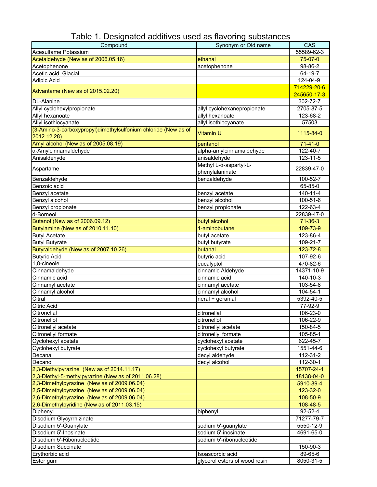| Compound                                                       | Synonym or Old name           | CAS            |
|----------------------------------------------------------------|-------------------------------|----------------|
| Acesulfame Potassium                                           |                               | 55589-62-3     |
| Acetaldehyde (New as of 2006.05.16)                            | ethanal                       | 75-07-0        |
| Acetophenone                                                   | acetophenone                  | 98-86-2        |
| Acetic acid, Glacial                                           |                               | 64-19-7        |
| <b>Adipic Acid</b>                                             |                               | 124-04-9       |
|                                                                |                               | 714229-20-6    |
| Advantame (New as of 2015.02.20)                               |                               | 245650-17-3    |
| <b>DL-Alanine</b>                                              |                               | 302-72-7       |
| Allyl cyclohexylpropionate                                     | allyl cyclohexanepropionate   | 2705-87-5      |
| Allyl hexanoate                                                | allyl hexanoate               | 123-68-2       |
| Allyl isothiocyanate                                           | allyl isothiocyanate          |                |
| (3-Amino-3-carboxypropyl)dimethylsulfonium chloride (New as of |                               | 57503          |
|                                                                | Vitamin U                     | 1115-84-0      |
| 2012.12.28)                                                    |                               |                |
| Amyl alcohol (New as of 2005.08.19)                            | pentanol                      | $71-41-0$      |
| α-Amylcinnamaldehyde                                           | alpha-amylcinnamaldehyde      | 122-40-7       |
| Anisaldehyde                                                   | anisaldehyde                  | $123 - 11 - 5$ |
| Aspartame                                                      | Methyl L-α-aspartyl-L-        | 22839-47-0     |
|                                                                | phenylalaninate               |                |
| Benzaldehyde                                                   | benzaldehyde                  | 100-52-7       |
| Benzoic acid                                                   |                               | 65-85-0        |
| Benzyl acetate                                                 | benzyl acetate                | $140 - 11 - 4$ |
| Benzyl alcohol                                                 | benzyl alcohol                | 100-51-6       |
| Benzyl propionate                                              | benzyl propionate             | 122-63-4       |
| d-Borneol                                                      |                               | 22839-47-0     |
| Butanol (New as of 2006.09.12)                                 | butyl alcohol                 | $71 - 36 - 3$  |
| Butylamine (New as of 2010.11.10)                              | 1-aminobutane                 | 109-73-9       |
| <b>Butyl Acetate</b>                                           | butyl acetate                 | 123-86-4       |
| <b>Butyl Butyrate</b>                                          | butyl butyrate                | 109-21-7       |
| Butyraldehyde (New as of 2007.10.26)                           | butanal                       | 123-72-8       |
| <b>Butyric Acid</b>                                            | butyric acid                  | 107-92-6       |
| 1,8-cineole                                                    | eucalyptol                    | 470-82-6       |
| Cinnamaldehyde                                                 | cinnamic Aldehyde             | 14371-10-9     |
| Cinnamic acid                                                  | cinnamic acid                 | 140-10-3       |
| Cinnamyl acetate                                               | cinnamyl acetate              | 103-54-8       |
| Cinnamyl alcohol                                               | cinnamyl alcohol              | 104-54-1       |
| Citral                                                         | neral + geranial              | 5392-40-5      |
| <b>Citric Acid</b>                                             |                               | 77-92-9        |
| Citronellal                                                    | citronellal                   | 106-23-0       |
| Citronellol                                                    | citronellol                   | 106-22-9       |
| Citronellyl acetate                                            | citronellyl acetate           | 150-84-5       |
| Citronellyl formate                                            | citronellyl formate           | 105-85-1       |
| Cyclohexyl acetate                                             | cyclohexyl acetate            | 622-45-7       |
| Cyclohexyl butyrate                                            | cyclohexyl butyrate           | 1551-44-6      |
| Decanal                                                        |                               | 112-31-2       |
|                                                                | decyl aldehyde                |                |
| Decanol                                                        | decyl alcohol                 | 112-30-1       |
| 2,3-Diethylpyrazine (New as of 2014.11.17)                     |                               | 15707-24-1     |
| 2,3-Diethyl-5-methylpyrazine (New as of 2011.06.28)            |                               | 18138-04-0     |
| 2,3-Dimethylpyrazine (New as of 2009.06.04)                    |                               | 5910-89-4      |
| 2,5-Dimethylpyrazine (New as of 2009.06.04)                    |                               | 123-32-0       |
| 2,6-Dimethylpyrazine (New as of 2009.06.04)                    |                               | 108-50-9       |
| 2,6-Dimethylpyridine (New as of 2011.03.15)                    |                               | 108-48-5       |
| Diphenyl                                                       | biphenyl                      | $92 - 52 - 4$  |
| Disodium Glycyrrhizinate                                       |                               | 71277-79-7     |
| Disodium 5'-Guanylate                                          | sodium 5'-guanylate           | 5550-12-9      |
| Disodium 5'-Inosinate                                          | sodium 5'-inosinate           | 4691-65-0      |
| Disodium 5'-Ribonucleotide                                     | sodium 5'-ribonucleotide      |                |
| Disodium Succinate                                             |                               | 150-90-3       |
| Erythorbic acid                                                | Isoascorbic acid              | 89-65-6        |
| Ester gum                                                      | glycerol esters of wood rosin | 8050-31-5      |

Table 1. Designated additives used as flavoring substances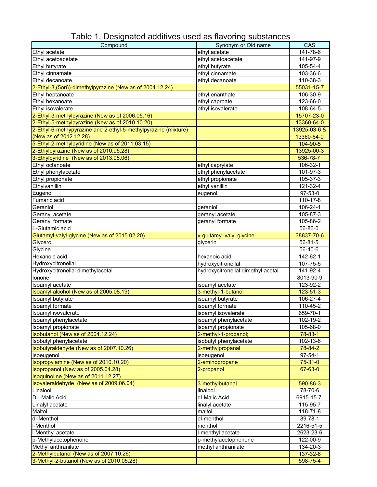| Compound                                                       | Synonym or Old name                | CAS            |
|----------------------------------------------------------------|------------------------------------|----------------|
| Ethyl acetate                                                  | ethyl acetate                      | 141-78-6       |
| Ethyl acetoacetate                                             | ethyl acetoacetate                 | 141-97-9       |
| Ethyl butyrate                                                 | ethyl butyrate                     | 105-54-4       |
| Ethyl cinnamate                                                | ethyl cinnamate                    | 103-36-6       |
| Ethyl decanoate                                                | ethyl decanoate                    | 110-38-3       |
| 2-Ethyl-3, (5or6)-dimethylpyrazine (New as of 2004.12.24)      |                                    | 55031-15-7     |
| Ethyl heptanoate                                               | ethyl enanthate                    | 106-30-9       |
| Ethyl hexanoate                                                | ethyl caproate                     | 123-66-0       |
| Ethyl isovalerate                                              | ethyl isovalerate                  | 108-64-5       |
| 2-Ethyl-3-methylpyrazine (New as of 2006.05.16)                |                                    | 15707-23-0     |
| 2-Ethyl-5-methylpyrazine (New as of 2010.10.20)                |                                    | 13360-64-0     |
| 2-Ethyl-6-methypyrazine and 2-ethyl-5-methylpyrazine (mixture) |                                    | 13925-03-6 &   |
| (New as of 2012.12.28)                                         |                                    | 13360-64-0     |
| 5-Ethyl-2-methylpyridine (New as of 2011.03.15)                |                                    | 104-90-5       |
| 2-Ethylpyrazine (New as of 2010.05.28)                         |                                    | 13925-00-3     |
| 3-Ethylpyridine (New as of 2013.08.06)                         |                                    | 536-78-7       |
| Ethyl octanoate                                                | ethyl caprylate                    | 106-32-1       |
| Ethyl phenylacetate                                            | ethyl phenylacetate                | 101-97-3       |
| Ethyl propionate                                               | ethyl propionate                   | 105-37-3       |
| Ethylvanillin                                                  | ethyl vanillin                     | 121-32-4       |
| Eugenol                                                        | eugenol                            | 97-53-0        |
| Fumaric acid                                                   |                                    | 110-17-8       |
| Geraniol                                                       | geraniol                           | 106-24-1       |
| Geranyl acetate                                                | geranyl acetate                    | 105-87-3       |
| Geranyl formate                                                | geranyl formate                    | 105-86-2       |
| L-Glutamic acid                                                |                                    | 56-86-0        |
|                                                                |                                    | 38837-70-6     |
| Glutamyl-valyl-glycine (New as of 2015.02.20)                  | y-glutamyl-valyl-glycine           |                |
| Glycerol                                                       | glycerin                           | 56-81-5        |
| Glycine<br>Hexanoic acid                                       |                                    | 56-40-6        |
|                                                                | hexanoic acid                      | 142-62-1       |
| Hydroxycitronellal                                             | hydroxycitronellal                 | 107-75-5       |
| Hydroxycitronellal dimethylacetal<br>Ionone                    | hydroxycitronellal dimethyl acetal | 141-92-4       |
|                                                                |                                    | 8013-90-9      |
| Isoamyl acetate                                                | isoamyl acetate                    | 123-92-2       |
| Isoamyl alcohol (New as of 2005.08.19)                         | 3-methyl-1-butanol                 | $123 - 51 - 3$ |
| Isoamyl butyrate                                               | isoamyl butyrate                   | 106-27-4       |
| Isoamyl formate                                                | isoamyl formate                    | 110-45-2       |
| Isoamyl isovalerate                                            | isoamyl isovalerate                | 659-70-1       |
| Isoamyl phenylacetate                                          | isoamyl phenylacetate              | 102-19-2       |
| Isoamyl propionate                                             | isoamyl propionate                 | 105-68-0       |
| Isobutanol (New as of 2004.12.24)                              | 2-methyl-1-propanol;               | 78-83-1        |
| Isobutyl phenylacetate                                         | isobutyl phenylacetate             | 102-13-6       |
| Isobutyraldehyde (New as of 2007.10.26)                        | 2-methylpropanal                   | 78-84-2        |
| Isoeugenol                                                     | isoeugenol                         | $97 - 54 - 1$  |
| Isopropylamine (New as of 2010.10.20)                          | 2-aminopropane                     | 75-31-0        |
| Isopropanol (New as of 2005.04.28)                             | 2-propanol                         | 67-63-0        |
| Isoquinoline (New as of 2011.12.27)                            |                                    |                |
| Isovaleraldehyde (New as of 2009.06.04)                        | 3-methylbutanal                    | 590-86-3       |
| Linalool                                                       | linalool                           | 78-70-6        |
| <b>DL-Malic Acid</b>                                           | dl-Malic Acid                      | 6915-15-7      |
| Linalyl acetate                                                | linalyl acetate                    | 115-95-7       |
| Maltol                                                         | maltol                             | 118-71-8       |
| dl-Menthol                                                     | dl-menthol                         | 89-78-1        |
| I-Menthol                                                      | menthol                            | 2216-51-5      |
| I-Menthyl acetate                                              | I-menthyl acetate                  | 2623-23-6      |
| p-Methylacetophenone                                           | p-methylacetophenone               | 122-00-9       |
| Methyl anthranilate                                            | methyl anthranilate                | 134-20-3       |
| 2-Methylbutanol (New as of 2007.10.26)                         |                                    | 137-32-6       |
| 3-Methyl-2-butanol (New as of 2010.05.28)                      |                                    | 598-75-4       |

Table 1. Designated additives used as flavoring substances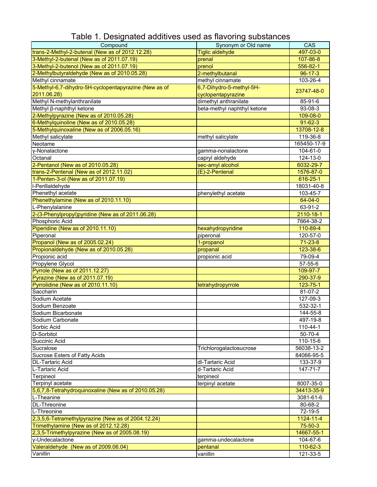| Compound                                              | Synonym or Old name         | CAS           |
|-------------------------------------------------------|-----------------------------|---------------|
| trans-2-Methyl-2-butenal (New as of 2012.12.28)       | <b>Tiglic aldehyde</b>      | 497-03-0      |
| 3-Methyl-2-butenal (New as of 2011.07.19)             | prenal                      | 107-86-8      |
| 3-Methyl-2-butenol (New as of 2011.07.19)             | prenol                      | 556-82-1      |
| 2-Methylbutyraldehyde (New as of 2010.05.28)          | 2-methylbutanal             | $96 - 17 - 3$ |
| Methyl cinnamate                                      | methyl cinnamate            | 103-26-4      |
| 5-Methyl-6,7-dihydro-5H-cyclopentapyrazine (New as of | 6,7-Dihydro-5-methyl-5H-    |               |
| 2011.06.28)                                           | cyclopentapyrazine          | 23747-48-0    |
| Methyl N-methylanthranilate                           | dimethyl anthranilate       | 85-91-6       |
| Methyl β-naphthyl ketone                              | beta-methyl naphthyl ketone | 93-08-3       |
| 2-Methylpyrazine (New as of 2010.05.28)               |                             | 109-08-0      |
| 6-Methylquinoline (New as of 2010.05.28)              |                             | $91 - 62 - 3$ |
| 5-Methylquinoxaline (New as of 2006.05.16)            |                             | 13708-12-8    |
| Methyl salicylate                                     | methyl salicylate           | 119-36-8      |
| Neotame                                               |                             | 165450-17-9   |
| y-Nonalactone                                         | gamma-nonalactone           | 104-61-0      |
| Octanal                                               | capryl aldehyde             | 124-13-0      |
| 2-Pentanol (New as of 2010.05.28)                     | sec-amyl alcohol            | 6032-29-7     |
| trans-2-Pentenal (New as of 2012.11.02)               | (E)-2-Pentenal              | 1576-87-0     |
| 1-Penten-3-ol (New as of 2011.07.19)                  |                             | 616-25-1      |
| I-Perillaldehyde                                      |                             | 18031-40-8    |
| Phenethyl acetate                                     | phenylethyl acetate         | 103-45-7      |
| Phenethylamine (New as of 2010.11.10)                 |                             | $64 - 04 - 0$ |
| L-Phenylalanine                                       |                             | 63-91-2       |
| 2-(3-Phenylpropyl)pyridine (New as of 2011.06.28)     |                             | 2110-18-1     |
| Phosphoric Acid                                       |                             | 7664-38-2     |
| Piperidine (New as of 2010.11.10)                     | hexahydropyridine           | 110-89-4      |
| Piperonal                                             | piperonal                   | 120-57-0      |
| Propanol (New as of 2005.02.24)                       | 1-propanol                  | $71 - 23 - 8$ |
| Propionaldehyde (New as of 2010.05.28)                | propanal                    | 123-38-6      |
| Propionic acid                                        | propionic acid              | 79-09-4       |
| Propylene Glycol                                      |                             | 57-55-6       |
| Pyrrole (New as of 2011.12.27)                        |                             | 109-97-7      |
| Pyrazine (New as of 2011.07.19)                       |                             | 290-37-9      |
| Pyrrolidine (New as of 2010.11.10)                    | tetrahydropyrrole           | 123-75-1      |
| Saccharin                                             |                             | 81-07-2       |
| Sodium Acetate                                        |                             | 127-09-3      |
| Sodium Benzoate                                       |                             | 532-32-1      |
| Sodium Bicarbonate                                    |                             | 144-55-8      |
| Sodium Carbonate                                      |                             | 497-19-8      |
| Sorbic Acid                                           |                             | 110-44-1      |
| D-Sorbitol                                            |                             | 50-70-4       |
| Succinic Acid                                         |                             | 110-15-6      |
| Sucralose                                             | Trichlorogalactosucrose     | 56038-13-2    |
| Sucrose Esters of Fatty Acids                         |                             | 84066-95-5    |
| <b>DL-Tartaric Acid</b>                               | dl-Tartaric Acid            | 133-37-9      |
| L-Tartaric Acid                                       | d-Tartaric Acid             | 147-71-7      |
| Terpineol                                             | terpineol                   |               |
| Terpinyl acetate                                      | terpinyl acetate            | 8007-35-0     |
| 5,6,7,8-Tetrahydroquinoxaline (New as of 2010.05.28)  |                             | 34413-35-9    |
| L-Theanine                                            |                             | 3081-61-6     |
| <b>DL-Threonine</b>                                   |                             | 80-68-2       |
| L-Threonine                                           |                             | 72-19-5       |
| 2,3,5,6-Tetramethylpyrazine (New as of 2004.12.24)    |                             | 1124-11-4     |
| Trimethylamine (New as of 2012.12.28)                 |                             | $75 - 50 - 3$ |
| 2,3,5-Trimethylpyrazine (New as of 2005.08.19)        |                             | 14667-55-1    |
| y-Undecalactone                                       | gamma-undecalactone         | 104-67-6      |
| Valeraldehyde (New as of 2009.06.04)                  | pentanal                    | 110-62-3      |
| Vanillin                                              | vanillin                    | 121-33-5      |

### Table 1. Designated additives used as flavoring substances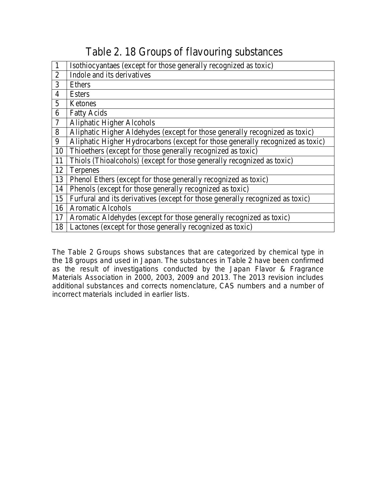## Table 2. 18 Groups of flavouring substances

| $\mathbf{1}$   | Isothiocyantaes (except for those generally recognized as toxic)               |
|----------------|--------------------------------------------------------------------------------|
| $\overline{2}$ | Indole and its derivatives                                                     |
| 3              | Ethers                                                                         |
| $\overline{4}$ | <b>Esters</b>                                                                  |
| 5              | Ketones                                                                        |
| 6              | <b>Fatty Acids</b>                                                             |
| 7              | <b>Aliphatic Higher Alcohols</b>                                               |
| 8              | Aliphatic Higher Aldehydes (except for those generally recognized as toxic)    |
| 9              | Aliphatic Higher Hydrocarbons (except for those generally recognized as toxic) |
| 10             | Thioethers (except for those generally recognized as toxic)                    |
| 11             | Thiols (Thioalcohols) (except for those generally recognized as toxic)         |
| 12             | Terpenes                                                                       |
| 13             | Phenol Ethers (except for those generally recognized as toxic)                 |
| 14             | Phenols (except for those generally recognized as toxic)                       |
| 15             | Furfural and its derivatives (except for those generally recognized as toxic)  |
| 16             | <b>Aromatic Alcohols</b>                                                       |
| 17             | Aromatic Aldehydes (except for those generally recognized as toxic)            |
| 18             | Lactones (except for those generally recognized as toxic)                      |

The Table 2 Groups shows substances that are categorized by chemical type in the 18 groups and used in Japan. The substances in Table 2 have been confirmed as the result of investigations conducted by the Japan Flavor & Fragrance Materials Association in 2000, 2003, 2009 and 2013. The 2013 revision includes additional substances and corrects nomenclature, CAS numbers and a number of incorrect materials included in earlier lists.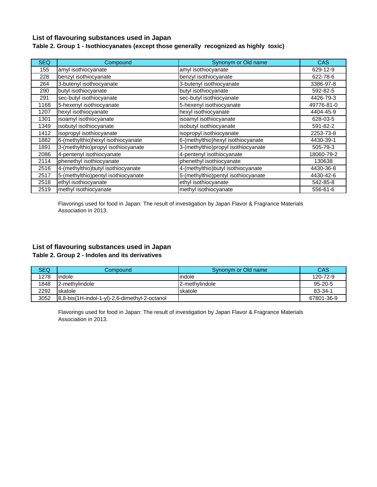#### **List of flavouring substances used in Japan**

#### **Table 2. Group 1 - Isothiocyanates (except those generally recognized as highly toxic)**

| <b>SEQ</b> | Compound                             | Synonym or Old name                 | <b>CAS</b> |
|------------|--------------------------------------|-------------------------------------|------------|
| 155        | amyl isothiocyanate                  | amyl isothiocyanate                 | 629-12-9   |
| 228        | benzyl isothiocyanate                | benzyl isothiocyanate               | 622-78-6   |
| 264        | 3-butenyl isothiocyanate             | 3-butenyl isothiocyanate            | 3386-97-8  |
| 290        | butyl isothiocyanate                 | butyl isothiocyanate                | 592-82-5   |
| 291        | sec-butyl isothiocyanate             | sec-butyl isothiocyanate            | 4426-79-3  |
| 1168       | 5-hexenyl isothiocyanate             | 5-hexenyl isothiocyanate            | 49776-81-0 |
| 1207       | hexyl isothiocyanate                 | hexyl isothiocyanate                | 4404-45-9  |
| 1301       | isoamyl isothiocyanate               | isoamyl isothiocyanate              | 628-03-5   |
| 1349       | isobutyl isothiocyanate              | isobutyl isothiocyanate             | 591-82-2   |
| 1412       | isopropyl isothiocyanate             | isopropyl isothiocyanate            | 2253-73-8  |
| 1882       | 6-(methylthio)hexyl isothiocyanate   | 6-(methylthio)hexyl isothiocyanate  | 4430-39-1  |
| 1891       | 3-(methylthio) propyl isothiocyanate | 3-(methylthio)propyl isothiocyanate | 505-79-3   |
| 2086       | 4-pentenyl isothiocyanate            | 4-pentenyl isothiocyanate           | 18060-79-2 |
| 2114       | phenethyl isothiocyanate             | phenethyl isothiocyanate            | 130638     |
| 2516       | 4-(methylthio) butyl isothiocyanate  | 4-(methylthio) butyl isothiocyanate | 4430-36-8  |
| 2517       | 5-(methylthio)pentyl isothiocyanate  | 5-(methylthio)pentyl isothiocyanate | 4430-42-6  |
| 2518       | ethyl isothiocyanate                 | ethyl isothiocyanate                | 542-85-8   |
| 2519       | methyl isothiocyanate                | methyl isothiocyanate               | 556-61-6   |

Flavorings used for food in Japan: The result of investigation by Japan Flavor & Fragrance Materials Association in 2013.

#### **List of flavouring substances used in Japan Table 2. Group 2 - Indoles and its derivatives**

| <b>SEQ</b> | Compound                                      | Synonym or Old name | CAS           |
|------------|-----------------------------------------------|---------------------|---------------|
| 1278       | lindole                                       | lindole             | 120-72-9      |
| 1848       | 12-methylindole                               | 2-methylindole      | $95 - 20 - 5$ |
| 2292       | <b>Iskatole</b>                               | <b>Iskatole</b>     | $83 - 34 - 1$ |
| 3052       | 8.8-bis(1H-indol-1-yl)-2.6-dimethyl-2-octanol |                     | 67801-36-9    |

Flavorings used for food in Japan: The result of investigation by Japan Flavor & Fragrance Materials Association in 2013.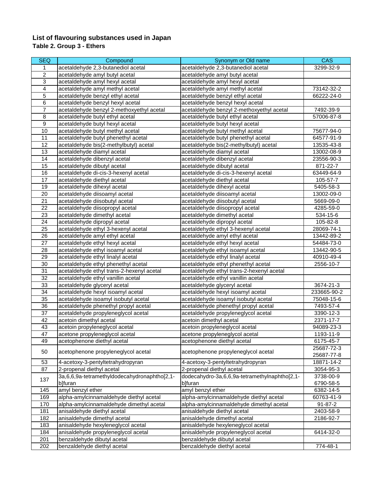#### **List of flavouring substances used in Japan Table 2. Group 3 - Ethers**

| <b>SEQ</b>                | Compound                                     | Synonym or Old name                           | <b>CAS</b>      |
|---------------------------|----------------------------------------------|-----------------------------------------------|-----------------|
| 1                         | acetaldehyde 2,3-butanediol acetal           | acetaldehyde 2,3-butanediol acetal            | 3299-32-9       |
| $\overline{2}$            | acetaldehyde amyl butyl acetal               | acetaldehyde amyl butyl acetal                |                 |
| $\ensuremath{\mathsf{3}}$ | acetaldehyde amyl hexyl acetal               | acetaldehyde amyl hexyl acetal                |                 |
| $\overline{4}$            | acetaldehyde amyl methyl acetal              | acetaldehyde amyl methyl acetal               | 73142-32-2      |
| 5                         | acetaldehyde benzyl ethyl acetal             | acetaldehyde benzyl ethyl acetal              | 66222-24-0      |
| 6                         | acetaldehyde benzyl hexyl acetal             | acetaldehyde benzyl hexyl acetal              |                 |
| $\overline{7}$            | acetaldehyde benzyl 2-methoxyethyl acetal    | acetaldehyde benzyl 2-methoxyethyl acetal     | 7492-39-9       |
| 8                         | acetaldehyde butyl ethyl acetal              | acetaldehyde butyl ethyl acetal               | 57006-87-8      |
| $\boldsymbol{9}$          | acetaldehyde butyl hexyl acetal              | acetaldehyde butyl hexyl acetal               |                 |
| 10                        | acetaldehyde butyl methyl acetal             | acetaldehyde butyl methyl acetal              | 75677-94-0      |
| 11                        | acetaldehyde butyl phenethyl acetal          | acetaldehyde butyl phenethyl acetal           | 64577-91-9      |
| 12                        | acetaldehyde bis(2-methylbutyl) acetal       | acetaldehyde bis(2-methylbutyl) acetal        | 13535-43-8      |
| 13                        | acetaldehyde diamyl acetal                   | acetaldehyde diamyl acetal                    | 13002-08-9      |
| 14                        | acetaldehyde dibenzyl acetal                 | acetaldehyde dibenzyl acetal                  | 23556-90-3      |
| 15                        | acetaldehyde dibutyl acetal                  | acetaldehyde dibutyl acetal                   | 871-22-7        |
| 16                        | acetaldehyde di-cis-3-hexenyl acetal         | acetaldehyde di-cis-3-hexenyl acetal          | 63449-64-9      |
| 17                        | acetaldehyde diethyl acetal                  | acetaldehyde diethyl acetal                   | 105-57-7        |
| 19                        | acetaldehyde dihexyl acetal                  | acetaldehyde dihexyl acetal                   | 5405-58-3       |
| 20                        | acetaldehyde diisoamyl acetal                | acetaldehyde diisoamyl acetal                 | 13002-09-0      |
| 21                        | acetaldehyde diisobutyl acetal               | acetaldehyde diisobutyl acetal                | 5669-09-0       |
| 22                        | acetaldehyde diisopropyl acetal              | acetaldehyde diisopropyl acetal               | 4285-59-0       |
| $\overline{23}$           | acetaldehyde dimethyl acetal                 | acetaldehyde dimethyl acetal                  | 534-15-6        |
| 24                        | acetaldehyde dipropyl acetal                 | acetaldehyde dipropyl acetal                  | 105-82-8        |
| 25                        | acetaldehyde ethyl 3-hexenyl acetal          | acetaldehyde ethyl 3-hexenyl acetal           | 28069-74-1      |
| 26                        | acetaldehyde amyl ethyl acetal               | acetaldehyde amyl ethyl acetal                | 13442-89-2      |
| 27                        | acetaldehyde ethyl hexyl acetal              | acetaldehyde ethyl hexyl acetal               | 54484-73-0      |
| 28                        | acetaldehyde ethyl isoamyl acetal            | acetaldehyde ethyl isoamyl acetal             | 13442-90-5      |
| 29                        | acetaldehyde ethyl linalyl acetal            | acetaldehyde ethyl linalyl acetal             | 40910-49-4      |
| 30                        | acetaldehyde ethyl phenethyl acetal          | acetaldehyde ethyl phenethyl acetal           | 2556-10-7       |
| 31                        | acetaldehyde ethyl trans-2-hexenyl acetal    | acetaldehyde ethyl trans-2-hexenyl acetal     |                 |
| 32                        | acetaldehyde ethyl vanillin acetal           | acetaldehyde ethyl vanillin acetal            |                 |
| 33                        | acetaldehyde glyceryl acetal                 | acetaldehyde glyceryl acetal                  | $3674 - 21 - 3$ |
| 34                        | acetaldehyde hexyl isoamyl acetal            | acetaldehyde hexyl isoamyl acetal             | 233665-90-2     |
| 35                        | acetaldehyde isoamyl isobutyl acetal         | acetaldehyde isoamyl isobutyl acetal          | 75048-15-6      |
| 36                        | acetaldehyde phenethyl propyl acetal         | acetaldehyde phenethyl propyl acetal          | 7493-57-4       |
| 37                        | acetaldehyde propyleneglycol acetal          | acetaldehyde propyleneglycol acetal           | 3390-12-3       |
| 42                        | acetoin dimethyl acetal                      | acetoin dimethyl acetal                       | 2371-17-7       |
| 43                        | acetoin propyleneglycol acetal               | acetoin propyleneglycol acetal                | 94089-23-3      |
| 47                        | acetone propyleneglycol acetal               | acetone propyleneglycol acetal                | 1193-11-9       |
| 49                        | acetophenone diethyl acetal                  | acetophenone diethyl acetal                   | 6175-45-7       |
|                           |                                              |                                               | 25687-72-3      |
| 50                        | acetophenone propyleneglycol acetal          | acetophenone propyleneglycol acetal           | 25687-77-8      |
| 53                        | 4-acetoxy-3-pentyltetrahydropyran            | 4-acetoxy-3-pentyltetrahydropyran             | 18871-14-2      |
| 87                        | 2-propenal diethyl acetal                    | 2-propenal diethyl acetal                     | 3054-95-3       |
|                           | 3a,6,6,9a-tetramethyldodecahydronaphtho[2,1- | dodecahydro-3a,6,6,9a-tetramethylnaphtho[2,1- | 3738-00-9       |
| 137                       | b]furan                                      | b]furan                                       | 6790-58-5       |
| 145                       | amyl benzyl ether                            | amyl benzyl ether                             | 6382-14-5       |
| 169                       | alpha-amylcinnamaldehyde diethyl acetal      | alpha-amylcinnamaldehyde diethyl acetal       | 60763-41-9      |
| 170                       | alpha-amylcinnamaldehyde dimethyl acetal     | alpha-amylcinnamaldehyde dimethyl acetal      | 91-87-2         |
| 181                       | anisaldehyde diethyl acetal                  | anisaldehyde diethyl acetal                   | 2403-58-9       |
| 182                       | anisaldehyde dimethyl acetal                 | anisaldehyde dimethyl acetal                  | 2186-92-7       |
| 183                       | anisaldehyde hexyleneglycol acetal           | anisaldehyde hexyleneglycol acetal            |                 |
| 184                       | anisaldehyde propyleneglycol acetal          | anisaldehyde propyleneglycol acetal           | 6414-32-0       |
| 201                       | benzaldehyde dibutyl acetal                  | benzaldehyde dibutyl acetal                   |                 |
| 202                       | benzaldehyde diethyl acetal                  | benzaldehyde diethyl acetal                   | 774-48-1        |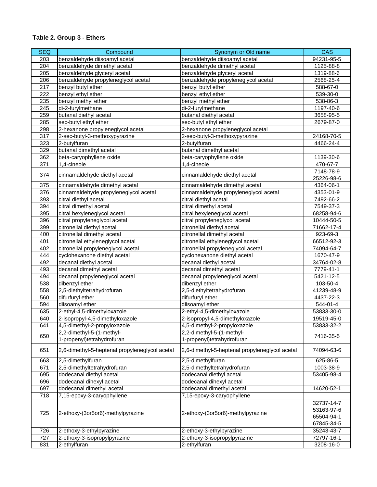| <b>SEQ</b>       | Compound                                       | Synonym or Old name                            | <b>CAS</b>     |
|------------------|------------------------------------------------|------------------------------------------------|----------------|
| 203              | benzaldehyde diisoamyl acetal                  | benzaldehyde diisoamyl acetal                  | 94231-95-5     |
| 204              | benzaldehyde dimethyl acetal                   | benzaldehyde dimethyl acetal                   | 1125-88-8      |
| 205              | benzaldehyde glyceryl acetal                   | benzaldehyde glyceryl acetal                   | 1319-88-6      |
| $\overline{206}$ | benzaldehyde propyleneglycol acetal            | benzaldehyde propyleneglycol acetal            | 2568-25-4      |
| 217              | benzyl butyl ether                             | benzyl butyl ether                             | 588-67-0       |
| 222              | benzyl ethyl ether                             | benzyl ethyl ether                             | 539-30-0       |
| 235              | benzyl methyl ether                            | benzyl methyl ether                            | 538-86-3       |
| 245              | di-2-furylmethane                              | di-2-furylmethane                              | 1197-40-6      |
| 259              | butanal diethyl acetal                         | butanal diethyl acetal                         | 3658-95-5      |
| 285              | sec-butyl ethyl ether                          | sec-butyl ethyl ether                          | 2679-87-0      |
| 298              | 2-hexanone propyleneglycol acetal              | 2-hexanone propyleneglycol acetal              |                |
| 317              | 2-sec-butyl-3-methoxypyrazine                  | 2-sec-butyl-3-methoxypyrazine                  | 24168-70-5     |
| 323              | 2-butylfuran                                   | 2-butylfuran                                   | 4466-24-4      |
| 329              | butanal dimethyl acetal                        | butanal dimethyl acetal                        |                |
| 362              | beta-caryophyllene oxide                       | beta-caryophyllene oxide                       | 1139-30-6      |
| $\overline{371}$ | 1,4-cineole                                    | 1,4-cineole                                    | 470-67-7       |
|                  |                                                |                                                | 7148-78-9      |
| 374              | cinnamaldehyde diethyl acetal                  | cinnamaldehyde diethyl acetal                  | 25226-98-6     |
| 375              | cinnamaldehyde dimethyl acetal                 | cinnamaldehyde dimethyl acetal                 | 4364-06-1      |
| 376              | cinnamaldehyde propyleneglycol acetal          | cinnamaldehyde propyleneglycol acetal          | 4353-01-9      |
| 393              | citral diethyl acetal                          | citral diethyl acetal                          | 7492-66-2      |
| 394              | citral dimethyl acetal                         | citral dimethyl acetal                         | 7549-37-3      |
| 395              | citral hexyleneglycol acetal                   | citral hexyleneglycol acetal                   | 68258-94-6     |
| 396              | citral propyleneglycol acetal                  | citral propyleneglycol acetal                  | 10444-50-5     |
| 399              | citronellal diethyl acetal                     | citronellal diethyl acetal                     | 71662-17-4     |
| 400              | citronellal dimethyl acetal                    | citronellal dimethyl acetal                    | 923-69-3       |
| 401              | citronellal ethyleneglycol acetal              | citronellal ethyleneglycol acetal              | 66512-92-3     |
| 402              | citronellal propyleneglycol acetal             | citronellal propyleneglycol acetal             | 74094-64-7     |
| 444              | cyclohexanone diethyl acetal                   | cyclohexanone diethyl acetal                   | 1670-47-9      |
| 492              | decanal diethyl acetal                         | decanal diethyl acetal                         | 34764-02-8     |
| 493              | decanal dimethyl acetal                        | decanal dimethyl acetal                        | 7779-41-1      |
| 494              | decanal propyleneglycol acetal                 | decanal propyleneglycol acetal                 | 5421-12-5      |
| 538              | dibenzyl ether                                 | dibenzyl ether                                 | 103-50-4       |
| 558              | 2,5-diethyltetrahydrofuran                     | 2,5-diethyltetrahydrofuran                     | 41239-48-9     |
| 560              | difurfuryl ether                               | difurfuryl ether                               | 4437-22-3      |
| 594              | diisoamyl ether                                | diisoamyl ether                                | 544-01-4       |
| 635              | 2-ethyl-4,5-dimethyloxazole                    | 2-ethyl-4,5-dimethyloxazole                    | 53833-30-0     |
| 640              | 2-isopropyl-4,5-dimethyloxazole                | 2-isopropyl-4,5-dimethyloxazole                | 19519-45-0     |
| 641              | 4,5-dimethyl-2-propyloxazole                   | 4,5-dimethyl-2-propyloxazole                   | 53833-32-2     |
|                  | 2,2-dimethyl-5-(1-methyl-                      | 2,2-dimethyl-5-(1-methyl-                      |                |
| 650              | 1-propenyl)tetrahydrofuran                     | 1-propenyl)tetrahydrofuran                     | 7416-35-5      |
|                  |                                                |                                                |                |
| 651              | 2,6-dimethyl-5-heptenal propyleneglycol acetal | 2,6-dimethyl-5-heptenal propyleneglycol acetal | 74094-63-6     |
| 663              | 2,5-dimethylfuran                              | 2,5-dimethylfuran                              | $625 - 86 - 5$ |
| 671              | 2,5-dimethyltetrahydrofuran                    | 2,5-dimethyltetrahydrofuran                    | 1003-38-9      |
| 695              | dodecanal diethyl acetal                       | dodecanal diethyl acetal                       | 53405-98-4     |
| 696              | dodecanal dihexyl acetal                       | dodecanal dihexyl acetal                       |                |
| 697              | dodecanal dimethyl acetal                      | dodecanal dimethyl acetal                      | 14620-52-1     |
| 718              | 7,15-epoxy-3-caryophyllene                     | 7,15-epoxy-3-caryophyllene                     |                |
|                  |                                                |                                                | 32737-14-7     |
|                  |                                                |                                                | 53163-97-6     |
| 725              | 2-ethoxy-(3or5or6)-methylpyrazine              | 2-ethoxy-(3or5or6)-methylpyrazine              | 65504-94-1     |
|                  |                                                |                                                | 67845-34-5     |
| 726              | 2-ethoxy-3-ethylpyrazine                       | 2-ethoxy-3-ethylpyrazine                       | 35243-43-7     |
| 727              | 2-ethoxy-3-isopropylpyrazine                   | 2-ethoxy-3-isopropylpyrazine                   | 72797-16-1     |
| 831              | 2-ethylfuran                                   | 2-ethylfuran                                   | 3208-16-0      |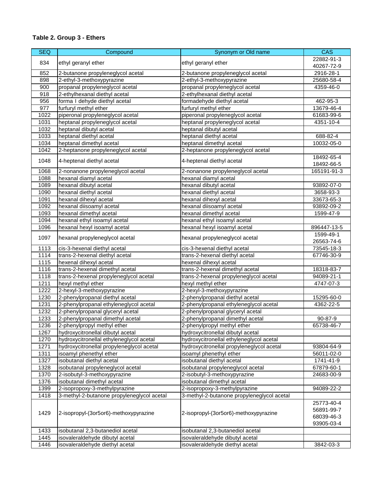| <b>SEQ</b> | Compound                                   | Synonym or Old name                        | <b>CAS</b>               |
|------------|--------------------------------------------|--------------------------------------------|--------------------------|
|            |                                            |                                            | 22882-91-3               |
| 834        | ethyl geranyl ether                        | ethyl geranyl ether                        | 40267-72-9               |
| 852        | 2-butanone propyleneglycol acetal          | 2-butanone propyleneglycol acetal          | 2916-28-1                |
| 898        | 2-ethyl-3-methoxypyrazine                  | 2-ethyl-3-methoxypyrazine                  | 25680-58-4               |
| 900        | propanal propyleneglycol acetal            | propanal propyleneglycol acetal            | 4359-46-0                |
| 918        | 2-ethylhexanal diethyl acetal              | 2-ethylhexanal diethyl acetal              |                          |
| 956        | forma I dehyde diethyl acetal              | formadehyde diethyl acetal                 | 462-95-3                 |
| 977        | furfuryl methyl ether                      | furfuryl methyl ether                      | 13679-46-4               |
| 1022       | piperonal propyleneglycol acetal           | piperonal propyleneglycol acetal           | 61683-99-6               |
| 1031       | heptanal propyleneglycol acetal            | heptanal propyleneglycol acetal            | 4351-10-4                |
| 1032       | heptanal dibutyl acetal                    | heptanal dibutyl acetal                    |                          |
| 1033       | heptanal diethyl acetal                    | heptanal diethyl acetal                    | 688-82-4                 |
| 1034       | heptanal dimethyl acetal                   | heptanal dimethyl acetal                   | 10032-05-0               |
| 1042       | 2-heptanone propyleneglycol acetal         | 2-heptanone propyleneglycol acetal         |                          |
|            |                                            |                                            | 18492-65-4               |
| 1048       | 4-heptenal diethyl acetal                  | 4-heptenal diethyl acetal                  | 18492-66-5               |
| 1068       | 2-nonanone propyleneglycol acetal          | 2-nonanone propyleneglycol acetal          | 165191-91-3              |
| 1088       | hexanal diamyl acetal                      | hexanal diamyl acetal                      |                          |
| 1089       | hexanal dibutyl acetal                     | hexanal dibutyl acetal                     | 93892-07-0               |
| 1090       | hexanal diethyl acetal                     | hexanal diethyl acetal                     | 3658-93-3                |
| 1091       | hexanal dihexyl acetal                     | hexanal dihexyl acetal                     | 33673-65-3               |
| 1092       | hexanal diisoamyl acetal                   | hexanal diisoamyl acetal                   | 93892-09-2               |
| 1093       | hexanal dimethyl acetal                    | hexanal dimethyl acetal                    | 1599-47-9                |
| 1094       | hexanal ethyl isoamyl acetal               | hexanal ethyl isoamyl acetal               |                          |
| 1096       | hexanal hexyl isoamyl acetal               | hexanal hexyl isoamyl acetal               | 896447-13-5              |
| 1097       | hexanal propyleneglycol acetal             | hexanal propyleneglycol acetal             | 1599-49-1<br>26563-74-6  |
| 1113       | cis-3-hexenal diethyl acetal               | cis-3-hexenal diethyl acetal               | 73545-18-3               |
| 1114       | trans-2-hexenal diethyl acetal             | trans-2-hexenal diethyl acetal             | 67746-30-9               |
| 1115       | hexenal dihexyl acetal                     | hexenal dihexyl acetal                     |                          |
| 1116       | trans-2-hexenal dimethyl acetal            | trans-2-hexenal dimethyl acetal            | 18318-83-7               |
| 1118       | trans-2-hexenal propyleneglycol acetal     | trans-2-hexenal propyleneglycol acetal     | 94089-21-1               |
| 1211       | hexyl methyl ether                         | hexyl methyl ether                         | 4747-07-3                |
| 1222       | 2-hexyl-3-methoxypyrazine                  | 2-hexyl-3-methoxypyrazine                  |                          |
| 1230       | 2-phenylpropanal diethyl acetal            | 2-phenylpropanal diethyl acetal            | 15295-60-0               |
| 1231       | 2-phenylpropanal ethyleneglycol acetal     | 2-phenylpropanal ethyleneglycol acetal     | 4362-22-5                |
| 1232       | 2-phenylpropanal glyceryl acetal           | 2-phenylpropanal glyceryl acetal           |                          |
| 1233       | 2-phenylpropanal dimethyl acetal           | 2-phenylpropanal dimethyl acetal           | 90-87-9                  |
| 1236       | 2-phenylpropyl methyl ether                | 2-phenylpropyl methyl ether                | 65738-46-7               |
| 1267       | hydroxycitronellal dibutyl acetal          | hydroxycitronellal dibutyl acetal          |                          |
| 1270       | hydroxycitronellal ethyleneglycol acetal   | hydroxycitronellal ethyleneglycol acetal   |                          |
| 1271       | hydroxycitronellal propyleneglycol acetal  | hydroxycitronellal propyleneglycol acetal  | 93804-64-9               |
| 1311       | isoamyl phenethyl ether                    | isoamyl phenethyl ether                    | 56011-02-0               |
| 1327       | isobutanal diethyl acetal                  | isobutanal diethyl acetal                  | 1741-41-9                |
| 1328       | isobutanal propyleneglycol acetal          | isobutanal propyleneglycol acetal          | 67879-60-1               |
| 1370       | 2-isobutyl-3-methoxypyrazine               | 2-isobutyl-3-methoxypyrazine               | 24683-00-9               |
| 1376       | isobutanal dimethyl acetal                 | isobutanal dimethyl acetal                 |                          |
| 1399       | 2-isopropoxy-3-methylpyrazine              | 2-isopropoxy-3-methylpyrazine              | 94089-22-2               |
| 1418       | 3-methyl-2-butanone propyleneglycol acetal | 3-methyl-2-butanone propyleneglycol acetal |                          |
|            |                                            |                                            | 25773-40-4               |
| 1429       | 2-isopropyl-(3or5or6)-methoxypyrazine      | 2-isopropyl-(3or5or6)-methoxypyrazine      | 56891-99-7               |
|            |                                            |                                            | 68039-46-3<br>93905-03-4 |
| 1433       | isobutanal 2,3-butanediol acetal           | isobutanal 2,3-butanediol acetal           |                          |
| 1445       | isovaleraldehyde dibutyl acetal            | isovaleraldehyde dibutyl acetal            |                          |
| 1446       | isovaleraldehyde diethyl acetal            | isovaleraldehyde diethyl acetal            | 3842-03-3                |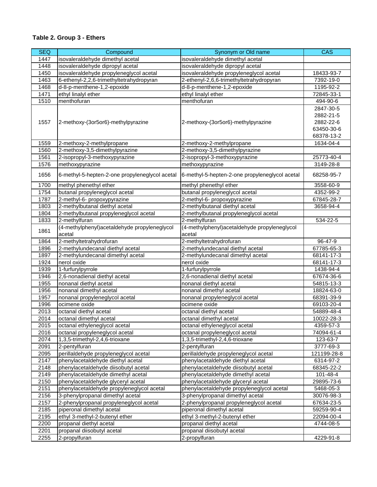| <b>SEQ</b> | Compound                                       | Synonym or Old name                            | <b>CAS</b>  |
|------------|------------------------------------------------|------------------------------------------------|-------------|
| 1447       | isovaleraldehyde dimethyl acetal               | isovaleraldehyde dimethyl acetal               |             |
| 1448       | isovaleraldehyde dipropyl acetal               | isovaleraldehyde dipropyl acetal               |             |
| 1450       | isovaleraldehyde propyleneglycol acetal        | isovaleraldehyde propyleneglycol acetal        | 18433-93-7  |
| 1463       | 6-ethenyl-2,2,6-trimethyltetrahydropyran       | 2-ethenyl-2,6,6-trimethyltetrahydropyran       | 7392-19-0   |
| 1468       | d-8-p-menthene-1,2-epoxide                     | d-8-p-menthene-1,2-epoxide                     | 1195-92-2   |
| 1471       | ethyl linalyl ether                            | ethyl linalyl ether                            | 72845-33-1  |
| 1510       | menthofuran                                    | menthofuran                                    | 494-90-6    |
|            |                                                |                                                | 2847-30-5   |
|            |                                                |                                                | 2882-21-5   |
| 1557       | 2-methoxy-(3or5or6)-methylpyrazine             | 2-methoxy-(3or5or6)-methylpyrazine             | 2882-22-6   |
|            |                                                |                                                | 63450-30-6  |
|            |                                                |                                                | 68378-13-2  |
| 1559       | 2-methoxy-2-methylpropane                      | 2-methoxy-2-methylpropane                      | 1634-04-4   |
| 1560       | 2-methoxy-3,5-dimethylpyrazine                 | 2-methoxy-3,5-dimethylpyrazine                 |             |
| 1561       | 2-isopropyl-3-methoxypyrazine                  | 2-isopropyl-3-methoxypyrazine                  | 25773-40-4  |
| 1576       | methoxypyrazine                                | methoxypyrazine                                | 3149-28-8   |
|            |                                                |                                                |             |
| 1656       | 6-methyl-5-hepten-2-one propyleneglycol acetal | 6-methyl-5-hepten-2-one propyleneglycol acetal | 68258-95-7  |
| 1700       | methyl phenethyl ether                         | methyl phenethyl ether                         | 3558-60-9   |
| 1754       | butanal propyleneglycol acetal                 | butanal propyleneglycol acetal                 | 4352-99-2   |
| 1787       | 2-methyl-6- propoxypyrazine                    | 2-methyl-6- propoxypyrazine                    | 67845-28-7  |
| 1803       | 2-methylbutanal diethyl acetal                 | 2-methylbutanal diethyl acetal                 | 3658-94-4   |
| 1804       | 2-methylbutanal propyleneglycol acetal         | 2-methylbutanal propyleneglycol acetal         |             |
| 1833       | 2-methylfuran                                  | 2-methylfuran                                  | 534-22-5    |
| 1861       | (4-methylphenyl)acetaldehyde propyleneglycol   | (4-methylphenyl)acetaldehyde propyleneglycol   |             |
|            | acetal                                         | acetal                                         |             |
| 1864       | 2-methyltetrahydrofuran                        | 2-methyltetrahydrofuran                        | 96-47-9     |
| 1896       | 2-methylundecanal diethyl acetal               | 2-methylundecanal diethyl acetal               | 67785-65-3  |
| 1897       | 2-methylundecanal dimethyl acetal              | 2-methylundecanal dimethyl acetal              | 68141-17-3  |
| 1924       | nerol oxide                                    | nerol oxide                                    | 68141-17-3  |
| 1939       | 1-furfurylpyrrole                              | 1-furfurylpyrrole                              | 1438-94-4   |
| 1946       | 2,6-nonadienal diethyl acetal                  | 2,6-nonadienal diethyl acetal                  | 67674-36-6  |
| 1955       | nonanal diethyl acetal                         | nonanal diethyl acetal                         | 54815-13-3  |
| 1956       | nonanal dimethyl acetal                        | nonanal dimethyl acetal                        | 18824-63-0  |
| 1957       | nonanal propyleneglycol acetal                 | nonanal propyleneglycol acetal                 | 68391-39-9  |
| 1996       | ocimene oxide                                  | ocimene oxide                                  | 69103-20-4  |
| 2013       | octanal diethyl acetal                         | octanal diethyl acetal                         | 54889-48-4  |
| 2014       | octanal dimethyl acetal                        | octanal dimethyl acetal                        | 10022-28-3  |
| 2015       | octanal ethyleneglycol acetal                  | octanal ethyleneglycol acetal                  | 4359-57-3   |
| 2016       | octanal propyleneglycol acetal                 | octanal propyleneglycol acetal                 | 74094-61-4  |
| 2074       | 1,3,5-trimethyl-2,4,6-trioxane                 | 1,3,5-trimethyl-2,4,6-trioxane                 | 123-63-7    |
| 2091       | 2-pentylfuran                                  | 2-pentylfuran                                  | 3777-69-3   |
| 2095       | perillaldehyde propyleneglycol acetal          | perillaldehyde propyleneglycol acetal          | 121199-28-8 |
| 2147       | phenylacetaldehyde diethyl acetal              | phenylacetaldehyde diethyl acetal              | 6314-97-2   |
| 2148       | phenylacetaldehyde diisobutyl acetal           | phenylacetaldehyde diisobutyl acetal           | 68345-22-2  |
| 2149       | phenylacetaldehyde dimethyl acetal             | phenylacetaldehyde dimethyl acetal             | 101-48-4    |
| 2150       | phenylacetaldehyde glyceryl acetal             | phenylacetaldehyde glyceryl acetal             | 29895-73-6  |
| 2151       | phenylacetaldehyde propyleneglycol acetal      | phenylacetaldehyde propyleneglycol acetal      | 5468-05-3   |
| 2156       | 3-phenylpropanal dimethyl acetal               | 3-phenylpropanal dimethyl acetal               | 30076-98-3  |
| 2157       | 2-phenylpropanal propyleneglycol acetal        | 2-phenylpropanal propyleneglycol acetal        | 67634-23-5  |
| 2185       | piperonal dimethyl acetal                      | piperonal dimethyl acetal                      | 59259-90-4  |
| 2195       | ethyl 3-methyl-2-butenyl ether                 | ethyl 3-methyl-2-butenyl ether                 | 22094-00-4  |
| 2200       | propanal diethyl acetal                        | propanal diethyl acetal                        | 4744-08-5   |
| 2201       | propanal diisobutyl acetal                     | propanal diisobutyl acetal                     |             |
| 2255       | 2-propylfuran                                  | 2-propylfuran                                  | 4229-91-8   |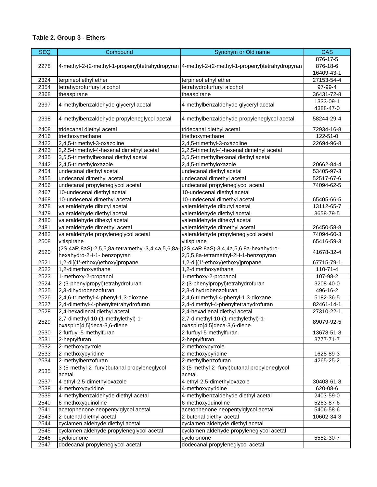| <b>SEQ</b> | Compound                                                                               | Synonym or Old name                                                                             | <b>CAS</b>     |
|------------|----------------------------------------------------------------------------------------|-------------------------------------------------------------------------------------------------|----------------|
|            |                                                                                        |                                                                                                 | 876-17-5       |
| 2278       |                                                                                        | 4-methyl-2-(2-methyl-1-propenyl)tetrahydropyran 4-methyl-2-(2-methyl-1-propenyl)tetrahydropyran | 876-18-6       |
|            |                                                                                        |                                                                                                 | 16409-43-1     |
| 2324       | terpineol ethyl ether                                                                  | terpineol ethyl ether                                                                           | 27153-54-4     |
| 2354       | tetrahydrofurfuryl alcohol                                                             | tetrahydrofurfuryl alcohol                                                                      | 97-99-4        |
| 2368       | theaspirane                                                                            | theaspirane                                                                                     | 36431-72-8     |
|            |                                                                                        |                                                                                                 | 1333-09-1      |
| 2397       | 4-methylbenzaldehyde glyceryl acetal                                                   | 4-methylbenzaldehyde glyceryl acetal                                                            | 4388-47-0      |
| 2398       | 4-methylbenzaldehyde propyleneglycol acetal                                            | 4-methylbenzaldehyde propyleneglycol acetal                                                     | 58244-29-4     |
| 2408       | tridecanal diethyl acetal                                                              | tridecanal diethyl acetal                                                                       | 72934-16-8     |
| 2416       | triethoxymethane                                                                       | triethoxymethane                                                                                | 122-51-0       |
| 2422       | 2,4,5-trimethyl-3-oxazoline                                                            | 2,4,5-trimethyl-3-oxazoline                                                                     | 22694-96-8     |
| 2423       | 2,2,5-trimethyl-4-hexenal dimethyl acetal                                              | 2,2,5-trimethyl-4-hexenal dimethyl acetal                                                       |                |
| 2435       | 3,5,5-trimethylhexanal diethyl acetal                                                  | 3,5,5-trimethylhexanal diethyl acetal                                                           |                |
| 2442       | 2,4,5-trimethyloxazole                                                                 | 2,4,5-trimethyloxazole                                                                          | 20662-84-4     |
| 2454       | undecanal diethyl acetal                                                               | undecanal diethyl acetal                                                                        | 53405-97-3     |
| 2455       | undecanal dimethyl acetal                                                              | undecanal dimethyl acetal                                                                       | 52517-67-6     |
| 2456       | undecanal propyleneglycol acetal                                                       | undecanal propyleneglycol acetal                                                                | 74094-62-5     |
| 2467       | 10-undecenal diethyl acetal                                                            | 10-undecenal diethyl acetal                                                                     |                |
| 2468       | 10-undecenal dimethyl acetal                                                           | 10-undecenal dimethyl acetal                                                                    | 65405-66-5     |
| 2478       | valeraldehyde dibutyl acetal                                                           | valeraldehyde dibutyl acetal                                                                    | 13112-65-7     |
| 2479       | valeraldehyde diethyl acetal                                                           | valeraldehyde diethyl acetal                                                                    | 3658-79-5      |
| 2480       | valeraldehyde dihexyl acetal                                                           | valeraldehyde dihexyl acetal                                                                    |                |
| 2481       | valeraldehyde dimethyl acetal                                                          | valeraldehyde dimethyl acetal                                                                   | 26450-58-8     |
|            |                                                                                        |                                                                                                 |                |
| 2482       | valeraldehyde propyleneglycol acetal                                                   | valeraldehyde propyleneglycol acetal                                                            | 74094-60-3     |
| 2508       | vitispirane                                                                            | vitispirane                                                                                     | 65416-59-3     |
| 2520       | (2S,4aR,8aS)-2,5,5,8a-tetramethyl-3,4,4a,5,6,8a-((2S,4aR,8aS)-3,4,4a,5,6,8a-hexahydro- |                                                                                                 | 41678-32-4     |
|            | hexahydro-2H-1- benzopyran                                                             | 2,5,5,8a-tetramethyl-2H-1-benzopyran                                                            |                |
| 2521       | 1,2-di[(1'-ethoxy)ethoxy]propane                                                       | 1,2-di[(1'-ethoxy)ethoxy]propane                                                                | 67715-79-1     |
| 2522       | 1,2-dimethoxyethane                                                                    | 1,2-dimethoxyethane                                                                             | $110 - 71 - 4$ |
| 2523       | 1-methoxy-2-propanol                                                                   | 1-methoxy-2-propanol                                                                            | 107-98-2       |
| 2524       | 2-(3-phenylpropyl)tetrahydrofuran                                                      | 2-(3-phenylpropyl)tetrahydrofuran                                                               | 3208-40-0      |
| 2525       | 2,3-dihydrobenzofuran                                                                  | 2,3-dihydrobenzofuran                                                                           | 496-16-2       |
| 2526       | 2,4,6-trimethyl-4-phenyl-1,3-dioxane                                                   | 2,4,6-trimethyl-4-phenyl-1,3-dioxane                                                            | 5182-36-5      |
| 2527       | 2,4-dimethyl-4-phenyltetrahydrofuran                                                   | 2,4-dimethyl-4-phenyltetrahydrofuran                                                            | 82461-14-1     |
| 2528       | 2,4-hexadienal diethyl acetal                                                          | 2,4-hexadienal diethyl acetal                                                                   | 27310-22-1     |
| 2529       | 2,7-dimethyl-10-(1-methylethyl)-1-                                                     | 2,7-dimethyl-10-(1-methylethyl)-1-                                                              | 89079-92-5     |
|            | oxaspiro[4,5]deca-3,6-diene                                                            | oxaspiro[4,5]deca-3,6-diene                                                                     |                |
| 2530       | 2-furfuyl-5-methylfuran                                                                | 2-furfuyl-5-methylfuran                                                                         | 13678-51-8     |
| 2531       | 2-heptylfuran                                                                          | 2-heptylfuran                                                                                   | 3777-71-7      |
| 2532       | 2-methoxypyrrole                                                                       | 2-methoxypyrrole                                                                                |                |
| 2533       | 2-methoxypyridine                                                                      | 2-methoxypyridine                                                                               | 1628-89-3      |
| 2534       | 2-methylbenzofuran                                                                     | 2-methylbenzofuran                                                                              | 4265-25-2      |
| 2535       | 3-(5-methyl-2- furyl) butanal propyleneglycol<br>acetal                                | 3-(5-methyl-2- furyl) butanal propyleneglycol<br>acetal                                         |                |
| 2537       | 4-ethyl-2,5-dimethyloxazole                                                            | 4-ethyl-2,5-dimethyloxazole                                                                     | 30408-61-8     |
| 2538       | 4-methoxypyridine                                                                      | 4-methoxypyridine                                                                               | 620-08-6       |
| 2539       | 4-methylbenzaldehyde diethyl acetal                                                    | 4-methylbenzaldehyde diethyl acetal                                                             | 2403-59-0      |
| 2540       | 6-methoxyquinoline                                                                     | 6-methoxyquinoline                                                                              | 5263-87-6      |
| 2541       | acetophenone neopentylglycol acetal                                                    | acetophenone neopentylglycol acetal                                                             | 5406-58-6      |
| 2543       | 2-butenal diethyl acetal                                                               | 2-butenal diethyl acetal                                                                        | 10602-34-3     |
| 2544       | cyclamen aldehyde diethyl acetal                                                       | cyclamen aldehyde diethyl acetal                                                                |                |
| 2545       | cyclamen aldehyde propyleneglycol acetal                                               | cyclamen aldehyde propyleneglycol acetal                                                        |                |
| 2546       | cycloionone                                                                            | cycloionone                                                                                     | 5552-30-7      |
| 2547       | dodecanal propyleneglycol acetal                                                       | dodecanal propyleneglycol acetal                                                                |                |
|            |                                                                                        |                                                                                                 |                |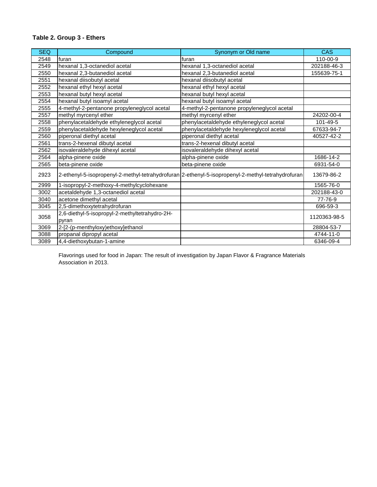| <b>SEQ</b> | Compound                                       | Synonym or Old name                                                                               | <b>CAS</b>   |
|------------|------------------------------------------------|---------------------------------------------------------------------------------------------------|--------------|
| 2548       | furan                                          | furan                                                                                             | 110-00-9     |
| 2549       | hexanal 1,3-octanediol acetal                  | hexanal 1,3-octanediol acetal                                                                     | 202188-46-3  |
| 2550       | hexanal 2,3-butanediol acetal                  | hexanal 2,3-butanediol acetal                                                                     | 155639-75-1  |
| 2551       | hexanal diisobutyl acetal                      | hexanal diisobutyl acetal                                                                         |              |
| 2552       | hexanal ethyl hexyl acetal                     | hexanal ethyl hexyl acetal                                                                        |              |
| 2553       | hexanal butyl hexyl acetal                     | hexanal butyl hexyl acetal                                                                        |              |
| 2554       | hexanal butyl isoamyl acetal                   | hexanal butyl isoamyl acetal                                                                      |              |
| 2555       | 4-methyl-2-pentanone propyleneglycol acetal    | 4-methyl-2-pentanone propyleneglycol acetal                                                       |              |
| 2557       | methyl myrcenyl ether                          | methyl myrcenyl ether                                                                             | 24202-00-4   |
| 2558       | phenylacetaldehyde ethyleneglycol acetal       | phenylacetaldehyde ethyleneglycol acetal                                                          | 101-49-5     |
| 2559       | phenylacetaldehyde hexyleneglycol acetal       | phenylacetaldehyde hexyleneglycol acetal                                                          | 67633-94-7   |
| 2560       | piperonal diethyl acetal                       | piperonal diethyl acetal                                                                          | 40527-42-2   |
| 2561       | trans-2-hexenal dibutyl acetal                 | trans-2-hexenal dibutyl acetal                                                                    |              |
| 2562       | isovaleraldehyde dihexyl acetal                | isovaleraldehyde dihexyl acetal                                                                   |              |
| 2564       | alpha-pinene oxide                             | alpha-pinene oxide                                                                                | 1686-14-2    |
| 2565       | beta-pinene oxide                              | beta-pinene oxide                                                                                 | 6931-54-0    |
| 2923       |                                                | 2-ethenyl-5-isopropenyl-2-methyl-tetrahydrofuran 2-ethenyl-5-isopropenyl-2-methyl-tetrahydrofuran | 13679-86-2   |
| 2999       | 1-isopropyl-2-methoxy-4-methylcyclohexane      |                                                                                                   | 1565-76-0    |
| 3002       | acetaldehyde 1,3-octanediol acetal             |                                                                                                   | 202188-43-0  |
| 3040       | acetone dimethyl acetal                        |                                                                                                   | 77-76-9      |
| 3045       | 2,5-dimethoxytetrahydrofuran                   |                                                                                                   | 696-59-3     |
| 3058       | 2,6-diethyl-5-isopropyl-2-methyltetrahydro-2H- |                                                                                                   | 1120363-98-5 |
|            | pyran                                          |                                                                                                   |              |
| 3069       | 2-[2-(p-menthyloxy)ethoxy]ethanol              |                                                                                                   | 28804-53-7   |
| 3088       | propanal dipropyl acetal                       |                                                                                                   | 4744-11-0    |
| 3089       | 4,4-diethoxybutan-1-amine                      |                                                                                                   | 6346-09-4    |

Flavorings used for food in Japan: The result of investigation by Japan Flavor & Fragrance Materials Association in 2013.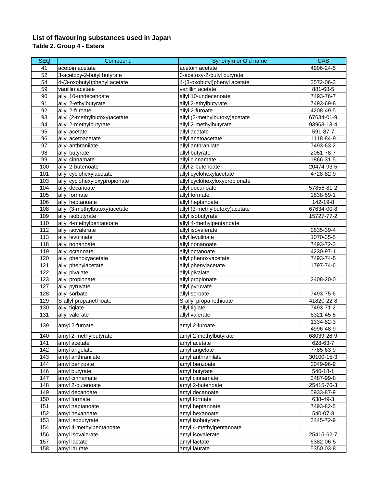#### **List of flavouring substances used in Japan Table 2. Group 4 - Esters**

| <b>SEQ</b>      | Compound                       | Synonym or Old name            | CAS        |
|-----------------|--------------------------------|--------------------------------|------------|
| 41              | acetoin acetate                | acetoin acetate                | 4906-24-5  |
| $\overline{52}$ | 3-acetoxy-2-butyl butyrate     | 3-acetoxy-2-butyl butyrate     |            |
| 54              | 4-(3-oxobutyl)phenyl acetate   | 4-(3-oxobutyl)phenyl acetate   | 3572-06-3  |
| 59              | vanillin acetate               | vanillin acetate               | 881-68-5   |
| 90              | allyl 10-undecenoate           | allyl 10-undecenoate           | 7493-76-7  |
| 91              | allyl 2-ethylbutyrate          | allyl 2-ethylbutyrate          | 7493-69-8  |
| 92              | allyl 2-furoate                | allyl 2-furoate                | 4208-49-5  |
| 93              | allyl (2-methylbutoxy) acetate | allyl (2-methylbutoxy)acetate  | 67634-01-9 |
| 94              | allyl 2-methylbutyrate         | allyl 2-methylbutyrate         | 93963-13-4 |
| $\overline{95}$ | allyl acetate                  | allyl acetate                  | 591-87-7   |
| 96              | allyl acetoacetate             | allyl acetoacetate             | 1118-84-9  |
| $\overline{97}$ | allyl anthranilate             | allyl anthranilate             | 7493-63-2  |
| 98              | allyl butyrate                 | allyl butyrate                 | 2051-78-7  |
| 99              | allyl cinnamate                | allyl cinnamate                | 1866-31-5  |
| 100             | allyl 2-butenoate              | allyl 2-butenoate              | 20474-93-5 |
| 101             | allyl cyclohexylacetate        | allyl cyclohexylacetate        | 4728-82-9  |
| 103             | allyl cyclohexyloxypropionate  | allyl cyclohexyloxypropionate  |            |
| 104             | allyl decanoate                | allyl decanoate                | 57856-81-2 |
| 105             | allyl formate                  | allyl formate                  | 1838-59-1  |
| 106             | allyl heptanoate               | allyl heptanoate               | 142-19-8   |
| 108             | allyl (3-methylbutoxy) acetate | allyl (3-methylbutoxy) acetate | 67634-00-8 |
| 109             | allyl isobutyrate              | allyl isobutyrate              | 15727-77-2 |
| 110             | allyl 4-methylpentanoate       | allyl 4-methylpentanoate       |            |
| 112             | allyl isovalerate              | allyl isovalerate              | 2835-39-4  |
| 113             | allyl levulinate               | allyl levulinate               | 1070-35-5  |
| 118             | allyl nonanoate                | allyl nonanoate                | 7493-72-3  |
| 119             | allyl octanoate                | allyl octanoate                | 4230-97-1  |
| 120             | allyl phenoxyacetate           | allyl phenoxyacetate           | 7493-74-5  |
| 121             | allyl phenylacetate            | allyl phenylacetate            | 1797-74-6  |
| 122             | allyl pivalate                 | allyl pivalate                 |            |
| 123             | allyl propionate               | allyl propionate               | 2408-20-0  |
| 127             | allyl pyruvate                 | allyl pyruvate                 |            |
| 128             | allyl sorbate                  | allyl sorbate                  | 7493-75-6  |
| 129             | S-allyl propanethioate         | S-allyl propanethioate         | 41820-22-8 |
| 130             | allyl tiglate                  | allyl tiglate                  | 7493-71-2  |
| 131             | allyl valerate                 | allyl valerate                 | 6321-45-5  |
|                 |                                |                                | 1334-82-3  |
| 139             | amyl 2-furoate                 | amyl 2-furoate                 | 4996-48-9  |
| 140             | amyl 2-methylbutyrate          | amyl 2-methylbutyrate          | 68039-26-9 |
| 141             | amyl acetate                   | amyl acetate                   | 628-63-7   |
| 142             | amyl angelate                  | amyl angelate                  | 7785-63-9  |
| 143             | amyl anthranilate              | amyl anthranilate              | 30100-15-3 |
| 144             | amyl benzoate                  | amyl benzoate                  | 2049-96-9  |
| 146             | amyl butyrate                  | amyl butyrate                  | 540-18-1   |
| 147             | amyl cinnamate                 | amyl cinnamate                 | 3487-99-8  |
| 148             | amyl 2-butenoate               | amyl 2-butenoate               | 25415-76-3 |
| 149             | amyl decanoate                 | amyl decanoate                 | 5933-87-9  |
| 150             | amyl formate                   | amyl formate                   | 638-49-3   |
| 151             | amyl heptanoate                | amyl heptanoate                | 7493-82-5  |
| 152             | amyl hexanoate                 | amyl hexanoate                 | 540-07-8   |
| 153             | amyl isobutyrate               | amyl isobutyrate               | 2445-72-9  |
| 154             | amyl 4-methylpentanoate        | amyl 4-methylpentanoate        |            |
| 156             | amyl isovalerate               | amyl isovalerate               | 25415-62-7 |
| 157             | amyl lactate                   | amyl lactate                   | 6382-06-5  |
| 158             | amyl laurate                   | amyl laurate                   | 5350-03-8  |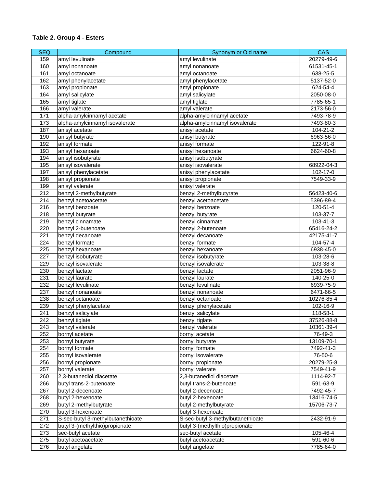| <b>SEQ</b> | Compound                          | Synonym or Old name               | CAS        |
|------------|-----------------------------------|-----------------------------------|------------|
| 159        | amyl levulinate                   | amyl levulinate                   | 20279-49-6 |
| 160        | amyl nonanoate                    | amyl nonanoate                    | 61531-45-1 |
| 161        | amyl octanoate                    | amyl octanoate                    | 638-25-5   |
| 162        | amyl phenylacetate                | amyl phenylacetate                | 5137-52-0  |
| 163        | amyl propionate                   | amyl propionate                   | 624-54-4   |
| 164        | amyl salicylate                   | amyl salicylate                   | 2050-08-0  |
| 165        | amyl tiglate                      | amyl tiglate                      | 7785-65-1  |
| 166        | amyl valerate                     | amyl valerate                     | 2173-56-0  |
| 171        | alpha-amylcinnamyl acetate        | alpha-amylcinnamyl acetate        | 7493-78-9  |
| 173        | alpha-amylcinnamyl isovalerate    | alpha-amylcinnamyl isovalerate    | 7493-80-3  |
| 187        | anisyl acetate                    | anisyl acetate                    | 104-21-2   |
| 190        | anisyl butyrate                   | anisyl butyrate                   | 6963-56-0  |
| 192        | anisyl formate                    | anisyl formate                    | 122-91-8   |
| 193        | anisyl hexanoate                  | anisyl hexanoate                  | 6624-60-8  |
| 194        | anisyl isobutyrate                | anisyl isobutyrate                |            |
| 195        | anisyl isovalerate                | anisyl isovalerate                | 68922-04-3 |
| 197        | anisyl phenylacetate              | anisyl phenylacetate              | 102-17-0   |
| 198        | anisyl propionate                 | anisyl propionate                 | 7549-33-9  |
| 199        | anisyl valerate                   | anisyl valerate                   |            |
| 212        | benzyl 2-methylbutyrate           | benzyl 2-methylbutyrate           | 56423-40-6 |
| 214        | benzyl acetoacetate               | benzyl acetoacetate               | 5396-89-4  |
| 216        | benzyl benzoate                   | benzyl benzoate                   | 120-51-4   |
| 218        | benzyl butyrate                   | benzyl butyrate                   | 103-37-7   |
| 219        | benzyl cinnamate                  | benzyl cinnamate                  | 103-41-3   |
| 220        | benzyl 2-butenoate                | benzyl 2-butenoate                | 65416-24-2 |
| 221        | benzyl decanoate                  | benzyl decanoate                  | 42175-41-7 |
| 224        | benzyl formate                    | benzyl formate                    | 104-57-4   |
| 225        | benzyl hexanoate                  | benzyl hexanoate                  | 6938-45-0  |
| 227        | benzyl isobutyrate                | benzyl isobutyrate                | 103-28-6   |
| 229        | benzyl isovalerate                | benzyl isovalerate                | 103-38-8   |
| 230        | benzyl lactate                    | benzyl lactate                    | 2051-96-9  |
| 231        | benzyl laurate                    | benzyl laurate                    | 140-25-0   |
| 232        | benzyl levulinate                 | benzyl levulinate                 | 6939-75-9  |
| 237        | benzyl nonanoate                  | benzyl nonanoate                  | 6471-66-5  |
| 238        | benzyl octanoate                  | benzyl octanoate                  | 10276-85-4 |
| 239        | benzyl phenylacetate              | benzyl phenylacetate              | 102-16-9   |
| 241        | benzyl salicylate                 | benzyl salicylate                 | 118-58-1   |
| 242        | benzyl tiglate                    | benzyl tiglate                    | 37526-88-8 |
| 243        | benzyl valerate                   | benzyl valerate                   | 10361-39-4 |
| 252        | bornyl acetate                    | bornyl acetate                    | 76-49-3    |
| 253        | bornyl butyrate                   | bornyl butyrate                   | 13109-70-1 |
| 254        | bornyl formate                    | bornyl formate                    | 7492-41-3  |
| 255        | bornyl isovalerate                | bornyl isovalerate                | 76-50-6    |
| 256        | bornyl propionate                 | bornyl propionate                 | 20279-25-8 |
| 257        | bornyl valerate                   | bornyl valerate                   | 7549-41-9  |
| 260        | 2,3-butanediol diacetate          | 2,3-butanediol diacetate          | 1114-92-7  |
| 266        | butyl trans-2-butenoate           | butyl trans-2-butenoate           | 591-63-9   |
| 267        | butyl 2-decenoate                 | butyl 2-decenoate                 | 7492-45-7  |
| 268        | butyl 2-hexenoate                 | butyl 2-hexenoate                 | 13416-74-5 |
| 269        | butyl 2-methylbutyrate            | butyl 2-methylbutyrate            | 15706-73-7 |
| 270        | butyl 3-hexenoate                 | butyl 3-hexenoate                 |            |
| 271        | S-sec-butyl 3-methylbutanethioate | S-sec-butyl 3-methylbutanethioate | 2432-91-9  |
| 272        | butyl 3-(methylthio)propionate    | butyl 3-(methylthio)propionate    |            |
| 273        | sec-butyl acetate                 | sec-butyl acetate                 | 105-46-4   |
| 275        | butyl acetoacetate                | butyl acetoacetate                | 591-60-6   |
| 276        | butyl angelate                    | butyl angelate                    | 7785-64-0  |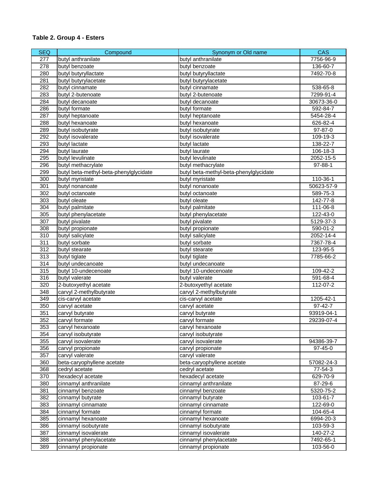| <b>SEQ</b> | Compound                               | Synonym or Old name                    | <b>CAS</b> |
|------------|----------------------------------------|----------------------------------------|------------|
| 277        | butyl anthranilate                     | butyl anthranilate                     | 7756-96-9  |
| 278        | butyl benzoate                         | butyl benzoate                         | 136-60-7   |
| 280        | butyl butyryllactate                   | butyl butyryllactate                   | 7492-70-8  |
| 281        | butyl butyrylacetate                   | butyl butyrylacetate                   |            |
| 282        | butyl cinnamate                        | butyl cinnamate                        | 538-65-8   |
| 283        | butyl 2-butenoate                      | butyl 2-butenoate                      | 7299-91-4  |
| 284        | butyl decanoate                        | butyl decanoate                        | 30673-36-0 |
| 286        | butyl formate                          | butyl formate                          | 592-84-7   |
| 287        | butyl heptanoate                       | butyl heptanoate                       | 5454-28-4  |
| 288        | butyl hexanoate                        | butyl hexanoate                        | 626-82-4   |
| 289        | butyl isobutyrate                      | butyl isobutyrate                      | 97-87-0    |
| 292        | butyl isovalerate                      | butyl isovalerate                      | 109-19-3   |
| 293        | butyl lactate                          | butyl lactate                          | 138-22-7   |
| 294        | butyl laurate                          | butyl laurate                          | 106-18-3   |
| 295        | butyl levulinate                       | butyl levulinate                       | 2052-15-5  |
| 296        | butyl methacrylate                     | butyl methacrylate                     | 97-88-1    |
| 299        | butyl beta-methyl-beta-phenylglycidate | butyl beta-methyl-beta-phenylglycidate |            |
| 300        | butyl myristate                        | butyl myristate                        | 110-36-1   |
| 301        | butyl nonanoate                        | butyl nonanoate                        | 50623-57-9 |
| 302        | butyl octanoate                        | butyl octanoate                        | 589-75-3   |
| 303        | butyl oleate                           |                                        |            |
|            |                                        | butyl oleate                           | 142-77-8   |
| 304        | butyl palmitate                        | butyl palmitate                        | 111-06-8   |
| 305        | butyl phenylacetate                    | butyl phenylacetate                    | 122-43-0   |
| 307        | butyl pivalate                         | butyl pivalate                         | 5129-37-3  |
| 308        | butyl propionate                       | butyl propionate                       | 590-01-2   |
| 310        | butyl salicylate                       | butyl salicylate                       | 2052-14-4  |
| 311        | butyl sorbate                          | butyl sorbate                          | 7367-78-4  |
| 312        | butyl stearate                         | butyl stearate                         | 123-95-5   |
| 313        | butyl tiglate                          | butyl tiglate                          | 7785-66-2  |
| 314        | butyl undecanoate                      | butyl undecanoate                      |            |
| 315        | butyl 10-undecenoate                   | butyl 10-undecenoate                   | 109-42-2   |
| 316        | butyl valerate                         | butyl valerate                         | 591-68-4   |
| 320        | 2-butoxyethyl acetate                  | 2-butoxyethyl acetate                  | 112-07-2   |
| 348        | carvyl 2-methylbutyrate                | carvyl 2-methylbutyrate                |            |
| 349        | cis-carvyl acetate                     | cis-carvyl acetate                     | 1205-42-1  |
| 350        | carvyl acetate                         | carvyl acetate                         | 97-42-7    |
| 351        | carvyl butyrate                        | carvyl butyrate                        | 93919-04-1 |
| 352        | carvyl formate                         | carvyl formate                         | 29239-07-4 |
| 353        | carvyl hexanoate                       | carvyl hexanoate                       |            |
| 354        | carvyl isobutyrate                     | carvyl isobutyrate                     |            |
| 355        | carvyl isovalerate                     | carvyl isovalerate                     | 94386-39-7 |
| 356        | carvyl propionate                      | carvyl propionate                      | 97-45-0    |
| 357        | carvyl valerate                        | carvyl valerate                        |            |
| 360        | beta-caryophyllene acetate             | beta-caryophyllene acetate             | 57082-24-3 |
| 368        | cedryl acetate                         | cedryl acetate                         | 77-54-3    |
| 370        | hexadecyl acetate                      | hexadecyl acetate                      | 629-70-9   |
| 380        | cinnamyl anthranilate                  | cinnamyl anthranilate                  | 87-29-6    |
| 381        | cinnamyl benzoate                      | cinnamyl benzoate                      | 5320-75-2  |
| 382        | cinnamyl butyrate                      | cinnamyl butyrate                      | 103-61-7   |
| 383        | cinnamyl cinnamate                     | cinnamyl cinnamate                     | 122-69-0   |
| 384        | cinnamyl formate                       | cinnamyl formate                       | 104-65-4   |
| 385        | cinnamyl hexanoate                     | cinnamyl hexanoate                     | 6994-20-3  |
| 386        | cinnamyl isobutyrate                   | cinnamyl isobutyrate                   | 103-59-3   |
| 387        | cinnamyl isovalerate                   | cinnamyl isovalerate                   | 140-27-2   |
| 388        | cinnamyl phenylacetate                 | cinnamyl phenylacetate                 | 7492-65-1  |
| 389        | cinnamyl propionate                    | cinnamyl propionate                    | 103-56-0   |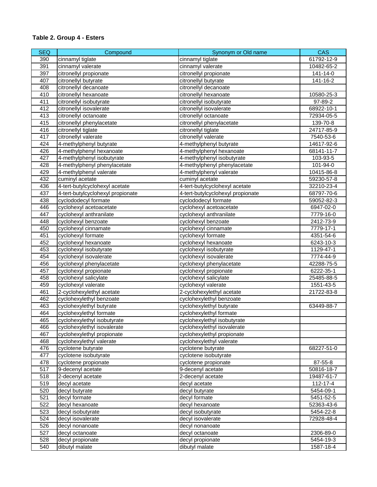| <b>SEQ</b> | Compound                          | Synonym or Old name               | CAS        |
|------------|-----------------------------------|-----------------------------------|------------|
| 390        | cinnamyl tiglate                  | cinnamyl tiglate                  | 61792-12-9 |
| 391        | cinnamyl valerate                 | cinnamyl valerate                 | 10482-65-2 |
| 397        | citronellyl propionate            | citronellyl propionate            | 141-14-0   |
| 407        | citronellyl butyrate              | citronellyl butyrate              | 141-16-2   |
| 408        | citronellyl decanoate             | citronellyl decanoate             |            |
| 410        | citronellyl hexanoate             | citronellyl hexanoate             | 10580-25-3 |
| 411        | citronellyl isobutyrate           | citronellyl isobutyrate           | 97-89-2    |
| 412        | citronellyl isovalerate           | citronellyl isovalerate           | 68922-10-1 |
| 413        | citronellyl octanoate             | citronellyl octanoate             | 72934-05-5 |
| 415        | citronellyl phenylacetate         | citronellyl phenylacetate         | 139-70-8   |
| 416        | citronellyl tiglate               | citronellyl tiglate               | 24717-85-9 |
| 417        | citronellyl valerate              | citronellyl valerate              | 7540-53-6  |
| 424        | 4-methylphenyl butyrate           | 4-methylphenyl butyrate           | 14617-92-6 |
| 426        | 4-methylphenyl hexanoate          | 4-methylphenyl hexanoate          | 68141-11-7 |
| 427        | 4-methylphenyl isobutyrate        | 4-methylphenyl isobutyrate        | 103-93-5   |
| 428        | 4-methylphenyl phenylacetate      | 4-methylphenyl phenylacetate      | 101-94-0   |
| 429        | 4-methylphenyl valerate           | 4-methylphenyl valerate           | 10415-86-8 |
| 432        | cuminyl acetate                   | cuminyl acetate                   | 59230-57-8 |
| 436        | 4-tert-butylcyclohexyl acetate    | 4-tert-butylcyclohexyl acetate    | 32210-23-4 |
| 437        | 4-tert-butylcyclohexyl propionate | 4-tert-butylcyclohexyl propionate | 68797-70-6 |
| 438        | cyclododecyl formate              | cyclododecyl formate              | 59052-82-3 |
| 446        | cyclohexyl acetoacetate           | cyclohexyl acetoacetate           | 6947-02-0  |
| 447        | cyclohexyl anthranilate           | cyclohexyl anthranilate           | 7779-16-0  |
| 448        | cyclohexyl benzoate               | cyclohexyl benzoate               | 2412-73-9  |
| 450        | cyclohexyl cinnamate              | cyclohexyl cinnamate              | 7779-17-1  |
| 451        | cyclohexyl formate                | cyclohexyl formate                | 4351-54-6  |
| 452        | cyclohexyl hexanoate              | cyclohexyl hexanoate              | 6243-10-3  |
| 453        | cyclohexyl isobutyrate            | cyclohexyl isobutyrate            | 1129-47-1  |
| 454        | cyclohexyl isovalerate            | cyclohexyl isovalerate            | 7774-44-9  |
| 456        | cyclohexyl phenylacetate          | cyclohexyl phenylacetate          | 42288-75-5 |
| 457        | cyclohexyl propionate             | cyclohexyl propionate             | 6222-35-1  |
| 458        | cyclohexyl salicylate             | cyclohexyl salicylate             | 25485-88-5 |
| 459        | cyclohexyl valerate               | cyclohexyl valerate               | 1551-43-5  |
| 461        | 2-cyclohexylethyl acetate         | 2-cyclohexylethyl acetate         | 21722-83-8 |
| 462        | cyclohexylethyl benzoate          | cyclohexylethyl benzoate          |            |
| 463        | cyclohexylethyl butyrate          | cyclohexylethyl butyrate          | 63449-88-7 |
| 464        | cyclohexylethyl formate           | cyclohexylethyl formate           |            |
| 465        | cyclohexylethyl isobutyrate       | cyclohexylethyl isobutyrate       |            |
| 466        | cyclohexylethyl isovalerate       | cyclohexylethyl isovalerate       |            |
| 467        | cyclohexylethyl propionate        | cyclohexylethyl propionate        |            |
| 468        | cyclohexylethyl valerate          | cyclohexylethyl valerate          |            |
| 476        | cyclotene butyrate                | cyclotene butyrate                | 68227-51-0 |
| 477        | cyclotene isobutyrate             | cyclotene isobutyrate             |            |
| 478        | cyclotene propionate              | cyclotene propionate              | 87-55-8    |
| 517        | 9-decenyl acetate                 | 9-decenyl acetate                 | 50816-18-7 |
| 518        | 2-decenyl acetate                 | 2-decenyl acetate                 | 19487-61-7 |
| 519        | decyl acetate                     | decyl acetate                     | 112-17-4   |
| 520        | decyl butyrate                    | decyl butyrate                    | 5454-09-1  |
| 521        | decyl formate                     | decyl formate                     | 5451-52-5  |
| 522        | decyl hexanoate                   | decyl hexanoate                   | 52363-43-6 |
| 523        | decyl isobutyrate                 | decyl isobutyrate                 | 5454-22-8  |
| 524        | decyl isovalerate                 | decyl isovalerate                 | 72928-48-4 |
| 526        | decyl nonanoate                   | decyl nonanoate                   |            |
| 527        | decyl octanoate                   | decyl octanoate                   | 2306-89-0  |
| 528        | decyl propionate                  | decyl propionate                  | 5454-19-3  |
| 540        | dibutyl malate                    | dibutyl malate                    | 1587-18-4  |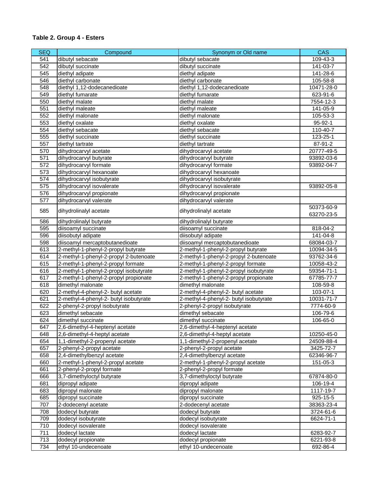| <b>SEQ</b> | Compound                                                | Synonym or Old name                                     | <b>CAS</b>              |
|------------|---------------------------------------------------------|---------------------------------------------------------|-------------------------|
| 541        | dibutyl sebacate                                        | dibutyl sebacate                                        | 109-43-3                |
| 542        | dibutyl succinate                                       | dibutyl succinate                                       | 141-03-7                |
| 545        | diethyl adipate                                         | diethyl adipate                                         | 141-28-6                |
| 546        | diethyl carbonate                                       | diethyl carbonate                                       | 105-58-8                |
| 548        | diethyl 1,12-dodecanedioate                             | diethyl 1,12-dodecanedioate                             | 10471-28-0              |
| 549        | diethyl fumarate                                        | diethyl fumarate                                        | 623-91-6                |
| 550        | diethyl malate                                          | diethyl malate                                          | 7554-12-3               |
| 551        | diethyl maleate                                         | diethyl maleate                                         | 141-05-9                |
| 552        | diethyl malonate                                        | diethyl malonate                                        | 105-53-3                |
| 553        | diethyl oxalate                                         | diethyl oxalate                                         | 95-92-1                 |
| 554        | diethyl sebacate                                        | diethyl sebacate                                        | 110-40-7                |
| 555        | diethyl succinate                                       | diethyl succinate                                       | 123-25-1                |
| 557        | diethyl tartrate                                        | diethyl tartrate                                        | 87-91-2                 |
| 570        | dihydrocarvyl acetate                                   | dihydrocarvyl acetate                                   | 20777-49-5              |
| 571        | dihydrocarvyl butyrate                                  | dihydrocarvyl butyrate                                  | 93892-03-6              |
| 572        | dihydrocarvyl formate                                   | dihydrocarvyl formate                                   | 93892-04-7              |
| 573        | dihydrocarvyl hexanoate                                 | dihydrocarvyl hexanoate                                 |                         |
| 574        | dihydrocarvyl isobutyrate                               | dihydrocarvyl isobutyrate                               |                         |
| 575        | dihydrocarvyl isovalerate                               | dihydrocarvyl isovalerate                               | 93892-05-8              |
| 576        | dihydrocarvyl propionate                                | dihydrocarvyl propionate                                |                         |
| 577        | dihydrocarvyl valerate                                  | dihydrocarvyl valerate                                  |                         |
| 585        | dihydrolinalyl acetate                                  | dihydrolinalyl acetate                                  | 50373-60-9              |
|            |                                                         |                                                         | 63270-23-5              |
| 586        | dihydrolinalyl butyrate                                 | dihydrolinalyl butyrate                                 |                         |
| 595        | diisoamyl succinate                                     | diisoamyl succinate                                     | 818-04-2                |
| 596        | diisobutyl adipate                                      | diisobutyl adipate                                      | 141-04-8                |
| 598        | diisoamyl mercaptobutanedioate                          | diisoamyl mercaptobutanedioate                          | 68084-03-7              |
| 613        | 2-methyl-1-phenyl-2-propyl butyrate                     | 2-methyl-1-phenyl-2-propyl butyrate                     | 10094-34-5              |
| 614        | 2-methyl-1-phenyl-2-propyl 2-butenoate                  | 2-methyl-1-phenyl-2-propyl 2-butenoate                  | 93762-34-6              |
| 615        | 2-methyl-1-phenyl-2-propyl formate                      | 2-methyl-1-phenyl-2-propyl formate                      | 10058-43-2              |
| 616        | 2-methyl-1-phenyl-2-propyl isobutyrate                  | 2-methyl-1-phenyl-2-propyl isobutyrate                  | 59354-71-1              |
| 617        | 2-methyl-1-phenyl-2-propyl propionate                   | 2-methyl-1-phenyl-2-propyl propionate                   | 67785-77-7              |
| 618        | dimethyl malonate                                       | dimethyl malonate                                       | 108-59-8                |
| 620        | 2-methyl-4-phenyl-2- butyl acetate                      | 2-methyl-4-phenyl-2- butyl acetate                      | 103-07-1                |
| 621        | 2-methyl-4-phenyl-2- butyl isobutyrate                  | 2-methyl-4-phenyl-2- butyl isobutyrate                  | 10031-71-7              |
| 622        | 2-phenyl-2-propyl isobutyrate                           | 2-phenyl-2-propyl isobutyrate                           | 7774-60-9               |
| 623        | dimethyl sebacate                                       | dimethyl sebacate                                       | 106-79-6                |
| 624        | dimethyl succinate                                      | dimethyl succinate                                      | 106-65-0                |
| 647        | 2,6-dimethyl-4-heptenyl acetate                         | 2,6-dimethyl-4-heptenyl acetate                         |                         |
| 648        | 2,6-dimethyl-4-heptyl acetate                           | 2,6-dimethyl-4-heptyl acetate                           | 10250-45-0              |
| 654        | 1,1-dimethyl-2-propenyl acetate                         | 1,1-dimethyl-2-propenyl acetate                         | 24509-88-4              |
| 657<br>658 | 2-phenyl-2-propyl acetate<br>2,4-dimethylbenzyl acetate | 2-phenyl-2-propyl acetate<br>2,4-dimethylbenzyl acetate | 3425-72-7<br>62346-96-7 |
| 660        | 2-methyl-1-phenyl-2-propyl acetate                      | 2-methyl-1-phenyl-2-propyl acetate                      | 151-05-3                |
| 661        | 2-phenyl-2-propyl formate                               | 2-phenyl-2-propyl formate                               |                         |
| 666        | 3,7-dimethyloctyl butyrate                              | 3,7-dimethyloctyl butyrate                              | 67874-80-0              |
| 681        | dipropyl adipate                                        | dipropyl adipate                                        | 106-19-4                |
| 683        | dipropyl malonate                                       | dipropyl malonate                                       | 1117-19-7               |
| 685        | dipropyl succinate                                      | dipropyl succinate                                      | 925-15-5                |
| 707        | 2-dodecenyl acetate                                     | 2-dodecenyl acetate                                     | 38363-23-4              |
| 708        | dodecyl butyrate                                        | dodecyl butyrate                                        | 3724-61-6               |
| 709        | dodecyl isobutyrate                                     | dodecyl isobutyrate                                     | 6624-71-1               |
| 710        | dodecyl isovalerate                                     | dodecyl isovalerate                                     |                         |
| 711        | dodecyl lactate                                         | dodecyl lactate                                         | 6283-92-7               |
| 713        | dodecyl propionate                                      | dodecyl propionate                                      | 6221-93-8               |
| 734        | ethyl 10-undecenoate                                    | ethyl 10-undecenoate                                    | 692-86-4                |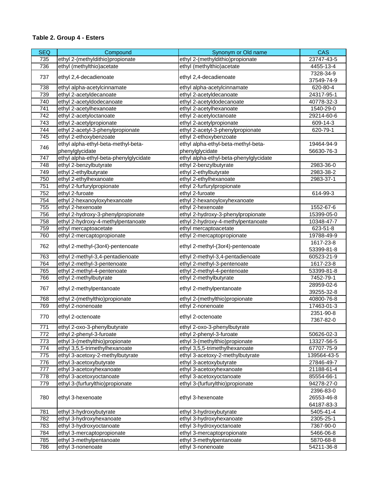| <b>SEQ</b> | Compound                               | Synonym or Old name                    | <b>CAS</b>             |
|------------|----------------------------------------|----------------------------------------|------------------------|
| 735        | ethyl 2-(methyldithio)propionate       | ethyl 2-(methyldithio)propionate       | 23747-43-5             |
| 736        | ethyl (methylthio) acetate             | ethyl (methylthio) acetate             | 4455-13-4              |
|            |                                        |                                        | 7328-34-9              |
| 737        | ethyl 2,4-decadienoate                 | ethyl 2,4-decadienoate                 | 37549-74-9             |
| 738        | ethyl alpha-acetylcinnamate            | ethyl alpha-acetylcinnamate            | 620-80-4               |
| 739        | ethyl 2-acetyldecanoate                | ethyl 2-acetyldecanoate                | 24317-95-1             |
| 740        | ethyl 2-acetyldodecanoate              | ethyl 2-acetyldodecanoate              | 40778-32-3             |
| 741        | ethyl 2-acetylhexanoate                | ethyl 2-acetylhexanoate                | 1540-29-0              |
| 742        | ethyl 2-acetyloctanoate                | ethyl 2-acetyloctanoate                | 29214-60-6             |
| 743        | ethyl 2-acetylpropionate               | ethyl 2-acetylpropionate               | 609-14-3               |
| 744        | ethyl 2-acetyl-3-phenylpropionate      | ethyl 2-acetyl-3-phenylpropionate      | 620-79-1               |
| 745        | ethyl 2-ethoxybenzoate                 | ethyl 2-ethoxybenzoate                 |                        |
| 746        | ethyl alpha-ethyl-beta-methyl-beta-    | ethyl alpha-ethyl-beta-methyl-beta-    | 19464-94-9             |
|            | phenylglycidate                        | phenylglycidate                        | 56630-76-3             |
| 747        | ethyl alpha-ethyl-beta-phenylglycidate | ethyl alpha-ethyl-beta-phenylglycidate |                        |
| 748        | ethyl 2-benzylbutyrate                 | ethyl 2-benzylbutyrate                 | 2983-36-0              |
| 749        | ethyl 2-ethylbutyrate                  | ethyl 2-ethylbutyrate                  | 2983-38-2              |
| 750        | ethyl 2-ethylhexanoate                 | ethyl 2-ethylhexanoate                 | 2983-37-1              |
| 751        | ethyl 2-furfurylpropionate             | ethyl 2-furfurylpropionate             |                        |
| 752        | ethyl 2-furoate                        | ethyl 2-furoate                        | 614-99-3               |
| 754        | ethyl 2-hexanoyloxyhexanoate           | ethyl 2-hexanoyloxyhexanoate           |                        |
| 755        | ethyl 2-hexenoate                      | ethyl 2-hexenoate                      | 1552-67-6              |
| 756        | ethyl 2-hydroxy-3-phenylpropionate     | ethyl 2-hydroxy-3-phenylpropionate     | 15399-05-0             |
| 758        | ethyl 2-hydroxy-4-methylpentanoate     | ethyl 2-hydroxy-4-methylpentanoate     | 10348-47-7             |
| 759        | ethyl mercaptoacetate                  | ethyl mercaptoacetate                  | 623-51-8               |
| 760        | ethyl 2-mercaptopropionate             | ethyl 2-mercaptopropionate             | 19788-49-9             |
| 762        |                                        |                                        | 1617-23-8              |
|            | ethyl 2-methyl-(3or4)-pentenoate       | ethyl 2-methyl-(3or4)-pentenoate       | 53399-81-8             |
| 763        | ethyl 2-methyl-3,4-pentadienoate       | ethyl 2-methyl-3,4-pentadienoate       | 60523-21-9             |
| 764        | ethyl 2-methyl-3-pentenoate            | ethyl 2-methyl-3-pentenoate            | 1617-23-8              |
| 765        | ethyl 2-methyl-4-pentenoate            | ethyl 2-methyl-4-pentenoate            | 53399-81-8             |
| 766        | ethyl 2-methylbutyrate                 | ethyl 2-methylbutyrate                 | 7452-79-1              |
| 767        | ethyl 2-methylpentanoate               | ethyl 2-methylpentanoate               | 28959-02-6             |
|            |                                        |                                        | 39255-32-8             |
| 768        | ethyl 2-(methylthio)propionate         | ethyl 2-(methylthio)propionate         | 40800-76-8             |
| 769        | ethyl 2-nonenoate                      | ethyl 2-nonenoate                      | 17463-01-3             |
| 770        | ethyl 2-octenoate                      | ethyl 2-octenoate                      | 2351-90-8<br>7367-82-0 |
| 771        | ethyl 2-oxo-3-phenylbutyrate           | ethyl 2-oxo-3-phenylbutyrate           |                        |
| 772        | ethyl 2-phenyl-3-furoate               | ethyl 2-phenyl-3-furoate               | 50626-02-3             |
| 773        | ethyl 3-(methylthio)propionate         | ethyl 3-(methylthio)propionate         | 13327-56-5             |
| 774        | ethyl 3,5,5-trimethylhexanoate         | ethyl 3,5,5-trimethylhexanoate         | 67707-75-9             |
| 775        | ethyl 3-acetoxy-2-methylbutyrate       | ethyl 3-acetoxy-2-methylbutyrate       | 139564-43-5            |
| 776        | ethyl 3-acetoxybutyrate                | ethyl 3-acetoxybutyrate                | 27846-49-7             |
| 777        | ethyl 3-acetoxyhexanoate               | ethyl 3-acetoxyhexanoate               | 21188-61-4             |
| 778        | ethyl 3-acetoxyoctanoate               | ethyl 3-acetoxyoctanoate               | 85554-66-1             |
| 779        | ethyl 3-(furfurylthio)propionate       | ethyl 3-(furfurylthio)propionate       | 94278-27-0             |
|            |                                        |                                        | 2396-83-0              |
| 780        | ethyl 3-hexenoate                      | ethyl 3-hexenoate                      | 26553-46-8             |
|            |                                        |                                        | 64187-83-3             |
| 781        | ethyl 3-hydroxybutyrate                | ethyl 3-hydroxybutyrate                | 5405-41-4              |
| 782        | ethyl 3-hydroxyhexanoate               | ethyl 3-hydroxyhexanoate               | 2305-25-1              |
| 783        | ethyl 3-hydroxyoctanoate               | ethyl 3-hydroxyoctanoate               | 7367-90-0              |
| 784        | ethyl 3-mercaptopropionate             | ethyl 3-mercaptopropionate             | 5466-06-8              |
| 785        | ethyl 3-methylpentanoate               | ethyl 3-methylpentanoate               | 5870-68-8              |
| 786        | ethyl 3-nonenoate                      | ethyl 3-nonenoate                      | 54211-36-8             |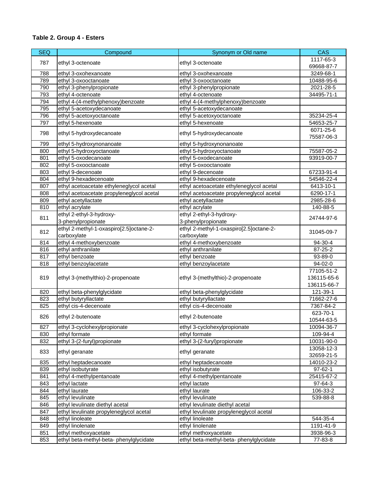| <b>SEQ</b> | Compound                                  | Synonym or Old name                       | <b>CAS</b>              |
|------------|-------------------------------------------|-------------------------------------------|-------------------------|
|            |                                           |                                           | 1117-65-3               |
| 787        | ethyl 3-octenoate                         | ethyl 3-octenoate                         | 69668-87-7              |
| 788        | ethyl 3-oxohexanoate                      | ethyl 3-oxohexanoate                      | 3249-68-1               |
| 789        | ethyl 3-oxooctanoate                      | ethyl 3-oxooctanoate                      | 10488-95-6              |
| 790        | ethyl 3-phenylpropionate                  | ethyl 3-phenylpropionate                  | 2021-28-5               |
| 793        | ethyl 4-octenoate                         | ethyl 4-octenoate                         | 34495-71-1              |
| 794        | ethyl 4-(4-methylphenoxy)benzoate         | ethyl 4-(4-methylphenoxy)benzoate         |                         |
| 795        | ethyl 5-acetoxydecanoate                  | ethyl 5-acetoxydecanoate                  |                         |
| 796        | ethyl 5-acetoxyoctanoate                  | ethyl 5-acetoxyoctanoate                  | 35234-25-4              |
| 797        | ethyl 5-hexenoate                         | ethyl 5-hexenoate                         | 54653-25-7              |
| 798        | ethyl 5-hydroxydecanoate                  | ethyl 5-hydroxydecanoate                  | 6071-25-6<br>75587-06-3 |
| 799        | ethyl 5-hydroxynonanoate                  | ethyl 5-hydroxynonanoate                  |                         |
| 800        | ethyl 5-hydroxyoctanoate                  | ethyl 5-hydroxyoctanoate                  | 75587-05-2              |
| 801        | ethyl 5-oxodecanoate                      | ethyl 5-oxodecanoate                      | 93919-00-7              |
| 802        | ethyl 5-oxooctanoate                      | ethyl 5-oxooctanoate                      |                         |
| 803        | ethyl 9-decenoate                         | ethyl 9-decenoate                         | 67233-91-4              |
| 804        | ethyl 9-hexadecenoate                     | ethyl 9-hexadecenoate                     | 54546-22-4              |
| 807        | ethyl acetoacetate ethyleneglycol acetal  | ethyl acetoacetate ethyleneglycol acetal  | 6413-10-1               |
| 808        | ethyl acetoacetate propyleneglycol acetal | ethyl acetoacetate propyleneglycol acetal | 6290-17-1               |
| 809        | ethyl acetyllactate                       | ethyl acetyllactate                       | 2985-28-6               |
| 810        | ethyl acrylate                            | ethyl acrylate                            | 140-88-5                |
|            | ethyl 2-ethyl-3-hydroxy-                  | ethyl 2-ethyl-3-hydroxy-                  |                         |
| 811        | 3-phenylpropionate                        | 3-phenylpropionate                        | 24744-97-6              |
|            | ethyl 2-methyl-1-oxaspiro[2.5]octane-2-   | ethyl 2-methyl-1-oxaspiro[2.5]octane-2-   |                         |
| 812        | carboxylate                               | carboxylate                               | 31045-09-7              |
| 814        | ethyl 4-methoxybenzoate                   | ethyl 4-methoxybenzoate                   | 94-30-4                 |
| 816        | ethyl anthranilate                        | ethyl anthranilate                        | $87 - 25 - 2$           |
| 817        | ethyl benzoate                            | ethyl benzoate                            | 93-89-0                 |
| 818        | ethyl benzoylacetate                      | ethyl benzoylacetate                      | 94-02-0                 |
|            |                                           |                                           | 77105-51-2              |
| 819        | ethyl 3-(methylthio)-2-propenoate         | ethyl 3-(methylthio)-2-propenoate         | 136115-65-6             |
|            |                                           |                                           | 136115-66-7             |
| 820        | ethyl beta-phenylglycidate                | ethyl beta-phenylglycidate                | 121-39-1                |
| 823        | ethyl butyryllactate                      | ethyl butyryllactate                      | 71662-27-6              |
| 825        | ethyl cis-4-decenoate                     | ethyl cis-4-decenoate                     | 7367-84-2               |
|            |                                           |                                           | 623-70-1                |
| 826        | ethyl 2-butenoate                         | ethyl 2-butenoate                         | 10544-63-5              |
| 827        | ethyl 3-cyclohexylpropionate              | ethyl 3-cyclohexylpropionate              | 10094-36-7              |
| 830        | ethyl formate                             | ethyl formate                             | 109-94-4                |
| 832        | ethyl 3-(2-furyl)propionate               | ethyl 3-(2-furyl)propionate               | 10031-90-0              |
|            |                                           |                                           | 13058-12-3              |
| 833        | ethyl geranate                            | ethyl geranate                            | 32659-21-5              |
| 835        | ethyl heptadecanoate                      | ethyl heptadecanoate                      | 14010-23-2              |
| 839        | ethyl isobutyrate                         | ethyl isobutyrate                         | $97 - 62 - 1$           |
| 841        | ethyl 4-methylpentanoate                  | ethyl 4-methylpentanoate                  | 25415-67-2              |
| 843        | ethyl lactate                             | ethyl lactate                             | 97-64-3                 |
| 844        | ethyl laurate                             | ethyl laurate                             | 106-33-2                |
| 845        | ethyl levulinate                          | ethyl levulinate                          | 539-88-8                |
| 846        | ethyl levulinate diethyl acetal           | ethyl levulinate diethyl acetal           |                         |
| 847        | ethyl levulinate propyleneglycol acetal   | ethyl levulinate propyleneglycol acetal   |                         |
| 848        | ethyl linoleate                           | ethyl linoleate                           | 544-35-4                |
| 849        | ethyl linolenate                          | ethyl linolenate                          | 1191-41-9               |
| 851        | ethyl methoxyacetate                      | ethyl methoxyacetate                      | 3938-96-3               |
| 853        | ethyl beta-methyl-beta- phenylglycidate   | ethyl beta-methyl-beta- phenylglycidate   | 77-83-8                 |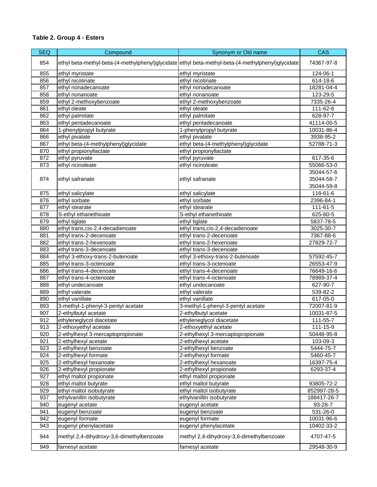| <b>SEQ</b> | Compound                                  | Synonym or Old name                                                                               | <b>CAS</b>     |
|------------|-------------------------------------------|---------------------------------------------------------------------------------------------------|----------------|
| 854        |                                           | ethyl beta-methyl-beta-(4-methylphenyl)glycidate ethyl beta-methyl-beta-(4-methylphenyl)glycidate | 74367-97-8     |
| 855        | ethyl myristate                           | ethyl myristate                                                                                   | 124-06-1       |
| 856        | ethyl nicotinate                          | ethyl nicotinate                                                                                  | 614-18-6       |
| 857        | ethyl nonadecanoate                       | ethyl nonadecanoate                                                                               | 18281-04-4     |
| 858        | ethyl nonanoate                           | ethyl nonanoate                                                                                   | 123-29-5       |
| 859        | ethyl 2-methoxybenzoate                   | ethyl 2-methoxybenzoate                                                                           | 7335-26-4      |
| 861        | ethyl oleate                              | ethyl oleate                                                                                      | 111-62-6       |
| 862        | ethyl palmitate                           | ethyl palmitate                                                                                   | 628-97-7       |
| 863        | ethyl pentadecanoate                      | ethyl pentadecanoate                                                                              | 41114-00-5     |
| 864        | 1-phenylpropyl butyrate                   | 1-phenylpropyl butyrate                                                                           | 10031-86-4     |
| 866        | ethyl pivalate                            | ethyl pivalate                                                                                    | 3938-95-2      |
| 867        | ethyl beta-(4-methylphenyl)glycidate      | ethyl beta-(4-methylphenyl)glycidate                                                              | 52788-71-3     |
| 870        | ethyl propionyllactate                    | ethyl propionyllactate                                                                            |                |
| 872        | ethyl pyruvate                            | ethyl pyruvate                                                                                    | 617-35-6       |
| 873        | ethyl ricinoleate                         | ethyl ricinoleate                                                                                 | 55066-53-0     |
|            |                                           |                                                                                                   | 35044-57-6     |
| 874        | ethyl safranate                           | ethyl safranate                                                                                   | 35044-58-7     |
|            |                                           |                                                                                                   | 35044-59-8     |
| 875        | ethyl salicylate                          | ethyl salicylate                                                                                  | $118 - 61 - 6$ |
| 876        | ethyl sorbate                             | ethyl sorbate                                                                                     | 2396-84-1      |
| 877        | ethyl stearate                            | ethyl stearate                                                                                    | 111-61-5       |
| 878        | S-ethyl ethanethioate                     | S-ethyl ethanethioate                                                                             | 625-60-5       |
| 879        | ethyl tiglate                             | ethyl tiglate                                                                                     | 5837-78-5      |
| 880        | ethyl trans, cis-2, 4-decadienoate        | ethyl trans, cis-2, 4-decadienoate                                                                | 3025-30-7      |
| 881        | ethyl trans-2-decenoate                   | ethyl trans-2-decenoate                                                                           | 7367-88-6      |
| 882        | ethyl trans-2-hexenoate                   | ethyl trans-2-hexenoate                                                                           | 27829-72-7     |
| 883        | ethyl trans-3-decenoate                   | ethyl trans-3-decenoate                                                                           |                |
| 884        | ethyl 3-ethoxy-trans-2-butenoate          | ethyl 3-ethoxy-trans-2-butenoate                                                                  | 57592-45-7     |
| 885        | ethyl trans-3-octenoate                   | ethyl trans-3-octenoate                                                                           | 26553-47-9     |
| 886        | ethyl trans-4-decenoate                   | ethyl trans-4-decenoate                                                                           | 76649-16-6     |
| 887        | ethyl trans-4-octenoate                   | ethyl trans-4-octenoate                                                                           | 78989-37-4     |
| 888        | ethyl undecanoate                         | ethyl undecanoate                                                                                 | 627-90-7       |
| 889        | ethyl valerate                            | ethyl valerate                                                                                    | 539-82-2       |
| 890        | ethyl vanillate                           | ethyl vanillate                                                                                   | 617-05-0       |
| 893        | 3-methyl-1-phenyl-3-pentyl acetate        | 3-methyl-1-phenyl-3-pentyl acetate                                                                | 72007-81-9     |
| 907        | 2-ethylbutyl acetate                      | 2-ethylbutyl acetate                                                                              | 10031-87-5     |
| 912        | ethyleneglycol diacetate                  | ethyleneglycol diacetate                                                                          | 111-55-7       |
| 913        | 2-ethoxyethyl acetate                     | 2-ethoxyethyl acetate                                                                             | 111-15-9       |
| 920        | 2-ethylhexyl 3-mercaptopropionate         | 2-ethylhexyl 3-mercaptopropionate                                                                 | 50448-95-8     |
| 921        | 2-ethylhexyl acetate                      | 2-ethylhexyl acetate                                                                              | 103-09-3       |
| 923        | 2-ethylhexyl benzoate                     | 2-ethylhexyl benzoate                                                                             | 5444-75-7      |
| 924        | 2-ethylhexyl formate                      | 2-ethylhexyl formate                                                                              | 5460-45-7      |
| 925        | 2-ethylhexyl hexanoate                    | 2-ethylhexyl hexanoate                                                                            | 16397-75-4     |
| 926        | 2-ethylhexyl propionate                   | 2-ethylhexyl propionate                                                                           | 6293-37-4      |
| 927        | ethyl maltol propionate                   | ethyl maltol propionate                                                                           |                |
| 928        | ethyl maltol butyrate                     | ethyl maltol butyrate                                                                             | 93805-72-2     |
| 929        | ethyl maltol isobutyrate                  | ethyl maltol isobutyrate                                                                          | 852997-28-5    |
| 937        | ethylvanillin isobutyrate                 | ethylvanillin isobutyrate                                                                         | 188417-26-7    |
| 940        | eugenyl acetate                           | eugenyl acetate                                                                                   | 93-28-7        |
| 941        | eugenyl benzoate                          | eugenyl benzoate                                                                                  | 531-26-0       |
| 942        | eugenyl formate                           | eugenyl formate                                                                                   | 10031-96-6     |
| 943        | eugenyl phenylacetate                     | eugenyl phenylacetate                                                                             | 10402-33-2     |
| 944        | methyl 2,4-dihydroxy-3,6-dimethylbenzoate | methyl 2,4-dihydroxy-3,6-dimethylbenzoate                                                         | 4707-47-5      |
| 949        | farnesyl acetate                          | farnesyl acetate                                                                                  | 29548-30-9     |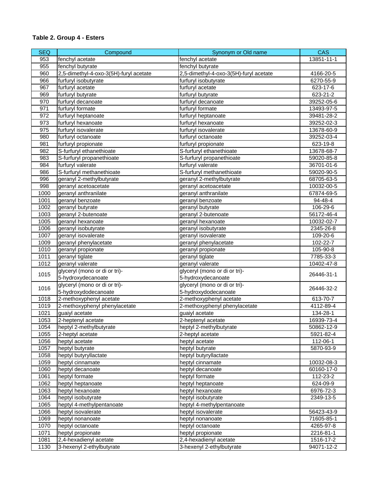| <b>SEQ</b> | Compound                               | Synonym or Old name                    | <b>CAS</b>     |
|------------|----------------------------------------|----------------------------------------|----------------|
| 953        | fenchyl acetate                        | fenchyl acetate                        | 13851-11-1     |
| 955        | fenchyl butyrate                       | fenchyl butyrate                       |                |
| 960        | 2,5-dimethyl-4-oxo-3(5H)-furyl acetate | 2,5-dimethyl-4-oxo-3(5H)-furyl acetate | 4166-20-5      |
| 966        | furfuryl isobutyrate                   | furfuryl isobutyrate                   | 6270-55-9      |
| 967        | furfuryl acetate                       | furfuryl acetate                       | 623-17-6       |
| 969        | furfuryl butyrate                      | furfuryl butyrate                      | 623-21-2       |
| 970        | furfuryl decanoate                     | furfuryl decanoate                     | 39252-05-6     |
| 971        | furfuryl formate                       | furfuryl formate                       | 13493-97-5     |
| 972        | furfuryl heptanoate                    | furfuryl heptanoate                    | 39481-28-2     |
| 973        | furfuryl hexanoate                     | furfuryl hexanoate                     | 39252-02-3     |
| 975        | furfuryl isovalerate                   | furfuryl isovalerate                   | 13678-60-9     |
| 980        | furfuryl octanoate                     | furfuryl octanoate                     | 39252-03-4     |
| 981        | furfuryl propionate                    | furfuryl propionate                    | 623-19-8       |
| 982        | S-furfuryl ethanethioate               | S-furfuryl ethanethioate               | 13678-68-7     |
| 983        | S-furfuryl propanethioate              | S-furfuryl propanethioate              | 59020-85-8     |
| 984        | furfuryl valerate                      | furfuryl valerate                      | 36701-01-6     |
| 986        | S-furfuryl methanethioate              | S-furfuryl methanethioate              | 59020-90-5     |
| 996        | geranyl 2-methylbutyrate               | geranyl 2-methylbutyrate               | 68705-63-5     |
| 998        | geranyl acetoacetate                   | geranyl acetoacetate                   | 10032-00-5     |
| 1000       | geranyl anthranilate                   | geranyl anthranilate                   | 67874-69-5     |
| 1001       | geranyl benzoate                       | geranyl benzoate                       | 94-48-4        |
| 1002       | geranyl butyrate                       | geranyl butyrate                       | 106-29-6       |
| 1003       | geranyl 2-butenoate                    | geranyl 2-butenoate                    | 56172-46-4     |
| 1005       | geranyl hexanoate                      | geranyl hexanoate                      | 10032-02-7     |
| 1006       | geranyl isobutyrate                    | geranyl isobutyrate                    | 2345-26-8      |
| 1007       | geranyl isovalerate                    | geranyl isovalerate                    | 109-20-6       |
| 1009       | geranyl phenylacetate                  | geranyl phenylacetate                  | 102-22-7       |
| 1010       | geranyl propionate                     | geranyl propionate                     | 105-90-8       |
| 1011       | geranyl tiglate                        | geranyl tiglate                        | 7785-33-3      |
| 1012       | geranyl valerate                       | geranyl valerate                       | 10402-47-8     |
|            | glyceryl (mono or di or tri)-          | glyceryl (mono or di or tri)-          |                |
| 1015       | 5-hydroxydecanoate                     | 5-hydroxydecanoate                     | 26446-31-1     |
|            | glyceryl (mono or di or tri)-          | glyceryl (mono or di or tri)-          |                |
| 1016       | 5-hydroxydodecanoate                   | 5-hydroxydodecanoate                   | 26446-32-2     |
| 1018       | 2-methoxyphenyl acetate                | 2-methoxyphenyl acetate                | 613-70-7       |
| 1019       | 2-methoxyphenyl phenylacetate          | 2-methoxyphenyl phenylacetate          | 4112-89-4      |
| 1021       | guaiyl acetate                         | guaiyl acetate                         | 134-28-1       |
| 1053       | 2-heptenyl acetate                     | 2-heptenyl acetate                     | 16939-73-4     |
| 1054       | heptyl 2-methylbutyrate                | heptyl 2-methylbutyrate                | 50862-12-9     |
| 1055       | 2-heptyl acetate                       | 2-heptyl acetate                       | 5921-82-4      |
| 1056       | heptyl acetate                         | heptyl acetate                         | 112-06-1       |
| 1057       | heptyl butyrate                        | heptyl butyrate                        | 5870-93-9      |
| 1058       | heptyl butyryllactate                  | heptyl butyryllactate                  |                |
| 1059       | heptyl cinnamate                       | heptyl cinnamate                       | 10032-08-3     |
| 1060       | heptyl decanoate                       | heptyl decanoate                       | 60160-17-0     |
| 1061       | heptyl formate                         | heptyl formate                         | 112-23-2       |
| 1062       | heptyl heptanoate                      | heptyl heptanoate                      | $624 - 09 - 9$ |
| 1063       | heptyl hexanoate                       | heptyl hexanoate                       | 6976-72-3      |
| 1064       | heptyl isobutyrate                     | heptyl isobutyrate                     | 2349-13-5      |
| 1065       | heptyl 4-methylpentanoate              | heptyl 4-methylpentanoate              |                |
| 1066       | heptyl isovalerate                     | heptyl isovalerate                     | 56423-43-9     |
| 1069       | heptyl nonanoate                       | heptyl nonanoate                       | 71605-85-1     |
| 1070       | heptyl octanoate                       | heptyl octanoate                       | 4265-97-8      |
| 1071       | heptyl propionate                      | heptyl propionate                      | 2216-81-1      |
| 1081       | 2,4-hexadienyl acetate                 | 2,4-hexadienyl acetate                 | 1516-17-2      |
| 1130       | 3-hexenyl 2-ethylbutyrate              | 3-hexenyl 2-ethylbutyrate              | 94071-12-2     |
|            |                                        |                                        |                |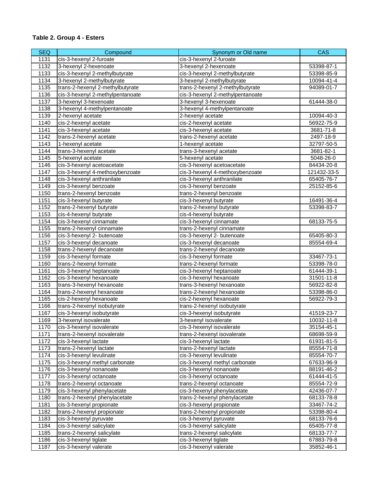| <b>SEQ</b> | Compound                         | Synonym or Old name              | <b>CAS</b>  |
|------------|----------------------------------|----------------------------------|-------------|
| 1131       | cis-3-hexenyl 2-furoate          | cis-3-hexenyl 2-furoate          |             |
| 1132       | 3-hexenyl 2-hexenoate            | 3-hexenyl 2-hexenoate            | 53398-87-1  |
| 1133       | cis-3-hexenyl 2-methylbutyrate   | cis-3-hexenyl 2-methylbutyrate   | 53398-85-9  |
| 1134       | 3-hexenyl 2-methylbutyrate       | 3-hexenyl 2-methylbutyrate       | 10094-41-4  |
| 1135       | trans-2-hexenyl 2-methylbutyrate | trans-2-hexenyl 2-methylbutyrate | 94089-01-7  |
| 1136       | cis-3-hexenyl 2-methylpentanoate | cis-3-hexenyl 2-methylpentanoate |             |
| 1137       | 3-hexenyl 3-hexenoate            | 3-hexenyl 3-hexenoate            | 61444-38-0  |
| 1138       | 3-hexenyl 4-methylpentanoate     | 3-hexenyl 4-methylpentanoate     |             |
| 1139       | 2-hexenyl acetate                | 2-hexenyl acetate                | 10094-40-3  |
| 1140       | cis-2-hexenyl acetate            | cis-2-hexenyl acetate            | 56922-75-9  |
| 1141       | cis-3-hexenyl acetate            | cis-3-hexenyl acetate            | 3681-71-8   |
| 1142       | trans-2-hexenyl acetate          | trans-2-hexenyl acetate          | 2497-18-9   |
| 1143       | 1-hexenyl acetate                | 1-hexenyl acetate                | 32797-50-5  |
| 1144       | trans-3-hexenyl acetate          | trans-3-hexenyl acetate          | 3681-82-1   |
| 1145       | 5-hexenyl acetate                | 5-hexenyl acetate                | 5048-26-0   |
| 1146       | cis-3-hexenyl acetoacetate       | cis-3-hexenyl acetoacetate       | 84434-20-8  |
| 1147       | cis-3-hexenyl 4-methoxybenzoate  | cis-3-hexenyl 4-methoxybenzoate  | 121432-33-5 |
| 1148       | cis-3-hexenyl anthranilate       | cis-3-hexenyl anthranilate       | 65405-76-7  |
| 1149       | cis-3-hexenyl benzoate           | cis-3-hexenyl benzoate           | 25152-85-6  |
| 1150       | trans-2-hexenyl benzoate         | trans-2-hexenyl benzoate         |             |
| 1151       | cis-3-hexenyl butyrate           | cis-3-hexenyl butyrate           | 16491-36-4  |
| 1152       | trans-2-hexenyl butyrate         | trans-2-hexenyl butyrate         | 53398-83-7  |
| 1153       | cis-4-hexenyl butyrate           | cis-4-hexenyl butyrate           |             |
| 1154       | cis-3-hexenyl cinnamate          | cis-3-hexenyl cinnamate          | 68133-75-5  |
| 1155       | trans-2-hexenyl cinnamate        | trans-2-hexenyl cinnamate        |             |
| 1156       | cis-3-hexenyl 2- butenoate       | cis-3-hexenyl 2- butenoate       | 65405-80-3  |
| 1157       | cis-3-hexenyl decanoate          | cis-3-hexenyl decanoate          | 85554-69-4  |
| 1158       | trans-2-hexenyl decanoate        | trans-2-hexenyl decanoate        |             |
| 1159       | cis-3-hexenyl formate            | cis-3-hexenyl formate            | 33467-73-1  |
| 1160       | trans-2-hexenyl formate          | trans-2-hexenyl formate          | 53398-78-0  |
| 1161       | cis-3-hexenyl heptanoate         | cis-3-hexenyl heptanoate         | 61444-39-1  |
| 1162       | cis-3-hexenyl hexanoate          | cis-3-hexenyl hexanoate          | 31501-11-8  |
| 1163       | trans-3-hexenyl hexanoate        | trans-3-hexenyl hexanoate        | 56922-82-8  |
| 1164       | trans-2-hexenyl hexanoate        | trans-2-hexenyl hexanoate        | 53398-86-0  |
| 1165       | cis-2-hexenyl hexanoate          | cis-2-hexenyl hexanoate          | 56922-79-3  |
| 1166       | trans-2-hexenyl isobutyrate      | trans-2-hexenyl isobutyrate      |             |
| 1167       | cis-3-hexenyl isobutyrate        | cis-3-hexenyl isobutyrate        | 41519-23-7  |
| 1169       | 3-hexenyl isovalerate            | 3-hexenyl isovalerate            | 10032-11-8  |
| 1170       | cis-3-hexenyl isovalerate        | cis-3-hexenyl isovalerate        | 35154-45-1  |
| 1171       | trans-2-hexenyl isovalerate      | trans-2-hexenyl isovalerate      | 68698-59-9  |
| 1172       | cis-3-hexenyl lactate            | cis-3-hexenyl lactate            | 61931-81-5  |
| 1173       | trans-2-hexenyl lactate          | trans-2-hexenyl lactate          | 85554-71-8  |
| 1174       | cis-3-hexenyl levulinate         | cis-3-hexenyl levulinate         | 85554-70-7  |
| 1175       | cis-3-hexenyl methyl carbonate   | cis-3-hexenyl methyl carbonate   | 67633-96-9  |
| 1176       | cis-3-hexenyl nonanoate          | cis-3-hexenyl nonanoate          | 88191-46-2  |
| 1177       | cis-3-hexenyl octanoate          | cis-3-hexenyl octanoate          | 61444-41-5  |
| 1178       | trans-2-hexenyl octanoate        | trans-2-hexenyl octanoate        | 85554-72-9  |
| 1179       | cis-3-hexenyl phenylacetate      | cis-3-hexenyl phenylacetate      | 42436-07-7  |
| 1180       | trans-2-hexenyl phenylacetate    | trans-2-hexenyl phenylacetate    | 68133-78-8  |
| 1181       | cis-3-hexenyl propionate         | cis-3-hexenyl propionate         | 33467-74-2  |
| 1182       | trans-2-hexenyl propionate       | trans-2-hexenyl propionate       | 53398-80-4  |
| 1183       | cis-3-hexenyl pyruvate           | cis-3-hexenyl pyruvate           | 68133-76-6  |
| 1184       | cis-3-hexenyl salicylate         | cis-3-hexenyl salicylate         | 65405-77-8  |
| 1185       | trans-2-hexenyl salicylate       | trans-2-hexenyl salicylate       | 68133-77-7  |
| 1186       | cis-3-hexenyl tiglate            | cis-3-hexenyl tiglate            | 67883-79-8  |
| 1187       | cis-3-hexenyl valerate           | cis-3-hexenyl valerate           | 35852-46-1  |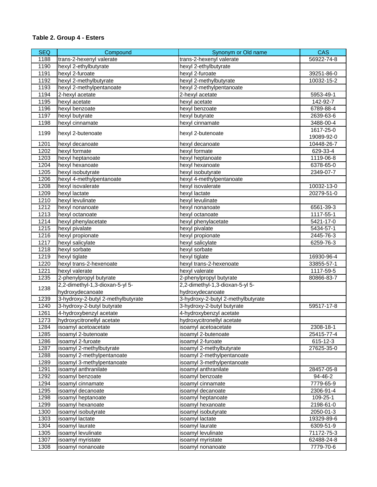| <b>SEQ</b> | Compound                           | Synonym or Old name                | <b>CAS</b>              |
|------------|------------------------------------|------------------------------------|-------------------------|
| 1188       | trans-2-hexenyl valerate           | trans-2-hexenyl valerate           | 56922-74-8              |
| 1190       | hexyl 2-ethylbutyrate              | hexyl 2-ethylbutyrate              |                         |
| 1191       | hexyl 2-furoate                    | hexyl 2-furoate                    | 39251-86-0              |
| 1192       | hexyl 2-methylbutyrate             | hexyl 2-methylbutyrate             | 10032-15-2              |
| 1193       | hexyl 2-methylpentanoate           | hexyl 2-methylpentanoate           |                         |
| 1194       | 2-hexyl acetate                    | 2-hexyl acetate                    | 5953-49-1               |
| 1195       | hexyl acetate                      | hexyl acetate                      | 142-92-7                |
| 1196       | hexyl benzoate                     | hexyl benzoate                     | 6789-88-4               |
| 1197       | hexyl butyrate                     | hexyl butyrate                     | 2639-63-6               |
| 1198       | hexyl cinnamate                    | hexyl cinnamate                    | 3488-00-4               |
| 1199       | hexyl 2-butenoate                  | hexyl 2-butenoate                  | 1617-25-0<br>19089-92-0 |
| 1201       | hexyl decanoate                    | hexyl decanoate                    | 10448-26-7              |
| 1202       | hexyl formate                      | hexyl formate                      | 629-33-4                |
| 1203       | hexyl heptanoate                   | hexyl heptanoate                   | 1119-06-8               |
| 1204       | hexyl hexanoate                    | hexyl hexanoate                    | 6378-65-0               |
| 1205       | hexyl isobutyrate                  | hexyl isobutyrate                  | 2349-07-7               |
| 1206       | hexyl 4-methylpentanoate           | hexyl 4-methylpentanoate           |                         |
| 1208       | hexyl isovalerate                  | hexyl isovalerate                  | 10032-13-0              |
| 1209       | hexyl lactate                      | hexyl lactate                      | 20279-51-0              |
| 1210       | hexyl levulinate                   | hexyl levulinate                   |                         |
| 1212       | hexyl nonanoate                    | hexyl nonanoate                    | 6561-39-3               |
| 1213       | hexyl octanoate                    | hexyl octanoate                    | 1117-55-1               |
| 1214       | hexyl phenylacetate                | hexyl phenylacetate                | 5421-17-0               |
| 1215       | hexyl pivalate                     | hexyl pivalate                     | 5434-57-1               |
| 1216       | hexyl propionate                   | hexyl propionate                   | 2445-76-3               |
| 1217       | hexyl salicylate                   | hexyl salicylate                   | 6259-76-3               |
| 1218       | hexyl sorbate                      | hexyl sorbate                      |                         |
| 1219       | hexyl tiglate                      | hexyl tiglate                      | 16930-96-4              |
| 1220       | hexyl trans-2-hexenoate            | hexyl trans-2-hexenoate            | 33855-57-1              |
| 1221       | hexyl valerate                     | hexyl valerate                     | 1117-59-5               |
| 1235       | 2-phenylpropyl butyrate            | 2-phenylpropyl butyrate            | 80866-83-7              |
| 1238       | 2,2-dimethyl-1,3-dioxan-5-yl 5-    | 2,2-dimethyl-1,3-dioxan-5-yl 5-    |                         |
|            | hydroxydecanoate                   | hydroxydecanoate                   |                         |
| 1239       | 3-hydroxy-2-butyl 2-methylbutyrate | 3-hydroxy-2-butyl 2-methylbutyrate |                         |
| 1240       | 3-hydroxy-2-butyl butyrate         | 3-hydroxy-2-butyl butyrate         | 59517-17-8              |
| 1261       | 4-hydroxybenzyl acetate            | 4-hydroxybenzyl acetate            |                         |
| 1273       | hydroxycitronellyl acetate         | hydroxycitronellyl acetate         |                         |
| 1284       | isoamyl acetoacetate               | isoamyl acetoacetate               | 2308-18-1               |
| 1285       | isoamyl 2-butenoate                | isoamyl 2-butenoate                | 25415-77-4              |
| 1286       | isoamyl 2-furoate                  | isoamyl 2-furoate                  | 615-12-3                |
| 1287       | isoamyl 2-methylbutyrate           | isoamyl 2-methylbutyrate           | 27625-35-0              |
| 1288       | isoamyl 2-methylpentanoate         | isoamyl 2-methylpentanoate         |                         |
| 1289       | isoamyl 3-methylpentanoate         | isoamyl 3-methylpentanoate         |                         |
| 1291       | isoamyl anthranilate               | isoamyl anthranilate               | 28457-05-8              |
| 1292       | isoamyl benzoate                   | isoamyl benzoate                   | 94-46-2                 |
| 1294       | isoamyl cinnamate                  | isoamyl cinnamate                  | 7779-65-9               |
| 1295       | isoamyl decanoate                  | isoamyl decanoate                  | 2306-91-4               |
| 1298       | isoamyl heptanoate                 | isoamyl heptanoate                 | 109-25-1                |
| 1299       | isoamyl hexanoate                  | isoamyl hexanoate                  | 2198-61-0               |
| 1300       | isoamyl isobutyrate                | isoamyl isobutyrate                | 2050-01-3               |
| 1303       | isoamyl lactate                    | isoamyl lactate                    | 19329-89-6              |
| 1304       | isoamyl laurate                    | isoamyl laurate                    | 6309-51-9               |
| 1305       | isoamyl levulinate                 | isoamyl levulinate                 | 71172-75-3              |
| 1307       | isoamyl myristate                  | isoamyl myristate                  | 62488-24-8              |
| 1308       | isoamyl nonanoate                  | isoamyl nonanoate                  | 7779-70-6               |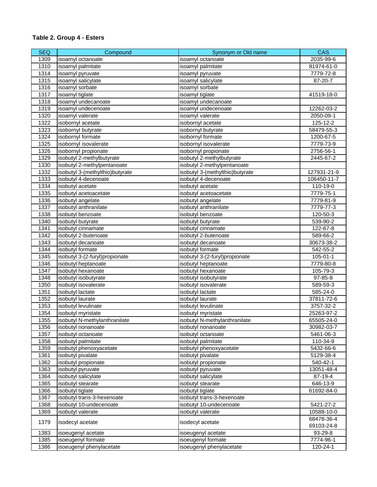| <b>SEQ</b> | Compound                        | Synonym or Old name             | <b>CAS</b>     |
|------------|---------------------------------|---------------------------------|----------------|
| 1309       | isoamyl octanoate               | isoamyl octanoate               | 2035-99-6      |
| 1310       | isoamyl palmitate               | isoamyl palmitate               | 81974-61-0     |
| 1314       | isoamyl pyruvate                | isoamyl pyruvate                | 7779-72-8      |
| 1315       | isoamyl salicylate              | isoamyl salicylate              | 87-20-7        |
| 1316       | isoamyl sorbate                 | isoamyl sorbate                 |                |
| 1317       | isoamyl tiglate                 | isoamyl tiglate                 | 41519-18-0     |
| 1318       | isoamyl undecanoate             | isoamyl undecanoate             |                |
| 1319       | isoamyl undecenoate             | isoamyl undecenoate             | 12262-03-2     |
| 1320       | isoamyl valerate                | isoamyl valerate                | 2050-09-1      |
| 1322       | isobornyl acetate               | isobornyl acetate               | 125-12-2       |
| 1323       | isobornyl butyrate              | isobornyl butyrate              | 58479-55-3     |
| 1324       | isobornyl formate               | isobornyl formate               | 1200-67-5      |
| 1325       | isobornyl isovalerate           | isobornyl isovalerate           | 7779-73-9      |
| 1326       | isobornyl propionate            | isobornyl propionate            | 2756-56-1      |
| 1329       | isobutyl 2-methylbutyrate       | isobutyl 2-methylbutyrate       | 2445-67-2      |
| 1330       | isobutyl 2-methylpentanoate     | isobutyl 2-methylpentanoate     |                |
| 1332       | isobutyl 3-(methylthio)butyrate | isobutyl 3-(methylthio)butyrate | 127931-21-9    |
| 1333       | isobutyl 4-decenoate            | isobutyl 4-decenoate            | 106450-11-7    |
| 1334       | isobutyl acetate                | isobutyl acetate                | 110-19-0       |
| 1335       | isobutyl acetoacetate           | isobutyl acetoacetate           | 7779-75-1      |
| 1336       | isobutyl angelate               | isobutyl angelate               | 7779-81-9      |
| 1337       | isobutyl anthranilate           | isobutyl anthranilate           | 7779-77-3      |
| 1338       | isobutyl benzoate               | isobutyl benzoate               | 120-50-3       |
| 1340       | isobutyl butyrate               | isobutyl butyrate               | 539-90-2       |
| 1341       | isobutyl cinnamate              | isobutyl cinnamate              | 122-67-8       |
| 1342       | isobutyl 2-butenoate            | isobutyl 2-butenoate            | 589-66-2       |
| 1343       | isobutyl decanoate              | isobutyl decanoate              | 30673-38-2     |
| 1344       | isobutyl formate                | isobutyl formate                | 542-55-2       |
| 1345       | isobutyl 3-(2-furyl)propionate  | isobutyl 3-(2-furyl)propionate  | $105 - 01 - 1$ |
| 1346       | isobutyl heptanoate             | isobutyl heptanoate             | 7779-80-8      |
| 1347       | isobutyl hexanoate              | isobutyl hexanoate              | 105-79-3       |
| 1348       | isobutyl isobutyrate            | isobutyl isobutyrate            | 97-85-8        |
| 1350       | isobutyl isovalerate            | isobutyl isovalerate            | 589-59-3       |
| 1351       | isobutyl lactate                | isobutyl lactate                | 585-24-0       |
| 1352       | isobutyl laurate                | isobutyl laurate                | 37811-72-6     |
| 1353       | isobutyl levulinate             | isobutyl levulinate             | 3757-32-2      |
| 1354       | isobutyl myristate              | isobutyl myristate              | 25263-97-2     |
| 1355       | isobutyl N-methylanthranilate   | isobutyl N-methylanthranilate   | 65505-24-0     |
| 1356       | isobutyl nonanoate              | isobutyl nonanoate              | 30982-03-7     |
| 1357       | isobutyl octanoate              | isobutyl octanoate              | 5461-06-3      |
| 1358       | isobutyl palmitate              | isobutyl palmitate              | 110-34-9       |
| 1359       | isobutyl phenoxyacetate         | isobutyl phenoxyacetate         | 5432-66-6      |
| 1361       | isobutyl pivalate               | isobutyl pivalate               | 5129-38-4      |
| 1362       | isobutyl propionate             | isobutyl propionate             | 540-42-1       |
| 1363       | isobutyl pyruvate               | isobutyl pyruvate               | 13051-48-4     |
| 1364       | isobutyl salicylate             | isobutyl salicylate             | 87-19-4        |
| 1365       | isobutyl stearate               | isobutyl stearate               | 646-13-9       |
| 1366       | isobutyl tiglate                | isobutyl tiglate                | 61692-84-0     |
| 1367       | isobutyl trans-3-hexenoate      | isobutyl trans-3-hexenoate      |                |
| 1368       | isobutyl 10-undecenoate         | isobutyl 10-undecenoate         | 5421-27-2      |
| 1369       | isobutyl valerate               | isobutyl valerate               | 10588-10-0     |
|            |                                 |                                 | 68478-36-4     |
| 1379       | isodecyl acetate                | isodecyl acetate                | 69103-24-8     |
| 1383       | isoeugenyl acetate              | isoeugenyl acetate              | 93-29-8        |
| 1385       | isoeugenyl formate              | isoeugenyl formate              | 7774-96-1      |
| 1386       | isoeugenyl phenylacetate        | isoeugenyl phenylacetate        | 120-24-1       |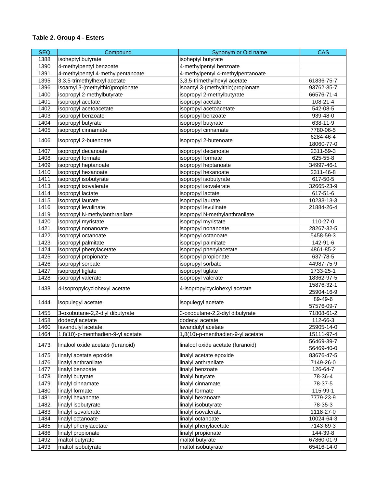| <b>SEQ</b> | Compound                                       | Synonym or Old name                            | <b>CAS</b>               |
|------------|------------------------------------------------|------------------------------------------------|--------------------------|
| 1388       | isoheptyl butyrate                             | isoheptyl butyrate                             |                          |
| 1390       | 4-methylpentyl benzoate                        | 4-methylpentyl benzoate                        |                          |
| 1391       | 4-methylpentyl 4-methylpentanoate              | 4-methylpentyl 4-methylpentanoate              |                          |
| 1395       | 3,3,5-trimethylhexyl acetate                   | 3,3,5-trimethylhexyl acetate                   | 61836-75-7               |
| 1396       | isoamyl 3-(methylthio)propionate               | isoamyl 3-(methylthio)propionate               | 93762-35-7               |
| 1400       | isopropyl 2-methylbutyrate                     | isopropyl 2-methylbutyrate                     | 66576-71-4               |
| 1401       | isopropyl acetate                              | isopropyl acetate                              | 108-21-4                 |
| 1402       | isopropyl acetoacetate                         | isopropyl acetoacetate                         | 542-08-5                 |
| 1403       | isopropyl benzoate                             | isopropyl benzoate                             | 939-48-0                 |
| 1404       | isopropyl butyrate                             | isopropyl butyrate                             | 638-11-9                 |
| 1405       | isopropyl cinnamate                            | isopropyl cinnamate                            | 7780-06-5                |
|            |                                                |                                                | 6284-46-4                |
| 1406       | isopropyl 2-butenoate                          | isopropyl 2-butenoate                          | 18060-77-0               |
| 1407       | isopropyl decanoate                            | isopropyl decanoate                            | 2311-59-3                |
| 1408       | isopropyl formate                              | isopropyl formate                              | 625-55-8                 |
| 1409       | isopropyl heptanoate                           | isopropyl heptanoate                           | 34997-46-1               |
| 1410       | isopropyl hexanoate                            | isopropyl hexanoate                            | 2311-46-8                |
| 1411       | isopropyl isobutyrate                          | isopropyl isobutyrate                          | 617-50-5                 |
| 1413       | isopropyl isovalerate                          | isopropyl isovalerate                          | 32665-23-9               |
| 1414       | isopropyl lactate                              | isopropyl lactate                              | 617-51-6                 |
| 1415       | isopropyl laurate                              | isopropyl laurate                              | 10233-13-3               |
| 1416       | isopropyl levulinate                           | isopropyl levulinate                           | 21884-26-4               |
| 1419       | isopropyl N-methylanthranilate                 | isopropyl N-methylanthranilate                 |                          |
| 1420       | isopropyl myristate                            | isopropyl myristate                            | 110-27-0                 |
| 1421       | isopropyl nonanoate                            | isopropyl nonanoate                            | 28267-32-5               |
| 1422       | isopropyl octanoate                            | isopropyl octanoate                            | 5458-59-3                |
| 1423       |                                                |                                                | 142-91-6                 |
| 1424       | isopropyl palmitate<br>isopropyl phenylacetate | isopropyl palmitate<br>isopropyl phenylacetate | 4861-85-2                |
| 1425       | isopropyl propionate                           | isopropyl propionate                           | 637-78-5                 |
| 1426       |                                                |                                                | 44987-75-9               |
| 1427       | isopropyl sorbate                              | isopropyl sorbate                              | 1733-25-1                |
|            | isopropyl tiglate<br>isopropyl valerate        | isopropyl tiglate<br>isopropyl valerate        |                          |
| 1428       |                                                |                                                | 18362-97-5<br>15876-32-1 |
| 1438       | 4-isopropylcyclohexyl acetate                  | 4-isopropylcyclohexyl acetate                  | 25904-16-9               |
|            |                                                |                                                | 89-49-6                  |
| 1444       | isopulegyl acetate                             | isopulegyl acetate                             | 57576-09-7               |
|            | 3-oxobutane-2,2-diyl dibutyrate                | 3-oxobutane-2,2-diyl dibutyrate                |                          |
| 1455       |                                                |                                                | 71808-61-2               |
| 1458       | dodecyl acetate                                | dodecyl acetate                                | 112-66-3                 |
| 1460       | lavandulyl acetate                             | lavandulyl acetate                             | 25905-14-0               |
| 1464       | 1,8(10)-p-menthadien-9-yl acetate              | 1,8(10)-p-menthadien-9-yl acetate              | 15111-97-4               |
| 1473       | linalool oxide acetate (furanoid)              | linalool oxide acetate (furanoid)              | 56469-39-7               |
| 1475       | linalyl acetate epoxide                        |                                                | 56469-40-0<br>83676-47-5 |
| 1476       | linalyl anthranilate                           | linalyl acetate epoxide                        |                          |
|            |                                                | linalyl anthranilate                           | 7149-26-0                |
| 1477       | linalyl benzoate                               | linalyl benzoate                               | 126-64-7                 |
| 1478       | linalyl butyrate                               | linalyl butyrate                               | 78-36-4                  |
| 1479       | linalyl cinnamate                              | linalyl cinnamate                              | 78-37-5                  |
| 1480       | linalyl formate                                | linalyl formate                                | 115-99-1                 |
| 1481       | linalyl hexanoate                              | linalyl hexanoate                              | 7779-23-9                |
| 1482       | linalyl isobutyrate                            | linalyl isobutyrate                            | 78-35-3                  |
| 1483       | linalyl isovalerate                            | linalyl isovalerate                            | 1118-27-0                |
| 1484       | linalyl octanoate                              | linalyl octanoate                              | 10024-64-3               |
| 1485       | linalyl phenylacetate                          | linalyl phenylacetate                          | 7143-69-3                |
| 1486       | linalyl propionate                             | linalyl propionate                             | 144-39-8                 |
| 1492       | maltol butyrate                                | maltol butyrate                                | 67860-01-9               |
| 1493       | maltol isobutyrate                             | maltol isobutyrate                             | 65416-14-0               |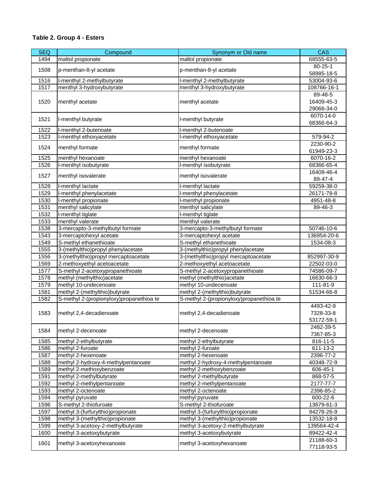| <b>SEQ</b> | Compound                                 | Synonym or Old name                      | <b>CAS</b>    |
|------------|------------------------------------------|------------------------------------------|---------------|
| 1494       | maltol propionate                        | maltol propionate                        | 68555-63-5    |
|            |                                          |                                          | $80 - 25 - 1$ |
| 1508       | p-menthan-8-yl acetate                   | p-menthan-8-yl acetate                   | 58985-18-5    |
| 1516       | I-menthyl 2-methylbutyrate               | I-menthyl 2-methylbutyrate               | 53004-93-6    |
| 1517       | menthyl 3-hydroxybutyrate                | menthyl 3-hydroxybutyrate                | 108766-16-1   |
|            |                                          |                                          | 89-48-5       |
| 1520       | menthyl acetate                          | menthyl acetate                          | 16409-45-3    |
|            |                                          |                                          | 29066-34-0    |
| 1521       | I-menthyl butyrate                       | I-menthyl butyrate                       | 6070-14-0     |
|            |                                          |                                          | 68366-64-3    |
| 1522       | I-menthyl 2-butenoate                    | I-menthyl 2-butenoate                    |               |
| 1523       | I-menthyl ethoxyacetate                  | I-menthyl ethoxyacetate                  | 579-94-2      |
| 1524       | menthyl formate                          | menthyl formate                          | 2230-90-2     |
|            |                                          |                                          | 61949-23-3    |
| 1525       | menthyl hexanoate                        | menthyl hexanoate                        | 6070-16-2     |
| 1526       | I-menthyl isobutyrate                    | I-menthyl isobutyrate                    | 68366-65-4    |
| 1527       | menthyl isovalerate                      | menthyl isovalerate                      | 16409-46-4    |
|            |                                          |                                          | 89-47-4       |
| 1528       | I-menthyl lactate                        | I-menthyl lactate                        | 59259-38-0    |
| 1529       | I-menthyl phenylacetate                  | I-menthyl phenylacetate                  | 26171-78-8    |
| 1530       | I-menthyl propionate                     | I-menthyl propionate                     | 4951-48-8     |
| 1531       | menthyl salicylate                       | menthyl salicylate                       | 89-46-3       |
| 1532       | I-menthyl tiglate                        | I-menthyl tiglate                        |               |
| 1533       | menthyl valerate                         | menthyl valerate                         |               |
| 1538       | 3-mercapto-3-methylbutyl formate         | 3-mercapto-3-methylbutyl formate         | 50746-10-6    |
| 1543       | 3-mercaptohexyl acetate                  | 3-mercaptohexyl acetate                  | 136954-20-6   |
| 1549       | S-methyl ethanethioate                   | S-methyl ethanethioate                   | 1534-08-3     |
| 1555       | 3-(methylthio)propyl phenylacetate       | 3-(methylthio)propyl phenylacetate       |               |
| 1556       | 3-(methylthio)propyl mercaptoacetate     | 3-(methylthio)propyl mercaptoacetate     | 852997-30-9   |
| 1569       | 2-methoxyethyl acetoacetate              | 2-methoxyethyl acetoacetate              | 22502-03-0    |
| 1577       | S-methyl 2-acetoxypropanethioate         | S-methyl 2-acetoxypropanethioate         | 74586-09-7    |
| 1578       | methyl (methylthio) acetate              | methyl (methylthio)acetate               | 16630-66-3    |
| 1579       | methyl 10-undecenoate                    | methyl 10-undecenoate                    | 111-81-9      |
| 1581       | methyl 2-(methylthio)butyrate            | methyl 2-(methylthio)butyrate            | 51534-66-8    |
| 1582       | S-methyl 2-(propionyloxy)propanethioa te | S-methyl 2-(propionyloxy)propanethioa te |               |
|            |                                          |                                          | 4493-42-9     |
| 1583       | methyl 2,4-decadienoate                  | methyl 2,4-decadienoate                  | 7328-33-8     |
|            |                                          |                                          | 53172-59-1    |
| 1584       | methyl 2-decenoate                       | methyl 2-decenoate                       | 2482-39-5     |
|            |                                          |                                          | 7367-85-3     |
| 1585       | methyl 2-ethylbutyrate                   | methyl 2-ethylbutyrate                   | 816-11-5      |
| 1586       | methyl 2-furoate                         | methyl 2-furoate                         | 611-13-2      |
| 1587       | methyl 2-hexenoate                       | methyl 2-hexenoate                       | 2396-77-2     |
| 1588       | methyl 2-hydroxy-4-methylpentanoate      | methyl 2-hydroxy-4-methylpentanoate      | 40348-72-9    |
| 1589       | methyl 2-methoxybenzoate                 | methyl 2-methoxybenzoate                 | 606-45-1      |
| 1591       | methyl 2-methylbutyrate                  | methyl 2-methylbutyrate                  | 868-57-5      |
| 1592       | methyl 2-methylpentanoate                | methyl 2-methylpentanoate                | 2177-77-7     |
| 1593       | methyl 2-octenoate                       | methyl 2-octenoate                       | 2396-85-2     |
| 1594       | methyl pyruvate                          | methyl pyruvate                          | 600-22-6      |
| 1596       | S-methyl 2-thiofuroate                   | S-methyl 2-thiofuroate                   | 13679-61-3    |
| 1597       | methyl 3-(furfurylthio)propionate        | methyl 3-(furfurylthio)propionate        | 94278-26-9    |
| 1598       | methyl 3-(methylthio)propionate          | methyl 3-(methylthio)propionate          | 13532-18-8    |
| 1599       | methyl 3-acetoxy-2-methylbutyrate        | methyl 3-acetoxy-2-methylbutyrate        | 139564-42-4   |
| 1600       | methyl 3-acetoxybutyrate                 | methyl 3-acetoxybutyrate                 | 89422-42-4    |
| 1601       | methyl 3-acetoxyhexanoate                | methyl 3-acetoxyhexanoate                | 21188-60-3    |
|            |                                          |                                          | 77118-93-5    |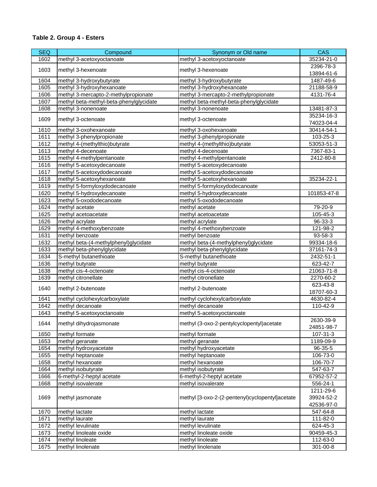| <b>SEQ</b> | Compound                                | Synonym or Old name                             | <b>CAS</b>               |
|------------|-----------------------------------------|-------------------------------------------------|--------------------------|
| 1602       | methyl 3-acetoxyoctanoate               | methyl 3-acetoxyoctanoate                       | 35234-21-0               |
|            |                                         |                                                 | 2396-78-3                |
| 1603       | methyl 3-hexenoate                      | methyl 3-hexenoate                              | 13894-61-6               |
| 1604       | methyl 3-hydroxybutyrate                | methyl 3-hydroxybutyrate                        | 1487-49-6                |
| 1605       | methyl 3-hydroxyhexanoate               | methyl 3-hydroxyhexanoate                       | 21188-58-9               |
| 1606       | methyl 3-mercapto-2-methylpropionate    | methyl 3-mercapto-2-methylpropionate            | 4131-76-4                |
| 1607       | methyl beta-methyl-beta-phenylglycidate | methyl beta-methyl-beta-phenylglycidate         |                          |
| 1608       | methyl 3-nonenoate                      | methyl 3-nonenoate                              | 13481-87-3               |
| 1609       | methyl 3-octenoate                      | methyl 3-octenoate                              | 35234-16-3<br>74023-04-4 |
| 1610       | methyl 3-oxohexanoate                   | methyl 3-oxohexanoate                           | 30414-54-1               |
| 1611       | methyl 3-phenylpropionate               | methyl 3-phenylpropionate                       | 103-25-3                 |
| 1612       | methyl 4-(methylthio)butyrate           | methyl 4-(methylthio)butyrate                   | 53053-51-3               |
| 1613       | methyl 4-decenoate                      | methyl 4-decenoate                              | 7367-83-1                |
| 1615       | methyl 4-methylpentanoate               | methyl 4-methylpentanoate                       | 2412-80-8                |
| 1616       | methyl 5-acetoxydecanoate               | methyl 5-acetoxydecanoate                       |                          |
| 1617       | methyl 5-acetoxydodecanoate             | methyl 5-acetoxydodecanoate                     |                          |
| 1618       | methyl 5-acetoxyhexanoate               | methyl 5-acetoxyhexanoate                       | 35234-22-1               |
| 1619       | methyl 5-formyloxydodecanoate           | methyl 5-formyloxydodecanoate                   |                          |
| 1620       | methyl 5-hydroxydecanoate               | methyl 5-hydroxydecanoate                       | 101853-47-8              |
| 1623       | methyl 5-oxododecanoate                 | methyl 5-oxododecanoate                         |                          |
| 1624       | methyl acetate                          | methyl acetate                                  | 79-20-9                  |
| 1625       | methyl acetoacetate                     | methyl acetoacetate                             | 105-45-3                 |
| 1626       | methyl acrylate                         | methyl acrylate                                 | 96-33-3                  |
| 1629       | methyl 4-methoxybenzoate                | methyl 4-methoxybenzoate                        | 121-98-2                 |
| 1631       | methyl benzoate                         | methyl benzoate                                 | 93-58-3                  |
| 1632       | methyl beta-(4-methylphenyl)glycidate   | methyl beta-(4-methylphenyl)glycidate           | 99334-18-6               |
| 1633       | methyl beta-phenylglycidate             | methyl beta-phenylglycidate                     | 37161-74-3               |
| 1634       | S-methyl butanethioate                  | S-methyl butanethioate                          | 2432-51-1                |
| 1636       | methyl butyrate                         | methyl butyrate                                 | 623-42-7                 |
| 1638       | methyl cis-4-octenoate                  | methyl cis-4-octenoate                          | 21063-71-8               |
| 1639       | methyl citronellate                     | methyl citronellate                             | 2270-60-2                |
|            |                                         |                                                 | 623-43-8                 |
| 1640       | methyl 2-butenoate                      | methyl 2-butenoate                              | 18707-60-3               |
| 1641       | methyl cyclohexylcarboxylate            | methyl cyclohexylcarboxylate                    | 4630-82-4                |
| 1642       | methyl decanoate                        | methyl decanoate                                | 110-42-9                 |
| 1643       | methyl 5-acetoxyoctanoate               | methyl 5-acetoxyoctanoate                       |                          |
| 1644       | methyl dihydrojasmonate                 | methyl (3-oxo-2-pentylcyclopentyl)acetate       | 2630-39-9<br>24851-98-7  |
| 1650       | methyl formate                          | methyl formate                                  | 107-31-3                 |
| 1653       | methyl geranate                         | methyl geranate                                 | 1189-09-9                |
| 1654       | methyl hydroxyacetate                   | methyl hydroxyacetate                           | 96-35-5                  |
| 1655       | methyl heptanoate                       | methyl heptanoate                               | 106-73-0                 |
| 1658       | methyl hexanoate                        | methyl hexanoate                                | 106-70-7                 |
| 1664       | methyl isobutyrate                      | methyl isobutyrate                              | 547-63-7                 |
| 1666       | 6-methyl-2-heptyl acetate               | 6-methyl-2-heptyl acetate                       | 67952-57-2               |
| 1668       | methyl isovalerate                      | methyl isovalerate                              | 556-24-1                 |
|            |                                         |                                                 | 1211-29-6                |
| 1669       | methyl jasmonate                        | methyl [3-oxo-2-(2-pentenyl)cyclopentyl]acetate | 39924-52-2<br>42536-97-0 |
| 1670       | methyl lactate                          | methyl lactate                                  | 547-64-8                 |
| 1671       | methyl laurate                          | methyl laurate                                  | 111-82-0                 |
| 1672       | methyl levulinate                       | methyl levulinate                               | 624-45-3                 |
| 1673       | methyl linoleate oxide                  | methyl linoleate oxide                          | 90459-45-3               |
| 1674       | methyl linoleate                        | methyl linoleate                                | 112-63-0                 |
| 1675       | methyl linolenate                       | methyl linolenate                               | 301-00-8                 |
|            |                                         |                                                 |                          |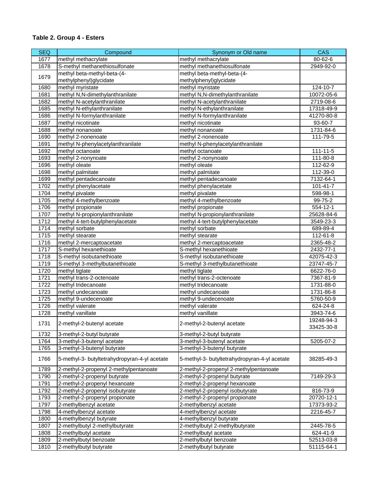| <b>SEQ</b> | Compound                                      | Synonym or Old name                           | <b>CAS</b>               |
|------------|-----------------------------------------------|-----------------------------------------------|--------------------------|
| 1677       | methyl methacrylate                           | methyl methacrylate                           | 80-62-6                  |
| 1678       | S-methyl methanethiosulfonate                 | methyl methanethiosulfonate                   | 2949-92-0                |
|            | methyl beta-methyl-beta-(4-                   | methyl beta-methyl-beta-(4-                   |                          |
| 1679       | methylphenyl)glycidate                        | methylphenyl)glycidate                        |                          |
| 1680       | methyl myristate                              | methyl myristate                              | 124-10-7                 |
| 1681       | methyl N,N-dimethylanthranilate               | methyl N,N-dimethylanthranilate               | 10072-05-6               |
| 1682       | methyl N-acetylanthranilate                   | methyl N-acetylanthranilate                   | 2719-08-6                |
| 1685       | methyl N-ethylanthranilate                    | methyl N-ethylanthranilate                    | 17318-49-9               |
| 1686       | methyl N-formylanthranilate                   | methyl N-formylanthranilate                   | 41270-80-8               |
| 1687       | methyl nicotinate                             | methyl nicotinate                             | 93-60-7                  |
| 1688       | methyl nonanoate                              | methyl nonanoate                              | 1731-84-6                |
| 1690       | methyl 2-nonenoate                            | methyl 2-nonenoate                            | 111-79-5                 |
| 1691       | methyl N-phenylacetylanthranilate             | methyl N-phenylacetylanthranilate             |                          |
| 1692       | methyl octanoate                              | methyl octanoate                              | $111 - 11 - 5$           |
| 1693       | methyl 2-nonynoate                            | methyl 2-nonynoate                            | 111-80-8                 |
| 1696       | methyl oleate                                 | methyl oleate                                 | 112-62-9                 |
| 1698       | methyl palmitate                              | methyl palmitate                              | 112-39-0                 |
| 1699       | methyl pentadecanoate                         | methyl pentadecanoate                         | 7132-64-1                |
| 1702       | methyl phenylacetate                          | methyl phenylacetate                          | $101 - 41 - 7$           |
| 1704       | methyl pivalate                               | methyl pivalate                               | 598-98-1                 |
| 1705       | methyl 4-methylbenzoate                       | methyl 4-methylbenzoate                       | 99-75-2                  |
| 1706       | methyl propionate                             | methyl propionate                             | 554-12-1                 |
| 1707       | methyl N-propionylanthranilate                | methyl N-propionylanthranilate                | 25628-84-6               |
| 1712       | methyl 4-tert-butylphenylacetate              | methyl 4-tert-butylphenylacetate              | 3549-23-3                |
| 1714       | methyl sorbate                                | methyl sorbate                                | 689-89-4                 |
| 1715       | methyl stearate                               | methyl stearate                               | 112-61-8                 |
| 1716       | methyl 2-mercaptoacetate                      | methyl 2-mercaptoacetate                      | 2365-48-2                |
| 1717       | S-methyl hexanethioate                        | S-methyl hexanethioate                        | 2432-77-1                |
| 1718       | S-methyl isobutanethioate                     | S-methyl isobutanethioate                     | 42075-42-3               |
| 1719       | S-methyl 3-methylbutanethioate                | S-methyl 3-methylbutanethioate                | 23747-45-7               |
| 1720       | methyl tiglate                                | methyl tiglate                                | 6622-76-0                |
| 1721       | methyl trans-2-octenoate                      | methyl trans-2-octenoate                      | 7367-81-9                |
| 1722       | methyl tridecanoate                           | methyl tridecanoate                           | 1731-88-0                |
| 1723       | methyl undecanoate                            | methyl undecanoate                            | 1731-86-8                |
| 1725       | methyl 9-undecenoate                          | methyl 9-undecenoate                          | 5760-50-9                |
| 1726       | methyl valerate                               | methyl valerate                               | 624-24-8                 |
| 1728       | methyl vanillate                              | methyl vanillate                              | 3943-74-6                |
| 1731       | 2-methyl-2-butenyl acetate                    | 2-methyl-2-butenyl acetate                    | 19248-94-3<br>33425-30-8 |
| 1732       | 3-methyl-2-butyl butyrate                     | 3-methyl-2-butyl butyrate                     |                          |
| 1764       | 3-methyl-3-butenyl acetate                    | 3-methyl-3-butenyl acetate                    | 5205-07-2                |
| 1765       | 3-methyl-3-butenyl butyrate                   | 3-methyl-3-butenyl butyrate                   |                          |
| 1766       | 5-methyl-3- butyltetrahydropyran-4-yl acetate | 5-methyl-3- butyltetrahydropyran-4-yl acetate | 38285-49-3               |
| 1789       | 2-methyl-2-propenyl 2-methylpentanoate        | 2-methyl-2-propenyl 2-methylpentanoate        |                          |
| 1790       | 2-methyl-2-propenyl butyrate                  | 2-methyl-2-propenyl butyrate                  | 7149-29-3                |
| 1791       | 2-methyl-2-propenyl hexanoate                 | 2-methyl-2-propenyl hexanoate                 |                          |
| 1792       | 2-methyl-2-propenyl isobutyrate               | 2-methyl-2-propenyl isobutyrate               | 816-73-9                 |
| 1793       | 2-methyl-2-propenyl propionate                | 2-methyl-2-propenyl propionate                | 20720-12-1               |
| 1797       | 2-methylbenzyl acetate                        | 2-methylbenzyl acetate                        | 17373-93-2               |
| 1798       | 4-methylbenzyl acetate                        | 4-methylbenzyl acetate                        | 2216-45-7                |
| 1800       | 4-methylbenzyl butyrate                       | 4-methylbenzyl butyrate                       |                          |
| 1807       | 2-methylbutyl 2-methylbutyrate                | 2-methylbutyl 2-methylbutyrate                | 2445-78-5                |
| 1808       | 2-methylbutyl acetate                         | 2-methylbutyl acetate                         | 624-41-9                 |
| 1809       | 2-methylbutyl benzoate                        | 2-methylbutyl benzoate                        | 52513-03-8               |
| 1810       | 2-methylbutyl butyrate                        | 2-methylbutyl butyrate                        | 51115-64-1               |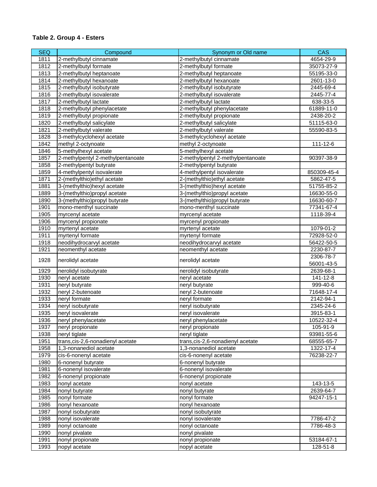| <b>SEQ</b> | Compound                           | Synonym or Old name               | <b>CAS</b>  |
|------------|------------------------------------|-----------------------------------|-------------|
| 1811       | 2-methylbutyl cinnamate            | 2-methylbutyl cinnamate           | 4654-29-9   |
| 1812       | 2-methylbutyl formate              | 2-methylbutyl formate             | 35073-27-9  |
| 1813       | 2-methylbutyl heptanoate           | 2-methylbutyl heptanoate          | 55195-33-0  |
| 1814       | 2-methylbutyl hexanoate            | 2-methylbutyl hexanoate           | 2601-13-0   |
| 1815       | 2-methylbutyl isobutyrate          | 2-methylbutyl isobutyrate         | 2445-69-4   |
| 1816       | 2-methylbutyl isovalerate          | 2-methylbutyl isovalerate         | 2445-77-4   |
| 1817       | 2-methylbutyl lactate              | 2-methylbutyl lactate             | 638-33-5    |
| 1818       | 2-methylbutyl phenylacetate        | 2-methylbutyl phenylacetate       | 61889-11-0  |
| 1819       | 2-methylbutyl propionate           | 2-methylbutyl propionate          | 2438-20-2   |
| 1820       | 2-methylbutyl salicylate           | 2-methylbutyl salicylate          | 51115-63-0  |
| 1821       | 2-methylbutyl valerate             | 2-methylbutyl valerate            | 55590-83-5  |
| 1828       | 3-methylcyclohexyl acetate         | 3-methylcyclohexyl acetate        |             |
| 1842       | methyl 2-octynoate                 | methyl 2-octynoate                | 111-12-6    |
| 1846       | 5-methylhexyl acetate              | 5-methylhexyl acetate             |             |
| 1857       | 2-methylpentyl 2-methylpentanoate  | 2-methylpentyl 2-methylpentanoate | 90397-38-9  |
| 1858       | 2-methylpentyl butyrate            | 2-methylpentyl butyrate           |             |
| 1859       | 4-methylpentyl isovalerate         | 4-methylpentyl isovalerate        | 850309-45-4 |
| 1871       | 2-(methylthio) ethyl acetate       | 2-(methylthio)ethyl acetate       | 5862-47-5   |
| 1881       | 3-(methylthio)hexyl acetate        | 3-(methylthio)hexyl acetate       | 51755-85-2  |
| 1889       | 3-(methylthio)propyl acetate       | 3-(methylthio)propyl acetate      | 16630-55-0  |
| 1890       | 3-(methylthio)propyl butyrate      | 3-(methylthio)propyl butyrate     | 16630-60-7  |
| 1901       | mono-menthyl succinate             | mono-menthyl succinate            | 77341-67-4  |
| 1905       | myrcenyl acetate                   | myrcenyl acetate                  | 1118-39-4   |
| 1906       | myrcenyl propionate                | myrcenyl propionate               |             |
| 1910       | myrtenyl acetate                   | myrtenyl acetate                  | 1079-01-2   |
| 1911       | myrtenyl formate                   | myrtenyl formate                  | 72928-52-0  |
| 1918       | neodihydrocarvyl acetate           | neodihydrocarvyl acetate          | 56422-50-5  |
| 1921       | neomenthyl acetate                 | neomenthyl acetate                | 2230-87-7   |
|            |                                    |                                   | 2306-78-7   |
| 1928       | nerolidyl acetate                  | nerolidyl acetate                 | 56001-43-5  |
| 1929       | nerolidyl isobutyrate              | nerolidyl isobutyrate             | 2639-68-1   |
| 1930       | neryl acetate                      | neryl acetate                     | 141-12-8    |
| 1931       | neryl butyrate                     | neryl butyrate                    | 999-40-6    |
| 1932       | neryl 2-butenoate                  | neryl 2-butenoate                 | 71648-17-4  |
| 1933       | neryl formate                      | neryl formate                     | 2142-94-1   |
| 1934       | neryl isobutyrate                  | neryl isobutyrate                 | 2345-24-6   |
| 1935       | neryl isovalerate                  | neryl isovalerate                 | 3915-83-1   |
| 1936       | neryl phenylacetate                | neryl phenylacetate               | 10522-32-4  |
| 1937       | neryl propionate                   | neryl propionate                  | 105-91-9    |
| 1938       | neryl tiglate                      | neryl tiglate                     | 93981-55-6  |
| 1951       | trans, cis-2, 6-nonadienyl acetate | trans, cis-2,6-nonadienyl acetate | 68555-65-7  |
| 1958       | 1,3-nonanediol acetate             | 1,3-nonanediol acetate            | 1322-17-4   |
| 1979       | cis-6-nonenyl acetate              | cis-6-nonenyl acetate             | 76238-22-7  |
| 1980       | 6-nonenyl butyrate                 | 6-nonenyl butyrate                |             |
| 1981       | 6-nonenyl isovalerate              | 6-nonenyl isovalerate             |             |
| 1982       | 6-nonenyl propionate               | 6-nonenyl propionate              |             |
| 1983       | nonyl acetate                      | nonyl acetate                     | 143-13-5    |
| 1984       | nonyl butyrate                     | nonyl butyrate                    | 2639-64-7   |
| 1985       | nonyl formate                      | nonyl formate                     | 94247-15-1  |
| 1986       | nonyl hexanoate                    | nonyl hexanoate                   |             |
| 1987       | nonyl isobutyrate                  | nonyl isobutyrate                 |             |
| 1988       | nonyl isovalerate                  | nonyl isovalerate                 | 7786-47-2   |
| 1989       | nonyl octanoate                    | nonyl octanoate                   | 7786-48-3   |
| 1990       | nonyl pivalate                     | nonyl pivalate                    |             |
| 1991       | nonyl propionate                   | nonyl propionate                  | 53184-67-1  |
| 1993       | nopyl acetate                      | nopyl acetate                     | 128-51-8    |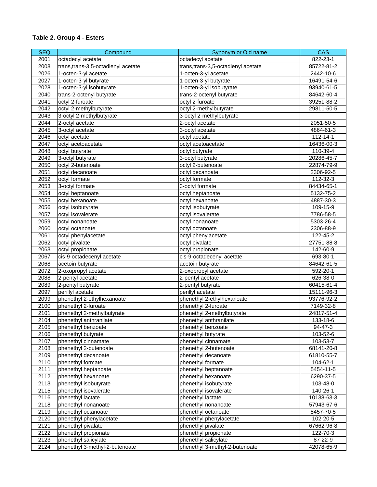| <b>SEQ</b> | Compound                            | Synonym or Old name                  | <b>CAS</b> |
|------------|-------------------------------------|--------------------------------------|------------|
| 2001       | octadecyl acetate                   | octadecyl acetate                    | 822-23-1   |
| 2008       | trans, trans-3,5-octadienyl acetate | trans, trans-3, 5-octadienyl acetate | 85722-81-2 |
| 2026       | 1-octen-3-yl acetate                | 1-octen-3-yl acetate                 | 2442-10-6  |
| 2027       | 1-octen-3-yl butyrate               | 1-octen-3-yl butyrate                | 16491-54-6 |
| 2028       | 1-octen-3-yl isobutyrate            | 1-octen-3-yl isobutyrate             | 93940-61-5 |
| 2040       | trans-2-octenyl butyrate            | trans-2-octenyl butyrate             | 84642-60-4 |
| 2041       | octyl 2-furoate                     | octyl 2-furoate                      | 39251-88-2 |
| 2042       | octyl 2-methylbutyrate              | octyl 2-methylbutyrate               | 29811-50-5 |
| 2043       | 3-octyl 2-methylbutyrate            | 3-octyl 2-methylbutyrate             |            |
| 2044       | 2-octyl acetate                     | 2-octyl acetate                      | 2051-50-5  |
| 2045       | 3-octyl acetate                     | 3-octyl acetate                      | 4864-61-3  |
| 2046       | octyl acetate                       | octyl acetate                        | 112-14-1   |
| 2047       | octyl acetoacetate                  | octyl acetoacetate                   | 16436-00-3 |
| 2048       | octyl butyrate                      | octyl butyrate                       | 110-39-4   |
| 2049       | 3-octyl butyrate                    | 3-octyl butyrate                     | 20286-45-7 |
| 2050       | octyl 2-butenoate                   | octyl 2-butenoate                    | 22874-79-9 |
| 2051       | octyl decanoate                     | octyl decanoate                      | 2306-92-5  |
| 2052       | octyl formate                       | octyl formate                        | 112-32-3   |
| 2053       | 3-octyl formate                     | 3-octyl formate                      | 84434-65-1 |
| 2054       | octyl heptanoate                    | octyl heptanoate                     | 5132-75-2  |
| 2055       | octyl hexanoate                     | octyl hexanoate                      | 4887-30-3  |
| 2056       | octyl isobutyrate                   | octyl isobutyrate                    | 109-15-9   |
| 2057       | octyl isovalerate                   | octyl isovalerate                    | 7786-58-5  |
| 2059       | octyl nonanoate                     | octyl nonanoate                      | 5303-26-4  |
| 2060       | octyl octanoate                     | octyl octanoate                      | 2306-88-9  |
| 2061       | octyl phenylacetate                 | octyl phenylacetate                  | 122-45-2   |
| 2062       | octyl pivalate                      | octyl pivalate                       | 27751-88-8 |
| 2063       | octyl propionate                    | octyl propionate                     | 142-60-9   |
| 2067       | cis-9-octadecenyl acetate           | cis-9-octadecenyl acetate            | 693-80-1   |
| 2068       | acetoin butyrate                    | acetoin butyrate                     | 84642-61-5 |
| 2072       | 2-oxopropyl acetate                 | 2-oxopropyl acetate                  | 592-20-1   |
| 2088       | 2-pentyl acetate                    | 2-pentyl acetate                     | 626-38-0   |
| 2089       | 2-pentyl butyrate                   | 2-pentyl butyrate                    | 60415-61-4 |
| 2097       | perillyl acetate                    | perillyl acetate                     | 15111-96-3 |
| 2099       | phenethyl 2-ethylhexanoate          | phenethyl 2-ethylhexanoate           | 93776-92-2 |
| 2100       | phenethyl 2-furoate                 | phenethyl 2-furoate                  | 7149-32-8  |
| 2101       | phenethyl 2-methylbutyrate          | phenethyl 2-methylbutyrate           | 24817-51-4 |
| 2104       | phenethyl anthranilate              | phenethyl anthranilate               | 133-18-6   |
| 2105       | phenethyl benzoate                  | phenethyl benzoate                   | 94-47-3    |
| 2106       | phenethyl butyrate                  | phenethyl butyrate                   | 103-52-6   |
| 2107       | phenethyl cinnamate                 | phenethyl cinnamate                  | 103-53-7   |
| 2108       | phenethyl 2-butenoate               | phenethyl 2-butenoate                | 68141-20-8 |
| 2109       | phenethyl decanoate                 | phenethyl decanoate                  | 61810-55-7 |
| 2110       | phenethyl formate                   | phenethyl formate                    | 104-62-1   |
| 2111       | phenethyl heptanoate                | phenethyl heptanoate                 | 5454-11-5  |
| 2112       | phenethyl hexanoate                 | phenethyl hexanoate                  | 6290-37-5  |
| 2113       | phenethyl isobutyrate               | phenethyl isobutyrate                | 103-48-0   |
| 2115       | phenethyl isovalerate               | phenethyl isovalerate                | 140-26-1   |
| 2116       | phenethyl lactate                   | phenethyl lactate                    | 10138-63-3 |
| 2118       | phenethyl nonanoate                 | phenethyl nonanoate                  | 57943-67-6 |
| 2119       | phenethyl octanoate                 | phenethyl octanoate                  | 5457-70-5  |
| 2120       | phenethyl phenylacetate             | phenethyl phenylacetate              | 102-20-5   |
| 2121       | phenethyl pivalate                  | phenethyl pivalate                   | 67662-96-8 |
| 2122       | phenethyl propionate                | phenethyl propionate                 | 122-70-3   |
| 2123       | phenethyl salicylate                | phenethyl salicylate                 | 87-22-9    |
| 2124       | phenethyl 3-methyl-2-butenoate      | phenethyl 3-methyl-2-butenoate       | 42078-65-9 |
|            |                                     |                                      |            |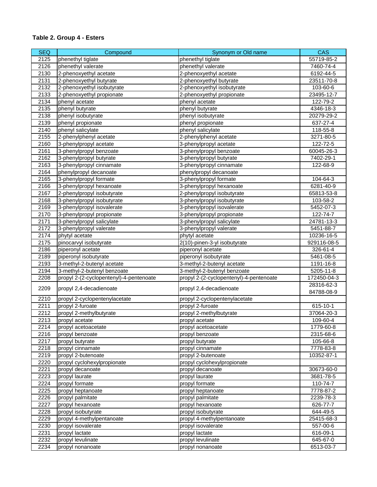| <b>SEQ</b>   | Compound                                | Synonym or Old name                     | <b>CAS</b>  |
|--------------|-----------------------------------------|-----------------------------------------|-------------|
| 2125         | phenethyl tiglate                       | phenethyl tiglate                       | 55719-85-2  |
| 2126         | phenethyl valerate                      | phenethyl valerate                      | 7460-74-4   |
| 2130         | 2-phenoxyethyl acetate                  | 2-phenoxyethyl acetate                  | 6192-44-5   |
| 2131         | 2-phenoxyethyl butyrate                 | 2-phenoxyethyl butyrate                 | 23511-70-8  |
| 2132         | 2-phenoxyethyl isobutyrate              | 2-phenoxyethyl isobutyrate              | 103-60-6    |
| 2133         | 2-phenoxyethyl propionate               | 2-phenoxyethyl propionate               | 23495-12-7  |
| 2134         | phenyl acetate                          | phenyl acetate                          | 122-79-2    |
| 2135         | phenyl butyrate                         | phenyl butyrate                         | 4346-18-3   |
| 2138         | phenyl isobutyrate                      | phenyl isobutyrate                      | 20279-29-2  |
| 2139         | phenyl propionate                       | phenyl propionate                       | 637-27-4    |
| 2140         | phenyl salicylate                       | phenyl salicylate                       | 118-55-8    |
| 2155         | 2-phenylphenyl acetate                  | 2-phenylphenyl acetate                  | 3271-80-5   |
| 2160         | 3-phenylpropyl acetate                  | 3-phenylpropyl acetate                  | 122-72-5    |
| 2161         | 3-phenylpropyl benzoate                 | 3-phenylpropyl benzoate                 | 60045-26-3  |
| 2162         | 3-phenylpropyl butyrate                 | 3-phenylpropyl butyrate                 | 7402-29-1   |
| 2163         | 3-phenylpropyl cinnamate                | 3-phenylpropyl cinnamate                | 122-68-9    |
| 2164         | phenylpropyl decanoate                  | phenylpropyl decanoate                  |             |
| 2165         | 3-phenylpropyl formate                  | 3-phenylpropyl formate                  | 104-64-3    |
| 2166         | 3-phenylpropyl hexanoate                | 3-phenylpropyl hexanoate                | 6281-40-9   |
| 2167         | 2-phenylpropyl isobutyrate              | 2-phenylpropyl isobutyrate              | 65813-53-8  |
| 2168         |                                         |                                         | 103-58-2    |
|              | 3-phenylpropyl isobutyrate              | 3-phenylpropyl isobutyrate              |             |
| 2169<br>2170 | 3-phenylpropyl isovalerate              | 3-phenylpropyl isovalerate              | 5452-07-3   |
|              | 3-phenylpropyl propionate               | 3-phenylpropyl propionate               | 122-74-7    |
| 2171         | 3-phenylpropyl salicylate               | 3-phenylpropyl salicylate               | 24781-13-3  |
| 2172         | 3-phenylpropyl valerate                 | 3-phenylpropyl valerate                 | 5451-88-7   |
| 2174         | phytyl acetate                          | phytyl acetate                          | 10236-16-5  |
| 2175         | pinocarvyl isobutyrate                  | 2(10)-pinen-3-yl isobutyrate            | 929116-08-5 |
| 2186         | piperonyl acetate                       | piperonyl acetate                       | 326-61-4    |
| 2189         | piperonyl isobutyrate                   | piperonyl isobutyrate                   | 5461-08-5   |
| 2193         | 3-methyl-2-butenyl acetate              | 3-methyl-2-butenyl acetate              | 1191-16-8   |
| 2194         | 3-methyl-2-butenyl benzoate             | 3-methyl-2-butenyl benzoate             | 5205-11-8   |
| 2208         | propyl 2-(2-cyclopentenyl)-4-pentenoate | propyl 2-(2-cyclopentenyl)-4-pentenoate | 172450-04-3 |
| 2209         | propyl 2,4-decadienoate                 | propyl 2,4-decadienoate                 | 28316-62-3  |
|              |                                         |                                         | 84788-08-9  |
| 2210         | propyl 2-cyclopentenylacetate           | propyl 2-cyclopentenylacetate           |             |
| 2211         | propyl 2-furoate                        | propyl 2-furoate                        | 615-10-1    |
| 2212         | propyl 2-methylbutyrate                 | propyl 2-methylbutyrate                 | 37064-20-3  |
| 2213         | propyl acetate                          | propyl acetate                          | 109-60-4    |
| 2214         | propyl acetoacetate                     | propyl acetoacetate                     | 1779-60-8   |
| 2216         | propyl benzoate                         | propyl benzoate                         | 2315-68-6   |
| 2217         | propyl butyrate                         | propyl butyrate                         | 105-66-8    |
| 2218         | propyl cinnamate                        | propyl cinnamate                        | 7778-83-8   |
| 2219         | propyl 2-butenoate                      | propyl 2-butenoate                      | 10352-87-1  |
| 2220         | propyl cyclohexylpropionate             | propyl cyclohexylpropionate             |             |
| 2221         | propyl decanoate                        | propyl decanoate                        | 30673-60-0  |
| 2223         | propyl laurate                          | propyl laurate                          | 3681-78-5   |
| 2224         | propyl formate                          | propyl formate                          | 110-74-7    |
| 2225         | propyl heptanoate                       | propyl heptanoate                       | 7778-87-2   |
| 2226         | propyl palmitate                        | propyl palmitate                        | 2239-78-3   |
| 2227         | propyl hexanoate                        | propyl hexanoate                        | 626-77-7    |
| 2228         | propyl isobutyrate                      | propyl isobutyrate                      | 644-49-5    |
| 2229         | propyl 4-methylpentanoate               | propyl 4-methylpentanoate               | 25415-68-3  |
| 2230         | propyl isovalerate                      | propyl isovalerate                      | 557-00-6    |
| 2231         | propyl lactate                          | propyl lactate                          | 616-09-1    |
| 2232         | propyl levulinate                       | propyl levulinate                       | 645-67-0    |
| 2234         | propyl nonanoate                        | propyl nonanoate                        | 6513-03-7   |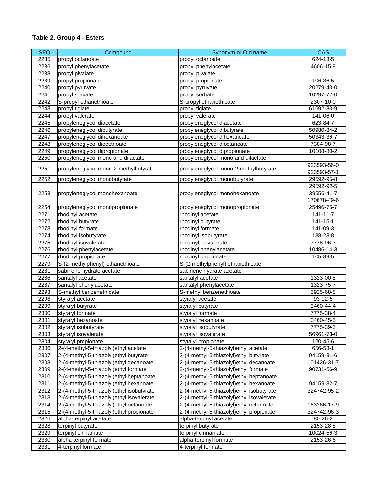| <b>SEQ</b>   | Compound                                           | Synonym or Old name                                | <b>CAS</b>                   |
|--------------|----------------------------------------------------|----------------------------------------------------|------------------------------|
| 2235         | propyl octanoate                                   | propyl octanoate                                   | 624-13-5                     |
| 2236         | propyl phenylacetate                               | propyl phenylacetate                               | 4606-15-9                    |
| 2238         | propyl pivalate                                    | propyl pivalate                                    |                              |
| 2239         | propyl propionate                                  | propyl propionate                                  | 106-36-5                     |
| 2240         | propyl pyruvate                                    | propyl pyruvate                                    | 20279-43-0                   |
| 2241         | propyl sorbate                                     | propyl sorbate                                     | 10297-72-0                   |
| 2242         | S-propyl ethanethioate                             | S-propyl ethanethioate                             | 2307-10-0                    |
| 2243         | propyl tiglate                                     | propyl tiglate                                     | 61692-83-9                   |
| 2244         | propyl valerate                                    | propyl valerate                                    | 141-06-0                     |
| 2245         | propyleneglycol diacetate                          | propyleneglycol diacetate                          | 623-84-7                     |
| 2246         | propyleneglycol dibutyrate                         | propyleneglycol dibutyrate                         | 50980-84-2                   |
| 2247         | propyleneglycol dihexanoate                        | propyleneglycol dihexanoate                        | 50343-36-7                   |
| 2248         | propyleneglycol dioctanoate                        | propyleneglycol dioctanoate                        | 7384-98-7                    |
| 2249         | propyleneglycol dipropionate                       | propyleneglycol dipropionate                       | 10108-80-2                   |
| 2250         | propyleneglycol mono and dilactate                 | propyleneglycol mono and dilactate                 |                              |
|              |                                                    |                                                    | 923593-56-0                  |
| 2251         | propyleneglycol mono-2-methylbutyrate              | propyleneglycol mono-2-methylbutyrate              | 923593-57-1                  |
| 2252         | propyleneglycol monobutyrate                       | propyleneglycol monobutyrate                       | 29592-95-8                   |
|              |                                                    |                                                    | 29592-92-5                   |
| 2253         | propyleneglycol monohexanoate                      | propyleneglycol monohexanoate                      | 39556-41-7                   |
|              |                                                    |                                                    | 170678-49-6                  |
|              |                                                    |                                                    |                              |
| 2254<br>2271 | propyleneglycol monopropionate<br>rhodinyl acetate | propyleneglycol monopropionate<br>rhodinyl acetate | 25496-75-7<br>$141 - 11 - 7$ |
|              |                                                    |                                                    |                              |
| 2272         | rhodinyl butyrate                                  | rhodinyl butyrate                                  | $141 - 15 - 1$               |
| 2273         | rhodinyl formate                                   | rhodinyl formate                                   | 141-09-3                     |
| 2274         | rhodinyl isobutyrate                               | rhodinyl isobutyrate                               | 138-23-8                     |
| 2275         | rhodinyl isovalerate                               | rhodinyl isovalerate                               | 7778-96-3                    |
| 2276         | rhodinyl phenylacetate                             | rhodinyl phenylacetate                             | 10486-14-3                   |
| 2277         | rhodinyl propionate                                | rhodinyl propionate                                | 105-89-5                     |
| 2279         | S-(2-methylphenyl) ethanethioate                   | S-(2-methylphenyl) ethanethioate                   |                              |
| 2281         | sabinene hydrate acetate                           | sabinene hydrate acetate                           |                              |
| 2286         | santalyl acetate                                   | santalyl acetate                                   | 1323-00-8                    |
| 2287         | santalyl phenylacetate                             | santalyl phenylacetate                             | 1323-75-7                    |
| 2293         | S-methyl benzenethioate                            | S-methyl benzenethioate                            | 5925-68-8                    |
| 2298         | styralyl acetate                                   | styralyl acetate                                   | 93-92-5                      |
| 2299         | styralyl butyrate                                  | styralyl butyrate                                  | 3460-44-4                    |
| 2300         | styralyl formate                                   | styralyl formate                                   | 7775-38-4                    |
| 2301         | styralyl hexanoate                                 | styralyl hexanoate                                 | 3460-45-5                    |
| 2302         | styralyl isobutyrate                               | styralyl isobutyrate                               | 7775-39-5                    |
| 2303         | styralyl isovalerate                               | styralyl isovalerate                               | 56961-73-0                   |
| 2304         | styralyl propionate                                | styralyl propionate                                | 120-45-6                     |
| 2306         | 2-(4-methyl-5-thiazolyl) ethyl acetate             | 2-(4-methyl-5-thiazolyl) ethyl acetate             | 656-53-1                     |
| 2307         | 2-(4-methyl-5-thiazolyl) ethyl butyrate            | 2-(4-methyl-5-thiazolyl) ethyl butyrate            | 94159-31-6                   |
| 2308         | 2-(4-methyl-5-thiazolyl) ethyl decanoate           | 2-(4-methyl-5-thiazolyl) ethyl decanoate           | 101426-31-7                  |
| 2309         | 2-(4-methyl-5-thiazolyl) ethyl formate             | 2-(4-methyl-5-thiazolyl) ethyl formate             | 90731-56-9                   |
| 2310         | 2-(4-methyl-5-thiazolyl) ethyl heptanoate          | 2-(4-methyl-5-thiazolyl) ethyl heptanoate          |                              |
| 2311         | 2-(4-methyl-5-thiazolyl) ethyl hexanoate           | 2-(4-methyl-5-thiazolyl) ethyl hexanoate           | 94159-32-7                   |
| 2312         | 2-(4-methyl-5-thiazolyl) ethyl isobutyrate         | 2-(4-methyl-5-thiazolyl) ethyl isobutyrate         | 324742-95-2                  |
| 2313         | 2-(4-methyl-5-thiazolyl) ethyl isovalerate         | 2-(4-methyl-5-thiazolyl) ethyl isovalerate         |                              |
| 2314         | 2-(4-methyl-5-thiazolyl)ethyl octanoate            | 2-(4-methyl-5-thiazolyl) ethyl octanoate           | 163266-17-9                  |
| 2315         | 2-(4-methyl-5-thiazolyl)ethyl propionate           | 2-(4-methyl-5-thiazolyl) ethyl propionate          | 324742-96-3                  |
| 2326         | alpha-terpinyl acetate                             | alpha-terpinyl acetate                             | 80-26-2                      |
| 2328         | terpinyl butyrate                                  | terpinyl butyrate                                  | 2153-28-8                    |
| 2329         | terpinyl cinnamate                                 | terpinyl cinnamate                                 | 10024-56-3                   |
| 2330         | alpha-terpinyl formate                             | alpha-terpinyl formate                             | 2153-26-6                    |
| 2331         | 4-terpinyl formate                                 | 4-terpinyl formate                                 |                              |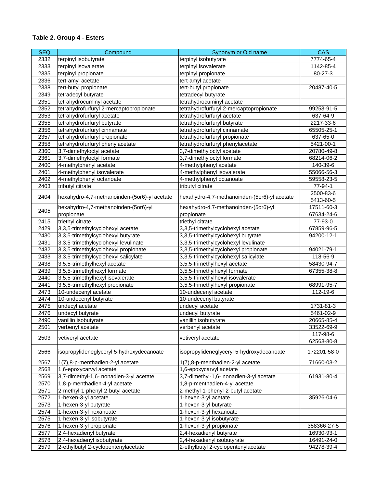| <b>SEQ</b> | Compound                                     | Synonym or Old name                          | CAS         |
|------------|----------------------------------------------|----------------------------------------------|-------------|
| 2332       | terpinyl isobutyrate                         | terpinyl isobutyrate                         | 7774-65-4   |
| 2333       | terpinyl isovalerate                         | terpinyl isovalerate                         | 1142-85-4   |
| 2335       | terpinyl propionate                          | terpinyl propionate                          | 80-27-3     |
| 2336       | tert-amyl acetate                            | tert-amyl acetate                            |             |
| 2338       | tert-butyl propionate                        | tert-butyl propionate                        | 20487-40-5  |
| 2349       | tetradecyl butyrate                          | tetradecyl butyrate                          |             |
| 2351       | tetrahydrocuminyl acetate                    | tetrahydrocuminyl acetate                    |             |
| 2352       | tetrahydrofurfuryl 2-mercaptopropionate      | tetrahydrofurfuryl 2-mercaptopropionate      | 99253-91-5  |
| 2353       | tetrahydrofurfuryl acetate                   | tetrahydrofurfuryl acetate                   | 637-64-9    |
| 2355       | tetrahydrofurfuryl butyrate                  | tetrahydrofurfuryl butyrate                  | 2217-33-6   |
| 2356       | tetrahydrofurfuryl cinnamate                 | tetrahydrofurfuryl cinnamate                 | 65505-25-1  |
| 2357       | tetrahydrofurfuryl propionate                | tetrahydrofurfuryl propionate                | 637-65-0    |
| 2358       | tetrahydrofurfuryl phenylacetate             | tetrahydrofurfuryl phenylacetate             | 5421-00-1   |
| 2360       | 3,7-dimethyloctyl acetate                    | 3,7-dimethyloctyl acetate                    | 20780-49-8  |
| 2361       | 3,7-dimethyloctyl formate                    | 3,7-dimethyloctyl formate                    | 68214-06-2  |
| 2400       | 4-methylphenyl acetate                       | 4-methylphenyl acetate                       | 140-39-6    |
| 2401       | 4-methylphenyl isovalerate                   | 4-methylphenyl isovalerate                   | 55066-56-3  |
| 2402       | 4-methylphenyl octanoate                     | 4-methylphenyl octanoate                     | 59558-23-5  |
| 2403       | tributyl citrate                             | tributyl citrate                             | 77-94-1     |
|            |                                              |                                              | 2500-83-6   |
| 2404       | hexahydro-4,7-methanoinden-(5or6)-yl acetate | hexahydro-4,7-methanoinden-(5or6)-yl acetate | 5413-60-5   |
|            | hexahydro-4,7-methanoinden-(5or6)-yl         | hexahydro-4,7-methanoinden-(5or6)-yl         | 17511-60-3  |
| 2405       | propionate                                   | propionate                                   | 67634-24-6  |
| 2415       | triethyl citrate                             | triethyl citrate                             | 77-93-0     |
| 2429       | 3,3,5-trimethylcyclohexyl acetate            | 3,3,5-trimethylcyclohexyl acetate            | 67859-96-5  |
| 2430       | 3,3,5-trimethylcyclohexyl butyrate           | 3,3,5-trimethylcyclohexyl butyrate           | 94200-12-1  |
| 2431       | 3,3,5-trimethylcyclohexyl levulinate         | 3,3,5-trimethylcyclohexyl levulinate         |             |
| 2432       | 3,3,5-trimethylcyclohexyl propionate         | 3,3,5-trimethylcyclohexyl propionate         | 94021-79-1  |
| 2433       | 3,3,5-trimethylcyclohexyl salicylate         | 3,3,5-trimethylcyclohexyl salicylate         | 118-56-9    |
| 2438       | 3,5,5-trimethylhexyl acetate                 | 3,5,5-trimethylhexyl acetate                 | 58430-94-7  |
| 2439       | 3,5,5-trimethylhexyl formate                 | 3,5,5-trimethylhexyl formate                 | 67355-38-8  |
| 2440       | 3,5,5-trimethylhexyl isovalerate             | 3,5,5-trimethylhexyl isovalerate             |             |
| 2441       | 3,5,5-trimethylhexyl propionate              | 3,5,5-trimethylhexyl propionate              | 68991-95-7  |
| 2473       | 10-undecenyl acetate                         | 10-undecenyl acetate                         | 112-19-6    |
| 2474       | 10-undecenyl butyrate                        | 10-undecenyl butyrate                        |             |
| 2475       | undecyl acetate                              | undecyl acetate                              | 1731-81-3   |
| 2476       | undecyl butyrate                             | undecyl butyrate                             | 5461-02-9   |
| 2490       | vanillin isobutyrate                         | vanillin isobutyrate                         | 20665-85-4  |
| 2501       | verbenyl acetate                             | verbenyl acetate                             | 33522-69-9  |
| 2503       | vetiveryl acetate                            | vetiveryl acetate                            | 117-98-6    |
|            |                                              |                                              | 62563-80-8  |
| 2566       | isopropylideneglyceryl 5-hydroxydecanoate    | isopropylideneglyceryl 5-hydroxydecanoate    | 172201-58-0 |
| 2567       | 1(7),8-p-menthadien-2-yl acetate             | 1(7),8-p-menthadien-2-yl acetate             | 71660-03-2  |
| 2568       | 1,6-epoxycarvyl acetate                      | 1,6-epoxycarvyl acetate                      |             |
| 2569       | 3,7-dimethyl-1,6- nonadien-3-yl acetate      | 3,7-dimethyl-1,6- nonadien-3-yl acetate      | 61931-80-4  |
| 2570       | 1,8-p-menthadien-4-yl acetate                | 1,8-p-menthadien-4-yl acetate                |             |
| 2571       | 2-methyl-1-phenyl-2-butyl acetate            | 2-methyl-1-phenyl-2-butyl acetate            |             |
| 2572       | 1-hexen-3-yl acetate                         | 1-hexen-3-yl acetate                         | 35926-04-6  |
| 2573       | 1-hexen-3-yl butyrate                        | 1-hexen-3-yl butyrate                        |             |
| 2574       | 1-hexen-3-yl hexanoate                       | 1-hexen-3-yl hexanoate                       |             |
| 2575       | 1-hexen-3-yl isobutyrate                     | 1-hexen-3-yl isobutyrate                     |             |
| 2576       | 1-hexen-3-yl propionate                      | 1-hexen-3-yl propionate                      | 358366-27-5 |
| 2577       | 2,4-hexadienyl butyrate                      | 2,4-hexadienyl butyrate                      | 16930-93-1  |
| 2578       | 2,4-hexadienyl isobutyrate                   | 2,4-hexadienyl isobutyrate                   | 16491-24-0  |
| 2579       | 2-ethylbutyl 2-cyclopentenylacetate          | 2-ethylbutyl 2-cyclopentenylacetate          | 94278-39-4  |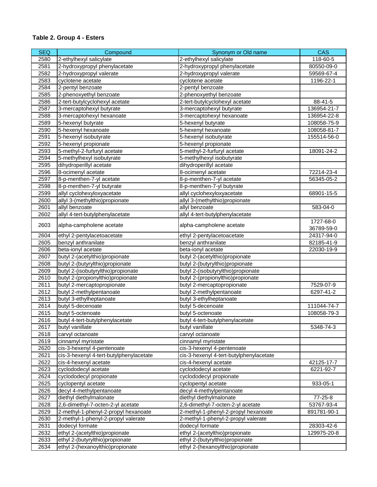| <b>SEQ</b> | Compound                                | Synonym or Old name                               | <b>CAS</b>              |
|------------|-----------------------------------------|---------------------------------------------------|-------------------------|
| 2580       | 2-ethylhexyl salicylate                 | 2-ethylhexyl salicylate                           | 118-60-5                |
| 2581       | 2-hydroxypropyl phenylacetate           | 2-hydroxypropyl phenylacetate                     | 80550-09-0              |
| 2582       | 2-hydroxypropyl valerate                | 2-hydroxypropyl valerate                          | 59569-67-4              |
| 2583       | cyclotene acetate                       | cyclotene acetate                                 | 1196-22-1               |
| 2584       | 2-pentyl benzoate                       | 2-pentyl benzoate                                 |                         |
| 2585       | 2-phenoxyethyl benzoate                 | 2-phenoxyethyl benzoate                           |                         |
| 2586       | 2-tert-butylcyclohexyl acetate          | 2-tert-butylcyclohexyl acetate                    | 88-41-5                 |
| 2587       | 3-mercaptohexyl butyrate                | 3-mercaptohexyl butyrate                          | 136954-21-7             |
| 2588       | 3-mercaptohexyl hexanoate               | 3-mercaptohexyl hexanoate                         | 136954-22-8             |
| 2589       | 5-hexenyl butyrate                      | 5-hexenyl butyrate                                | 108058-75-9             |
| 2590       | 5-hexenyl hexanoate                     | 5-hexenyl hexanoate                               | 108058-81-7             |
| 2591       | 5-hexenyl isobutyrate                   | 5-hexenyl isobutyrate                             | 155514-56-0             |
| 2592       | 5-hexenyl propionate                    | 5-hexenyl propionate                              |                         |
| 2593       | 5-methyl-2-furfuryl acetate             | 5-methyl-2-furfuryl acetate                       | 18091-24-2              |
| 2594       | 5-methylhexyl isobutyrate               | 5-methylhexyl isobutyrate                         |                         |
| 2595       | dihydroperillyl acetate                 | dihydroperillyl acetate                           |                         |
| 2596       | 8-ocimenyl acetate                      | 8-ocimenyl acetate                                | 72214-23-4              |
| 2597       | 8-p-menthen-7-yl acetate                | 8-p-menthen-7-yl acetate                          | 56345-05-2              |
| 2598       | 8-p-menthen-7-yl butyrate               | 8-p-menthen-7-yl butyrate                         |                         |
| 2599       | allyl cyclohexyloxyacetate              | allyl cyclohexyloxyacetate                        | 68901-15-5              |
| 2600       | allyl 3-(methylthio)propionate          | allyl 3-(methylthio)propionate                    |                         |
| 2601       | allyl benzoate                          | allyl benzoate                                    | 583-04-0                |
| 2602       | allyl 4-tert-butylphenylacetate         | allyl 4-tert-butylphenylacetate                   |                         |
| 2603       | alpha-campholene acetate                | alpha-campholene acetate                          | 1727-68-0<br>36789-59-0 |
| 2604       | ethyl 2-pentylacetoacetate              |                                                   | 24317-94-0              |
| 2605       | benzyl anthranilate                     | ethyl 2-pentylacetoacetate<br>benzyl anthranilate | 82185-41-9              |
| 2606       | beta-ionyl acetate                      | beta-ionyl acetate                                | 22030-19-9              |
| 2607       | butyl 2-(acetylthio)propionate          | butyl 2-(acetylthio)propionate                    |                         |
| 2608       | butyl 2-(butyrylthio)propionate         | butyl 2-(butyrylthio)propionate                   |                         |
| 2609       | butyl 2-(isobutyrylthio)propionate      | butyl 2-(isobutyrylthio)propionate                |                         |
| 2610       | butyl 2-(propionylthio)propionate       | butyl 2-(propionylthio)propionate                 |                         |
| 2611       | butyl 2-mercaptopropionate              | butyl 2-mercaptopropionate                        | 7529-07-9               |
| 2612       | butyl 2-methylpentanoate                | butyl 2-methylpentanoate                          | 6297-41-2               |
| 2613       | butyl 3-ethylheptanoate                 | butyl 3-ethylheptanoate                           |                         |
| 2614       | butyl 5-decenoate                       | butyl 5-decenoate                                 | 111044-74-7             |
| 2615       | butyl 5-octenoate                       | butyl 5-octenoate                                 | 108058-79-3             |
| 2616       | butyl 4-tert-butylphenylacetate         | butyl 4-tert-butylphenylacetate                   |                         |
| 2617       | butyl vanillate                         | butyl vanillate                                   | 5348-74-3               |
| 2618       | carvyl octanoate                        | carvyl octanoate                                  |                         |
| 2619       | cinnamyl myristate                      | cinnamyl myristate                                |                         |
| 2620       | cis-3-hexenyl 4-pentenoate              | cis-3-hexenyl 4-pentenoate                        |                         |
| 2621       | cis-3-hexenyl 4-tert-butylphenylacetate | cis-3-hexenyl 4-tert-butylphenylacetate           |                         |
| 2622       | cis-4-hexenyl acetate                   | cis-4-hexenyl acetate                             | 42125-17-7              |
| 2623       | cyclododecyl acetate                    | cyclododecyl acetate                              | 6221-92-7               |
| 2624       | cyclododecyl propionate                 | cyclododecyl propionate                           |                         |
| 2625       | cyclopentyl acetate                     | cyclopentyl acetate                               | 933-05-1                |
| 2626       | decyl 4-methylpentanoate                | decyl 4-methylpentanoate                          |                         |
| 2627       | diethyl diethylmalonate                 | diethyl diethylmalonate                           | 77-25-8                 |
| 2628       | 2,6-dimethyl-7-octen-2-yl acetate       | 2,6-dimethyl-7-octen-2-yl acetate                 | 53767-93-4              |
| 2629       | 2-methyl-1-phenyl-2-propyl hexanoate    | 2-methyl-1-phenyl-2-propyl hexanoate              | 891781-90-1             |
| 2630       | 2-methyl-1-phenyl-2-propyl valerate     | 2-methyl-1-phenyl-2-propyl valerate               |                         |
| 2631       | dodecyl formate                         | dodecyl formate                                   | 28303-42-6              |
| 2632       | ethyl 2-(acetylthio)propionate          | ethyl 2-(acetylthio)propionate                    | 129975-20-8             |
| 2633       | ethyl 2-(butyrylthio)propionate         | ethyl 2-(butyrylthio)propionate                   |                         |
| 2634       | ethyl 2-(hexanoylthio)propionate        | ethyl 2-(hexanoylthio)propionate                  |                         |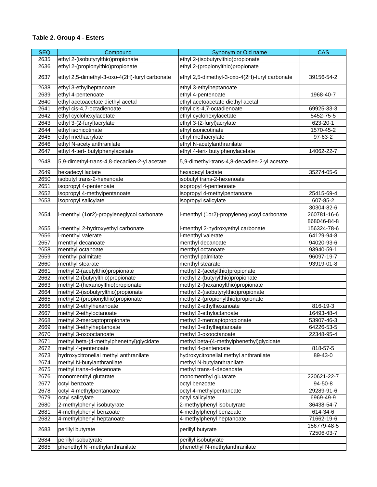| <b>SEQ</b> | Compound                                       | Synonym or Old name                            | <b>CAS</b>  |
|------------|------------------------------------------------|------------------------------------------------|-------------|
| 2635       | ethyl 2-(isobutyrylthio)propionate             | ethyl 2-(isobutyrylthio)propionate             |             |
| 2636       | ethyl 2-(propionylthio)propionate              | ethyl 2-(propionylthio)propionate              |             |
| 2637       | ethyl 2,5-dimethyl-3-oxo-4(2H)-furyl carbonate | ethyl 2,5-dimethyl-3-oxo-4(2H)-furyl carbonate | 39156-54-2  |
| 2638       | ethyl 3-ethylheptanoate                        | ethyl 3-ethylheptanoate                        |             |
| 2639       | ethyl 4-pentenoate                             | ethyl 4-pentenoate                             | 1968-40-7   |
| 2640       | ethyl acetoacetate diethyl acetal              | ethyl acetoacetate diethyl acetal              |             |
| 2641       | ethyl cis-4,7-octadienoate                     | ethyl cis-4,7-octadienoate                     | 69925-33-3  |
| 2642       | ethyl cyclohexylacetate                        | ethyl cyclohexylacetate                        | 5452-75-5   |
| 2643       | ethyl 3-(2-furyl) acrylate                     | ethyl 3-(2-furyl) acrylate                     | 623-20-1    |
| 2644       | ethyl isonicotinate                            | ethyl isonicotinate                            | 1570-45-2   |
| 2645       | ethyl methacrylate                             | ethyl methacrylate                             | 97-63-2     |
| 2646       | ethyl N-acetylanthranilate                     | ethyl N-acetylanthranilate                     |             |
| 2647       | ethyl 4-tert- butylphenylacetate               | ethyl 4-tert- butylphenylacetate               | 14062-22-7  |
| 2648       | 5,9-dimethyl-trans-4,8-decadien-2-yl acetate   | 5,9-dimethyl-trans-4,8-decadien-2-yl acetate   |             |
| 2649       | hexadecyl lactate                              | hexadecyl lactate                              | 35274-05-6  |
| 2650       | isobutyl trans-2-hexenoate                     | isobutyl trans-2-hexenoate                     |             |
| 2651       | isopropyl 4-pentenoate                         | isopropyl 4-pentenoate                         |             |
| 2652       | isopropyl 4-methylpentanoate                   | isopropyl 4-methylpentanoate                   | 25415-69-4  |
| 2653       | isopropyl salicylate                           | isopropyl salicylate                           | 607-85-2    |
|            |                                                |                                                | 30304-82-6  |
| 2654       | I-menthyl (1or2)-propyleneglycol carbonate     | I-menthyl (1or2)-propyleneglycoyl carbonate    | 260781-16-6 |
|            |                                                |                                                | 868046-84-8 |
| 2655       | I-menthyl 2-hydroxyethyl carbonate             | I-menthyl 2-hydroxyethyl carbonate             | 156324-78-6 |
| 2656       | I-menthyl valerate                             | I-menthyl valerate                             | 64129-94-8  |
| 2657       | menthyl decanoate                              | menthyl decanoate                              | 94020-93-6  |
| 2658       | menthyl octanoate                              | menthyl octanoate                              | 93940-59-1  |
| 2659       | menthyl palmitate                              | menthyl palmitate                              | 96097-19-7  |
| 2660       | menthyl stearate                               | menthyl stearate                               | 93919-01-8  |
| 2661       | methyl 2-(acetylthio)propionate                | methyl 2-(acetylthio)propionate                |             |
| 2662       | methyl 2-(butyrylthio)propionate               | methyl 2-(butyrylthio)propionate               |             |
| 2663       | methyl 2-(hexanoylthio)propionate              | methyl 2-(hexanoylthio)propionate              |             |
| 2664       | methyl 2-(isobutyrylthio)propionate            | methyl 2-(isobutyrylthio)propionate            |             |
| 2665       | methyl 2-(propionylthio)propionate             | methyl 2-(propionylthio)propionate             |             |
| 2666       | methyl 2-ethylhexanoate                        | methyl 2-ethylhexanoate                        | 816-19-3    |
| 2667       | methyl 2-ethyloctanoate                        | methyl 2-ethyloctanoate                        | 16493-48-4  |
| 2668       | methyl 2-mercaptopropionate                    | methyl 2-mercaptopropionate                    | 53907-46-3  |
| 2669       | methyl 3-ethylheptanoate                       | methyl 3-ethylheptanoate                       | 64226-53-5  |
| 2670       | methyl 3-oxooctanoate                          | methyl 3-oxooctanoate                          | 22348-95-4  |
| 2671       | methyl beta-(4-methylphenethyl)glycidate       | methyl beta-(4-methylphenethyl)glycidate       |             |
| 2672       | methyl 4-pentenoate                            | methyl 4-pentenoate                            | 818-57-5    |
| 2673       | hydroxycitronellal methyl anthranilate         | hydroxycitronellal methyl anthranilate         | 89-43-0     |
| 2674       | methyl N-butylanthranilate                     | methyl N-butylanthranilate                     |             |
| 2675       | methyl trans-4-decenoate                       | methyl trans-4-decenoate                       |             |
| 2676       | monomenthyl glutarate                          | monomenthyl glutarate                          | 220621-22-7 |
| 2677       | octyl benzoate                                 | octyl benzoate                                 | 94-50-8     |
| 2678       | octyl 4-methylpentanoate                       | octyl 4-methylpentanoate                       | 29289-91-6  |
| 2679       | octyl salicylate                               | octyl salicylate                               | 6969-49-9   |
| 2680       | 2-methylphenyl isobutyrate                     | 2-methylphenyl isobutyrate                     | 36438-54-7  |
| 2681       | 4-methylphenyl benzoate                        | 4-methylphenyl benzoate                        | 614-34-6    |
| 2682       | 4-methylphenyl heptanoate                      | 4-methylphenyl heptanoate                      | 71662-19-6  |
| 2683       | perillyl butyrate                              | perillyl butyrate                              | 156779-48-5 |
| 2684       | perillyl isobutyrate                           | perillyl isobutyrate                           | 72506-03-7  |
| 2685       | phenethyl N -methylanthranilate                | phenethyl N-methylanthranilate                 |             |
|            |                                                |                                                |             |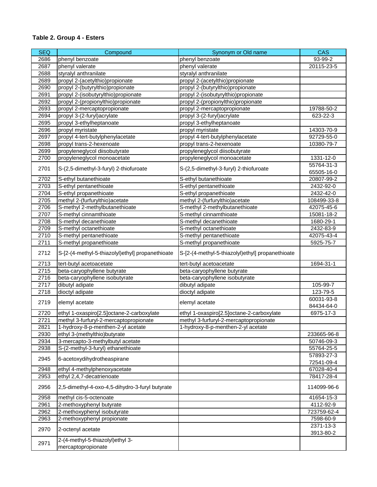| <b>SEQ</b> | Compound                                               | Synonym or Old name                              | <b>CAS</b>  |
|------------|--------------------------------------------------------|--------------------------------------------------|-------------|
| 2686       | phenyl benzoate                                        | phenyl benzoate                                  | 93-99-2     |
| 2687       | phenyl valerate                                        | phenyl valerate                                  | 20115-23-5  |
| 2688       | styralyl anthranilate                                  | styralyl anthranilate                            |             |
| 2689       | propyl 2-(acetylthio)propionate                        | propyl 2-(acetylthio)propionate                  |             |
| 2690       | propyl 2-(butyrylthio)propionate                       | propyl 2-(butyrylthio)propionate                 |             |
| 2691       | propyl 2-(isobutyrylthio)propionate                    | propyl 2-(isobutyrylthio)propionate              |             |
| 2692       | propyl 2-(propionylthio)propionate                     | propyl 2-(propionylthio)propionate               |             |
| 2693       | propyl 2-mercaptopropionate                            | propyl 2-mercaptopropionate                      | 19788-50-2  |
| 2694       | propyl 3-(2-furyl) acrylate                            | propyl 3-(2-furyl) acrylate                      | 623-22-3    |
| 2695       | propyl 3-ethylheptanoate                               | propyl 3-ethylheptanoate                         |             |
| 2696       | propyl myristate                                       | propyl myristate                                 | 14303-70-9  |
| 2697       | propyl 4-tert-butylphenylacetate                       | propyl 4-tert-butylphenylacetate                 | 92729-55-0  |
| 2698       | propyl trans-2-hexenoate                               | propyl trans-2-hexenoate                         | 10380-79-7  |
| 2699       | propyleneglycol diisobutyrate                          | propyleneglycol diisobutyrate                    |             |
| 2700       | propyleneglycol monoacetate                            | propyleneglycol monoacetate                      | 1331-12-0   |
|            |                                                        |                                                  | 55764-31-3  |
| 2701       | S-(2,5-dimethyl-3-furyl) 2-thiofuroate                 | S-(2,5-dimethyl-3-furyl) 2-thiofuroate           | 65505-16-0  |
| 2702       | S-ethyl butanethioate                                  | S-ethyl butanethioate                            | 20807-99-2  |
| 2703       | S-ethyl pentanethioate                                 | S-ethyl pentanethioate                           | 2432-92-0   |
| 2704       | S-ethyl propanethioate                                 |                                                  |             |
|            | methyl 2-(furfurylthio)acetate                         | S-ethyl propanethioate                           | 2432-42-0   |
| 2705       |                                                        | methyl 2-(furfurylthio)acetate                   | 108499-33-8 |
| 2706       | S-methyl 2-methylbutanethioate                         | S-methyl 2-methylbutanethioate                   | 42075-45-6  |
| 2707       | S-methyl cinnamthioate                                 | S-methyl cinnamthioate                           | 15081-18-2  |
| 2708       | S-methyl decanethioate                                 | S-methyl decanethioate                           | 1680-29-1   |
| 2709       | S-methyl octanethioate                                 | S-methyl octanethioate                           | 2432-83-9   |
| 2710       | S-methyl pentanethioate                                | S-methyl pentanethioate                          | 42075-43-4  |
| 2711       | S-methyl propanethioate                                | S-methyl propanethioate                          | 5925-75-7   |
| 2712       | S-[2-(4-methyl-5-thiazolyl)ethyl] propanethioate       | S-[2-(4-methyl-5-thiazolyl)ethyl] propanethioate |             |
| 2713       | tert-butyl acetoacetate                                | tert-butyl acetoacetate                          | 1694-31-1   |
| 2715       | beta-caryophyllene butyrate                            | beta-caryophyllene butyrate                      |             |
| 2716       | beta-caryophyllene isobutyrate                         | beta-caryophyllene isobutyrate                   |             |
| 2717       | dibutyl adipate                                        | dibutyl adipate                                  | 105-99-7    |
| 2718       | dioctyl adipate                                        | dioctyl adipate                                  | 123-79-5    |
| 2719       | elemyl acetate                                         | elemyl acetate                                   | 60031-93-8  |
|            |                                                        |                                                  | 84434-64-0  |
| 2720       | ethyl 1-oxaspiro[2.5]octane-2-carboxylate              | ethyl 1-oxaspiro[2.5]octane-2-carboxylate        | 6975-17-3   |
| 2721       | methyl 3-furfuryl-2-mercaptopropionate                 | methyl 3-furfuryl-2-mercaptopropionate           |             |
| 2821       | 1-hydroxy-8-p-menthen-2-yl acetate                     | 1-hydroxy-8-p-menthen-2-yl acetate               |             |
| 2930       | ethyl 3-(methylthio)butyrate                           |                                                  | 233665-96-8 |
| 2934       | 3-mercapto-3-methylbutyl acetate                       |                                                  | 50746-09-3  |
| 2938       | S-(2-methyl-3-furyl) ethanethioate                     |                                                  | 55764-25-5  |
|            |                                                        |                                                  | 57893-27-3  |
| 2945       | 6-acetoxydihydrotheaspirane                            |                                                  | 72541-09-4  |
| 2948       | ethyl 4-methylphenoxyacetate                           |                                                  | 67028-40-4  |
| 2953       | ethyl 2,4,7-decatrienoate                              |                                                  | 78417-28-4  |
| 2956       | 2,5-dimethyl-4-oxo-4,5-dihydro-3-furyl butyrate        |                                                  | 114099-96-6 |
| 2958       | methyl cis-5-octenoate                                 |                                                  | 41654-15-3  |
| 2961       | 2-methoxyphenyl butyrate                               |                                                  | 4112-92-9   |
| 2962       | 2-methoxyphenyl isobutyrate                            |                                                  | 723759-62-4 |
| 2963       | 2-methoxyphenyl propionate                             |                                                  | 7598-60-9   |
|            |                                                        |                                                  | 2371-13-3   |
| 2970       | 2-octenyl acetate                                      |                                                  | 3913-80-2   |
| 2971       | 2-(4-methyl-5-thiazolyl)ethyl 3-<br>mercaptopropionate |                                                  |             |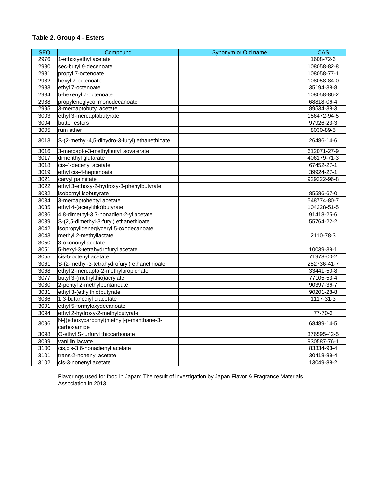## **Table 2. Group 4 - Esters**

| <b>SEQ</b> | Compound                                                | Synonym or Old name | <b>CAS</b>    |
|------------|---------------------------------------------------------|---------------------|---------------|
| 2976       | 1-ethoxyethyl acetate                                   |                     | 1608-72-6     |
| 2980       | sec-butyl 9-decenoate                                   |                     | 108058-82-8   |
| 2981       | propyl 7-octenoate                                      |                     | 108058-77-1   |
| 2982       | hexyl 7-octenoate                                       |                     | 108058-84-0   |
| 2983       | ethyl 7-octenoate                                       |                     | 35194-38-8    |
| 2984       | 5-hexenyl 7-octenoate                                   |                     | 108058-86-2   |
| 2988       | propyleneglycol monodecanoate                           |                     | 68818-06-4    |
| 2995       | 3-mercaptobutyl acetate                                 |                     | 89534-38-3    |
| 3003       | ethyl 3-mercaptobutyrate                                |                     | 156472-94-5   |
| 3004       | butter esters                                           |                     | 97926-23-3    |
| 3005       | rum ether                                               |                     | 8030-89-5     |
| 3013       | S-(2-methyl-4,5-dihydro-3-furyl) ethanethioate          |                     | 26486-14-6    |
| 3016       | 3-mercapto-3-methylbutyl isovalerate                    |                     | 612071-27-9   |
| 3017       | dimenthyl glutarate                                     |                     | 406179-71-3   |
| 3018       | cis-4-decenyl acetate                                   |                     | 67452-27-1    |
| 3019       | ethyl cis-4-heptenoate                                  |                     | 39924-27-1    |
| 3021       | carvyl palmitate                                        |                     | 929222-96-8   |
| 3022       | ethyl 3-ethoxy-2-hydroxy-3-phenylbutyrate               |                     |               |
| 3032       | isobornyl isobutyrate                                   |                     | 85586-67-0    |
| 3034       | 3-mercaptoheptyl acetate                                |                     | 548774-80-7   |
| 3035       | ethyl 4-(acetylthio)butyrate                            |                     | 104228-51-5   |
| 3036       | 4,8-dimethyl-3,7-nonadien-2-yl acetate                  |                     | 91418-25-6    |
| 3039       | S-(2,5-dimethyl-3-furyl) ethanethioate                  |                     | 55764-22-2    |
| 3042       | isopropylideneglyceryl 5-oxodecanoate                   |                     |               |
| 3043       | methyl 2-methyllactate                                  |                     | 2110-78-3     |
| 3050       | 3-oxononyl acetate                                      |                     |               |
| 3051       | 5-hexyl-3-tetrahydrofuryl acetate                       |                     | 10039-39-1    |
| 3055       | cis-5-octenyl acetate                                   |                     | 71978-00-2    |
| 3061       | S-(2-methyl-3-tetrahydrofuryl) ethanethioate            |                     | 252736-41-7   |
| 3068       | ethyl 2-mercapto-2-methylpropionate                     |                     | 33441-50-8    |
| 3077       | butyl 3-(methylthio) acrylate                           |                     | 77105-53-4    |
| 3080       | 2-pentyl 2-methylpentanoate                             |                     | 90397-36-7    |
| 3081       | ethyl 3-(ethylthio)butyrate                             |                     | 90201-28-8    |
| 3086       | 1,3-butanediyl diacetate                                |                     | 1117-31-3     |
| 3091       | ethyl 5-formyloxydecanoate                              |                     |               |
| 3094       | ethyl 2-hydroxy-2-methylbutyrate                        |                     | $77 - 70 - 3$ |
| 3096       | N-[(ethoxycarbonyl)methyl]-p-menthane-3-<br>carboxamide |                     | 68489-14-5    |
| 3098       | O-ethyl S-furfuryl thiocarbonate                        |                     | 376595-42-5   |
| 3099       | vanillin lactate                                        |                     | 930587-76-1   |
| 3100       | cis, cis-3, 6-nonadienyl acetate                        |                     | 83334-93-4    |
| 3101       | trans-2-nonenyl acetate                                 |                     | 30418-89-4    |
| 3102       | cis-3-nonenyl acetate                                   |                     | 13049-88-2    |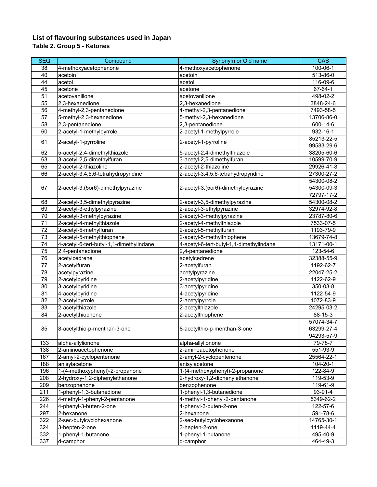### **List of flavouring substances used in Japan Table 2. Group 5 - Ketones**

| 38<br>4-methoxyacetophenone<br>100-06-1<br>4-methoxyacetophenone<br>40<br>513-86-0<br>acetoin<br>acetoin<br>44<br>116-09-6<br>acetol<br>acetol<br>45<br>$67 - 64 - 1$<br>acetone<br>acetone<br>51<br>acetovanillone<br>acetovanillone<br>498-02-2<br>55<br>2,3-hexanedione<br>2,3-hexanedione<br>3848-24-6<br>56<br>4-methyl-2,3-pentanedione<br>4-methyl-2,3-pentanedione<br>7493-58-5<br>5-methyl-2,3-hexanedione<br>5-methyl-2,3-hexanedione<br>57<br>13706-86-0<br>58<br>2,3-pentanedione<br>2,3-pentanedione<br>600-14-6<br>60<br>2-acetyl-1-methylpyrrole<br>2-acetyl-1-methylpyrrole<br>932-16-1<br>85213-22-5<br>61<br>2-acetyl-1-pyrroline<br>2-acetyl-1-pyrroline<br>99583-29-6<br>62<br>5-acetyl-2,4-dimethylthiazole<br>5-acetyl-2,4-dimethylthiazole<br>38205-60-6<br>3-acetyl-2,5-dimethylfuran<br>3-acetyl-2,5-dimethylfuran<br>10599-70-9<br>63<br>2-acetyl-2-thiazoline<br>2-acetyl-2-thiazoline<br>65<br>29926-41-8<br>2-acetyl-3,4,5,6-tetrahydropyridine<br>2-acetyl-3,4,5,6-tetrahydropyridine<br>66<br>27300-27-2<br>54300-08-2<br>54300-09-3<br>67<br>2-acetyl-3,(5or6)-dimethylpyrazine<br>2-acetyl-3, (5or6)-dimethylpyrazine<br>72797-17-2<br>68<br>2-acetyl-3,5-dimethylpyrazine<br>2-acetyl-3,5-dimethylpyrazine<br>54300-08-2<br>69<br>2-acetyl-3-ethylpyrazine<br>32974-92-8<br>2-acetyl-3-ethylpyrazine<br>$\overline{70}$<br>2-acetyl-3-methylpyrazine<br>2-acetyl-3-methylpyrazine<br>23787-80-6<br>$\overline{71}$<br>2-acetyl-4-methylthiazole<br>2-acetyl-4-methylthiazole<br>7533-07-5<br>72<br>2-acetyl-5-methylfuran<br>2-acetyl-5-methylfuran<br>1193-79-9<br>73<br>2-acetyl-5-methylthiophene<br>2-acetyl-5-methylthiophene<br>13679-74-8<br>$\overline{74}$<br>4-acetyl-6-tert-butyl-1,1-dimethylindane<br>4-acetyl-6-tert-butyl-1,1-dimethylindane<br>13171-00-1<br>2,4-pentanedione<br>2,4-pentanedione<br>75<br>123-54-6<br>76<br>acetylcedrene<br>acetylcedrene<br>32388-55-9<br>2-acetylfuran<br>2-acetylfuran<br>1192-62-7<br>77<br>acetylpyrazine<br>22047-25-2<br>78<br>acetylpyrazine<br>79<br>1122-62-9<br>2-acetylpyridine<br>2-acetylpyridine<br>80<br>3-acetylpyridine<br>3-acetylpyridine<br>350-03-8<br>81<br>4-acetylpyridine<br>4-acetylpyridine<br>1122-54-9<br>$\overline{82}$<br>2-acetylpyrrole<br>2-acetylpyrrole<br>1072-83-9<br>$\overline{83}$<br>2-acetylthiazole<br>2-acetylthiazole<br>24295-03-2<br>84<br>2-acetylthiophene<br>2-acetylthiophene<br>88-15-3<br>57074-34-7<br>85<br>8-acetylthio-p-menthan-3-one<br>8-acetylthio-p-menthan-3-one<br>63299-27-4<br>94293-57-9<br>133<br>alpha-allylionone<br>alpha-allylionone<br>79-78-7<br>138<br>2-aminoacetophenone<br>2-aminoacetophenone<br>551-93-9<br>167<br>2-amyl-2-cyclopentenone<br>2-amyl-2-cyclopentenone<br>25564-22-1<br>188<br>anisylacetone<br>anisylacetone<br>104-20-1<br>196<br>1-(4-methoxyphenyl)-2-propanone<br>1-(4-methoxyphenyl)-2-propanone<br>122-84-9<br>208<br>2-hydroxy-1,2-diphenylethanone<br>119-53-9<br>2-hydroxy-1,2-diphenylethanone<br>209<br>119-61-9<br>benzophenone<br>benzophenone<br>1-phenyl-1,3-butanedione<br>211<br>1-phenyl-1,3-butanedione<br>93-91-4<br>226<br>5349-62-2<br>4-methyl-1-phenyl-2-pentanone<br>4-methyl-1-phenyl-2-pentanone<br>4-phenyl-3-buten-2-one<br>4-phenyl-3-buten-2-one<br>244<br>122-57-6<br>297<br>2-hexanone<br>2-hexanone<br>591-78-6<br>322<br>2-sec-butylcyclohexanone<br>2-sec-butylcyclohexanone<br>14765-30-1 | <b>SEQ</b> | Compound | Synonym or Old name | <b>CAS</b> |
|-----------------------------------------------------------------------------------------------------------------------------------------------------------------------------------------------------------------------------------------------------------------------------------------------------------------------------------------------------------------------------------------------------------------------------------------------------------------------------------------------------------------------------------------------------------------------------------------------------------------------------------------------------------------------------------------------------------------------------------------------------------------------------------------------------------------------------------------------------------------------------------------------------------------------------------------------------------------------------------------------------------------------------------------------------------------------------------------------------------------------------------------------------------------------------------------------------------------------------------------------------------------------------------------------------------------------------------------------------------------------------------------------------------------------------------------------------------------------------------------------------------------------------------------------------------------------------------------------------------------------------------------------------------------------------------------------------------------------------------------------------------------------------------------------------------------------------------------------------------------------------------------------------------------------------------------------------------------------------------------------------------------------------------------------------------------------------------------------------------------------------------------------------------------------------------------------------------------------------------------------------------------------------------------------------------------------------------------------------------------------------------------------------------------------------------------------------------------------------------------------------------------------------------------------------------------------------------------------------------------------------------------------------------------------------------------------------------------------------------------------------------------------------------------------------------------------------------------------------------------------------------------------------------------------------------------------------------------------------------------------------------------------------------------------------------------------------------------------------------------------------------------------------------------------------------------------------------------------------------------------------------------------------------------------------------------------------------------------------------------------------------------------------------------------|------------|----------|---------------------|------------|
|                                                                                                                                                                                                                                                                                                                                                                                                                                                                                                                                                                                                                                                                                                                                                                                                                                                                                                                                                                                                                                                                                                                                                                                                                                                                                                                                                                                                                                                                                                                                                                                                                                                                                                                                                                                                                                                                                                                                                                                                                                                                                                                                                                                                                                                                                                                                                                                                                                                                                                                                                                                                                                                                                                                                                                                                                                                                                                                                                                                                                                                                                                                                                                                                                                                                                                                                                                                                                       |            |          |                     |            |
|                                                                                                                                                                                                                                                                                                                                                                                                                                                                                                                                                                                                                                                                                                                                                                                                                                                                                                                                                                                                                                                                                                                                                                                                                                                                                                                                                                                                                                                                                                                                                                                                                                                                                                                                                                                                                                                                                                                                                                                                                                                                                                                                                                                                                                                                                                                                                                                                                                                                                                                                                                                                                                                                                                                                                                                                                                                                                                                                                                                                                                                                                                                                                                                                                                                                                                                                                                                                                       |            |          |                     |            |
|                                                                                                                                                                                                                                                                                                                                                                                                                                                                                                                                                                                                                                                                                                                                                                                                                                                                                                                                                                                                                                                                                                                                                                                                                                                                                                                                                                                                                                                                                                                                                                                                                                                                                                                                                                                                                                                                                                                                                                                                                                                                                                                                                                                                                                                                                                                                                                                                                                                                                                                                                                                                                                                                                                                                                                                                                                                                                                                                                                                                                                                                                                                                                                                                                                                                                                                                                                                                                       |            |          |                     |            |
|                                                                                                                                                                                                                                                                                                                                                                                                                                                                                                                                                                                                                                                                                                                                                                                                                                                                                                                                                                                                                                                                                                                                                                                                                                                                                                                                                                                                                                                                                                                                                                                                                                                                                                                                                                                                                                                                                                                                                                                                                                                                                                                                                                                                                                                                                                                                                                                                                                                                                                                                                                                                                                                                                                                                                                                                                                                                                                                                                                                                                                                                                                                                                                                                                                                                                                                                                                                                                       |            |          |                     |            |
|                                                                                                                                                                                                                                                                                                                                                                                                                                                                                                                                                                                                                                                                                                                                                                                                                                                                                                                                                                                                                                                                                                                                                                                                                                                                                                                                                                                                                                                                                                                                                                                                                                                                                                                                                                                                                                                                                                                                                                                                                                                                                                                                                                                                                                                                                                                                                                                                                                                                                                                                                                                                                                                                                                                                                                                                                                                                                                                                                                                                                                                                                                                                                                                                                                                                                                                                                                                                                       |            |          |                     |            |
|                                                                                                                                                                                                                                                                                                                                                                                                                                                                                                                                                                                                                                                                                                                                                                                                                                                                                                                                                                                                                                                                                                                                                                                                                                                                                                                                                                                                                                                                                                                                                                                                                                                                                                                                                                                                                                                                                                                                                                                                                                                                                                                                                                                                                                                                                                                                                                                                                                                                                                                                                                                                                                                                                                                                                                                                                                                                                                                                                                                                                                                                                                                                                                                                                                                                                                                                                                                                                       |            |          |                     |            |
|                                                                                                                                                                                                                                                                                                                                                                                                                                                                                                                                                                                                                                                                                                                                                                                                                                                                                                                                                                                                                                                                                                                                                                                                                                                                                                                                                                                                                                                                                                                                                                                                                                                                                                                                                                                                                                                                                                                                                                                                                                                                                                                                                                                                                                                                                                                                                                                                                                                                                                                                                                                                                                                                                                                                                                                                                                                                                                                                                                                                                                                                                                                                                                                                                                                                                                                                                                                                                       |            |          |                     |            |
|                                                                                                                                                                                                                                                                                                                                                                                                                                                                                                                                                                                                                                                                                                                                                                                                                                                                                                                                                                                                                                                                                                                                                                                                                                                                                                                                                                                                                                                                                                                                                                                                                                                                                                                                                                                                                                                                                                                                                                                                                                                                                                                                                                                                                                                                                                                                                                                                                                                                                                                                                                                                                                                                                                                                                                                                                                                                                                                                                                                                                                                                                                                                                                                                                                                                                                                                                                                                                       |            |          |                     |            |
|                                                                                                                                                                                                                                                                                                                                                                                                                                                                                                                                                                                                                                                                                                                                                                                                                                                                                                                                                                                                                                                                                                                                                                                                                                                                                                                                                                                                                                                                                                                                                                                                                                                                                                                                                                                                                                                                                                                                                                                                                                                                                                                                                                                                                                                                                                                                                                                                                                                                                                                                                                                                                                                                                                                                                                                                                                                                                                                                                                                                                                                                                                                                                                                                                                                                                                                                                                                                                       |            |          |                     |            |
|                                                                                                                                                                                                                                                                                                                                                                                                                                                                                                                                                                                                                                                                                                                                                                                                                                                                                                                                                                                                                                                                                                                                                                                                                                                                                                                                                                                                                                                                                                                                                                                                                                                                                                                                                                                                                                                                                                                                                                                                                                                                                                                                                                                                                                                                                                                                                                                                                                                                                                                                                                                                                                                                                                                                                                                                                                                                                                                                                                                                                                                                                                                                                                                                                                                                                                                                                                                                                       |            |          |                     |            |
|                                                                                                                                                                                                                                                                                                                                                                                                                                                                                                                                                                                                                                                                                                                                                                                                                                                                                                                                                                                                                                                                                                                                                                                                                                                                                                                                                                                                                                                                                                                                                                                                                                                                                                                                                                                                                                                                                                                                                                                                                                                                                                                                                                                                                                                                                                                                                                                                                                                                                                                                                                                                                                                                                                                                                                                                                                                                                                                                                                                                                                                                                                                                                                                                                                                                                                                                                                                                                       |            |          |                     |            |
|                                                                                                                                                                                                                                                                                                                                                                                                                                                                                                                                                                                                                                                                                                                                                                                                                                                                                                                                                                                                                                                                                                                                                                                                                                                                                                                                                                                                                                                                                                                                                                                                                                                                                                                                                                                                                                                                                                                                                                                                                                                                                                                                                                                                                                                                                                                                                                                                                                                                                                                                                                                                                                                                                                                                                                                                                                                                                                                                                                                                                                                                                                                                                                                                                                                                                                                                                                                                                       |            |          |                     |            |
|                                                                                                                                                                                                                                                                                                                                                                                                                                                                                                                                                                                                                                                                                                                                                                                                                                                                                                                                                                                                                                                                                                                                                                                                                                                                                                                                                                                                                                                                                                                                                                                                                                                                                                                                                                                                                                                                                                                                                                                                                                                                                                                                                                                                                                                                                                                                                                                                                                                                                                                                                                                                                                                                                                                                                                                                                                                                                                                                                                                                                                                                                                                                                                                                                                                                                                                                                                                                                       |            |          |                     |            |
|                                                                                                                                                                                                                                                                                                                                                                                                                                                                                                                                                                                                                                                                                                                                                                                                                                                                                                                                                                                                                                                                                                                                                                                                                                                                                                                                                                                                                                                                                                                                                                                                                                                                                                                                                                                                                                                                                                                                                                                                                                                                                                                                                                                                                                                                                                                                                                                                                                                                                                                                                                                                                                                                                                                                                                                                                                                                                                                                                                                                                                                                                                                                                                                                                                                                                                                                                                                                                       |            |          |                     |            |
|                                                                                                                                                                                                                                                                                                                                                                                                                                                                                                                                                                                                                                                                                                                                                                                                                                                                                                                                                                                                                                                                                                                                                                                                                                                                                                                                                                                                                                                                                                                                                                                                                                                                                                                                                                                                                                                                                                                                                                                                                                                                                                                                                                                                                                                                                                                                                                                                                                                                                                                                                                                                                                                                                                                                                                                                                                                                                                                                                                                                                                                                                                                                                                                                                                                                                                                                                                                                                       |            |          |                     |            |
|                                                                                                                                                                                                                                                                                                                                                                                                                                                                                                                                                                                                                                                                                                                                                                                                                                                                                                                                                                                                                                                                                                                                                                                                                                                                                                                                                                                                                                                                                                                                                                                                                                                                                                                                                                                                                                                                                                                                                                                                                                                                                                                                                                                                                                                                                                                                                                                                                                                                                                                                                                                                                                                                                                                                                                                                                                                                                                                                                                                                                                                                                                                                                                                                                                                                                                                                                                                                                       |            |          |                     |            |
|                                                                                                                                                                                                                                                                                                                                                                                                                                                                                                                                                                                                                                                                                                                                                                                                                                                                                                                                                                                                                                                                                                                                                                                                                                                                                                                                                                                                                                                                                                                                                                                                                                                                                                                                                                                                                                                                                                                                                                                                                                                                                                                                                                                                                                                                                                                                                                                                                                                                                                                                                                                                                                                                                                                                                                                                                                                                                                                                                                                                                                                                                                                                                                                                                                                                                                                                                                                                                       |            |          |                     |            |
|                                                                                                                                                                                                                                                                                                                                                                                                                                                                                                                                                                                                                                                                                                                                                                                                                                                                                                                                                                                                                                                                                                                                                                                                                                                                                                                                                                                                                                                                                                                                                                                                                                                                                                                                                                                                                                                                                                                                                                                                                                                                                                                                                                                                                                                                                                                                                                                                                                                                                                                                                                                                                                                                                                                                                                                                                                                                                                                                                                                                                                                                                                                                                                                                                                                                                                                                                                                                                       |            |          |                     |            |
|                                                                                                                                                                                                                                                                                                                                                                                                                                                                                                                                                                                                                                                                                                                                                                                                                                                                                                                                                                                                                                                                                                                                                                                                                                                                                                                                                                                                                                                                                                                                                                                                                                                                                                                                                                                                                                                                                                                                                                                                                                                                                                                                                                                                                                                                                                                                                                                                                                                                                                                                                                                                                                                                                                                                                                                                                                                                                                                                                                                                                                                                                                                                                                                                                                                                                                                                                                                                                       |            |          |                     |            |
|                                                                                                                                                                                                                                                                                                                                                                                                                                                                                                                                                                                                                                                                                                                                                                                                                                                                                                                                                                                                                                                                                                                                                                                                                                                                                                                                                                                                                                                                                                                                                                                                                                                                                                                                                                                                                                                                                                                                                                                                                                                                                                                                                                                                                                                                                                                                                                                                                                                                                                                                                                                                                                                                                                                                                                                                                                                                                                                                                                                                                                                                                                                                                                                                                                                                                                                                                                                                                       |            |          |                     |            |
|                                                                                                                                                                                                                                                                                                                                                                                                                                                                                                                                                                                                                                                                                                                                                                                                                                                                                                                                                                                                                                                                                                                                                                                                                                                                                                                                                                                                                                                                                                                                                                                                                                                                                                                                                                                                                                                                                                                                                                                                                                                                                                                                                                                                                                                                                                                                                                                                                                                                                                                                                                                                                                                                                                                                                                                                                                                                                                                                                                                                                                                                                                                                                                                                                                                                                                                                                                                                                       |            |          |                     |            |
|                                                                                                                                                                                                                                                                                                                                                                                                                                                                                                                                                                                                                                                                                                                                                                                                                                                                                                                                                                                                                                                                                                                                                                                                                                                                                                                                                                                                                                                                                                                                                                                                                                                                                                                                                                                                                                                                                                                                                                                                                                                                                                                                                                                                                                                                                                                                                                                                                                                                                                                                                                                                                                                                                                                                                                                                                                                                                                                                                                                                                                                                                                                                                                                                                                                                                                                                                                                                                       |            |          |                     |            |
|                                                                                                                                                                                                                                                                                                                                                                                                                                                                                                                                                                                                                                                                                                                                                                                                                                                                                                                                                                                                                                                                                                                                                                                                                                                                                                                                                                                                                                                                                                                                                                                                                                                                                                                                                                                                                                                                                                                                                                                                                                                                                                                                                                                                                                                                                                                                                                                                                                                                                                                                                                                                                                                                                                                                                                                                                                                                                                                                                                                                                                                                                                                                                                                                                                                                                                                                                                                                                       |            |          |                     |            |
|                                                                                                                                                                                                                                                                                                                                                                                                                                                                                                                                                                                                                                                                                                                                                                                                                                                                                                                                                                                                                                                                                                                                                                                                                                                                                                                                                                                                                                                                                                                                                                                                                                                                                                                                                                                                                                                                                                                                                                                                                                                                                                                                                                                                                                                                                                                                                                                                                                                                                                                                                                                                                                                                                                                                                                                                                                                                                                                                                                                                                                                                                                                                                                                                                                                                                                                                                                                                                       |            |          |                     |            |
|                                                                                                                                                                                                                                                                                                                                                                                                                                                                                                                                                                                                                                                                                                                                                                                                                                                                                                                                                                                                                                                                                                                                                                                                                                                                                                                                                                                                                                                                                                                                                                                                                                                                                                                                                                                                                                                                                                                                                                                                                                                                                                                                                                                                                                                                                                                                                                                                                                                                                                                                                                                                                                                                                                                                                                                                                                                                                                                                                                                                                                                                                                                                                                                                                                                                                                                                                                                                                       |            |          |                     |            |
|                                                                                                                                                                                                                                                                                                                                                                                                                                                                                                                                                                                                                                                                                                                                                                                                                                                                                                                                                                                                                                                                                                                                                                                                                                                                                                                                                                                                                                                                                                                                                                                                                                                                                                                                                                                                                                                                                                                                                                                                                                                                                                                                                                                                                                                                                                                                                                                                                                                                                                                                                                                                                                                                                                                                                                                                                                                                                                                                                                                                                                                                                                                                                                                                                                                                                                                                                                                                                       |            |          |                     |            |
|                                                                                                                                                                                                                                                                                                                                                                                                                                                                                                                                                                                                                                                                                                                                                                                                                                                                                                                                                                                                                                                                                                                                                                                                                                                                                                                                                                                                                                                                                                                                                                                                                                                                                                                                                                                                                                                                                                                                                                                                                                                                                                                                                                                                                                                                                                                                                                                                                                                                                                                                                                                                                                                                                                                                                                                                                                                                                                                                                                                                                                                                                                                                                                                                                                                                                                                                                                                                                       |            |          |                     |            |
|                                                                                                                                                                                                                                                                                                                                                                                                                                                                                                                                                                                                                                                                                                                                                                                                                                                                                                                                                                                                                                                                                                                                                                                                                                                                                                                                                                                                                                                                                                                                                                                                                                                                                                                                                                                                                                                                                                                                                                                                                                                                                                                                                                                                                                                                                                                                                                                                                                                                                                                                                                                                                                                                                                                                                                                                                                                                                                                                                                                                                                                                                                                                                                                                                                                                                                                                                                                                                       |            |          |                     |            |
|                                                                                                                                                                                                                                                                                                                                                                                                                                                                                                                                                                                                                                                                                                                                                                                                                                                                                                                                                                                                                                                                                                                                                                                                                                                                                                                                                                                                                                                                                                                                                                                                                                                                                                                                                                                                                                                                                                                                                                                                                                                                                                                                                                                                                                                                                                                                                                                                                                                                                                                                                                                                                                                                                                                                                                                                                                                                                                                                                                                                                                                                                                                                                                                                                                                                                                                                                                                                                       |            |          |                     |            |
|                                                                                                                                                                                                                                                                                                                                                                                                                                                                                                                                                                                                                                                                                                                                                                                                                                                                                                                                                                                                                                                                                                                                                                                                                                                                                                                                                                                                                                                                                                                                                                                                                                                                                                                                                                                                                                                                                                                                                                                                                                                                                                                                                                                                                                                                                                                                                                                                                                                                                                                                                                                                                                                                                                                                                                                                                                                                                                                                                                                                                                                                                                                                                                                                                                                                                                                                                                                                                       |            |          |                     |            |
|                                                                                                                                                                                                                                                                                                                                                                                                                                                                                                                                                                                                                                                                                                                                                                                                                                                                                                                                                                                                                                                                                                                                                                                                                                                                                                                                                                                                                                                                                                                                                                                                                                                                                                                                                                                                                                                                                                                                                                                                                                                                                                                                                                                                                                                                                                                                                                                                                                                                                                                                                                                                                                                                                                                                                                                                                                                                                                                                                                                                                                                                                                                                                                                                                                                                                                                                                                                                                       |            |          |                     |            |
|                                                                                                                                                                                                                                                                                                                                                                                                                                                                                                                                                                                                                                                                                                                                                                                                                                                                                                                                                                                                                                                                                                                                                                                                                                                                                                                                                                                                                                                                                                                                                                                                                                                                                                                                                                                                                                                                                                                                                                                                                                                                                                                                                                                                                                                                                                                                                                                                                                                                                                                                                                                                                                                                                                                                                                                                                                                                                                                                                                                                                                                                                                                                                                                                                                                                                                                                                                                                                       |            |          |                     |            |
|                                                                                                                                                                                                                                                                                                                                                                                                                                                                                                                                                                                                                                                                                                                                                                                                                                                                                                                                                                                                                                                                                                                                                                                                                                                                                                                                                                                                                                                                                                                                                                                                                                                                                                                                                                                                                                                                                                                                                                                                                                                                                                                                                                                                                                                                                                                                                                                                                                                                                                                                                                                                                                                                                                                                                                                                                                                                                                                                                                                                                                                                                                                                                                                                                                                                                                                                                                                                                       |            |          |                     |            |
|                                                                                                                                                                                                                                                                                                                                                                                                                                                                                                                                                                                                                                                                                                                                                                                                                                                                                                                                                                                                                                                                                                                                                                                                                                                                                                                                                                                                                                                                                                                                                                                                                                                                                                                                                                                                                                                                                                                                                                                                                                                                                                                                                                                                                                                                                                                                                                                                                                                                                                                                                                                                                                                                                                                                                                                                                                                                                                                                                                                                                                                                                                                                                                                                                                                                                                                                                                                                                       |            |          |                     |            |
|                                                                                                                                                                                                                                                                                                                                                                                                                                                                                                                                                                                                                                                                                                                                                                                                                                                                                                                                                                                                                                                                                                                                                                                                                                                                                                                                                                                                                                                                                                                                                                                                                                                                                                                                                                                                                                                                                                                                                                                                                                                                                                                                                                                                                                                                                                                                                                                                                                                                                                                                                                                                                                                                                                                                                                                                                                                                                                                                                                                                                                                                                                                                                                                                                                                                                                                                                                                                                       |            |          |                     |            |
|                                                                                                                                                                                                                                                                                                                                                                                                                                                                                                                                                                                                                                                                                                                                                                                                                                                                                                                                                                                                                                                                                                                                                                                                                                                                                                                                                                                                                                                                                                                                                                                                                                                                                                                                                                                                                                                                                                                                                                                                                                                                                                                                                                                                                                                                                                                                                                                                                                                                                                                                                                                                                                                                                                                                                                                                                                                                                                                                                                                                                                                                                                                                                                                                                                                                                                                                                                                                                       |            |          |                     |            |
|                                                                                                                                                                                                                                                                                                                                                                                                                                                                                                                                                                                                                                                                                                                                                                                                                                                                                                                                                                                                                                                                                                                                                                                                                                                                                                                                                                                                                                                                                                                                                                                                                                                                                                                                                                                                                                                                                                                                                                                                                                                                                                                                                                                                                                                                                                                                                                                                                                                                                                                                                                                                                                                                                                                                                                                                                                                                                                                                                                                                                                                                                                                                                                                                                                                                                                                                                                                                                       |            |          |                     |            |
|                                                                                                                                                                                                                                                                                                                                                                                                                                                                                                                                                                                                                                                                                                                                                                                                                                                                                                                                                                                                                                                                                                                                                                                                                                                                                                                                                                                                                                                                                                                                                                                                                                                                                                                                                                                                                                                                                                                                                                                                                                                                                                                                                                                                                                                                                                                                                                                                                                                                                                                                                                                                                                                                                                                                                                                                                                                                                                                                                                                                                                                                                                                                                                                                                                                                                                                                                                                                                       |            |          |                     |            |
|                                                                                                                                                                                                                                                                                                                                                                                                                                                                                                                                                                                                                                                                                                                                                                                                                                                                                                                                                                                                                                                                                                                                                                                                                                                                                                                                                                                                                                                                                                                                                                                                                                                                                                                                                                                                                                                                                                                                                                                                                                                                                                                                                                                                                                                                                                                                                                                                                                                                                                                                                                                                                                                                                                                                                                                                                                                                                                                                                                                                                                                                                                                                                                                                                                                                                                                                                                                                                       |            |          |                     |            |
|                                                                                                                                                                                                                                                                                                                                                                                                                                                                                                                                                                                                                                                                                                                                                                                                                                                                                                                                                                                                                                                                                                                                                                                                                                                                                                                                                                                                                                                                                                                                                                                                                                                                                                                                                                                                                                                                                                                                                                                                                                                                                                                                                                                                                                                                                                                                                                                                                                                                                                                                                                                                                                                                                                                                                                                                                                                                                                                                                                                                                                                                                                                                                                                                                                                                                                                                                                                                                       |            |          |                     |            |
|                                                                                                                                                                                                                                                                                                                                                                                                                                                                                                                                                                                                                                                                                                                                                                                                                                                                                                                                                                                                                                                                                                                                                                                                                                                                                                                                                                                                                                                                                                                                                                                                                                                                                                                                                                                                                                                                                                                                                                                                                                                                                                                                                                                                                                                                                                                                                                                                                                                                                                                                                                                                                                                                                                                                                                                                                                                                                                                                                                                                                                                                                                                                                                                                                                                                                                                                                                                                                       |            |          |                     |            |
|                                                                                                                                                                                                                                                                                                                                                                                                                                                                                                                                                                                                                                                                                                                                                                                                                                                                                                                                                                                                                                                                                                                                                                                                                                                                                                                                                                                                                                                                                                                                                                                                                                                                                                                                                                                                                                                                                                                                                                                                                                                                                                                                                                                                                                                                                                                                                                                                                                                                                                                                                                                                                                                                                                                                                                                                                                                                                                                                                                                                                                                                                                                                                                                                                                                                                                                                                                                                                       |            |          |                     |            |
|                                                                                                                                                                                                                                                                                                                                                                                                                                                                                                                                                                                                                                                                                                                                                                                                                                                                                                                                                                                                                                                                                                                                                                                                                                                                                                                                                                                                                                                                                                                                                                                                                                                                                                                                                                                                                                                                                                                                                                                                                                                                                                                                                                                                                                                                                                                                                                                                                                                                                                                                                                                                                                                                                                                                                                                                                                                                                                                                                                                                                                                                                                                                                                                                                                                                                                                                                                                                                       |            |          |                     |            |
|                                                                                                                                                                                                                                                                                                                                                                                                                                                                                                                                                                                                                                                                                                                                                                                                                                                                                                                                                                                                                                                                                                                                                                                                                                                                                                                                                                                                                                                                                                                                                                                                                                                                                                                                                                                                                                                                                                                                                                                                                                                                                                                                                                                                                                                                                                                                                                                                                                                                                                                                                                                                                                                                                                                                                                                                                                                                                                                                                                                                                                                                                                                                                                                                                                                                                                                                                                                                                       |            |          |                     |            |
|                                                                                                                                                                                                                                                                                                                                                                                                                                                                                                                                                                                                                                                                                                                                                                                                                                                                                                                                                                                                                                                                                                                                                                                                                                                                                                                                                                                                                                                                                                                                                                                                                                                                                                                                                                                                                                                                                                                                                                                                                                                                                                                                                                                                                                                                                                                                                                                                                                                                                                                                                                                                                                                                                                                                                                                                                                                                                                                                                                                                                                                                                                                                                                                                                                                                                                                                                                                                                       |            |          |                     |            |
|                                                                                                                                                                                                                                                                                                                                                                                                                                                                                                                                                                                                                                                                                                                                                                                                                                                                                                                                                                                                                                                                                                                                                                                                                                                                                                                                                                                                                                                                                                                                                                                                                                                                                                                                                                                                                                                                                                                                                                                                                                                                                                                                                                                                                                                                                                                                                                                                                                                                                                                                                                                                                                                                                                                                                                                                                                                                                                                                                                                                                                                                                                                                                                                                                                                                                                                                                                                                                       |            |          |                     |            |
|                                                                                                                                                                                                                                                                                                                                                                                                                                                                                                                                                                                                                                                                                                                                                                                                                                                                                                                                                                                                                                                                                                                                                                                                                                                                                                                                                                                                                                                                                                                                                                                                                                                                                                                                                                                                                                                                                                                                                                                                                                                                                                                                                                                                                                                                                                                                                                                                                                                                                                                                                                                                                                                                                                                                                                                                                                                                                                                                                                                                                                                                                                                                                                                                                                                                                                                                                                                                                       |            |          |                     |            |
|                                                                                                                                                                                                                                                                                                                                                                                                                                                                                                                                                                                                                                                                                                                                                                                                                                                                                                                                                                                                                                                                                                                                                                                                                                                                                                                                                                                                                                                                                                                                                                                                                                                                                                                                                                                                                                                                                                                                                                                                                                                                                                                                                                                                                                                                                                                                                                                                                                                                                                                                                                                                                                                                                                                                                                                                                                                                                                                                                                                                                                                                                                                                                                                                                                                                                                                                                                                                                       |            |          |                     |            |
|                                                                                                                                                                                                                                                                                                                                                                                                                                                                                                                                                                                                                                                                                                                                                                                                                                                                                                                                                                                                                                                                                                                                                                                                                                                                                                                                                                                                                                                                                                                                                                                                                                                                                                                                                                                                                                                                                                                                                                                                                                                                                                                                                                                                                                                                                                                                                                                                                                                                                                                                                                                                                                                                                                                                                                                                                                                                                                                                                                                                                                                                                                                                                                                                                                                                                                                                                                                                                       |            |          |                     |            |
|                                                                                                                                                                                                                                                                                                                                                                                                                                                                                                                                                                                                                                                                                                                                                                                                                                                                                                                                                                                                                                                                                                                                                                                                                                                                                                                                                                                                                                                                                                                                                                                                                                                                                                                                                                                                                                                                                                                                                                                                                                                                                                                                                                                                                                                                                                                                                                                                                                                                                                                                                                                                                                                                                                                                                                                                                                                                                                                                                                                                                                                                                                                                                                                                                                                                                                                                                                                                                       |            |          |                     |            |
|                                                                                                                                                                                                                                                                                                                                                                                                                                                                                                                                                                                                                                                                                                                                                                                                                                                                                                                                                                                                                                                                                                                                                                                                                                                                                                                                                                                                                                                                                                                                                                                                                                                                                                                                                                                                                                                                                                                                                                                                                                                                                                                                                                                                                                                                                                                                                                                                                                                                                                                                                                                                                                                                                                                                                                                                                                                                                                                                                                                                                                                                                                                                                                                                                                                                                                                                                                                                                       |            |          |                     |            |
|                                                                                                                                                                                                                                                                                                                                                                                                                                                                                                                                                                                                                                                                                                                                                                                                                                                                                                                                                                                                                                                                                                                                                                                                                                                                                                                                                                                                                                                                                                                                                                                                                                                                                                                                                                                                                                                                                                                                                                                                                                                                                                                                                                                                                                                                                                                                                                                                                                                                                                                                                                                                                                                                                                                                                                                                                                                                                                                                                                                                                                                                                                                                                                                                                                                                                                                                                                                                                       |            |          |                     |            |
| 324<br>3-hepten-2-one<br>3-hepten-2-one<br>1119-44-4                                                                                                                                                                                                                                                                                                                                                                                                                                                                                                                                                                                                                                                                                                                                                                                                                                                                                                                                                                                                                                                                                                                                                                                                                                                                                                                                                                                                                                                                                                                                                                                                                                                                                                                                                                                                                                                                                                                                                                                                                                                                                                                                                                                                                                                                                                                                                                                                                                                                                                                                                                                                                                                                                                                                                                                                                                                                                                                                                                                                                                                                                                                                                                                                                                                                                                                                                                  |            |          |                     |            |
| 332<br>1-phenyl-1-butanone<br>1-phenyl-1-butanone<br>495-40-9                                                                                                                                                                                                                                                                                                                                                                                                                                                                                                                                                                                                                                                                                                                                                                                                                                                                                                                                                                                                                                                                                                                                                                                                                                                                                                                                                                                                                                                                                                                                                                                                                                                                                                                                                                                                                                                                                                                                                                                                                                                                                                                                                                                                                                                                                                                                                                                                                                                                                                                                                                                                                                                                                                                                                                                                                                                                                                                                                                                                                                                                                                                                                                                                                                                                                                                                                         |            |          |                     |            |
| 337<br>464-49-3<br>d-camphor<br>d-camphor                                                                                                                                                                                                                                                                                                                                                                                                                                                                                                                                                                                                                                                                                                                                                                                                                                                                                                                                                                                                                                                                                                                                                                                                                                                                                                                                                                                                                                                                                                                                                                                                                                                                                                                                                                                                                                                                                                                                                                                                                                                                                                                                                                                                                                                                                                                                                                                                                                                                                                                                                                                                                                                                                                                                                                                                                                                                                                                                                                                                                                                                                                                                                                                                                                                                                                                                                                             |            |          |                     |            |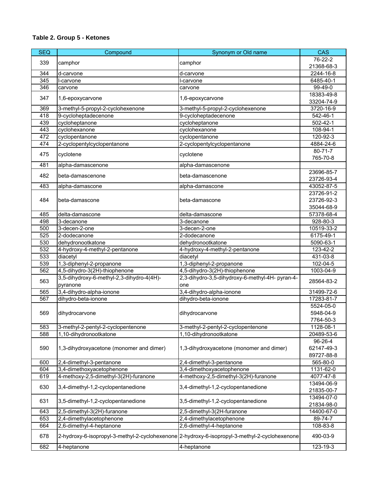| <b>SEQ</b> | Compound                                  | Synonym or Old name                                                                           | <b>CAS</b>                |
|------------|-------------------------------------------|-----------------------------------------------------------------------------------------------|---------------------------|
|            |                                           |                                                                                               | $76 - 22 - 2$             |
| 339        | camphor                                   | camphor                                                                                       | 21368-68-3                |
| 344        | d-carvone                                 | d-carvone                                                                                     | 2244-16-8                 |
| 345        | I-carvone                                 | I-carvone                                                                                     | 6485-40-1                 |
| 346        | carvone                                   | carvone                                                                                       | 99-49-0                   |
|            |                                           |                                                                                               | 18383-49-8                |
| 347        | 1,6-epoxycarvone                          | 1,6-epoxycarvone                                                                              | 33204-74-9                |
| 369        | 3-methyl-5-propyl-2-cyclohexenone         | 3-methyl-5-propyl-2-cyclohexenone                                                             | 3720-16-9                 |
| 418        | 9-cycloheptadecenone                      | 9-cycloheptadecenone                                                                          | 542-46-1                  |
| 439        | cycloheptanone                            | cycloheptanone                                                                                | 502-42-1                  |
| 443        | cyclohexanone                             | cyclohexanone                                                                                 | 108-94-1                  |
| 472        | cyclopentanone                            | cyclopentanone                                                                                | 120-92-3                  |
| 474        | 2-cyclopentylcyclopentanone               | 2-cyclopentylcyclopentanone                                                                   | 4884-24-6                 |
|            |                                           |                                                                                               | 80-71-7                   |
| 475        | cyclotene                                 | cyclotene                                                                                     | 765-70-8                  |
| 481        | alpha-damascenone                         | alpha-damascenone                                                                             |                           |
|            |                                           |                                                                                               | 23696-85-7                |
| 482        | beta-damascenone                          | beta-damascenone                                                                              | 23726-93-4                |
| 483        | alpha-damascone                           | alpha-damascone                                                                               | 43052-87-5                |
|            |                                           |                                                                                               | 23726-91-2                |
| 484        | beta-damascone                            | beta-damascone                                                                                | 23726-92-3                |
|            |                                           |                                                                                               | 35044-68-9                |
| 485        | delta-damascone                           | delta-damascone                                                                               | 57378-68-4                |
| 498        | 3-decanone                                | 3-decanone                                                                                    | 928-80-3                  |
| 500        | 3-decen-2-one                             | 3-decen-2-one                                                                                 | 10519-33-2                |
| 525        | 2-dodecanone                              | 2-dodecanone                                                                                  | 6175-49-1                 |
| 530        | dehydronootkatone                         | dehydronootkatone                                                                             | 5090-63-1                 |
| 532        | 4-hydroxy-4-methyl-2-pentanone            | 4-hydroxy-4-methyl-2-pentanone                                                                | 123-42-2                  |
| 533        | diacetyl                                  | diacetyl                                                                                      | $\overline{4}31 - 03 - 8$ |
| 539        | 1,3-diphenyl-2-propanone                  | 1,3-diphenyl-2-propanone                                                                      | 102-04-5                  |
| 562        | 4,5-dihydro-3(2H)-thiophenone             | 4,5-dihydro-3(2H)-thiophenone                                                                 | $1003 - 04 - 9$           |
|            | 3,5-dihydroxy-6-methyl-2,3-dihydro-4(4H)- | 2,3-dihydro-3,5-dihydroxy-6-methyl-4H- pyran-4-                                               |                           |
| 563        | pyranone                                  | one                                                                                           | 28564-83-2                |
| 565        | 3,4-dihydro-alpha-ionone                  | 3,4-dihydro-alpha-ionone                                                                      | 31499-72-6                |
| 567        | dihydro-beta-ionone                       | dihydro-beta-ionone                                                                           | 17283-81-7                |
|            |                                           |                                                                                               | 5524-05-0                 |
| 569        | dihydrocarvone                            | dihydrocarvone                                                                                | 5948-04-9                 |
|            |                                           |                                                                                               | 7764-50-3                 |
| 583        | 3-methyl-2-pentyl-2-cyclopentenone        | 3-methyl-2-pentyl-2-cyclopentenone                                                            | 1128-08-1                 |
| 588        | 1,10-dihydronootkatone                    | 1,10-dihydronootkatone                                                                        | 20489-53-6                |
|            |                                           |                                                                                               | 96-26-4                   |
| 590        | 1,3-dihydroxyacetone (monomer and dimer)  | 1,3-dihydroxyacetone (monomer and dimer)                                                      | 62147-49-3                |
|            |                                           |                                                                                               | 89727-88-8                |
| 600        | 2,4-dimethyl-3-pentanone                  | 2,4-dimethyl-3-pentanone                                                                      | 565-80-0                  |
| 604        | 3,4-dimethoxyacetophenone                 | 3,4-dimethoxyacetophenone                                                                     | 1131-62-0                 |
| 619        | 4-methoxy-2,5-dimethyl-3(2H)-furanone     | 4-methoxy-2,5-dimethyl-3(2H)-furanone                                                         | 4077-47-8                 |
|            |                                           |                                                                                               | 13494-06-9                |
| 630        | 3,4-dimethyl-1,2-cyclopentanedione        | 3,4-dimethyl-1,2-cyclopentanedione                                                            | 21835-00-7                |
|            |                                           |                                                                                               | 13494-07-0                |
| 631        | 3,5-dimethyl-1,2-cyclopentanedione        | 3,5-dimethyl-1,2-cyclopentanedione                                                            | 21834-98-0                |
| 643        | 2,5-dimethyl-3(2H)-furanone               | 2,5-dimethyl-3(2H-furanone                                                                    | 14400-67-0                |
| 653        | 2,4-dimethylacetophenone                  | 2,4-dimethylacetophenone                                                                      | 89-74-7                   |
| 664        | 2,6-dimethyl-4-heptanone                  | 2,6-dimethyl-4-heptanone                                                                      | 108-83-8                  |
| 678        |                                           | 2-hydroxy-6-isopropyl-3-methyl-2-cyclohexenone 2-hydroxy-6-isopropyl-3-methyl-2-cyclohexenone | 490-03-9                  |
| 682        | 4-heptanone                               | 4-heptanone                                                                                   | 123-19-3                  |
|            |                                           |                                                                                               |                           |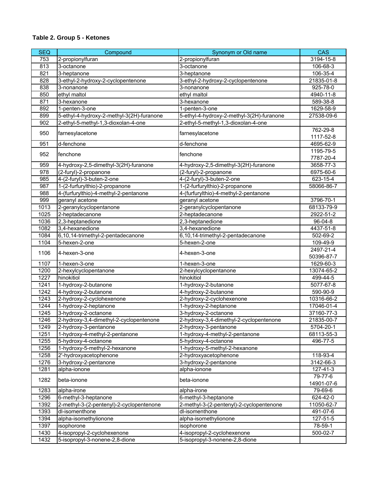| <b>SEQ</b>       | Compound                                  | Synonym or Old name                       | <b>CAS</b>              |
|------------------|-------------------------------------------|-------------------------------------------|-------------------------|
| 753              | 2-propionylfuran                          | 2-propionylfuran                          | 3194-15-8               |
| 813              | 3-octanone                                | 3-octanone                                | 106-68-3                |
| 821              | 3-heptanone                               | 3-heptanone                               | 106-35-4                |
| 828              | 3-ethyl-2-hydroxy-2-cyclopentenone        | 3-ethyl-2-hydroxy-2-cyclopentenone        | 21835-01-8              |
| 838              | 3-nonanone                                | 3-nonanone                                | 925-78-0                |
| 850              | ethyl maltol                              | ethyl maltol                              | 4940-11-8               |
| 871              | 3-hexanone                                | 3-hexanone                                | 589-38-8                |
| 892              | 1-penten-3-one                            | 1-penten-3-one                            | 1629-58-9               |
| 899              | 5-ethyl-4-hydroxy-2-methyl-3(2H)-furanone | 5-ethyl-4-hydroxy-2-methyl-3(2H)-furanone | 27538-09-6              |
| 902              | 2-ethyl-5-methyl-1,3-dioxolan-4-one       | 2-ethyl-5-methyl-1,3-dioxolan-4-one       |                         |
| 950              | farnesylacetone                           | farnesylacetone                           | 762-29-8<br>1117-52-8   |
| 951              | d-fenchone                                | d-fenchone                                | 4695-62-9               |
| 952              | fenchone                                  | fenchone                                  | 1195-79-5<br>7787-20-4  |
| 959              | 4-hydroxy-2,5-dimethyl-3(2H)-furanone     | 4-hydroxy-2,5-dimethyl-3(2H)-furanone     | 3658-77-3               |
| 978              | (2-furyl)-2-propanone                     | (2-furyl)-2-propanone                     | 6975-60-6               |
| 985              | 4-(2-furyl)-3-buten-2-one                 | 4-(2-furyl)-3-buten-2-one                 | 623-15-4                |
| 987              | 1-(2-furfurylthio)-2-propanone            | 1-(2-furfurylthio)-2-propanone            | 58066-86-7              |
| 988              | 4-(furfurylthio)-4-methyl-2-pentanone     | 4-(furfurylthio)-4-methyl-2-pentanone     |                         |
| 999              | geranyl acetone                           | geranyl acetone                           | 3796-70-1               |
| 1013             | 2-geranylcyclopentanone                   | 2-geranylcyclopentanone                   | 68133-79-9              |
| $\frac{1025}{ }$ | 2-heptadecanone                           | 2-heptadecanone                           | 2922-51-2               |
| 1036             | 2,3-heptanedione                          | 2,3-heptanedione                          | 96-04-8                 |
| 1082             | 3,4-hexanedione                           | 3,4-hexanedione                           | 4437-51-8               |
| 1084             | 6,10,14-trimethyl-2-pentadecanone         | 6,10,14-trimethyl-2-pentadecanone         | 502-69-2                |
| 1104             | 5-hexen-2-one                             | 5-hexen-2-one                             | 109-49-9                |
| 1106             | 4-hexen-3-one                             | 4-hexen-3-one                             | 2497-21-4<br>50396-87-7 |
| 1107             | 1-hexen-3-one                             | 1-hexen-3-one                             | 1629-60-3               |
| 1200             | 2-hexylcyclopentanone                     | 2-hexylcyclopentanone                     | 13074-65-2              |
| 1227             | hinokitiol                                | hinokitiol                                | 499-44-5                |
| 1241             | 1-hydroxy-2-butanone                      | 1-hydroxy-2-butanone                      | 5077-67-8               |
| 1242             | 4-hydroxy-2-butanone                      | 4-hydroxy-2-butanone                      | 590-90-9                |
| 1243             | 2-hydroxy-2-cyclohexenone                 | 2-hydroxy-2-cyclohexenone                 | 10316-66-2              |
| 1244             | 1-hydroxy-2-heptanone                     | 1-hydroxy-2-heptanone                     | 17046-01-4              |
| 1245             | 3-hydroxy-2-octanone                      | 3-hydroxy-2-octanone                      | 37160-77-3              |
| 1246             | 2-hydroxy-3,4-dimethyl-2-cyclopentenone   | 2-hydroxy-3,4-dimethyl-2-cyclopentenone   | 21835-00-7              |
| 1249             | 2-hydroxy-3-pentanone                     | 2-hydroxy-3-pentanone                     | 5704-20-1               |
| 1251             | 1-hydroxy-4-methyl-2-pentanone            | 1-hydroxy-4-methyl-2-pentanone            | 68113-55-3              |
| 1255             | 5-hydroxy-4-octanone                      | 5-hydroxy-4-octanone                      | 496-77-5                |
| 1256             | 1-hydroxy-5-methyl-2-hexanone             | 1-hydroxy-5-methyl-2-hexanone             |                         |
| 1258             | 2'-hydroxyacetophenone                    | 2-hydroxyacetophenone                     | 118-93-4                |
| 1276             | 3-hydroxy-2-pentanone                     | 3-hydroxy-2-pentanone                     | 3142-66-3               |
| 1281             | alpha-ionone                              | alpha-ionone                              | 127-41-3                |
|                  |                                           |                                           | 79-77-6                 |
| 1282             | beta-ionone                               | beta-ionone                               | 14901-07-6              |
| 1283             | alpha-irone                               | alpha-irone                               | 79-69-6                 |
| 1296             | 6-methyl-3-heptanone                      | 6-methyl-3-heptanone                      | 624-42-0                |
| 1392             | 2-methyl-3-(2-pentenyl)-2-cyclopentenone  | 2-methyl-3-(2-pentenyl)-2-cyclopentenone  | 11050-62-7              |
| 1393             | dl-isomenthone                            | dl-isomenthone                            | 491-07-6                |
| 1394             | alpha-isomethylionone                     | alpha-isomethylionone                     | 127-51-5                |
| 1397             | isophorone                                | isophorone                                | 78-59-1                 |
| 1430             | 4-isopropyl-2-cyclohexenone               | 4-isopropyl-2-cyclohexenone               | 500-02-7                |
| 1432             | 5-isopropyl-3-nonene-2,8-dione            | 5-isopropyl-3-nonene-2,8-dione            |                         |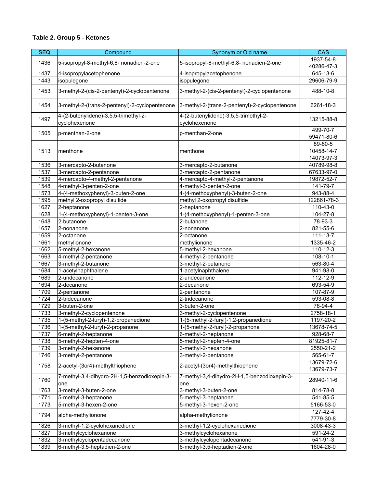| <b>SEQ</b> | Compound                                               | Synonym or Old name                                    | <b>CAS</b>                          |
|------------|--------------------------------------------------------|--------------------------------------------------------|-------------------------------------|
| 1436       | 5-isopropyl-8-methyl-6,8- nonadien-2-one               | 5-isopropyl-8-methyl-6,8- nonadien-2-one               | 1937-54-8                           |
|            |                                                        |                                                        | 40286-47-3                          |
| 1437       | 4-isopropylacetophenone                                | 4-isopropylacetophenone                                | 645-13-6                            |
| 1443       | isopulegone                                            | isopulegone                                            | 29606-79-9                          |
| 1453       | 3-methyl-2-(cis-2-pentenyl)-2-cyclopentenone           | 3-methyl-2-(cis-2-pentenyl)-2-cyclopentenone           | 488-10-8                            |
| 1454       | 3-methyl-2-(trans-2-pentenyl)-2-cyclopentenone         | 3-methyl-2-(trans-2-pentenyl)-2-cyclopentenone         | 6261-18-3                           |
| 1497       | 4-(2-butenylidene)-3,5,5-trimethyl-2-<br>cyclohexenone | 4-(2-butenylidene)-3,5,5-trimethyl-2-<br>cyclohexenone | 13215-88-8                          |
| 1505       | p-menthan-2-one                                        | p-menthan-2-one                                        | 499-70-7<br>59471-80-6              |
| 1513       | menthone                                               | menthone                                               | 89-80-5<br>10458-14-7<br>14073-97-3 |
| 1536       | 3-mercapto-2-butanone                                  | 3-mercapto-2-butanone                                  | 40789-98-8                          |
| 1537       | 3-mercapto-2-pentanone                                 | 3-mercapto-2-pentanone                                 | 67633-97-0                          |
| 1539       | 4-mercapto-4-methyl-2-pentanone                        | 4-mercapto-4-methyl-2-pentanone                        | 19872-52-7                          |
| 1548       | 4-methyl-3-penten-2-one                                | 4-methyl-3-penten-2-one                                | 141-79-7                            |
| 1573       | 4-(4-methoxyphenyl)-3-buten-2-one                      | 4-(4-methoxyphenyl)-3-buten-2-one                      | 943-88-4                            |
| 1595       | methyl 2-oxopropyl disulfide                           | methyl 2-oxopropyl disulfide                           | 122861-78-3                         |
| 1627       | 2-heptanone                                            | 2-heptanone                                            | 110-43-0                            |
| 1628       | 1-(4-methoxyphenyl)-1-penten-3-one                     | 1-(4-methoxyphenyl)-1-penten-3-one                     | 104-27-8                            |
| 1648       | 2-butanone                                             | 2-butanone                                             | $78-93-3$                           |
| 1657       | 2-nonanone                                             | 2-nonanone                                             | 821-55-6                            |
| 1659       | 2-octanone                                             | 2-octanone                                             | 111-13-7                            |
| 1661       | methylionone                                           | methylionone                                           | 1335-46-2                           |
| 1662       | 5-methyl-2-hexanone                                    | 5-methyl-2-hexanone                                    | 110-12-3                            |
| 1663       | 4-methyl-2-pentanone                                   | 4-methyl-2-pentanone                                   | 108-10-1                            |
| 1667       | 3-methyl-2-butanone                                    | 3-methyl-2-butanone                                    | 563-80-4                            |
| 1684       | 1-acetylnaphthalene                                    | 1-acetylnaphthalene                                    | 941-98-0                            |
| 1689       | 2-undecanone                                           | 2-undecanone                                           | 112-12-9                            |
| 1694       | 2-decanone                                             | 2-decanone                                             | 693-54-9                            |
| 1709       | 2-pentanone                                            | 2-pentanone                                            | 107-87-9                            |
| 1724       | 2-tridecanone                                          | $2$ -tridecanone                                       | 593-08-8                            |
| 1729       | 3-buten-2-one                                          | 3-buten-2-one                                          | 78-94-4                             |
| 1733       | 3-methyl-2-cyclopentenone                              | 3-methyl-2-cyclopentenone                              | 2758-18-1                           |
| 1735       | 1-(5-methyl-2-furyl)-1,2-propanedione                  | 1-(5-methyl-2-furyl)-1,2-propanedione                  | 1197-20-2                           |
| 1736       | 1-(5-methyl-2-furyl)-2-propanone                       | 1-(5-methyl-2-furyl)-2-propanone                       | 13678-74-5                          |
| 1737       | 6-methyl-2-heptanone                                   | 6-methyl-2-heptanone                                   | 928-68-7                            |
| 1738       | 5-methyl-2-hepten-4-one                                | 5-methyl-2-hepten-4-one                                | 81925-81-7                          |
| 1739       | 3-methyl-2-hexanone                                    | 3-methyl-2-hexanone                                    | 2550-21-2                           |
| 1746       | 3-methyl-2-pentanone                                   | 3-methyl-2-pentanone                                   | 565-61-7                            |
| 1758       | 2-acetyl-(3or4)-methylthiophene                        | 2-acetyl-(3or4)-methylthiophene                        | 13679-72-6<br>13679-73-7            |
| 1760       | 7-methyl-3,4-dihydro-2H-1,5-benzodioxepin-3-<br>one    | 7-methyl-3,4-dihydro-2H-1,5-benzodioxepin-3-<br>one    | 28940-11-6                          |
| 1763       | 3-methyl-3-buten-2-one                                 | 3-methyl-3-buten-2-one                                 | 814-78-8                            |
| 1771       | 5-methyl-3-heptanone                                   | 5-methyl-3-heptanone                                   | 541-85-5                            |
| 1773       | 5-methyl-3-hexen-2-one                                 | 5-methyl-3-hexen-2-one                                 | 5166-53-0                           |
| 1794       | alpha-methylionone                                     | alpha-methylionone                                     | 127-42-4<br>7779-30-8               |
| 1826       | 3-methyl-1,2-cyclohexanedione                          | 3-methyl-1,2-cyclohexanedione                          | 3008-43-3                           |
| 1827       | 3-methylcyclohexanone                                  | 3-methylcyclohexanone                                  | 591-24-2                            |
| 1832       | 3-methylcyclopentadecanone                             | 3-methylcyclopentadecanone                             | 541-91-3                            |
| 1839       | 6-methyl-3,5-heptadien-2-one                           | 6-methyl-3,5-heptadien-2-one                           | 1604-28-0                           |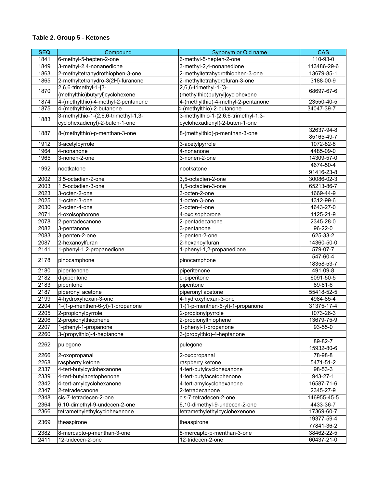| <b>SEQ</b> | Compound                             | Synonym or Old name                  | <b>CAS</b>               |
|------------|--------------------------------------|--------------------------------------|--------------------------|
| 1841       | 6-methyl-5-hepten-2-one              | 6-methyl-5-hepten-2-one              | 110-93-0                 |
| 1849       | 3-methyl-2,4-nonanedione             | 3-methyl-2,4-nonanedione             | 113486-29-6              |
| 1863       | 2-methyltetrahydrothiophen-3-one     | 2-methyltetrahydrothiophen-3-one     | 13679-85-1               |
| 1865       | 2-methyltetrahydro-3(2H)-furanone    | 2-methyltetrahydrofuran-3-one        | 3188-00-9                |
|            | 2,6,6-trimethyl-1-[3-                | 2,6,6-trimethyl-1-[3-                |                          |
| 1870       | (methylthio)butyryl]cyclohexene      | (methylthio)butyryl]cyclohexene      | 68697-67-6               |
| 1874       | 4-(methylthio)-4-methyl-2-pentanone  | 4-(methylthio)-4-methyl-2-pentanone  | 23550-40-5               |
| 1875       | 4-(methylthio)-2-butanone            | 4-(methylthio)-2-butanone            | 34047-39-7               |
|            | 3-methylthio-1-(2,6,6-trimethyl-1,3- | 3-methylthio-1-(2,6,6-trimethyl-1,3- |                          |
| 1883       | cyclohexadienyl)-2-buten-1-one       | cyclohexadienyl)-2-buten-1-one       |                          |
| 1887       | 8-(methylthio)-p-menthan-3-one       |                                      | 32637-94-8               |
|            |                                      | 8-(methylthio)-p-menthan-3-one       | 85165-49-7               |
| 1912       | 3-acetylpyrrole                      | 3-acetylpyrrole                      | 1072-82-8                |
| 1964       | 4-nonanone                           | 4-nonanone                           | 4485-09-0                |
| 1965       | 3-nonen-2-one                        | 3-nonen-2-one                        | 14309-57-0               |
| 1992       | nootkatone                           | nootkatone                           | 4674-50-4                |
|            |                                      |                                      | 91416-23-8               |
| 2002       | 3,5-octadien-2-one                   | 3,5-octadien-2-one                   | 30086-02-3               |
| 2003       | 1,5-octadien-3-one                   | 1,5-octadien-3-one                   | 65213-86-7               |
| 2023       | 3-octen-2-one                        | 3-octen-2-one                        | 1669-44-9                |
| 2025       | 1-octen-3-one                        | 1-octen-3-one                        | 4312-99-6                |
| 2030       | 2-octen-4-one                        | 2-octen-4-one                        | 4643-27-0                |
| 2071       | 4-oxoisophorone                      | 4-oxoisophorone                      | 1125-21-9                |
| 2078       | 2-pentadecanone                      | 2-pentadecanone                      | 2345-28-0                |
| 2082       | 3-pentanone                          | 3-pentanone                          | 96-22-0                  |
| 2083       | 3-penten-2-one                       | 3-penten-2-one                       | 625-33-2                 |
| 2087       | 2-hexanoylfuran                      | 2-hexanoylfuran                      | 14360-50-0               |
| 2141       | 1-phenyl-1,2-propanedione            | 1-phenyl-1,2-propanedione            | 579-07-7                 |
| 2178       | pinocamphone                         | pinocamphone                         | 547-60-4<br>18358-53-7   |
| 2180       | piperitenone                         | piperitenone                         | 491-09-8                 |
| 2182       | d-piperitone                         | d-piperitone                         | 6091-50-5                |
| 2183       | piperitone                           | piperitone                           | 89-81-6                  |
| 2187       | piperonyl acetone                    | piperonyl acetone                    | 55418-52-5               |
| 2199       | 4-hydroxyhexan-3-one                 | 4-hydroxyhexan-3-one                 | 4984-85-4                |
| 2204       | 1-(1-p-menthen-6-yl)-1-propanone     | 1-(1-p-menthen-6-yl)-1-propanone     | 31375-17-4               |
| 2205       | 2-propionylpyrrole                   | 2-propionylpyrrole                   | 1073-26-3                |
| 2206       | 2-propionylthiophene                 | 2-propionylthiophene                 | 13679-75-9               |
| 2207       | 1-phenyl-1-propanone                 | 1-phenyl-1-propanone                 | $93 - 55 - 0$            |
| 2260       | 3-(propylthio)-4-heptanone           | 3-(propylthio)-4-heptanone           |                          |
| 2262       | pulegone                             | pulegone                             | 89-82-7                  |
|            |                                      |                                      | 15932-80-6               |
| 2266       | 2-oxopropanal                        | 2-oxopropanal                        | 78-98-8                  |
| 2268       | raspberry ketone                     | raspberry ketone                     | 5471-51-2                |
| 2337       | 4-tert-butylcyclohexanone            | 4-tert-butylcyclohexanone            | 98-53-3                  |
| 2339       | 4-tert-butylacetophenone             | 4-tert-butylacetophenone             | 943-27-1                 |
| 2342       | 4-tert-amylcyclohexanone             | 4-tert-amylcyclohexanone             | 16587-71-6               |
| 2347       | 2-tetradecanone                      | 2-tetradecanone                      | 2345-27-9                |
| 2348       | cis-7-tetradecen-2-one               | cis-7-tetradecen-2-one               | 146955-45-5              |
| 2364       | 6,10-dimethyl-9-undecen-2-one        | 6,10-dimethyl-9-undecen-2-one        | 4433-36-7                |
| 2366       | tetramethylethylcyclohexenone        | tetramethylethylcyclohexenone        | 17369-60-7               |
| 2369       | theaspirone                          | theaspirone                          | 19377-59-4<br>77841-36-2 |
| 2382       | 8-mercapto-p-menthan-3-one           | 8-mercapto-p-menthan-3-one           | 38462-22-5               |
| 2411       | 12-tridecen-2-one                    | 12-tridecen-2-one                    | 60437-21-0               |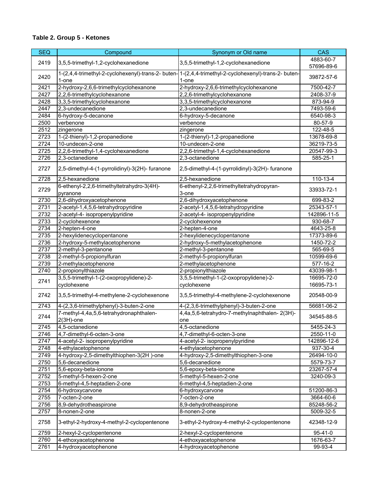| <b>SEQ</b> | Compound                                               | Synonym or Old name                                                                                            | <b>CAS</b>  |
|------------|--------------------------------------------------------|----------------------------------------------------------------------------------------------------------------|-------------|
| 2419       | 3,5,5-trimethyl-1,2-cyclohexanedione                   | 3,5,5-trimethyl-1,2-cyclohexanedione                                                                           | 4883-60-7   |
|            |                                                        |                                                                                                                | 57696-89-6  |
| 2420       | 1-one                                                  | 1-(2,4,4-trimethyl-2-cyclohexenyl)-trans-2- buten-11-(2,4,4-trimethyl-2-cyclohexenyl)-trans-2- buten-<br>1-one | 39872-57-6  |
| 2421       | 2-hydroxy-2,6,6-trimethylcyclohexanone                 | 2-hydroxy-2,6,6-trimethylcyclohexanone                                                                         | 7500-42-7   |
| 2427       | 2,2,6-trimethylcyclohexanone                           | 2,2,6-trimethylcyclohexanone                                                                                   | 2408-37-9   |
| 2428       | 3,3,5-trimethylcyclohexanone                           | 3,3,5-trimethylcyclohexanone                                                                                   | 873-94-9    |
| 2447       | 2,3-undecanedione                                      | 2,3-undecanedione                                                                                              | 7493-59-6   |
| 2484       | 6-hydroxy-5-decanone                                   | 6-hydroxy-5-decanone                                                                                           | 6540-98-3   |
| 2500       | verbenone                                              | verbenone                                                                                                      | 80-57-9     |
| 2512       | zingerone                                              | zingerone                                                                                                      | 122-48-5    |
| 2723       | 1-(2-thienyl)-1,2-propanedione                         | 1-(2-thienyl)-1,2-propanedione                                                                                 | 13678-69-8  |
| 2724       | 10-undecen-2-one                                       | 10-undecen-2-one                                                                                               | 36219-73-5  |
| 2725       | 2,2,6-trimethyl-1,4-cyclohexanedione                   | 2,2,6-trimethyl-1,4-cyclohexanedione                                                                           | 20547-99-3  |
| 2726       | 2,3-octanedione                                        | 2,3-octanedione                                                                                                | 585-25-1    |
|            |                                                        |                                                                                                                |             |
| 2727       | 2,5-dimethyl-4-(1-pyrrolidinyl)-3(2H)- furanone        | 2,5-dimethyl-4-(1-pyrrolidinyl)-3(2H)- furanone                                                                |             |
| 2728       | 2,5-hexanedione                                        | 2,5-hexanedione                                                                                                | 110-13-4    |
| 2729       | 6-ethenyl-2,2,6-trimethyltetrahydro-3(4H)-<br>pyranone | 6-ethenyl-2,2,6-trimethyltetrahydropyran-<br>3-one                                                             | 33933-72-1  |
| 2730       | 2,6-dihydroxyacetophenone                              | 2,6-dihydroxyacetophenone                                                                                      | 699-83-2    |
| 2731       | 2-acetyl-1,4,5,6-tetrahydropyridine                    | 2-acetyl-1,4,5,6-tetrahydropyridine                                                                            | 25343-57-1  |
| 2732       | 2-acetyl-4- isopropenylpyridine                        | 2-acetyl-4- isopropenylpyridine                                                                                | 142896-11-5 |
| 2733       | 2-cyclohexenone                                        | 2-cyclohexenone                                                                                                | 930-68-7    |
| 2734       | 2-hepten-4-one                                         | 2-hepten-4-one                                                                                                 | 4643-25-8   |
| 2735       | 2-hexylidenecyclopentanone                             | 2-hexylidenecyclopentanone                                                                                     | 17373-89-6  |
| 2736       | 2-hydroxy-5-methylacetophenone                         | 2-hydroxy-5-methylacetophenone                                                                                 | 1450-72-2   |
| 2737       | 2-methyl-3-pentanone                                   | 2-methyl-3-pentanone                                                                                           | 565-69-5    |
| 2738       | 2-methyl-5-propionylfuran                              | 2-methyl-5-propionylfuran                                                                                      | 10599-69-6  |
| 2739       | 2-methylacetophenone                                   | 2-methylacetophenone                                                                                           | 577-16-2    |
| 2740       | 2-propionylthiazole                                    | 2-propionylthiazole                                                                                            | 43039-98-1  |
|            | 3,5,5-trimethyl-1-(2-oxopropylidene)-2-                | 3,5,5-trimethyl-1-(2-oxopropylidene)-2-                                                                        | 16695-72-0  |
| 2741       | cyclohexene                                            | cyclohexene                                                                                                    | 16695-73-1  |
| 2742       | 3,5,5-trimethyl-4-methylene-2-cyclohexenone            | 3,5,5-trimethyl-4-methylene-2-cyclohexenone                                                                    | 20548-00-9  |
| 2743       | 4-(2,3,6-trimethylphenyl)-3-buten-2-one                | 4-(2,3,6-trimethylphenyl)-3-buten-2-one                                                                        | 56681-06-2  |
| 2744       | 7-methyl-4,4a,5,6-tetrahydronaphthalen-                | 4,4a,5,6-tetrahydro-7-methylnaphthalen-2(3H)-                                                                  | 34545-88-5  |
|            | $2(3H)$ -one                                           | one                                                                                                            |             |
| 2745       | 4,5-octanedione                                        | 4,5-octanedione                                                                                                | 5455-24-3   |
| 2746       | 4,7-dimethyl-6-octen-3-one                             | 4,7-dimethyl-6-octen-3-one                                                                                     | 2550-11-0   |
| 2747       | 4-acetyl-2- isopropenylpyridine                        | 4-acetyl-2- isopropenylpyridine                                                                                | 142896-12-6 |
| 2748       | 4-ethylacetophenone                                    | 4-ethylacetophenone                                                                                            | 937-30-4    |
| 2749       | 4-hydroxy-2,5-dimethylthiophen-3(2H)-one               | 4-hydroxy-2,5-dimethylthiophen-3-one                                                                           | 26494-10-0  |
| 2750       | 5,6-decanedione                                        | 5,6-decanedione                                                                                                | 5579-73-7   |
| 2751       | 5,6-epoxy-beta-ionone                                  | 5,6-epoxy-beta-ionone                                                                                          | 23267-57-4  |
| 2752       | 5-methyl-5-hexen-2-one                                 | 5-methyl-5-hexen-2-one                                                                                         | 3240-09-3   |
| 2753       | 6-methyl-4,5-heptadien-2-one                           | 6-methyl-4,5-heptadien-2-one                                                                                   |             |
| 2754       | 6-hydroxycarvone                                       | 6-hydroxycarvone                                                                                               | 51200-86-3  |
| 2755       | 7-octen-2-one                                          | 7-octen-2-one                                                                                                  | 3664-60-6   |
| 2756       | 8,9-dehydrotheaspirone                                 | 8,9-dehydrotheaspirone                                                                                         | 85248-56-2  |
| 2757       | 8-nonen-2-one                                          | 8-nonen-2-one                                                                                                  | 5009-32-5   |
| 2758       | 3-ethyl-2-hydroxy-4-methyl-2-cyclopentenone            | 3-ethyl-2-hydroxy-4-methyl-2-cyclopentenone                                                                    | 42348-12-9  |
| 2759       | 2-hexyl-2-cyclopentenone                               | 2-hexyl-2-cyclopentenone                                                                                       | 95-41-0     |
| 2760       | 4-ethoxyacetophenone                                   | 4-ethoxyacetophenone                                                                                           | 1676-63-7   |
| 2761       | 4-hydroxyacetophenone                                  | 4-hydroxyacetophenone                                                                                          | 99-93-4     |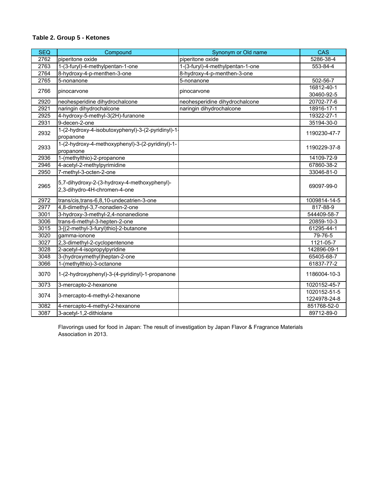| <b>SEQ</b> | Compound                                                                     | Synonym or Old name              | <b>CAS</b>       |
|------------|------------------------------------------------------------------------------|----------------------------------|------------------|
| 2762       | piperitone oxide                                                             | piperitone oxide                 | 5286-38-4        |
| 2763       | 1-(3-furyl)-4-methylpentan-1-one                                             | 1-(3-furyl)-4-methylpentan-1-one | 553-84-4         |
| 2764       | 8-hydroxy-4-p-menthen-3-one                                                  | 8-hydroxy-4-p-menthen-3-one      |                  |
| 2765       | 5-nonanone                                                                   | 5-nonanone                       | 502-56-7         |
| 2766       | pinocarvone                                                                  | pinocarvone                      | 16812-40-1       |
|            |                                                                              |                                  | 30460-92-5       |
| 2920       | neohesperidine dihydrochalcone                                               | neohesperidine dihydrochalcone   | 20702-77-6       |
| 2921       | naringin dihydrochalcone                                                     | naringin dihydrochalcone         | 18916-17-1       |
| 2925       | 4-hydroxy-5-methyl-3(2H)-furanone                                            |                                  | 19322-27-1       |
| 2931       | 9-decen-2-one                                                                |                                  | 35194-30-0       |
| 2932       | 1-(2-hydroxy-4-isobutoxyphenyl)-3-(2-pyridinyl)-1-                           |                                  | 1190230-47-7     |
|            | propanone                                                                    |                                  |                  |
| 2933       | 1-(2-hydroxy-4-methoxyphenyl)-3-(2-pyridinyl)-1-<br>propanone                |                                  | 1190229-37-8     |
| 2936       | 1-(methylthio)-2-propanone                                                   |                                  | 14109-72-9       |
| 2946       | 4-acetyl-2-methylpyrimidine                                                  |                                  | 67860-38-2       |
| 2950       | 7-methyl-3-octen-2-one                                                       |                                  | 33046-81-0       |
| 2965       | 5,7-dihydroxy-2-(3-hydroxy-4-methoxyphenyl)-<br>2,3-dihydro-4H-chromen-4-one |                                  | 69097-99-0       |
| 2972       | trans/cis,trans-6,8,10-undecatrien-3-one                                     |                                  | 1009814-14-5     |
| 2977       | 4,8-dimethyl-3,7-nonadien-2-one                                              |                                  | $817 - 88 - 9$   |
| 3001       | 3-hydroxy-3-methyl-2,4-nonanedione                                           |                                  | 544409-58-7      |
| 3006       | trans-6-methyl-3-hepten-2-one                                                |                                  | 20859-10-3       |
| 3015       | 3-[(2-methyl-3-furyl)thio]-2-butanone                                        |                                  | $61295 - 44 - 1$ |
| 3020       | gamma-ionone                                                                 |                                  | 79-76-5          |
| 3027       | 2,3-dimethyl-2-cyclopentenone                                                |                                  | 1121-05-7        |
| 3028       | 2-acetyl-4-isopropylpyridine                                                 |                                  | 142896-09-1      |
| 3048       | 3-(hydroxymethyl)heptan-2-one                                                |                                  | 65405-68-7       |
| 3066       | 1-(methylthio)-3-octanone                                                    |                                  | 61837-77-2       |
| 3070       | 1-(2-hydroxyphenyl)-3-(4-pyridinyl)-1-propanone                              |                                  | 1186004-10-3     |
| 3073       | 3-mercapto-2-hexanone                                                        |                                  | 1020152-45-7     |
|            |                                                                              |                                  | 1020152-51-5     |
| 3074       | 3-mercapto-4-methyl-2-hexanone                                               |                                  | 1224978-24-8     |
| 3082       | 4-mercapto-4-methyl-2-hexanone                                               |                                  | 851768-52-0      |
| 3087       | 3-acetyl-1,2-dithiolane                                                      |                                  | 89712-89-0       |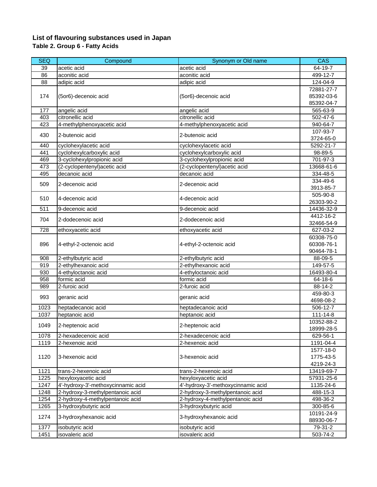### **List of flavouring substances used in Japan Table 2. Group 6 - Fatty Acids**

| <b>SEQ</b> | Compound                           | Synonym or Old name                | CAS            |
|------------|------------------------------------|------------------------------------|----------------|
| 39         | acetic acid                        | acetic acid                        | 64-19-7        |
| 86         | aconitic acid                      | aconitic acid                      | 499-12-7       |
| 88         | adipic acid                        | adipic acid                        | 124-04-9       |
|            |                                    |                                    | 72881-27-7     |
| 174        | (5or6)-decenoic acid               | (5or6)-decenoic acid               | 85392-03-6     |
|            |                                    |                                    | 85392-04-7     |
| 177        | angelic acid                       | angelic acid                       | 565-63-9       |
| 403        | citronellic acid                   | citronellic acid                   | 502-47-6       |
| 423        | 4-methylphenoxyacetic acid         | 4-methylphenoxyacetic acid         | 940-64-7       |
|            |                                    |                                    | 107-93-7       |
| 430        | 2-butenoic acid                    | 2-butenoic acid                    | 3724-65-0      |
| 440        | cyclohexylacetic acid              | cyclohexylacetic acid              | 5292-21-7      |
| 441        | cyclohexylcarboxylic acid          | cyclohexylcarboxylic acid          | 98-89-5        |
| 469        | 3-cyclohexylpropionic acid         | 3-cyclohexylpropionic acid         | 701-97-3       |
| 473        | (2-cyclopentenyl) acetic acid      | (2-cyclopentenyl) acetic acid      | 13668-61-6     |
| 495        | decanoic acid                      | decanoic acid                      | 334-48-5       |
| 509        | 2-decenoic acid                    | 2-decenoic acid                    | 334-49-6       |
|            |                                    |                                    | 3913-85-7      |
| 510        | 4-decenoic acid                    | 4-decenoic acid                    | 505-90-8       |
|            |                                    |                                    | 26303-90-2     |
| 511        | 9-decenoic acid                    | 9-decenoic acid                    | 14436-32-9     |
| 704        | 2-dodecenoic acid                  | 2-dodecenoic acid                  | 4412-16-2      |
|            |                                    |                                    | 32466-54-9     |
| 728        | ethoxyacetic acid                  | ethoxyacetic acid                  | 627-03-2       |
|            |                                    |                                    | 60308-75-0     |
| 896        | 4-ethyl-2-octenoic acid            | 4-ethyl-2-octenoic acid            | 60308-76-1     |
|            |                                    |                                    | 90464-78-1     |
| 908        | 2-ethylbutyric acid                | 2-ethylbutyric acid                | 88-09-5        |
| 919        | 2-ethylhexanoic acid               | 2-ethylhexanoic acid               | 149-57-5       |
| 930        | 4-ethyloctanoic acid               | 4-ethyloctanoic acid               | 16493-80-4     |
| 958        | formic acid                        | formic acid                        | 64-18-6        |
| 989        | 2-furoic acid                      | 2-furoic acid                      | 88-14-2        |
| 993        | geranic acid                       | geranic acid                       | 459-80-3       |
|            |                                    |                                    | 4698-08-2      |
| 1023       | heptadecanoic acid                 | heptadecanoic acid                 | 506-12-7       |
| 1037       | heptanoic acid                     | heptanoic acid                     | $111 - 14 - 8$ |
| 1049       | 2-heptenoic acid                   | 2-heptenoic acid                   | 10352-88-2     |
|            |                                    |                                    | 18999-28-5     |
| 1078       | 2-hexadecenoic acid                | 2-hexadecenoic acid                | 629-56-1       |
| 1119       | 2-hexenoic acid                    | 2-hexenoic acid                    | 1191-04-4      |
|            |                                    |                                    | 1577-18-0      |
| 1120       | 3-hexenoic acid                    | 3-hexenoic acid                    | 1775-43-5      |
|            |                                    |                                    | 4219-24-3      |
| 1121       | trans-2-hexenoic acid              | trans-2-hexenoic acid              | 13419-69-7     |
| 1225       | hexyloxyacetic acid                | hexyloxyacetic acid                | 57931-25-6     |
| 1247       | 4'-hydroxy-3'-methoxycinnamic acid | 4'-hydroxy-3'-methoxycinnamic acid | 1135-24-6      |
| 1248       | 2-hydroxy-3-methylpentanoic acid   | 2-hydroxy-3-methylpentanoic acid   | 488-15-3       |
| 1254       | 2-hydroxy-4-methylpentanoic acid   | 2-hydroxy-4-methylpentanoic acid   | 498-36-2       |
| 1265       | 3-hydroxybutyric acid              | 3-hydroxybutyric acid              | 300-85-6       |
| 1274       | 3-hydroxyhexanoic acid             | 3-hydroxyhexanoic acid             | 10191-24-9     |
|            |                                    |                                    | 88930-06-7     |
| 1377       | isobutyric acid                    | isobutyric acid                    | 79-31-2        |
| 1451       | isovaleric acid                    | isovaleric acid                    | 503-74-2       |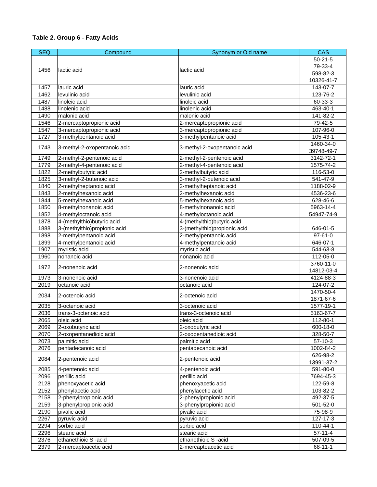## **Table 2. Group 6 - Fatty Acids**

| <b>SEQ</b> | Compound                     | Synonym or Old name          | <b>CAS</b>             |
|------------|------------------------------|------------------------------|------------------------|
|            |                              |                              | $50 - 21 - 5$          |
|            |                              |                              | 79-33-4                |
| 1456       | lactic acid                  | lactic acid                  | 598-82-3               |
|            |                              |                              | 10326-41-7             |
| 1457       | lauric acid                  | lauric acid                  | 143-07-7               |
| 1462       | levulinic acid               | levulinic acid               | 123-76-2               |
| 1487       | linoleic acid                | linoleic acid                | 60-33-3                |
| 1488       | linolenic acid               | linolenic acid               | 463-40-1               |
| 1490       | malonic acid                 | malonic acid                 | 141-82-2               |
| 1546       | 2-mercaptopropionic acid     | 2-mercaptopropionic acid     | 79-42-5                |
| 1547       | 3-mercaptopropionic acid     | 3-mercaptopropionic acid     | 107-96-0               |
| 1727       | 3-methylpentanoic acid       | 3-methylpentanoic acid       | 105-43-1               |
|            |                              |                              | 1460-34-0              |
| 1743       | 3-methyl-2-oxopentanoic acid | 3-methyl-2-oxopentanoic acid | 39748-49-7             |
| 1749       | 2-methyl-2-pentenoic acid    | 2-methyl-2-pentenoic acid    | 3142-72-1              |
| 1779       | 2-methyl-4-pentenoic acid    | 2-methyl-4-pentenoic acid    | 1575-74-2              |
| 1822       | 2-methylbutyric acid         | 2-methylbutyric acid         | 116-53-0               |
| 1825       | 3-methyl-2-butenoic acid     | 3-methyl-2-butenoic acid     | 541-47-9               |
| 1840       | 2-methylheptanoic acid       | 2-methylheptanoic acid       | 1188-02-9              |
| 1843       | 2-methylhexanoic acid        | 2-methylhexanoic acid        | 4536-23-6              |
| 1844       | 5-methylhexanoic acid        | 5-methylhexanoic acid        | 628-46-6               |
| 1850       | 8-methylnonanoic acid        | 8-methylnonanoic acid        | 5963-14-4              |
| 1852       | 4-methyloctanoic acid        | 4-methyloctanoic acid        | 54947-74-9             |
| 1878       | 4-(methylthio) butyric acid  | 4-(methylthio)butyric acid   |                        |
| 1888       | 3-(methylthio)propionic acid | 3-(methylthio)propionic acid | 646-01-5               |
| 1898       | 2-methylpentanoic acid       | 2-methylpentanoic acid       | $97 - 61 - 0$          |
| 1899       | 4-methylpentanoic acid       | 4-methylpentanoic acid       | 646-07-1               |
| 1907       | myristic acid                | myristic acid                | 544-63-8               |
| 1960       | nonanoic acid                | nonanoic acid                | 112-05-0               |
| 1972       | 2-nonenoic acid              | 2-nonenoic acid              | 3760-11-0              |
|            |                              |                              | 14812-03-4             |
| 1973       | 3-nonenoic acid              | 3-nonenoic acid              | 4124-88-3              |
| 2019       | octanoic acid                | octanoic acid                | 124-07-2               |
| 2034       | 2-octenoic acid              | 2-octenoic acid              | 1470-50-4<br>1871-67-6 |
| 2035       | 3-octenoic acid              | 3-octenoic acid              | 1577-19-1              |
| 2036       | trans-3-octenoic acid        | trans-3-octenoic acid        | 5163-67-7              |
| 2065       | oleic acid                   | oleic acid                   | 112-80-1               |
| 2069       | 2-oxobutyric acid            | 2-oxobutyric acid            | 600-18-0               |
| 2070       | 2-oxopentanedioic acid       | 2-oxopentanedioic acid       | 328-50-7               |
| 2073       | palmitic acid                | palmitic acid                | $57-10-3$              |
| 2076       | pentadecanoic acid           | pentadecanoic acid           | 1002-84-2              |
|            |                              |                              | 626-98-2               |
| 2084       | 2-pentenoic acid             | 2-pentenoic acid             | 13991-37-2             |
| 2085       | 4-pentenoic acid             | 4-pentenoic acid             | 591-80-0               |
| 2096       | perillic acid                | perillic acid                | 7694-45-3              |
| 2128       | phenoxyacetic acid           | phenoxyacetic acid           | 122-59-8               |
| 2152       | phenylacetic acid            | phenylacetic acid            | 103-82-2               |
| 2158       | 2-phenylpropionic acid       | 2-phenylpropionic acid       | 492-37-5               |
| 2159       | 3-phenylpropionic acid       | 3-phenylpropionic acid       | 501-52-0               |
| 2190       | pivalic acid                 | pivalic acid                 | 75-98-9                |
| 2267       | pyruvic acid                 | pyruvic acid                 | 127-17-3               |
| 2294       | sorbic acid                  | sorbic acid                  | 110-44-1               |
| 2296       | stearic acid                 | stearic acid                 | $57 - 11 - 4$          |
| 2376       | ethanethioic S-acid          | ethanethioic S-acid          | 507-09-5               |
| 2379       | 2-mercaptoacetic acid        | 2-mercaptoacetic acid        | $68 - 11 - 1$          |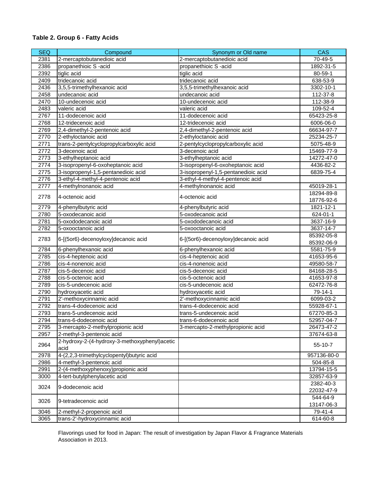## **Table 2. Group 6 - Fatty Acids**

| <b>SEQ</b> | Compound                                              | Synonym or Old name                 | <b>CAS</b>  |
|------------|-------------------------------------------------------|-------------------------------------|-------------|
| 2381       | 2-mercaptobutanedioic acid                            | 2-mercaptobutanedioic acid          | 70-49-5     |
| 2386       | propanethioic S-acid                                  | propanethioic S-acid                | 1892-31-5   |
| 2392       | tiglic acid                                           | tiglic acid                         | 80-59-1     |
| 2409       | tridecanoic acid                                      | tridecanoic acid                    | 638-53-9    |
| 2436       | 3,5,5-trimethylhexanoic acid                          | 3,5,5-trimethylhexanoic acid        | 3302-10-1   |
| 2458       | undecanoic acid                                       | undecanoic acid                     | 112-37-8    |
| 2470       | 10-undecenoic acid                                    | 10-undecenoic acid                  | 112-38-9    |
| 2483       | valeric acid                                          | valeric acid                        | 109-52-4    |
| 2767       | 11-dodecenoic acid                                    | 11-dodecenoic acid                  | 65423-25-8  |
| 2768       | 12-tridecenoic acid                                   | 12-tridecenoic acid                 | 6006-06-0   |
| 2769       | 2,4-dimethyl-2-pentenoic acid                         | 2,4-dimethyl-2-pentenoic acid       | 66634-97-7  |
| 2770       | 2-ethyloctanoic acid                                  | 2-ethyloctanoic acid                | 25234-25-7  |
| 2771       | trans-2-pentylcyclopropylcarboxylic acid              | 2-pentylcyclopropylcarboxylic acid  | 5075-48-9   |
| 2772       | 3-decenoic acid                                       | 3-decenoic acid                     | 15469-77-9  |
| 2773       | 3-ethylheptanoic acid                                 | 3-ethylheptanoic acid               | 14272-47-0  |
| 2774       | 3-isopropenyl-6-oxoheptanoic acid                     | 3-isopropenyl-6-oxoheptanoic acid   | 4436-82-2   |
| 2775       | 3-isopropenyl-1,5-pentanedioic acid                   | 3-isopropenyl-1,5-pentanedioic acid | 6839-75-4   |
| 2776       | 3-ethyl-4-methyl-4-pentenoic acid                     | 3-ethyl-4-methyl-4-pentenoic acid   |             |
| 2777       | 4-methylnonanoic acid                                 | 4-methylnonanoic acid               | 45019-28-1  |
|            |                                                       |                                     | 18294-89-8  |
| 2778       | 4-octenoic acid                                       | 4-octenoic acid                     | 18776-92-6  |
| 2779       | 4-phenylbutyric acid                                  | 4-phenylbutyric acid                | 1821-12-1   |
| 2780       | 5-oxodecanoic acid                                    | 5-oxodecanoic acid                  | 624-01-1    |
| 2781       | 5-oxododecanoic acid                                  | 5-oxododecanoic acid                | 3637-16-9   |
| 2782       | 5-oxooctanoic acid                                    | 5-oxooctanoic acid                  | 3637-14-7   |
|            |                                                       |                                     | 85392-05-8  |
| 2783       | 6-[(5or6)-decenoyloxy]decanoic acid                   | 6-[(5or6)-decenoyloxy]decanoic acid | 85392-06-9  |
| 2784       | 6-phenylhexanoic acid                                 | 6-phenylhexanoic acid               | 5581-75-9   |
| 2785       | cis-4-heptenoic acid                                  | cis-4-heptenoic acid                | 41653-95-6  |
| 2786       | cis-4-nonenoic acid                                   | cis-4-nonenoic acid                 | 49580-58-7  |
| 2787       | cis-5-decenoic acid                                   | cis-5-decenoic acid                 | 84168-28-5  |
| 2788       | cis-5-octenoic acid                                   | cis-5-octenoic acid                 | 41653-97-8  |
| 2789       | cis-5-undecenoic acid                                 | cis-5-undecenoic acid               | 62472-76-8  |
| 2790       | hydroxyacetic acid                                    | hydroxyacetic acid                  | 79-14-1     |
| 2791       | 2'-methoxycinnamic acid                               | 2'-methoxycinnamic acid             | 6099-03-2   |
| 2792       | trans-4-dodecenoic acid                               | trans-4-dodecenoic acid             | 55928-67-1  |
| 2793       | trans-5-undecenoic acid                               | trans-5-undecenoic acid             | 67270-85-3  |
| 2794       | trans-6-dodecenoic acid                               | trans-6-dodecenoic acid             | 52957-04-7  |
| 2795       | 3-mercapto-2-methylpropionic acid                     | 3-mercapto-2-methylpropionic acid   | 26473-47-2  |
| 2957       | 2-methyl-3-pentenoic acid                             |                                     | 37674-63-8  |
| 2964       | 2-hydroxy-2-(4-hydroxy-3-methoxyphenyl)acetic<br>acid |                                     | 55-10-7     |
| 2978       | 4-(2,2,3-trimethylcyclopentyl)butyric acid            |                                     | 957136-80-0 |
| 2986       | 4-methyl-3-pentenoic acid                             |                                     | 504-85-8    |
| 2991       | 2-(4-methoxyphenoxy)propionic acid                    |                                     | 13794-15-5  |
| 3000       | 4-tert-butylphenylacetic acid                         |                                     | 32857-63-9  |
|            |                                                       |                                     | 2382-40-3   |
| 3024       | 9-dodecenoic acid                                     |                                     | 22032-47-9  |
|            |                                                       |                                     | 544-64-9    |
| 3026       | 9-tetradecenoic acid                                  |                                     | 13147-06-3  |
| 3046       | 2-methyl-2-propenoic acid                             |                                     | $79-41-4$   |
| 3065       | trans-2'-hydroxycinnamic acid                         |                                     | 614-60-8    |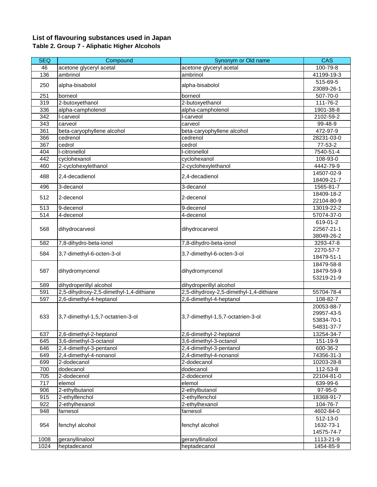### **List of flavouring substances used in Japan Table 2. Group 7 - Aliphatic Higher Alcohols**

| <b>SEQ</b> | Compound                                | Synonym or Old name                     | <b>CAS</b>      |
|------------|-----------------------------------------|-----------------------------------------|-----------------|
| 46         | acetone glyceryl acetal                 | acetone glyceryl acetal                 | 100-79-8        |
| 136        | ambrinol                                | ambrinol                                | 41199-19-3      |
|            |                                         |                                         | 515-69-5        |
| 250        | alpha-bisabolol                         | alpha-bisabolol                         | 23089-26-1      |
| 251        | borneol                                 | borneol                                 | 507-70-0        |
| 319        | 2-butoxyethanol                         | 2-butoxyethanol                         | 111-76-2        |
| 336        | alpha-campholenol                       | alpha-campholenol                       | 1901-38-8       |
| 342        | I-carveol                               | l-carveol                               | 2102-59-2       |
| 343        | carveol                                 | carveol                                 | 99-48-9         |
| 361        | beta-caryophyllene alcohol              | beta-caryophyllene alcohol              | 472-97-9        |
| 366        | cedrenol                                | cedrenol                                | 28231-03-0      |
| 367        | cedrol                                  | cedrol                                  | 77-53-2         |
| 404        | I-citronellol                           | I-citronellol                           | 7540-51-4       |
| 442        | cyclohexanol                            | cyclohexanol                            | 108-93-0        |
| 460        | 2-cyclohexylethanol                     | 2-cyclohexylethanol                     | $4442 - 79 - 9$ |
|            |                                         |                                         | 14507-02-9      |
| 488        | 2,4-decadienol                          | 2,4-decadienol                          | 18409-21-7      |
| 496        | 3-decanol                               | 3-decanol                               | 1565-81-7       |
|            |                                         |                                         | 18409-18-2      |
| 512        | 2-decenol                               | 2-decenol                               | 22104-80-9      |
| 513        | 9-decenol                               | 9-decenol                               | 13019-22-2      |
| 514        | 4-decenol                               | 4-decenol                               | 57074-37-0      |
|            |                                         |                                         | 619-01-2        |
| 568        | dihydrocarveol                          | dihydrocarveol                          | 22567-21-1      |
|            |                                         |                                         | 38049-26-2      |
| 582        | 7,8-dihydro-beta-ionol                  | 7,8-dihydro-beta-ionol                  | 3293-47-8       |
|            |                                         |                                         | 2270-57-7       |
| 584        | 3,7-dimethyl-6-octen-3-ol               | 3,7-dimethyl-6-octen-3-ol               | 18479-51-1      |
|            |                                         |                                         | 18479-58-8      |
| 587        | dihydromyrcenol                         | dihydromyrcenol                         | 18479-59-9      |
|            |                                         |                                         | 53219-21-9      |
| 589        | dihydroperillyl alcohol                 | dihydroperillyl alcohol                 |                 |
| 591        | 2,5-dihydroxy-2,5-dimethyl-1,4-dithiane | 2,5-dihydroxy-2,5-dimethyl-1,4-dithiane | 55704-78-4      |
| 597        | 2,6-dimethyl-4-heptanol                 | 2,6-dimethyl-4-heptanol                 | 108-82-7        |
|            |                                         |                                         | 20053-88-7      |
|            |                                         |                                         | 29957-43-5      |
| 633        | 3,7-dimethyl-1,5,7-octatrien-3-ol       | 3,7-dimethyl-1,5,7-octatrien-3-ol       | 53834-70-1      |
|            |                                         |                                         | 54831-37-7      |
| 637        | 2,6-dimethyl-2-heptanol                 | 2,6-dimethyl-2-heptanol                 | 13254-34-7      |
| 645        | 3,6-dimethyl-3-octanol                  | 3,6-dimethyl-3-octanol                  | 151-19-9        |
| 646        | 2,4-dimethyl-3-pentanol                 | 2,4-dimethyl-3-pentanol                 | 600-36-2        |
| 649        | 2,4-dimethyl-4-nonanol                  | 2,4-dimethyl-4-nonanol                  | 74356-31-3      |
| 699        | 2-dodecanol                             | 2-dodecanol                             |                 |
|            |                                         |                                         | 10203-28-8      |
| 700        | dodecanol                               | dodecanol                               | 112-53-8        |
| 705        | 2-dodecenol                             | 2-dodecenol                             | 22104-81-0      |
| 717        | elemol                                  | elemol                                  | 639-99-6        |
| 906        | 2-ethylbutanol                          | 2-ethylbutanol                          | 97-95-0         |
| 915        | 2-ethylfenchol                          | 2-ethylfenchol                          | 18368-91-7      |
| 922        | 2-ethylhexanol                          | 2-ethylhexanol                          | 104-76-7        |
| 948        | farnesol                                | farnesol                                | 4602-84-0       |
|            |                                         |                                         | 512-13-0        |
| 954        | fenchyl alcohol                         | fenchyl alcohol                         | 1632-73-1       |
|            |                                         |                                         | 14575-74-7      |
| 1008       | geranyllinalool                         | geranyllinalool                         | 1113-21-9       |
| 1024       | heptadecanol                            | heptadecanol                            | 1454-85-9       |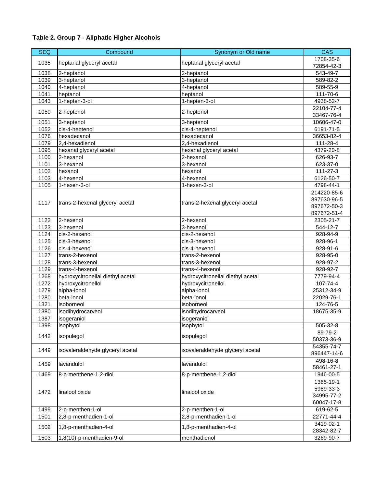| <b>SEQ</b> | Compound                          | Synonym or Old name               | <b>CAS</b>                                               |
|------------|-----------------------------------|-----------------------------------|----------------------------------------------------------|
| 1035       | heptanal glyceryl acetal          | heptanal glyceryl acetal          | 1708-35-6                                                |
|            |                                   |                                   | 72854-42-3                                               |
| 1038       | 2-heptanol                        | 2-heptanol                        | 543-49-7                                                 |
| 1039       | 3-heptanol                        | 3-heptanol                        | 589-82-2                                                 |
| 1040       | 4-heptanol                        | 4-heptanol                        | 589-55-9                                                 |
| 1041       | heptanol                          | heptanol                          | 111-70-6                                                 |
| 1043       | 1-hepten-3-ol                     | 1-hepten-3-ol                     | 4938-52-7                                                |
| 1050       | 2-heptenol                        | 2-heptenol                        | 22104-77-4<br>33467-76-4                                 |
| 1051       | 3-heptenol                        | 3-heptenol                        | 10606-47-0                                               |
| 1052       | cis-4-heptenol                    | cis-4-heptenol                    | 6191-71-5                                                |
| 1076       | hexadecanol                       | hexadecanol                       | 36653-82-4                                               |
| 1079       | 2,4-hexadienol                    | 2,4-hexadienol                    | 111-28-4                                                 |
| 1095       | hexanal glyceryl acetal           | hexanal glyceryl acetal           | 4379-20-8                                                |
| 1100       | 2-hexanol                         | 2-hexanol                         | 626-93-7                                                 |
| 1101       | 3-hexanol                         | 3-hexanol                         | 623-37-0                                                 |
| 1102       | hexanol                           | hexanol                           | 111-27-3                                                 |
| 1103       | 4-hexenol                         | 4-hexenol                         | 6126-50-7                                                |
| 1105       | 1-hexen-3-ol                      | 1-hexen-3-ol                      | 4798-44-1                                                |
| 1117       | trans-2-hexenal glyceryl acetal   | trans-2-hexenal glyceryl acetal   | 214220-85-6<br>897630-96-5<br>897672-50-3<br>897672-51-4 |
| 1122       | 2-hexenol                         | 2-hexenol                         | 2305-21-7                                                |
| 1123       | 3-hexenol                         | 3-hexenol                         | 544-12-7                                                 |
| 1124       | cis-2-hexenol                     | cis-2-hexenol                     | 928-94-9                                                 |
| 1125       | cis-3-hexenol                     | cis-3-hexenol                     | 928-96-1                                                 |
| 1126       | cis-4-hexenol                     | cis-4-hexenol                     | 928-91-6                                                 |
| 1127       | trans-2-hexenol                   | trans-2-hexenol                   | 928-95-0                                                 |
| 1128       | trans-3-hexenol                   | trans-3-hexenol                   | 928-97-2                                                 |
| 1129       | trans-4-hexenol                   | trans-4-hexenol                   | 928-92-7                                                 |
| 1268       | hydroxycitronellal diethyl acetal | hydroxycitronellal diethyl acetal | 7779-94-4                                                |
| 1272       | hydroxycitronellol                | hydroxycitronellol                | $107 - 74 - 4$                                           |
| 1279       | alpha-ionol                       | alpha-ionol                       | 25312-34-9                                               |
| 1280       | beta-ionol                        | beta-ionol                        | 22029-76-1                                               |
| 1321       | isoborneol                        | isoborneol                        | 124-76-5                                                 |
| 1380       | isodihydrocarveol                 | isodihydrocarveol                 | 18675-35-9                                               |
| 1387       | isogeraniol                       | isogeraniol                       |                                                          |
| 1398       | isophytol                         | isophytol                         | 505-32-8                                                 |
| 1442       | isopulegol                        | isopulegol                        | 89-79-2<br>50373-36-9                                    |
| 1449       | isovaleraldehyde glyceryl acetal  | isovaleraldehyde glyceryl acetal  | 54355-74-7<br>896447-14-6                                |
| 1459       | lavandulol                        | lavandulol                        | 498-16-8<br>58461-27-1                                   |
| 1469       | 8-p-menthene-1,2-diol             | 8-p-menthene-1,2-diol             | 1946-00-5                                                |
|            |                                   |                                   | 1365-19-1                                                |
| 1472       | linalool oxide                    | linalool oxide                    | 5989-33-3<br>34995-77-2<br>60047-17-8                    |
| 1499       | 2-p-menthen-1-ol                  | 2-p-menthen-1-ol                  | 619-62-5                                                 |
| 1501       | 2,8-p-menthadien-1-ol             | 2,8-p-menthadien-1-ol             | 22771-44-4                                               |
| 1502       | 1,8-p-menthadien-4-ol             | 1,8-p-menthadien-4-ol             | 3419-02-1                                                |
|            |                                   |                                   | 28342-82-7                                               |
| 1503       | 1,8(10)-p-menthadien-9-ol         | menthadienol                      | 3269-90-7                                                |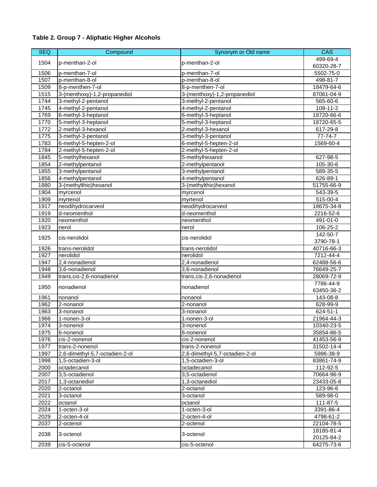| <b>SEQ</b> | Compound                       | Synonym or Old name            | CAS        |
|------------|--------------------------------|--------------------------------|------------|
| 1504       | p-menthan-2-ol                 |                                | 499-69-4   |
|            |                                | p-menthan-2-ol                 | 60320-28-7 |
| 1506       | p-menthan-7-ol                 | p-menthan-7-ol                 | 5502-75-0  |
| 1507       | p-menthan-8-ol                 | p-menthan-8-ol                 | 498-81-7   |
| 1509       | 8-p-menthen-7-ol               | 8-p-menthen-7-ol               | 18479-64-6 |
| 1515       | 3-(menthoxy)-1,2-propanediol   | 3-(menthoxy)-1,2-propanediol   | 87061-04-9 |
| 1744       | 3-methyl-2-pentanol            | 3-methyl-2-pentanol            | 565-60-6   |
| 1745       | 4-methyl-2-pentanol            | 4-methyl-2-pentanol            | 108-11-2   |
| 1769       | 6-methyl-3-heptanol            | 6-methyl-3-heptanol            | 18720-66-6 |
| 1770       | 5-methyl-3-heptanol            | 5-methyl-3-heptanol            | 18720-65-5 |
| 1772       | 2-methyl-3-hexanol             | 2-methyl-3-hexanol             | 617-29-8   |
| 1775       | 3-methyl-3-pentanol            | 3-methyl-3-pentanol            | 77-74-7    |
| 1783       | 6-methyl-5-hepten-2-ol         | 6-methyl-5-hepten-2-ol         | 1569-60-4  |
| 1784       | 2-methyl-5-hepten-2-ol         | 2-methyl-5-hepten-2-ol         |            |
| 1845       | 5-methylhexanol                | 5-methylhexanol                | 627-98-5   |
| 1854       | 2-methylpentanol               | 2-methylpentanol               | 105-30-6   |
| 1855       | 3-methylpentanol               | 3-methylpentanol               | 589-35-5   |
| 1856       | 4-methylpentanol               | 4-methylpentanol               | 626-89-1   |
| 1880       | 3-(methylthio)hexanol          | 3-(methylthio)hexanol          | 51755-66-9 |
| 1904       | myrcenol                       | myrcenol                       | 543-39-5   |
| 1909       | myrtenol                       | myrtenol                       | 515-00-4   |
| 1917       | neodihydrocarveol              | neodihydrocarveol              | 18675-34-8 |
| 1919       | d-neomenthol                   | d-neomenthol                   | 2216-52-6  |
| 1920       | neomenthol                     | neomenthol                     | 491-01-0   |
| 1923       | nerol                          | nerol                          | 106-25-2   |
| 1925       | cis-nerolidol                  | cis-nerolidol                  | 142-50-7   |
|            |                                |                                | 3790-78-1  |
| 1926       | trans-nerolidol                | trans-nerolidol                | 40716-66-3 |
| 1927       | nerolidol                      | nerolidol                      | 7212-44-4  |
| 1947       | 2,4-nonadienol                 | 2,4-nonadienol                 | 62488-56-6 |
| 1948       | 3,6-nonadienol                 | 3,6-nonadienol                 | 76649-25-7 |
| 1949       | trans, cis-2, 6-nonadienol     | trans, cis-2, 6-nonadienol     | 28069-72-9 |
| 1950       | nonadienol                     | nonadienol                     | 7786-44-9  |
|            |                                |                                | 63450-36-2 |
| 1961       | nonanol                        | nonanol                        | 143-08-8   |
| 1962       | 2-nonanol                      | 2-nonanol                      | 628-99-9   |
| 1963       | 3-nonanol                      | 3-nonanol                      | 624-51-1   |
| 1966       | 1-nonen-3-ol                   | 1-nonen-3-ol                   | 21964-44-3 |
| 1974       | 3-nonenol                      | 3-nonenol                      | 10340-23-5 |
| 1975       | 6-nonenol                      | 6-nonenol                      | 35854-86-5 |
| 1976       | cis-2-nonenol                  | cis-2-nonenol                  | 41453-56-9 |
| 1977       | trans-2-nonenol                | trans-2-nonenol                | 31502-14-4 |
| 1997       | 2,6-dimethyl-5,7-octadien-2-ol | 2,6-dimethyl-5,7-octadien-2-ol | 5986-38-9  |
| 1998       | 1,5-octadien-3-ol              | 1.5-octadien-3-ol              | 83861-74-9 |
| 2000       | octadecanol                    | octadecanol                    | 112-92-5   |
| 2007       | 3,5-octadienol                 | 3,5-octadienol                 | 70664-96-9 |
| 2017       | 1,3-octanediol                 | 1,3-octanediol                 | 23433-05-8 |
| 2020       | 2-octanol                      | 2-octanol                      | 123-96-6   |
| 2021       | 3-octanol                      | 3-octanol                      | 589-98-0   |
| 2022       | octanol                        | octanol                        | 111-87-5   |
| 2024       | 1-octen-3-ol                   | 1-octen-3-ol                   | 3391-86-4  |
| 2029       | 2-octen-4-ol                   | 2-octen-4-ol                   | 4798-61-2  |
| 2037       | 2-octenol                      | 2-octenol                      | 22104-78-5 |
| 2038       | 3-octenol                      | 3-octenol                      | 18185-81-4 |
|            |                                |                                | 20125-84-2 |
| 2039       | cis-5-octenol                  | cis-5-octenol                  | 64275-73-6 |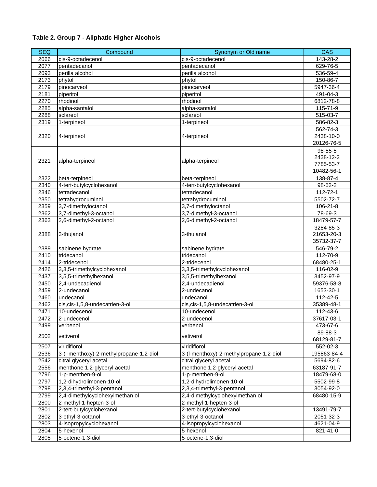| <b>SEQ</b> | Compound                                | Synonym or Old name                     | <b>CAS</b>     |
|------------|-----------------------------------------|-----------------------------------------|----------------|
| 2066       | cis-9-octadecenol                       | cis-9-octadecenol                       | 143-28-2       |
| 2077       | pentadecanol                            | pentadecanol                            | 629-76-5       |
| 2093       | perilla alcohol                         | perilla alcohol                         | 536-59-4       |
| 2173       | phytol                                  | phytol                                  | 150-86-7       |
| 2179       | pinocarveol                             | pinocarveol                             | 5947-36-4      |
| 2181       | piperitol                               | piperitol                               | 491-04-3       |
| 2270       | rhodinol                                | rhodinol                                | 6812-78-8      |
| 2285       | alpha-santalol                          | alpha-santalol                          | 115-71-9       |
| 2288       | sclareol                                | sclareol                                | 515-03-7       |
| 2319       | 1-terpineol                             | 1-terpineol                             | 586-82-3       |
|            |                                         |                                         | 562-74-3       |
| 2320       | 4-terpineol                             | 4-terpineol                             | 2438-10-0      |
|            |                                         |                                         | 20126-76-5     |
|            |                                         |                                         | 98-55-5        |
|            |                                         |                                         | 2438-12-2      |
| 2321       | alpha-terpineol                         | alpha-terpineol                         | 7785-53-7      |
|            |                                         |                                         | 10482-56-1     |
| 2322       | beta-terpineol                          | beta-terpineol                          | 138-87-4       |
| 2340       | 4-tert-butylcyclohexanol                | 4-tert-butylcyclohexanol                | 98-52-2        |
| 2346       | tetradecanol                            | tetradecanol                            | 112-72-1       |
| 2350       | tetrahydrocuminol                       | tetrahydrocuminol                       | 5502-72-7      |
| 2359       | 3,7-dimethyloctanol                     | 3,7-dimethyloctanol                     | 106-21-8       |
| 2362       | 3,7-dimethyl-3-octanol                  | 3,7-dimethyl-3-octanol                  | 78-69-3        |
| 2363       | 2,6-dimethyl-2-octanol                  | 2,6-dimethyl-2-octanol                  | 18479-57-7     |
|            |                                         |                                         | 3284-85-3      |
| 2388       | 3-thujanol                              | 3-thujanol                              | 21653-20-3     |
|            |                                         |                                         | 35732-37-7     |
| 2389       | sabinene hydrate                        | sabinene hydrate                        | 546-79-2       |
| 2410       | tridecanol                              | tridecanol                              | 112-70-9       |
| 2414       | 2-tridecenol                            | 2-tridecenol                            | 68480-25-1     |
| 2426       | 3,3,5-trimethylcyclohexanol             | 3,3,5-trimethylcyclohexanol             | 116-02-9       |
| 2437       | 3,5,5-trimethylhexanol                  | 3,5,5-trimethylhexanol                  | 3452-97-9      |
| 2450       | 2,4-undecadienol                        | 2,4-undecadienol                        | 59376-58-8     |
| 2459       | 2-undecanol                             | 2-undecanol                             | 1653-30-1      |
| 2460       | undecanol                               | undecanol                               | 112-42-5       |
| 2462       | cis, cis-1, 5, 8-undecatrien-3-ol       | cis, cis-1, 5, 8-undecatrien-3-ol       | 35389-48-1     |
| 2471       | 10-undecenol                            | 10-undecenol                            | $112 - 43 - 6$ |
| 2472       | 2-undecenol                             | 2-undecenol                             | 37617-03-1     |
| 2499       | verbenol                                | verbenol                                | 473-67-6       |
| 2502       | vetiverol                               | vetiverol                               | 89-88-3        |
|            |                                         |                                         | 68129-81-7     |
| 2507       | viridiflorol                            | viridiflorol                            | 552-02-3       |
| 2536       | 3-(I-menthoxy)-2-methylpropane-1,2-diol | 3-(I-menthoxy)-2-methylpropane-1,2-diol | 195863-84-4    |
| 2542       | citral glyceryl acetal                  | citral glyceryl acetal                  | 5694-82-6      |
| 2556       | menthone 1,2-glyceryl acetal            | menthone 1,2-glyceryl acetal            | 63187-91-7     |
| 2796       | 1-p-menthen-9-ol                        | 1-p-menthen-9-ol                        | 18479-68-0     |
| 2797       | 1,2-dihydrolimonen-10-ol                | 1,2-dihydrolimonen-10-ol                | 5502-99-8      |
| 2798       | 2,3,4-trimethyl-3-pentanol              | 2,3,4-trimethyl-3-pentanol              | 3054-92-0      |
| 2799       | 2,4-dimethylcyclohexylmethan ol         | 2,4-dimethylcyclohexylmethan ol         | 68480-15-9     |
| 2800       | 2-methyl-1-hepten-3-ol                  | 2-methyl-1-hepten-3-ol                  |                |
| 2801       | 2-tert-butylcyclohexanol                | 2-tert-butylcyclohexanol                | 13491-79-7     |
| 2802       | 3-ethyl-3-octanol                       | 3-ethyl-3-octanol                       | 2051-32-3      |
| 2803       | 4-isopropylcyclohexanol                 | 4-isopropylcyclohexanol                 | 4621-04-9      |
| 2804       | 5-hexenol                               | $5$ -hexenol                            | 821-41-0       |
| 2805       | 5-octene-1,3-diol                       | 5-octene-1,3-diol                       |                |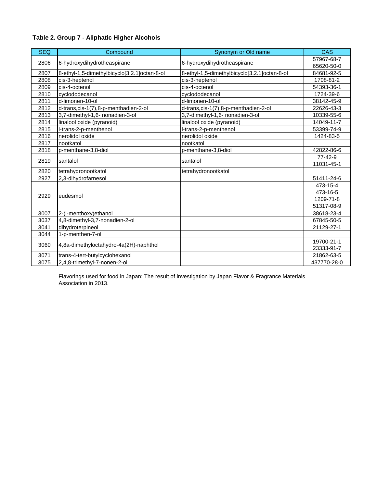| <b>SEQ</b> | Compound                                     | Synonym or Old name                          | CAS         |
|------------|----------------------------------------------|----------------------------------------------|-------------|
| 2806       | 6-hydroxydihydrotheaspirane                  |                                              | 57967-68-7  |
|            |                                              | 6-hydroxydihydrotheaspirane                  | 65620-50-0  |
| 2807       | 8-ethyl-1,5-dimethylbicyclo[3.2.1]octan-8-ol | 8-ethyl-1,5-dimethylbicyclo[3.2.1]octan-8-ol | 84681-92-5  |
| 2808       | cis-3-heptenol                               | cis-3-heptenol                               | 1708-81-2   |
| 2809       | cis-4-octenol                                | cis-4-octenol                                | 54393-36-1  |
| 2810       | cyclododecanol                               | cyclododecanol                               | 1724-39-6   |
| 2811       | d-limonen-10-ol                              | d-limonen-10-ol                              | 38142-45-9  |
| 2812       | d-trans, cis-1(7), 8-p-menthadien-2-ol       | d-trans, cis-1(7), 8-p-menthadien-2-ol       | 22626-43-3  |
| 2813       | 3,7-dimethyl-1,6- nonadien-3-ol              | 3,7-dimethyl-1,6- nonadien-3-ol              | 10339-55-6  |
| 2814       | linalool oxide (pyranoid)                    | linalool oxide (pyranoid)                    | 14049-11-7  |
| 2815       | I-trans-2-p-menthenol                        | I-trans-2-p-menthenol                        | 53399-74-9  |
| 2816       | nerolidol oxide                              | nerolidol oxide                              | 1424-83-5   |
| 2817       | nootkatol                                    | nootkatol                                    |             |
| 2818       | p-menthane-3,8-diol                          | p-menthane-3,8-diol                          | 42822-86-6  |
| 2819       |                                              | santalol                                     | 77-42-9     |
|            | santalol                                     |                                              | 11031-45-1  |
| 2820       | tetrahydronootkatol                          | tetrahydronootkatol                          |             |
| 2927       | 2,3-dihydrofarnesol                          |                                              | 51411-24-6  |
|            |                                              |                                              | 473-15-4    |
| 2929       | eudesmol                                     |                                              | 473-16-5    |
|            |                                              |                                              | 1209-71-8   |
|            |                                              |                                              | 51317-08-9  |
| 3007       | 2-(I-menthoxy) ethanol                       |                                              | 38618-23-4  |
| 3037       | 4,8-dimethyl-3,7-nonadien-2-ol               |                                              | 67845-50-5  |
| 3041       | dihydroterpineol                             |                                              | 21129-27-1  |
| 3044       | 1-p-menthen-7-ol                             |                                              |             |
| 3060       | 4,8a-dimethyloctahydro-4a(2H)-naphthol       |                                              | 19700-21-1  |
|            |                                              |                                              | 23333-91-7  |
| 3071       | trans-4-tert-butylcyclohexanol               |                                              | 21862-63-5  |
| 3075       | 2,4,8-trimethyl-7-nonen-2-ol                 |                                              | 437770-28-0 |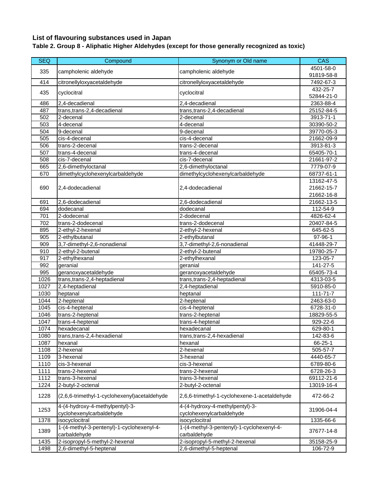## **List of flavouring substances used in Japan**

# **Table 2. Group 8 - Aliphatic Higher Aldehydes (except for those generally recognized as toxic)**

| <b>SEQ</b> | Compound                                                    | Synonym or Old name                                         | <b>CAS</b>                   |
|------------|-------------------------------------------------------------|-------------------------------------------------------------|------------------------------|
| 335        | campholenic aldehyde                                        | campholenic aldehyde                                        | 4501-58-0                    |
|            |                                                             |                                                             | 91819-58-8                   |
| 414        | citronellyloxyacetaldehyde                                  | citronellyloxyacetaldehyde                                  | 7492-67-3                    |
| 435        | cyclocitral                                                 | cyclocitral                                                 | 432-25-7                     |
|            |                                                             |                                                             | 52844-21-0                   |
| 486        | 2,4-decadienal                                              | 2,4-decadienal                                              | 2363-88-4                    |
| 487        | trans, trans-2, 4-decadienal                                | trans, trans-2, 4-decadienal                                | 25152-84-5                   |
| 502        | 2-decenal                                                   | 2-decenal                                                   | 3913-71-1                    |
| 503        | 4-decenal                                                   | 4-decenal                                                   | 30390-50-2                   |
| 504        | 9-decenal                                                   | 9-decenal                                                   | 39770-05-3                   |
| 505        | cis-4-decenal                                               | cis-4-decenal                                               | 21662-09-9                   |
| 506        | trans-2-decenal                                             | trans-2-decenal                                             | 3913-81-3                    |
| 507        | trans-4-decenal                                             | trans-4-decenal                                             | 65405-70-1                   |
| 508        | cis-7-decenal                                               | cis-7-decenal                                               | 21661-97-2                   |
| 665        | 2,6-dimethyloctanal                                         | 2,6-dimethyloctanal                                         | 7779-07-9                    |
| 670        | dimethylcyclohexenylcarbaldehyde                            | dimethylcyclohexenylcarbaldehyde                            | 68737-61-1                   |
|            |                                                             |                                                             | 13162-47-5                   |
| 690        | 2,4-dodecadienal                                            | 2,4-dodecadienal                                            | 21662-15-7                   |
|            |                                                             | $2,6$ -dodecadienal                                         | 21662-16-8                   |
| 691<br>694 | 2,6-dodecadienal<br>dodecanal                               | dodecanal                                                   | 21662-13-5<br>$112 - 54 - 9$ |
| 701        | 2-dodecenal                                                 | 2-dodecenal                                                 | 4826-62-4                    |
| 702        | trans-2-dodecenal                                           | trans-2-dodecenal                                           | 20407-84-5                   |
| 895        |                                                             |                                                             |                              |
| 905        | 2-ethyl-2-hexenal<br>2-ethylbutanal                         | 2-ethyl-2-hexenal<br>2-ethylbutanal                         | 645-62-5<br>97-96-1          |
| 909        | 3,7-dimethyl-2,6-nonadienal                                 | 3,7-dimethyl-2,6-nonadienal                                 | 41448-29-7                   |
| 910        | 2-ethyl-2-butenal                                           | 2-ethyl-2-butenal                                           | 19780-25-7                   |
| 917        | 2-ethylhexanal                                              | 2-ethylhexanal                                              | $\overline{12}3 - 05 - 7$    |
| 992        | geranial                                                    | geranial                                                    | 141-27-5                     |
| 995        | geranoxyacetaldehyde                                        | geranoxyacetaldehyde                                        | 65405-73-4                   |
| 1026       | trans, trans-2, 4-heptadienal                               | trans, trans-2, 4-heptadienal                               | 4313-03-5                    |
| 1027       | 2,4-heptadienal                                             | 2,4-heptadienal                                             | 5910-85-0                    |
| 1030       | heptanal                                                    | heptanal                                                    | $111 - 71 - 7$               |
| 1044       | $2$ -heptenal                                               | 2-heptenal                                                  | 2463-63-0                    |
| 1045       | cis-4-heptenal                                              | cis-4-heptenal                                              | 6728-31-0                    |
| 1046       | trans-2-heptenal                                            | trans-2-heptenal                                            | 18829-55-5                   |
| 1047       | trans-4-heptenal                                            | trans-4-heptenal                                            | 929-22-6                     |
| 1074       | hexadecanal                                                 | hexadecanal                                                 | 629-80-1                     |
| 1080       | trans, trans-2, 4-hexadienal                                | trans, trans-2, 4-hexadienal                                | 142-83-6                     |
| 1087       | hexanal                                                     | hexanal                                                     | 66-25-1                      |
| 1108       | 2-hexenal                                                   | $2$ -hexenal                                                | 505-57-7                     |
| 1109       | 3-hexenal                                                   | 3-hexenal                                                   | 4440-65-7                    |
| 1110       | cis-3-hexenal                                               | cis-3-hexenal                                               | 6789-80-6                    |
| 1111       | trans-2-hexenal                                             | trans-2-hexenal                                             | 6728-26-3                    |
| 1112       | trans-3-hexenal                                             | trans-3-hexenal                                             | 69112-21-6                   |
| 1224       | 2-butyl-2-octenal                                           | 2-butyl-2-octenal                                           | 13019-16-4                   |
| 1228       | (2,6,6-trimethyl-1-cyclohexenyl)acetaldehyde                | 2,6,6-trimethyl-1-cyclohexene-1-acetaldehyde                | 472-66-2                     |
| 1253       | 4-(4-hydroxy-4-methylpentyl)-3-<br>cyclohexenylcarbaldehyde | 4-(4-hydroxy-4-methylpentyl)-3-<br>cyclohexenylcarbaldehyde | 31906-04-4                   |
| 1378       | isocyclocitral                                              | isocyclocitral                                              | 1335-66-6                    |
|            | 1-(4-methyl-3-pentenyl)-1-cyclohexenyl-4-                   | 1-(4-methyl-3-pentenyl)-1-cyclohexenyl-4-                   |                              |
| 1389       | carbaldehyde                                                | carbaldehyde                                                | 37677-14-8                   |
| 1435       | 2-isopropyl-5-methyl-2-hexenal                              | 2-isopropyl-5-methyl-2-hexenal                              | 35158-25-9                   |
| 1498       | 2,6-dimethyl-5-heptenal                                     | 2,6-dimethyl-5-heptenal                                     | 106-72-9                     |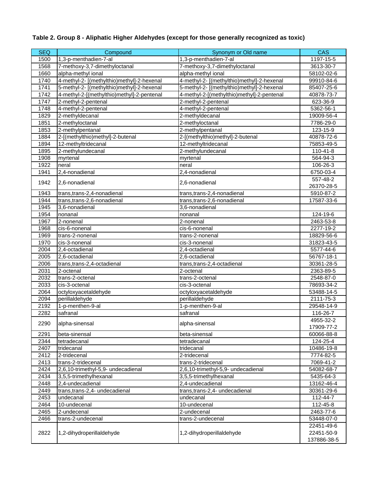# **Table 2. Group 8 - Aliphatic Higher Aldehydes (except for those generally recognized as toxic)**

| <b>SEQ</b> | Compound                                   | Synonym or Old name                        | CAS         |
|------------|--------------------------------------------|--------------------------------------------|-------------|
| 1500       | 1,3-p-menthadien-7-al                      | 1,3-p-menthadien-7-al                      | 1197-15-5   |
| 1568       | 7-methoxy-3,7-dimethyloctanal              | 7-methoxy-3,7-dimethyloctanal              | 3613-30-7   |
| 1660       | alpha-methyl ional                         | alpha-methyl ional                         | 58102-02-6  |
| 1740       | 4-methyl-2- [(methylthio)methyl]-2-hexenal | 4-methyl-2- [(methylthio)methyl]-2-hexenal | 99910-84-6  |
| 1741       | 5-methyl-2- [(methylthio)methyl]-2-hexenal | 5-methyl-2- [(methylthio)methyl]-2-hexenal | 85407-25-6  |
| 1742       | 4-methyl-2-[(methylthio)methyl]-2-pentenal | 4-methyl-2-[(methylthio)methyl]-2-pentenal | 40878-73-7  |
| 1747       | 2-methyl-2-pentenal                        | 2-methyl-2-pentenal                        | 623-36-9    |
| 1748       | 4-methyl-2-pentenal                        | 4-methyl-2-pentenal                        | 5362-56-1   |
| 1829       | 2-methyldecanal                            | 2-methyldecanal                            | 19009-56-4  |
| 1851       | 2-methyloctanal                            | 2-methyloctanal                            | 7786-29-0   |
| 1853       | 2-methylpentanal                           | 2-methylpentanal                           | 123-15-9    |
| 1884       | 2-[(methylthio)methyl]-2-butenal           | 2-[(methylthio)methyl]-2-butenal           | 40878-72-6  |
| 1894       | 12-methyltridecanal                        | 12-methyltridecanal                        | 75853-49-5  |
| 1895       | 2-methylundecanal                          | 2-methylundecanal                          | 110-41-8    |
| 1908       | myrtenal                                   | myrtenal                                   | 564-94-3    |
| 1922       | neral                                      | neral                                      | 106-26-3    |
| 1941       | 2,4-nonadienal                             | 2,4-nonadienal                             | 6750-03-4   |
|            |                                            |                                            | 557-48-2    |
| 1942       | 2,6-nonadienal                             | 2,6-nonadienal                             | 26370-28-5  |
| 1943       | trans, trans-2, 4-nonadienal               | trans, trans-2, 4-nonadienal               | 5910-87-2   |
| 1944       | trans, trans-2, 6-nonadienal               | trans, trans-2, 6-nonadienal               | 17587-33-6  |
| 1945       | 3,6-nonadienal                             | 3,6-nonadienal                             |             |
| 1954       | nonanal                                    | nonanal                                    | 124-19-6    |
| 1967       | 2-nonenal                                  | 2-nonenal                                  | 2463-53-8   |
| 1968       | cis-6-nonenal                              | cis-6-nonenal                              | 2277-19-2   |
| 1969       | trans-2-nonenal                            | trans-2-nonenal                            | 18829-56-6  |
| 1970       | cis-3-nonenal                              | cis-3-nonenal                              | 31823-43-5  |
| 2004       | 2,4-octadienal                             | 2,4-octadienal                             | 5577-44-6   |
| 2005       | 2,6-octadienal                             | 2,6-octadienal                             | 56767-18-1  |
| 2006       | trans,trans-2,4-octadienal                 | trans,trans-2,4-octadienal                 | 30361-28-5  |
| 2031       | 2-octenal                                  | 2-octenal                                  | 2363-89-5   |
| 2032       | trans-2-octenal                            | trans-2-octenal                            | 2548-87-0   |
| 2033       | cis-3-octenal                              | cis-3-octenal                              | 78693-34-2  |
| 2064       | octyloxyacetaldehyde                       | octyloxyacetaldehyde                       | 53488-14-5  |
| 2094       | perillaldehyde                             | perillaldehyde                             | 2111-75-3   |
| 2192       | 1-p-menthen-9-al                           | 1-p-menthen-9-al                           | 29548-14-9  |
| 2282       | safranal                                   | safranal                                   | 116-26-7    |
|            |                                            |                                            | 4955-32-2   |
| 2290       | alpha-sinensal                             | alpha-sinensal                             | 17909-77-2  |
| 2291       | beta-sinensal                              | beta-sinensal                              | 60066-88-8  |
| 2344       | tetradecanal                               | tetradecanal                               | 124-25-4    |
| 2407       | tridecanal                                 | tridecanal                                 | 10486-19-8  |
| 2412       | 2-tridecenal                               | 2-tridecenal                               | 7774-82-5   |
| 2413       | trans-2-tridecenal                         | trans-2-tridecenal                         | 7069-41-2   |
| 2424       | 2,6,10-trimethyl-5,9- undecadienal         | 2,6,10-trimethyl-5,9- undecadienal         | 54082-68-7  |
| 2434       | 3,5,5-trimethylhexanal                     | 3,5,5-trimethylhexanal                     | 5435-64-3   |
| 2448       | 2,4-undecadienal                           | 2,4-undecadienal                           | 13162-46-4  |
| 2449       | trans, trans-2, 4- undecadienal            | trans, trans-2, 4- undecadienal            | 30361-29-6  |
| 2453       | undecanal                                  | undecanal                                  | 112-44-7    |
| 2464       | 10-undecenal                               | 10-undecenal                               | 112-45-8    |
| 2465       | 2-undecenal                                | 2-undecenal                                | 2463-77-6   |
| 2466       | trans-2-undecenal                          | trans-2-undecenal                          | 53448-07-0  |
|            |                                            |                                            | 22451-49-6  |
| 2822       | 1,2-dihydroperillaldehyde                  | 1,2-dihydroperillaldehyde                  | 22451-50-9  |
|            |                                            |                                            | 137886-38-5 |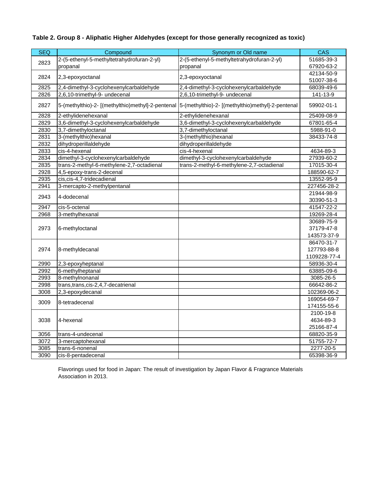### **Table 2. Group 8 - Aliphatic Higher Aldehydes (except for those generally recognized as toxic)**

| <b>SEQ</b> | Compound                                   | Synonym or Old name                                                                                  | <b>CAS</b>   |
|------------|--------------------------------------------|------------------------------------------------------------------------------------------------------|--------------|
| 2823       | 2-(5-ethenyl-5-methyltetrahydrofuran-2-yl) | 2-(5-ethenyl-5-methyltetrahydrofuran-2-yl)                                                           | 51685-39-3   |
|            | propanal                                   | propanal                                                                                             | 67920-63-2   |
|            |                                            |                                                                                                      | 42134-50-9   |
| 2824       | 2,3-epoxyoctanal                           | 2,3-epoxyoctanal                                                                                     | 51007-38-6   |
| 2825       | 2,4-dimethyl-3-cyclohexenylcarbaldehyde    | 2,4-dimethyl-3-cyclohexenylcarbaldehyde                                                              | 68039-49-6   |
| 2826       | 2,6,10-trimethyl-9- undecenal              | 2,6,10-trimethyl-9- undecenal                                                                        | 141-13-9     |
| 2827       |                                            | 5-(methylthio)-2- [(methylthio)methyl]-2-pentenal  5-(methylthio)-2- [(methylthio)methyl]-2-pentenal | 59902-01-1   |
| 2828       | 2-ethylidenehexanal                        | 2-ethylidenehexanal                                                                                  | 25409-08-9   |
| 2829       | 3,6-dimethyl-3-cyclohexenylcarbaldehyde    | 3,6-dimethyl-3-cyclohexenylcarbaldehyde                                                              | 67801-65-4   |
| 2830       | 3,7-dimethyloctanal                        | 3,7-dimethyloctanal                                                                                  | 5988-91-0    |
| 2831       | 3-(methylthio)hexanal                      | 3-(methylthio)hexanal                                                                                | 38433-74-8   |
| 2832       | dihydroperillaldehyde                      | dihydroperillaldehyde                                                                                |              |
| 2833       | cis-4-hexenal                              | cis-4-hexenal                                                                                        | 4634-89-3    |
| 2834       | dimethyl-3-cyclohexenylcarbaldehyde        | dimethyl-3-cyclohexenylcarbaldehyde                                                                  | 27939-60-2   |
| 2835       | trans-2-methyl-6-methylene-2,7-octadienal  | trans-2-methyl-6-methylene-2,7-octadienal                                                            | 17015-30-4   |
| 2928       | 4,5-epoxy-trans-2-decenal                  |                                                                                                      | 188590-62-7  |
| 2935       | cis, cis-4, 7-tridecadienal                |                                                                                                      | 13552-95-9   |
| 2941       | 3-mercapto-2-methylpentanal                |                                                                                                      | 227456-28-2  |
| 2943       |                                            |                                                                                                      | 21944-98-9   |
|            | 4-dodecenal                                |                                                                                                      | 30390-51-3   |
| 2947       | cis-5-octenal                              |                                                                                                      | 41547-22-2   |
| 2968       | 3-methylhexanal                            |                                                                                                      | 19269-28-4   |
|            |                                            |                                                                                                      | 30689-75-9   |
| 2973       | 6-methyloctanal                            |                                                                                                      | 37179-47-8   |
|            |                                            |                                                                                                      | 143573-37-9  |
|            |                                            |                                                                                                      | 86470-31-7   |
| 2974       | 8-methyldecanal                            |                                                                                                      | 127793-88-8  |
|            |                                            |                                                                                                      | 1109228-77-4 |
| 2990       | 2,3-epoxyheptanal                          |                                                                                                      | 58936-30-4   |
| 2992       | 6-methylheptanal                           |                                                                                                      | 63885-09-6   |
| 2993       | 8-methylnonanal                            |                                                                                                      | 3085-26-5    |
| 2998       | trans, trans, cis-2, 4, 7-decatrienal      |                                                                                                      | 66642-86-2   |
| 3008       | 2,3-epoxydecanal                           |                                                                                                      | 102369-06-2  |
| 3009       | 8-tetradecenal                             |                                                                                                      | 169054-69-7  |
|            |                                            |                                                                                                      | 174155-55-6  |
|            |                                            |                                                                                                      | 2100-19-8    |
| 3038       | 4-hexenal                                  |                                                                                                      | 4634-89-3    |
|            |                                            |                                                                                                      | 25166-87-4   |
| 3056       | trans-4-undecenal                          |                                                                                                      | 68820-35-9   |
| 3072       | 3-mercaptohexanal                          |                                                                                                      | 51755-72-7   |
| 3085       | trans-6-nonenal                            |                                                                                                      | 2277-20-5    |
| 3090       | cis-8-pentadecenal                         |                                                                                                      | 65398-36-9   |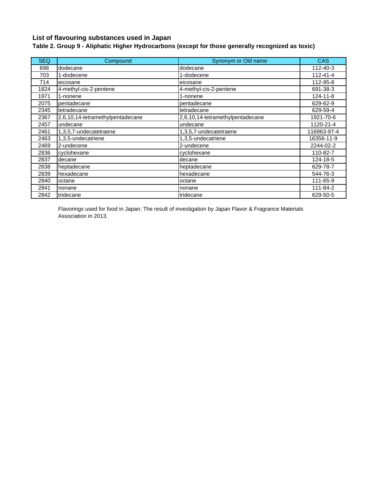## **List of flavouring substances used in Japan**

## **Table 2. Group 9 - Aliphatic Higher Hydrocarbons (except for those generally recognized as toxic)**

| <b>SEQ</b> | Compound                         | Synonym or Old name              | <b>CAS</b>     |
|------------|----------------------------------|----------------------------------|----------------|
| 698        | dodecane                         | dodecane                         | 112-40-3       |
| 703        | 1-dodecene                       | 1-dodecene                       | $112 - 41 - 4$ |
| 714        | eicosane                         | eicosane                         | 112-95-8       |
| 1824       | 4-methyl-cis-2-pentene           | 4-methyl-cis-2-pentene           | 691-38-3       |
| 1971       | 1-nonene                         | 1-nonene                         | $124 - 11 - 8$ |
| 2075       | pentadecane                      | pentadecane                      | 629-62-9       |
| 2345       | tetradecane                      | tetradecane                      | 629-59-4       |
| 2367       | 2,6,10,14-tetramethylpentadecane | 2,6,10,14-tetramethylpentadecane | 1921-70-6      |
| 2457       | undecane                         | undecane                         | 1120-21-4      |
| 2461       | 1,3,5,7-undecatetraene           | 1,3,5,7-undecatetraene           | 116963-97-4    |
| 2463       | 1,3,5-undecatriene               | 1,3,5-undecatriene               | 16356-11-9     |
| 2469       | 2-undecene                       | 2-undecene                       | 2244-02-2      |
| 2836       | cyclohexane                      | cyclohexane                      | 110-82-7       |
| 2837       | decane                           | decane                           | 124-18-5       |
| 2838       | heptadecane                      | heptadecane                      | 629-78-7       |
| 2839       | hexadecane                       | hexadecane                       | 544-76-3       |
| 2840       | octane                           | octane                           | 111-65-9       |
| 2841       | nonane                           | nonane                           | 111-84-2       |
| 2842       | tridecane                        | tridecane                        | 629-50-5       |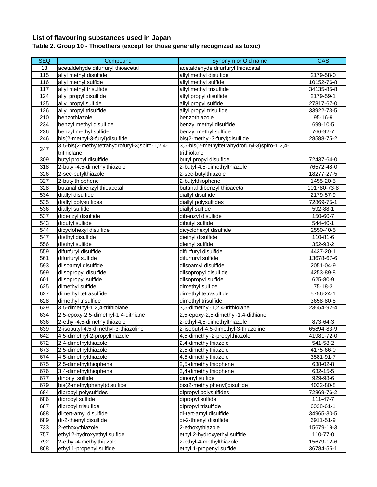# **List of flavouring substances used in Japan**

#### **Table 2. Group 10 - Thioethers (except for those generally recognized as toxic)**

| <b>SEQ</b> | Compound                                        | Synonym or Old name                             | <b>CAS</b>               |
|------------|-------------------------------------------------|-------------------------------------------------|--------------------------|
| 18         | acetaldehyde difurfuryl thioacetal              | acetaldehyde difurfuryl thioacetal              |                          |
| 115        | allyl methyl disulfide                          | allyl methyl disulfide                          | 2179-58-0                |
| 116        | allyl methyl sulfide                            | allyl methyl sulfide                            | 10152-76-8               |
| 117        | allyl methyl trisulfide                         | allyl methyl trisulfide                         | 34135-85-8               |
| 124        | allyl propyl disulfide                          | allyl propyl disulfide                          | 2179-59-1                |
| 125        | allyl propyl sulfide                            | allyl propyl sulfide                            | 27817-67-0               |
| 126        | allyl propyl trisulfide                         | allyl propyl trisulfide                         | 33922-73-5               |
| 210        | benzothiazole                                   | benzothiazole                                   | 95-16-9                  |
| 234        | benzyl methyl disulfide                         | benzyl methyl disulfide                         | 699-10-5                 |
| 236        | benzyl methyl sulfide                           | benzyl methyl sulfide                           | 766-92-7                 |
| 246        | bis(2-methyl-3-furyl)disulfide                  | bis(2-methyl-3-furyl)disulfide                  | 28588-75-2               |
|            | 3,5-bis(2-methyltetrahydrofuryl-3)spiro-1,2,4-  | 3,5-bis(2-methyltetrahydrofuryl-3)spiro-1,2,4-  |                          |
| 247        | trithiolane                                     | trithiolane                                     |                          |
| 309        | butyl propyl disulfide                          | butyl propyl disulfide                          | 72437-64-0               |
| 318        | 2-butyl-4,5-dimethylthiazole                    | 2-butyl-4,5-dimethylthiazole                    | 76572-48-0               |
| 326        | 2-sec-butylthiazole                             | 2-sec-butylthiazole                             | 18277-27-5               |
| 327        |                                                 |                                                 |                          |
| 328        | 2-butylthiophene<br>butanal dibenzyl thioacetal | 2-butylthiophene<br>butanal dibenzyl thioacetal | 1455-20-5<br>101780-73-8 |
| 534        |                                                 | diallyl disulfide                               |                          |
| 535        | diallyl disulfide<br>diallyl polysulfides       | diallyl polysulfides                            | 2179-57-9<br>72869-75-1  |
| 536        | diallyl sulfide                                 | diallyl sulfide                                 | 592-88-1                 |
| 537        | dibenzyl disulfide                              | dibenzyl disulfide                              | 150-60-7                 |
| 543        | dibutyl sulfide                                 | dibutyl sulfide                                 | 544-40-1                 |
| 544        | dicyclohexyl disulfide                          | dicyclohexyl disulfide                          | 2550-40-5                |
| 547        | diethyl disulfide                               | diethyl disulfide                               |                          |
| 556        | diethyl sulfide                                 | diethyl sulfide                                 | 110-81-6<br>352-93-2     |
| 559        | difurfuryl disulfide                            | difurfuryl disulfide                            | 4437-20-1                |
| 561        | difurfuryl sulfide                              | difurfuryl sulfide                              | 13678-67-6               |
| 593        | diisoamyl disulfide                             | diisoamyl disulfide                             | 2051-04-9                |
| 599        | diisopropyl disulfide                           | diisopropyl disulfide                           | 4253-89-8                |
| 601        | diisopropyl sulfide                             | diisopropyl sulfide                             | 625-80-9                 |
| 625        | dimethyl sulfide                                | dimethyl sulfide                                | 75-18-3                  |
| 627        | dimethyl tetrasulfide                           | dimethyl tetrasulfide                           | 5756-24-1                |
| 628        | dimethyl trisulfide                             | dimethyl trisulfide                             | 3658-80-8                |
| 629        | 3,5-dimethyl-1,2,4-trithiolane                  | 3,5-dimethyl-1,2,4-trithiolane                  | 23654-92-4               |
| 634        | 2,5-epoxy-2,5-dimethyl-1,4-dithiane             | 2,5-epoxy-2,5-dimethyl-1,4-dithiane             |                          |
| 636        | 2-ethyl-4,5-dimethylthiazole                    | 2-ethyl-4,5-dimethylthiazole                    | 873-64-3                 |
| 639        | 2-isobutyl-4,5-dimethyl-3-thiazoline            | 2-isobutyl-4,5-dimethyl-3-thiazoline            | 65894-83-9               |
| 642        | 4,5-dimethyl-2-propylthiazole                   | 4,5-dimethyl-2-propylthiazole                   | 41981-72-0               |
| 672        | 2,4-dimethylthiazole                            | 2,4-dimethylthiazole                            | 541-58-2                 |
| 673        | 2,5-dimethylthiazole                            | 2,5-dimethylthiazole                            | 4175-66-0                |
| 674        | 4,5-dimethylthiazole                            | 4,5-dimethylthiazole                            | 3581-91-7                |
| 675        | 2,5-dimethylthiophene                           | 2,5-dimethylthiophene                           | 638-02-8                 |
| 676        | 3,4-dimethylthiophene                           | 3,4-dimethylthiophene                           | 632-15-5                 |
| 677        | dinonyl sulfide                                 | dinonyl sulfide                                 | 929-98-6                 |
| 679        | bis(2-methylphenyl)disulfide                    | bis(2-methylphenyl)disulfide                    | 4032-80-8                |
| 684        | dipropyl polysulfides                           | dipropyl polysulfides                           | 72869-76-2               |
| 686        | dipropyl sulfide                                | dipropyl sulfide                                | 111-47-7                 |
| 687        | dipropyl trisulfide                             | dipropyl trisulfide                             | 6028-61-1                |
| 688        | di-tert-amyl disulfide                          | di-tert-amyl disulfide                          | 34965-30-5               |
| 689        | di-2-thienyl disulfide                          | di-2-thienyl disulfide                          | 6911-51-9                |
| 733        | 2-ethoxythiazole                                | 2-ethoxythiazole                                | 15679-19-3               |
| 757        | ethyl 2-hydroxyethyl sulfide                    | ethyl 2-hydroxyethyl sulfide                    | 110-77-0                 |
| 792        | 2-ethyl-4-methylthiazole                        | 2-ethyl-4-methylthiazole                        | 15679-12-6               |
| 868        | ethyl 1-propenyl sulfide                        | ethyl 1-propenyl sulfide                        | 36784-55-1               |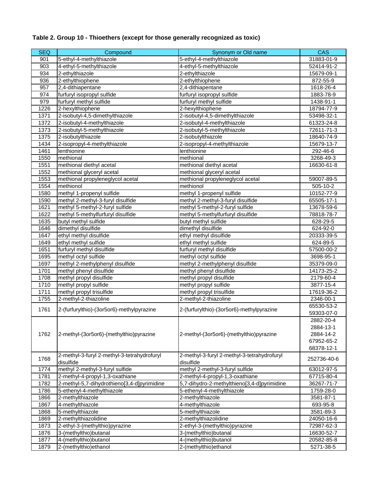# **Table 2. Group 10 - Thioethers (except for those generally recognized as toxic)**

| <b>SEQ</b> | Compound                                    | Synonym or Old name                         | <b>CAS</b>  |
|------------|---------------------------------------------|---------------------------------------------|-------------|
| 901        | 5-ethyl-4-methylthiazole                    | 5-ethyl-4-methylthiazole                    | 31883-01-9  |
| 903        | 4-ethyl-5-methylthiazole                    | 4-ethyl-5-methylthiazole                    | 52414-91-2  |
| 934        | 2-ethylthiazole                             | 2-ethylthiazole                             | 15679-09-1  |
| 936        | 2-ethylthiophene                            | 2-ethylthiophene                            | 872-55-9    |
| 957        | 2,4-dithiapentane                           | 2,4-dithiapentane                           | 1618-26-4   |
| 974        | furfuryl isopropyl sulfide                  | furfuryl isopropyl sulfide                  | 1883-78-9   |
| 979        | furfuryl methyl sulfide                     | furfuryl methyl sulfide                     | 1438-91-1   |
| 1226       | 2-hexylthiophene                            | 2-hexylthiophene                            | 18794-77-9  |
| 1371       | 2-isobutyl-4,5-dimethylthiazole             | 2-isobutyl-4,5-dimethylthiazole             | 53498-32-1  |
| 1372       | 2-isobutyl-4-methylthiazole                 | 2-isobutyl-4-methylthiazole                 | 61323-24-8  |
| 1373       | 2-isobutyl-5-methylthiazole                 | 2-isobutyl-5-methylthiazole                 | 72611-71-3  |
| 1375       | 2-isobutylthiazole                          | 2-isobutylthiazole                          | 18640-74-9  |
| 1434       | 2-isopropyl-4-methylthiazole                | 2-isopropyl-4-methylthiazole                | 15679-13-7  |
| 1461       | lenthionine                                 | lenthionine                                 | 292-46-6    |
| 1550       | methional                                   | methional                                   | 3268-49-3   |
| 1551       | methional diethyl acetal                    | methional diethyl acetal                    | 16630-61-8  |
| 1552       | methional glyceryl acetal                   | methional glyceryl acetal                   |             |
| 1553       | methional propyleneglycol acetal            | methional propyleneglycol acetal            | 59007-89-5  |
| 1554       | methionol                                   | methionol                                   | 505-10-2    |
| 1580       | methyl 1-propenyl sulfide                   | methyl 1-propenyl sulfide                   | 10152-77-9  |
| 1590       | methyl 2-methyl-3-furyl disulfide           | methyl 2-methyl-3-furyl disulfide           | 65505-17-1  |
| 1621       | methyl 5-methyl-2-furyl sulfide             | methyl 5-methyl-2-furyl sulfide             | 13678-59-6  |
| 1622       | methyl 5-methylfurfuryl disulfide           | methyl 5-methylfurfuryl disulfide           | 78818-78-7  |
| 1635       | butyl methyl sulfide                        | butyl methyl sulfide                        | 628-29-5    |
| 1646       | dimethyl disulfide                          | dimethyl disulfide                          | 624-92-0    |
| 1647       | ethyl methyl disulfide                      | ethyl methyl disulfide                      | 20333-39-5  |
| 1649       | ethyl methyl sulfide                        | ethyl methyl sulfide                        | 624-89-5    |
| 1651       | furfuryl methyl disulfide                   | furfuryl methyl disulfide                   | 57500-00-2  |
| 1695       | methyl octyl sulfide                        | methyl octyl sulfide                        | 3698-95-1   |
| 1697       | methyl 2-methylphenyl disulfide             | methyl 2-methylphenyl disulfide             | 35379-09-0  |
| 1701       | methyl phenyl disulfide                     | methyl phenyl disulfide                     | 14173-25-2  |
| 1708       | methyl propyl disulfide                     | methyl propyl disulfide                     | 2179-60-4   |
| 1710       | methyl propyl sulfide                       | methyl propyl sulfide                       | 3877-15-4   |
| 1711       | methyl propyl trisulfide                    | methyl propyl trisulfide                    | 17619-36-2  |
| 1755       | 2-methyl-2-thiazoline                       | 2-methyl-2-thiazoline                       | 2346-00-1   |
| 1761       | 2-(furfurylthio)-(3or5or6)-methylpyrazine   | 2-(furfurylthio)-(3or5or6)-methylpyrazine   | 65530-53-2  |
|            |                                             |                                             | 59303-07-0  |
|            |                                             |                                             | 2882-20-4   |
|            |                                             |                                             | 2884-13-1   |
| 1762       | 2-methyl-(3or5or6)-(methylthio)pyrazine     | 2-methyl-(3or5or6)-(methylthio)pyrazine     | 2884-14-2   |
|            |                                             |                                             | 67952-65-2  |
|            |                                             |                                             | 68378-12-1  |
| 1768       | 2-methyl-3-furyl 2-methyl-3-tetrahydrofuryl | 2-methyl-3-furyl 2-methyl-3-tetrahydrofuryl | 252736-40-6 |
|            | disulfide                                   | disulfide                                   |             |
| 1774       | methyl 2-methyl-3-furyl sulfide             | methyl 2-methyl-3-furyl sulfide             | 63012-97-5  |
| 1781       | 2-methyl-4-propyl-1,3-oxathiane             | 2-methyl-4-propyl-1,3-oxathiane             | 67715-80-4  |
| 1782       | 2-methyl-5,7-dihydrothieno[3,4-d]pyrimidine | 5,7-dihydro-2-methylthieno[3,4-d]pyrimidine | 36267-71-7  |
| 1786       | 5-ethenyl-4-methylthiazole                  | 5-ethenyl-4-methylthiazole                  | 1759-28-0   |
| 1866       | 2-methylthiazole                            | 2-methylthiazole                            | 3581-87-1   |
| 1867       | 4-methylthiazole                            | 4-methylthiazole                            | 693-95-8    |
| 1868       | 5-methylthiazole                            | 5-methylthiazole                            | 3581-89-3   |
| 1869       | 2-methylthiazolidine                        | 2-methylthiazolidine                        | 24050-16-6  |
| 1873       | 2-ethyl-3-(methylthio)pyrazine              | 2-ethyl-3-(methylthio)pyrazine              | 72987-62-3  |
| 1876       | 3-(methylthio)butanal                       | 3-(methylthio)butanal                       | 16630-52-7  |
| 1877       | 4-(methylthio)butanol                       | 4-(methylthio)butanol                       | 20582-85-8  |
| 1879       | 2-(methylthio)ethanol                       | 2-(methylthio) ethanol                      | 5271-38-5   |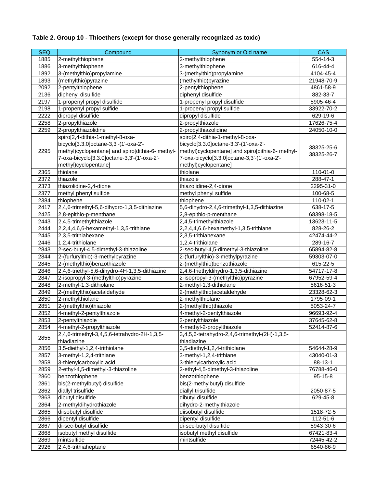# **Table 2. Group 10 - Thioethers (except for those generally recognized as toxic)**

| <b>SEQ</b> | Compound                                                                                                                                                                                             | Synonym or Old name                                                                                                                                                                                  | <b>CAS</b>               |
|------------|------------------------------------------------------------------------------------------------------------------------------------------------------------------------------------------------------|------------------------------------------------------------------------------------------------------------------------------------------------------------------------------------------------------|--------------------------|
| 1885       | 2-methylthiophene                                                                                                                                                                                    | 2-methylthiophene                                                                                                                                                                                    | 554-14-3                 |
| 1886       | 3-methylthiophene                                                                                                                                                                                    | 3-methylthiophene                                                                                                                                                                                    | 616-44-4                 |
| 1892       | 3-(methylthio)propylamine                                                                                                                                                                            | 3-(methylthio)propylamine                                                                                                                                                                            | 4104-45-4                |
| 1893       | (methylthio)pyrazine                                                                                                                                                                                 | (methylthio)pyrazine                                                                                                                                                                                 | 21948-70-9               |
| 2092       | 2-pentylthiophene                                                                                                                                                                                    | 2-pentylthiophene                                                                                                                                                                                    | 4861-58-9                |
| 2136       | diphenyl disulfide                                                                                                                                                                                   | diphenyl disulfide                                                                                                                                                                                   | 882-33-7                 |
| 2197       | 1-propenyl propyl disulfide                                                                                                                                                                          | 1-propenyl propyl disulfide                                                                                                                                                                          | 5905-46-4                |
| 2198       | 1-propenyl propyl sulfide                                                                                                                                                                            | 1-propenyl propyl sulfide                                                                                                                                                                            | 33922-70-2               |
| 2222       | dipropyl disulfide                                                                                                                                                                                   | dipropyl disulfide                                                                                                                                                                                   | 629-19-6                 |
| 2258       | 2-propylthiazole                                                                                                                                                                                     | 2-propylthiazole                                                                                                                                                                                     | 17626-75-4               |
| 2259       | 2-propylthiazolidine                                                                                                                                                                                 | 2-propylthiazolidine                                                                                                                                                                                 | 24050-10-0               |
| 2295       | spiro[2,4-dithia-1-methyl-8-oxa-<br>bicyclo[3.3.0]octane-3,3'-(1'-oxa-2'-<br>methyl)cyclopentane] and spiro[dithia-6- methyl-<br>7-oxa-bicyclo[3.3.0]octane-3,3'-(1'-oxa-2'-<br>methyl)cyclopentane] | spiro[2,4-dithia-1-methyl-8-oxa-<br>bicyclo[3.3.0]octane-3,3'-(1'-oxa-2'-<br>methyl)cyclopentane] and spiro[dithia-6- methyl-<br>7-oxa-bicyclo[3.3.0]octane-3,3'-(1'-oxa-2'-<br>methyl)cyclopentane] | 38325-25-6<br>38325-26-7 |
| 2365       | thiolane                                                                                                                                                                                             | thiolane                                                                                                                                                                                             | 110-01-0                 |
| 2372       | thiazole                                                                                                                                                                                             | thiazole                                                                                                                                                                                             | 288-47-1                 |
| 2373       | thiazolidine-2,4-dione                                                                                                                                                                               | thiazolidine-2,4-dione                                                                                                                                                                               | 2295-31-0                |
| 2377       | methyl phenyl sulfide                                                                                                                                                                                | methyl phenyl sulfide                                                                                                                                                                                | 100-68-5                 |
| 2384       | thiophene                                                                                                                                                                                            | thiophene                                                                                                                                                                                            | 110-02-1                 |
| 2417       | 2,4,6-trimethyl-5,6-dihydro-1,3,5-dithiazine                                                                                                                                                         | 5,6-dihydro-2,4,6-trimethyl-1,3,5-dithiazine                                                                                                                                                         | 638-17-5                 |
| 2425       | 2,8-epithio-p-menthane                                                                                                                                                                               | 2,8-epithio-p-menthane                                                                                                                                                                               | 68398-18-5               |
| 2443       | 2,4,5-trimethylthiazole                                                                                                                                                                              | 2,4,5-trimethylthiazole                                                                                                                                                                              | 13623-11-5               |
| 2444       | 2,2,4,4,6,6-hexamethyl-1,3,5-trithiane                                                                                                                                                               | 2,2,4,4,6,6-hexamethyl-1,3,5-trithiane                                                                                                                                                               | 828-26-2                 |
| 2445       | 2,3,5-trithiahexane                                                                                                                                                                                  | 2,3,5-trithiahexane                                                                                                                                                                                  | 42474-44-2               |
| 2446       | 1,2,4-trithiolane                                                                                                                                                                                    | 1,2,4-trithiolane                                                                                                                                                                                    | 289-16-7                 |
| 2843       | 2-sec-butyl-4,5-dimethyl-3-thiazoline                                                                                                                                                                | 2-sec-butyl-4,5-dimethyl-3-thiazoline                                                                                                                                                                | 65894-82-8               |
| 2844       | 2-(furfurylthio)-3-methylpyrazine                                                                                                                                                                    | 2-(furfurylthio)-3-methylpyrazine                                                                                                                                                                    | 59303-07-0               |
| 2845       | 2-(methylthio)benzothiazole                                                                                                                                                                          | 2-(methylthio)benzothiazole                                                                                                                                                                          | 615-22-5                 |
| 2846       | 2,4,6-triethyl-5,6-dihydro-4H-1,3,5-dithiazine                                                                                                                                                       | 2,4,6-triethyldihydro-1,3,5-dithiazine                                                                                                                                                               | 54717-17-8               |
| 2847       | 2-isopropyl-3-(methylthio)pyrazine                                                                                                                                                                   | 2-isopropyl-3-(methylthio)pyrazine                                                                                                                                                                   | 67952-59-4               |
| 2848       | 2-methyl-1,3-dithiolane                                                                                                                                                                              | 2-methyl-1,3-dithiolane                                                                                                                                                                              | 5616-51-3                |
| 2849       | 2-(methylthio)acetaldehyde                                                                                                                                                                           | 2-(methylthio)acetaldehyde                                                                                                                                                                           | 23328-62-3               |
| 2850       | 2-methylthiolane                                                                                                                                                                                     | 2-methylthiolane                                                                                                                                                                                     | 1795-09-1                |
| 2851       | 2-(methylthio)thiazole                                                                                                                                                                               | 2-(methylthio)thiazole                                                                                                                                                                               | 5053-24-7                |
| 2852       | 4-methyl-2-pentylthiazole                                                                                                                                                                            | 4-methyl-2-pentylthiazole                                                                                                                                                                            | 96693-92-4               |
| 2853       | 2-pentylthiazole                                                                                                                                                                                     | 2-pentylthiazole                                                                                                                                                                                     | 37645-62-8               |
| 2854       | 4-methyl-2-propylthiazole                                                                                                                                                                            | 4-methyl-2-propylthiazole                                                                                                                                                                            | 52414-87-6               |
| 2855       | 2,4,6-trimethyl-3,4,5,6-tetrahydro-2H-1,3,5-<br>thiadiazine                                                                                                                                          | 3,4,5,6-tetrahydro-2,4,6-trimethyl-(2H)-1,3,5-<br>thiadiazine                                                                                                                                        |                          |
| 2856       | 3,5-diethyl-1,2,4-trithiolane                                                                                                                                                                        | 3,5-diethyl-1,2,4-trithiolane                                                                                                                                                                        | 54644-28-9               |
| 2857       | 3-methyl-1,2,4-trithiane                                                                                                                                                                             | 3-methyl-1,2,4-trithiane                                                                                                                                                                             | 43040-01-3               |
| 2858       | 3-thienylcarboxylic acid                                                                                                                                                                             | 3-thienylcarboxylic acid                                                                                                                                                                             | 88-13-1                  |
| 2859       | 2-ethyl-4,5-dimethyl-3-thiazoline                                                                                                                                                                    | 2-ethyl-4,5-dimethyl-3-thiazoline                                                                                                                                                                    | 76788-46-0               |
| 2860       | benzothiophene                                                                                                                                                                                       | benzothiophene                                                                                                                                                                                       | $95 - 15 - 8$            |
| 2861       | bis(2-methylbutyl) disulfide                                                                                                                                                                         | bis(2-methylbutyl) disulfide                                                                                                                                                                         |                          |
| 2862       | diallyl trisulfide                                                                                                                                                                                   | diallyl trisulfide                                                                                                                                                                                   | 2050-87-5                |
| 2863       | dibutyl disulfide                                                                                                                                                                                    | dibutyl disulfide                                                                                                                                                                                    | 629-45-8                 |
| 2864       | 2-methyldihydrothiazole                                                                                                                                                                              | dihydro-2-methylthiazole                                                                                                                                                                             |                          |
| 2865       | diisobutyl disulfide                                                                                                                                                                                 | diisobutyl disulfide                                                                                                                                                                                 | 1518-72-5                |
| 2866       | dipentyl disulfide                                                                                                                                                                                   | dipentyl disulfide                                                                                                                                                                                   | 112-51-6                 |
| 2867       | di-sec-butyl disulfide                                                                                                                                                                               | di-sec-butyl disulfide                                                                                                                                                                               | 5943-30-6                |
| 2868       | isobutyl methyl disulfide                                                                                                                                                                            | isobutyl methyl disulfide                                                                                                                                                                            | 67421-83-4               |
| 2869       | mintsulfide                                                                                                                                                                                          | mintsulfide                                                                                                                                                                                          | 72445-42-2               |
| 2926       | 2,4,6-trithiaheptane                                                                                                                                                                                 |                                                                                                                                                                                                      | 6540-86-9                |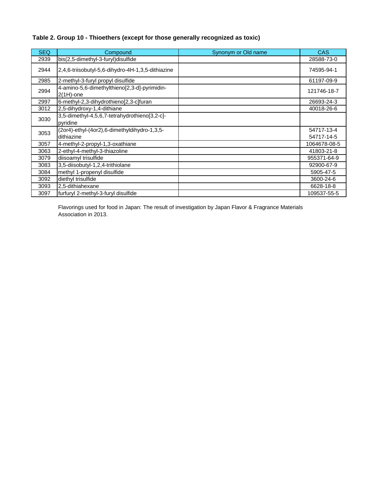## **Table 2. Group 10 - Thioethers (except for those generally recognized as toxic)**

| <b>SEQ</b> | Compound                                                     | Synonym or Old name | <b>CAS</b>               |
|------------|--------------------------------------------------------------|---------------------|--------------------------|
| 2939       | bis(2,5-dimethyl-3-furyl)disulfide                           |                     | 28588-73-0               |
| 2944       | 2,4,6-triisobutyl-5,6-dihydro-4H-1,3,5-dithiazine            |                     | 74595-94-1               |
| 2985       | 2-methyl-3-furyl propyl disulfide                            |                     | 61197-09-9               |
| 2994       | 4-amino-5,6-dimethylthieno[2,3-d]-pyrimidin-<br>$2(1H)$ -one |                     | 121746-18-7              |
| 2997       | 6-methyl-2,3-dihydrothieno[2,3-c]furan                       |                     | 26693-24-3               |
| 3012       | 2,5-dihydroxy-1,4-dithiane                                   |                     | 40018-26-6               |
| 3030       | 3,5-dimethyl-4,5,6,7-tetrahydrothieno[3,2-c]-<br>pyridine    |                     |                          |
| 3053       | (2or4)-ethyl-(4or2),6-dimethyldihydro-1,3,5-<br>dithiazine   |                     | 54717-13-4<br>54717-14-5 |
| 3057       | 4-methyl-2-propyl-1,3-oxathiane                              |                     | 1064678-08-5             |
| 3063       | 2-ethyl-4-methyl-3-thiazoline                                |                     | 41803-21-8               |
| 3079       | diisoamyl trisulfide                                         |                     | 955371-64-9              |
| 3083       | 3,5-diisobutyl-1,2,4-trithiolane                             |                     | 92900-67-9               |
| 3084       | methyl 1-propenyl disulfide                                  |                     | 5905-47-5                |
| 3092       | diethyl trisulfide                                           |                     | 3600-24-6                |
| 3093       | 2,5-dithiahexane                                             |                     | 6628-18-8                |
| 3097       | furfuryl 2-methyl-3-furyl disulfide                          |                     | 109537-55-5              |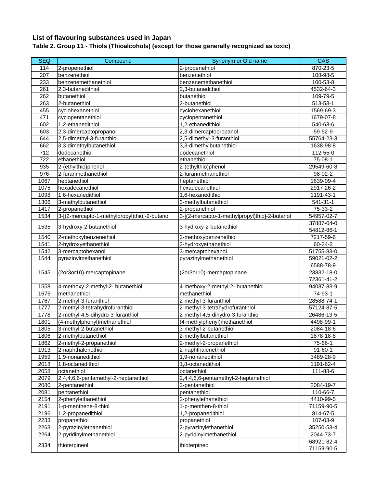# **List of flavouring substances used in Japan**

**Table 2. Group 11 - Thiols (Thioalcohols) (except for those generally recognized as toxic)**

| <b>SEQ</b>       | Compound                                      | Synonym or Old name                           | <b>CAS</b>    |
|------------------|-----------------------------------------------|-----------------------------------------------|---------------|
| 114              | 2-propenethiol                                | 2-propenethiol                                | 870-23-5      |
| 207              | benzenethiol                                  | benzenethiol                                  | 108-98-5      |
| 233              | benzenemethanethiol                           | benzenemethanethiol                           | 100-53-8      |
| 261              | 2,3-butanedithiol                             | 2,3-butanedithiol                             | 4532-64-3     |
| 262              | butanethiol                                   | butanethiol                                   | 109-79-5      |
| 263              | 2-butanethiol                                 | 2-butanethiol                                 | 513-53-1      |
| 455              | cyclohexanethiol                              | cyclohexanethiol                              | 1569-69-3     |
| 471              | cyclopentanethiol                             | cyclopentanethiol                             | 1679-07-8     |
| 602              | 1.2-ethanedithiol                             | 1,2-ethanedithiol                             | 540-63-6      |
| 603              | 2,3-dimercaptopropanol                        | 2,3-dimercaptopropanol                        | 59-52-9       |
| 644              | 2,5-dimethyl-3-furanthiol                     | 2,5-dimethyl-3-furanthiol                     | 55764-23-3    |
| 662              | 3,3-dimethylbutanethiol                       | 3,3-dimethylbutanethiol                       | 1638-98-8     |
| 712              | dodecanethiol                                 | dodecanethiol                                 | 112-55-0      |
| $\overline{722}$ | ethanethiol                                   | ethanethiol                                   | 75-08-1       |
| 935              | 2-(ethylthio)phenol                           | 2-(ethylthio)phenol                           | 29549-60-8    |
| 976              | 2-furanmethanethiol                           | 2-furanmethanethiol                           | 98-02-2       |
| 1067             | heptanethiol                                  | heptanethiol                                  | 1639-09-4     |
| 1075             | hexadecanethiol                               | hexadecanethiol                               | 2917-26-2     |
| 1098             | 1,6-hexanedithiol                             | 1,6-hexanedithiol                             | 1191-43-1     |
| 1306             | 3-methylbutanethiol                           | 3-methylbutanethiol                           | 541-31-1      |
| 1417             | 2-propanethiol                                | 2-propanethiol                                | 75-33-2       |
| 1534             | 3-[(2-mercapto-1-methylpropyl)thio]-2-butanol | 3-[(2-mercapto-1-methylpropyl)thio]-2-butanol | 54957-02-7    |
|                  |                                               |                                               | 37887-04-0    |
| 1535             | 3-hydroxy-2-butanethiol                       | 3-hydroxy-2-butanethiol                       | 54812-86-1    |
| 1540             | 2-methoxybenzenethiol                         | 2-methoxybenzenethiol                         | 7217-59-6     |
| 1541             | 2-hydroxyethanethiol                          | 2-hydroxyethanethiol                          | 60-24-2       |
| 1542             | 3-mercaptohexanol                             | 3-mercaptohexanol                             | 51755-83-0    |
| 1544             | pyrazinylmethanethiol                         | pyrazinylmethanethiol                         | 59021-02-2    |
|                  |                                               |                                               | 6588-78-9     |
| 1545             | (2or3or10)-mercaptopinane                     | (2or3or10)-mercaptopinane                     | 23832-18-0    |
|                  |                                               |                                               | 72361-41-2    |
| 1558             | 4-methoxy-2-methyl-2- butanethiol             | 4-methoxy-2-methyl-2- butanethiol             | 94087-83-9    |
| 1676             | methanethiol                                  | methanethiol                                  | 74-93-1       |
| 1767             | 2-methyl-3-furanthiol                         | 2-methyl-3-furanthiol                         | 28588-74-1    |
| 1777             | 2-methyl-3-tetrahydrofuranthiol               | 2-methyl-3-tetrahydrofuranthiol               | 57124-87-5    |
| 1778             | 2-methyl-4,5-dihydro-3-furanthiol             | 2-methyl-4,5-dihydro-3-furanthiol             | 26486-13-5    |
| 1801             | (4-methylphenyl)methanethiol                  | (4-methylphenyl)methanethiol                  | 4498-99-1     |
| 1805             | 3-methyl-2-butanethiol                        | 3-methyl-2-butanethiol                        | 2084-18-6     |
| 1806             | 2-methylbutanethiol                           | 2-methylbutanethiol                           | 1878-18-8     |
| 1862             | 2-methyl-2-propanethiol                       | 2-methyl-2-propanethiol                       | 75-66-1       |
| 1913             | 2-naphthalenethiol                            | 2-naphthalenethiol                            | $91 - 60 - 1$ |
| 1959             | 1,9-nonanedithiol                             | 1,9-nonanedithiol                             | 3489-28-9     |
| 2018             | 1,8-octanedithiol                             | 1,8-octanedithiol                             | 1191-62-4     |
| 2058             | octanethiol                                   | octanethiol                                   | 111-88-6      |
| 2079             | 2,4,4,6,6-pentamethyl-2-heptanethiol          | 2,4,4,6,6-pentamethyl-2-heptanethiol          |               |
| 2080             | 2-pentanethiol                                | 2-pentanethiol                                | 2084-19-7     |
| 2081             | pentanethiol                                  | pentanethiol                                  | 110-66-7      |
| 2154             | 2-phenylethanethiol                           | 2-phenylethanethiol                           | 4410-99-5     |
| 2191             | 1-p-menthene-8-thiol                          | 1-p-menthen-8-thiol                           | 71159-90-5    |
| 2196             | 1,2-propanedithiol                            | 1,2-propanedithiol                            | 814-67-5      |
| 2233             | propanethiol                                  | propanethiol                                  | 107-03-9      |
| 2263             | 2-pyrazinylethanethiol                        | 2-pyrazinylethanethiol                        | 35250-53-4    |
| 2264             | 2-pyridinylmethanethiol                       | 2-pyridinylmethanethiol                       | 2044-73-7     |
|                  |                                               |                                               | 68921-82-4    |
| 2334             | thioterpineol                                 | thioterpineol                                 | 71159-90-5    |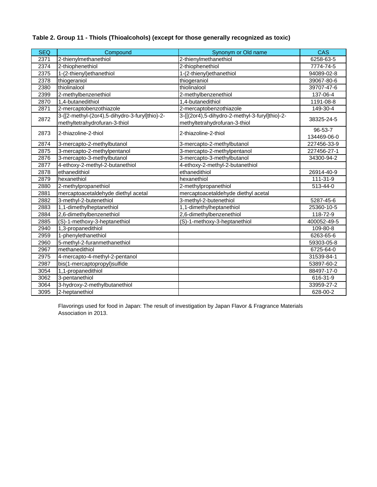| Table 2. Group 11 - Thiols (Thioalcohols) (except for those generally recognized as toxic) |  |  |  |  |
|--------------------------------------------------------------------------------------------|--|--|--|--|
|--------------------------------------------------------------------------------------------|--|--|--|--|

| <b>SEQ</b> | Compound                                                                        | Synonym or Old name                                                             | <b>CAS</b>  |
|------------|---------------------------------------------------------------------------------|---------------------------------------------------------------------------------|-------------|
| 2371       | 2-thienylmethanethiol                                                           | 2-thienylmethanethiol                                                           | 6258-63-5   |
| 2374       | 2-thiophenethiol                                                                | 2-thiophenethiol                                                                | 7774-74-5   |
| 2375       | 1-(2-thienyl) ethanethiol                                                       | 1-(2-thienyl) ethanethiol                                                       | 94089-02-8  |
| 2378       | thiogeraniol                                                                    | thiogeraniol                                                                    | 39067-80-6  |
| 2380       | thiolinalool                                                                    | thiolinalool                                                                    | 39707-47-6  |
| 2399       | 2-methylbenzenethiol                                                            | 2-methylbenzenethiol                                                            | 137-06-4    |
| 2870       | 1,4-butanedithiol                                                               | 1,4-butanedithiol                                                               | 1191-08-8   |
| 2871       | 2-mercaptobenzothiazole                                                         | 2-mercaptobenzothiazole                                                         | 149-30-4    |
| 2872       | 3-{[2-methyl-(2or4),5-dihydro-3-furyl]thio}-2-<br>methyltetrahydrofuran-3-thiol | 3-{[(2or4),5-dihydro-2-methyl-3-furyl]thio}-2-<br>methyltetrahydrofuran-3-thiol | 38325-24-5  |
| 2873       | 2-thiazoline-2-thiol                                                            | 2-thiazoline-2-thiol                                                            | 96-53-7     |
|            |                                                                                 |                                                                                 | 134469-06-0 |
| 2874       | 3-mercapto-2-methylbutanol                                                      | 3-mercapto-2-methylbutanol                                                      | 227456-33-9 |
| 2875       | 3-mercapto-2-methylpentanol                                                     | 3-mercapto-2-methylpentanol                                                     | 227456-27-1 |
| 2876       | 3-mercapto-3-methylbutanol                                                      | 3-mercapto-3-methylbutanol                                                      | 34300-94-2  |
| 2877       | 4-ethoxy-2-methyl-2-butanethiol                                                 | 4-ethoxy-2-methyl-2-butanethiol                                                 |             |
| 2878       | ethanedithiol                                                                   | ethanedithiol                                                                   | 26914-40-9  |
| 2879       | hexanethiol                                                                     | hexanethiol                                                                     | 111-31-9    |
| 2880       | 2-methylpropanethiol                                                            | 2-methylpropanethiol                                                            | 513-44-0    |
| 2881       | mercaptoacetaldehyde diethyl acetal                                             | mercaptoacetaldehyde diethyl acetal                                             |             |
| 2882       | 3-methyl-2-butenethiol                                                          | 3-methyl-2-butenethiol                                                          | 5287-45-6   |
| 2883       | 1,1-dimethylheptanethiol                                                        | 1,1-dimethylheptanethiol                                                        | 25360-10-5  |
| 2884       | 2,6-dimethylbenzenethiol                                                        | 2,6-dimethylbenzenethiol                                                        | 118-72-9    |
| 2885       | (S)-1-methoxy-3-heptanethiol                                                    | (S)-1-methoxy-3-heptanethiol                                                    | 400052-49-5 |
| 2940       | 1,3-propanedithiol                                                              |                                                                                 | 109-80-8    |
| 2959       | 1-phenylethanethiol                                                             |                                                                                 | 6263-65-6   |
| 2960       | 5-methyl-2-furanmethanethiol                                                    |                                                                                 | 59303-05-8  |
| 2967       | methanedithiol                                                                  |                                                                                 | 6725-64-0   |
| 2975       | 4-mercapto-4-methyl-2-pentanol                                                  |                                                                                 | 31539-84-1  |
| 2987       | bis(1-mercaptopropyl)sulfide                                                    |                                                                                 | 53897-60-2  |
| 3054       | 1,1-propanedithiol                                                              |                                                                                 | 88497-17-0  |
| 3062       | 3-pentanethiol                                                                  |                                                                                 | 616-31-9    |
| 3064       | 3-hydroxy-2-methylbutanethiol                                                   |                                                                                 | 33959-27-2  |
| 3095       | 2-heptanethiol                                                                  |                                                                                 | 628-00-2    |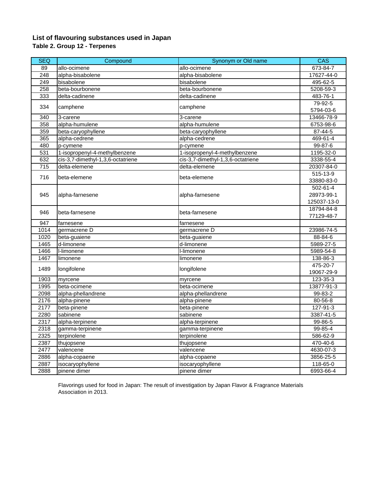## **List of flavouring substances used in Japan Table 2. Group 12 - Terpenes**

| <b>SEQ</b>       | Compound                          | Synonym or Old name               | CAS         |
|------------------|-----------------------------------|-----------------------------------|-------------|
| 89               | allo-ocimene                      | allo-ocimene                      | 673-84-7    |
| 248              | alpha-bisabolene                  | alpha-bisabolene                  | 17627-44-0  |
| 249              | bisabolene                        | bisabolene                        | 495-62-5    |
| 258              | beta-bourbonene                   | beta-bourbonene                   | 5208-59-3   |
| 333              | delta-cadinene                    | delta-cadinene                    | 483-76-1    |
| 334              | camphene                          | camphene                          | 79-92-5     |
|                  |                                   |                                   | 5794-03-6   |
| 340              | 3-carene                          | 3-carene                          | 13466-78-9  |
| 358              | alpha-humulene                    | alpha-humulene                    | 6753-98-6   |
| 359              | beta-caryophyllene                | beta-caryophyllene                | 87-44-5     |
| 365              | alpha-cedrene                     | alpha-cedrene                     | 469-61-4    |
| 480              | p-cymene                          | p-cymene                          | 99-87-6     |
| 531              | 1-isopropenyl-4-methylbenzene     | 1-isopropenyl-4-methylbenzene     | 1195-32-0   |
| 632              | cis-3,7-dimethyl-1,3,6-octatriene | cis-3,7-dimethyl-1,3,6-octatriene | 3338-55-4   |
| $\overline{715}$ | delta-elemene                     | delta-elemene                     | 20307-84-0  |
| 716              | beta-elemene                      | beta-elemene                      | $515-13-9$  |
|                  |                                   |                                   | 33880-83-0  |
|                  |                                   |                                   | 502-61-4    |
| 945              | alpha-farnesene                   | alpha-farnesene                   | 28973-99-1  |
|                  |                                   |                                   | 125037-13-0 |
| 946              | beta-farnesene                    | beta-farnesene                    | 18794-84-8  |
|                  |                                   |                                   | 77129-48-7  |
| 947              | farnesene                         | farnesene                         |             |
| 1014             | germacrene D                      | germacrene D                      | 23986-74-5  |
| 1020             | beta-guaiene                      | beta-guaiene                      | 88-84-6     |
| 1465             | d-limonene                        | d-limonene                        | 5989-27-5   |
| 1466             | I-limonene                        | I-limonene                        | 5989-54-8   |
| 1467             | limonene                          | limonene                          | 138-86-3    |
| 1489             | longifolene                       | longifolene                       | 475-20-7    |
|                  |                                   |                                   | 19067-29-9  |
| 1903             | myrcene                           | myrcene                           | 123-35-3    |
| 1995             | beta-ocimene                      | beta-ocimene                      | 13877-91-3  |
| 2098             | alpha-phellandrene                | alpha-phellandrene                | 99-83-2     |
| 2176             | alpha-pinene                      | alpha-pinene                      | 80-56-8     |
| 2177             | beta-pinene                       | beta-pinene                       | 127-91-3    |
| 2280             | sabinene                          | sabinene                          | 3387-41-5   |
| 2317             | alpha-terpinene                   | alpha-terpinene                   | 99-86-5     |
| 2318             | gamma-terpinene                   | gamma-terpinene                   | 99-85-4     |
| 2325             | terpinolene                       | terpinolene                       | 586-62-9    |
| 2387             | thujopsene                        | thujopsene                        | 470-40-6    |
| 2477             | valencene                         | valencene                         | 4630-07-3   |
| 2886             | alpha-copaene                     | alpha-copaene                     | 3856-25-5   |
| 2887             | isocaryophyllene                  | isocaryophyllene                  | $118-65-0$  |
| 2888             | pinene dimer                      | pinene dimer                      | 6993-66-4   |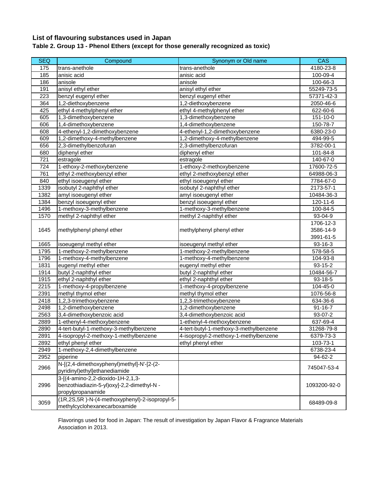# **List of flavouring substances used in Japan**

# **Table 2. Group 13 - Phenol Ethers (except for those generally recognized as toxic)**

| <b>SEQ</b> | Compound                                      | Synonym or Old name                    | <b>CAS</b>    |
|------------|-----------------------------------------------|----------------------------------------|---------------|
| 175        | trans-anethole                                | trans-anethole                         | 4180-23-8     |
| 185        | anisic acid                                   | anisic acid                            | 100-09-4      |
| 186        | anisole                                       | anisole                                | 100-66-3      |
| 191        | anisyl ethyl ether                            | anisyl ethyl ether                     | 55249-73-5    |
| 223        | benzyl eugenyl ether                          | benzyl eugenyl ether                   | 57371-42-3    |
| 364        | 1,2-diethoxybenzene                           | 1,2-diethoxybenzene                    | 2050-46-6     |
| 425        | ethyl 4-methylphenyl ether                    | ethyl 4-methylphenyl ether             | 622-60-6      |
| 605        | 1,3-dimethoxybenzene                          | 1,3-dimethoxybenzene                   | 151-10-0      |
| 606        | 1,4-dimethoxybenzene                          | 1,4-dimethoxybenzene                   | 150-78-7      |
| 608        | 4-ethenyl-1,2-dimethoxybenzene                | 4-ethenyl-1,2-dimethoxybenzene         | 6380-23-0     |
| 609        | 1,2-dimethoxy-4-methylbenzene                 | 1,2-dimethoxy-4-methylbenzene          | 494-99-5      |
| 656        | 2,3-dimethylbenzofuran                        | 2,3-dimethylbenzofuran                 | 3782-00-1     |
| 680        | diphenyl ether                                | diphenyl ether                         | 101-84-8      |
| 721        | estragole                                     | estragole                              | 140-67-0      |
| 724        | 1-ethoxy-2-methoxybenzene                     | 1-ethoxy-2-methoxybenzene              | 17600-72-5    |
| 761        | ethyl 2-methoxybenzyl ether                   | ethyl 2-methoxybenzyl ether            | 64988-06-3    |
| 840        | ethyl isoeugenyl ether                        | ethyl isoeugenyl ether                 | 7784-67-0     |
| 1339       | isobutyl 2-naphthyl ether                     | isobutyl 2-naphthyl ether              | 2173-57-1     |
| 1382       | amyl isoeugenyl ether                         | amyl isoeugenyl ether                  | 10484-36-3    |
| 1384       | benzyl isoeugenyl ether                       | benzyl isoeugenyl ether                | 120-11-6      |
| 1496       | 1-methoxy-3-methylbenzene                     | 1-methoxy-3-methylbenzene              | 100-84-5      |
| 1570       | methyl 2-naphthyl ether                       | methyl 2-naphthyl ether                | 93-04-9       |
|            | methylphenyl phenyl ether                     |                                        | 1706-12-3     |
| 1645       |                                               | methylphenyl phenyl ether              | 3586-14-9     |
|            |                                               |                                        | 3991-61-5     |
| 1665       | isoeugenyl methyl ether                       | isoeugenyl methyl ether                | 93-16-3       |
| 1795       | 1-methoxy-2-methylbenzene                     | 1-methoxy-2-methylbenzene              | 578-58-5      |
| 1796       | 1-methoxy-4-methylbenzene                     | 1-methoxy-4-methylbenzene              | 104-93-8      |
| 1831       | eugenyl methyl ether                          | eugenyl methyl ether                   | 93-15-2       |
| 1914       | butyl 2-naphthyl ether                        | butyl 2-naphthyl ether                 | 10484-56-7    |
| 1915       | ethyl 2-naphthyl ether                        | ethyl 2-naphthyl ether                 | 93-18-5       |
| 2215       | 1-methoxy-4-propylbenzene                     | 1-methoxy-4-propylbenzene              | 104-45-0      |
| 2391       | methyl thymol ether                           | methyl thymol ether                    | 1076-56-8     |
| 2418       | 1,2,3-trimethoxybenzene                       | 1,2,3-trimethoxybenzene                | 634-36-6      |
| 2498       | 1,2-dimethoxybenzene                          | 1,2-dimethoxybenzene                   | $91 - 16 - 7$ |
| 2563       | 3,4-dimethoxybenzoic acid                     | 3,4-dimethoxybenzoic acid              | 93-07-2       |
| 2889       | 1-ethenyl-4-methoxybenzene                    | 1-ethenyl-4-methoxybenzene             | 637-69-4      |
| 2890       | 4-tert-butyl-1-methoxy-3-methylbenzene        | 4-tert-butyl-1-methoxy-3-methylbenzene | 31268-79-8    |
| 2891       | 4-isopropyl-2-methoxy-1-methylbenzene         | 4-isopropyl-2-methoxy-1-methylbenzene  | 6379-73-3     |
| 2892       | ethyl phenyl ether                            | ethyl phenyl ether                     | 103-73-1      |
| 2949       | 1-methoxy-2,4-dimethylbenzene                 |                                        | 6738-23-4     |
| 2952       | piperine                                      |                                        | 94-62-2       |
| 2966       | N-[(2,4-dimethoxyphenyl)methyl]-N'-[2-(2-     |                                        |               |
|            | pyridinyl)ethyl]ethanediamide                 |                                        | 745047-53-4   |
|            | 3-[(4-amino-2,2-dioxido-1H-2,1,3-             |                                        |               |
| 2996       | benzothiadiazin-5-yl)oxy]-2,2-dimethyl-N -    |                                        | 1093200-92-0  |
|            | propylpropanamide                             |                                        |               |
| 3059       | (1R,2S,5R)-N-(4-methoxyphenyl)-2-isopropyl-5- |                                        | 68489-09-8    |
|            | methylcyclohexanecarboxamide                  |                                        |               |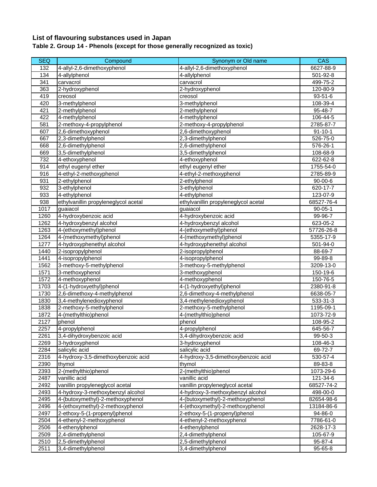### **List of flavouring substances used in Japan Table 2. Group 14 - Phenols (except for those generally recognized as toxic)**

| <b>SEQ</b> | Compound                             | Synonym or Old name                  | CAS           |
|------------|--------------------------------------|--------------------------------------|---------------|
| 132        | 4-allyl-2,6-dimethoxyphenol          | 4-allyl-2,6-dimethoxyphenol          | 6627-88-9     |
| 134        | 4-allylphenol                        | 4-allylphenol                        | 501-92-8      |
| 341        | carvacrol                            | carvacrol                            | 499-75-2      |
| 363        | 2-hydroxyphenol                      | 2-hydroxyphenol                      | 120-80-9      |
| 419        | creosol                              | creosol                              | $93 - 51 - 6$ |
| 420        | 3-methylphenol                       | 3-methylphenol                       | 108-39-4      |
| 421        | 2-methylphenol                       | 2-methylphenol                       | 95-48-7       |
| 422        | 4-methylphenol                       | 4-methylphenol                       | 106-44-5      |
| 581        | 2-methoxy-4-propylphenol             | 2-methoxy-4-propylphenol             | 2785-87-7     |
| 607        | 2,6-dimethoxyphenol                  | 2,6-dimethoxyphenol                  | $91 - 10 - 1$ |
| 667        | 2,3-dimethylphenol                   | 2,3-dimethylphenol                   | 526-75-0      |
| 668        | 2,6-dimethylphenol                   | 2,6-dimethylphenol                   | 576-26-1      |
| 669        | 3,5-dimethylphenol                   | 3,5-dimethylphenol                   | 108-68-9      |
| 732        | 4-ethoxyphenol                       | 4-ethoxyphenol                       | 622-62-8      |
| 914        | ethyl eugenyl ether                  | ethyl eugenyl ether                  | 1755-54-0     |
| 916        | 4-ethyl-2-methoxyphenol              | 4-ethyl-2-methoxyphenol              | 2785-89-9     |
| 931        | 2-ethylphenol                        | 2-ethylphenol                        | $90 - 00 - 6$ |
| 932        | 3-ethylphenol                        | 3-ethylphenol                        | 620-17-7      |
| 933        | 4-ethylphenol                        | 4-ethylphenol                        | 123-07-9      |
| 938        | ethylvanillin propyleneglycol acetal | ethylvanillin propyleneglycol acetal | 68527-76-4    |
| 1017       | guaiacol                             | guaiacol                             | $90 - 05 - 1$ |
| 1260       | 4-hydroxybenzoic acid                | 4-hydroxybenzoic acid                | 99-96-7       |
| 1262       | 4-hydroxybenzyl alcohol              | 4-hydroxybenzyl alcohol              | 623-05-2      |
| 1263       | 4-(ethoxymethyl)phenol               | 4-(ethoxymethyl)phenol               | 57726-26-8    |
| 1264       | 4-(methoxymethyl)phenol              | 4-(methoxymethyl)phenol              | 5355-17-9     |
| 1277       | 4-hydroxyphenethyl alcohol           | 4-hydroxyphenethyl alcohol           | 501-94-0      |
| 1440       | 2-isopropylphenol                    | 2-isopropylphenol                    | 88-69-7       |
| 1441       | 4-isopropylphenol                    | 4-isopropylphenol                    | 99-89-8       |
| 1562       | 3-methoxy-5-methylphenol             | 3-methoxy-5-methylphenol             | 3209-13-0     |
| 1571       | 3-methoxyphenol                      | 3-methoxyphenol                      | 150-19-6      |
| 1572       | 4-methoxyphenol                      | 4-methoxyphenol                      | 150-76-5      |
| 1703       | 4-(1-hydroxyethyl)phenol             | 4-(1-hydroxyethyl)phenol             | 2380-91-8     |
| 1730       | 2,6-dimethoxy-4-methylphenol         | 2,6-dimethoxy-4-methylphenol         | 6638-05-7     |
| 1830       | 3,4-methylenedioxyphenol             | 3,4-methylenedioxyphenol             | 533-31-3      |
| 1838       | 2-methoxy-5-methylphenol             | 2-methoxy-5-methylphenol             | 1195-09-1     |
| 1872       | 4-(methylthio)phenol                 | 4-(methylthio)phenol                 | 1073-72-9     |
| 2127       | phenol                               | phenol                               | 108-95-2      |
| 2257       | 4-propylphenol                       | 4-propylphenol                       | 645-56-7      |
| 2261       | 3,4-dihydroxybenzoic acid            | 3,4-dihydroxybenzoic acid            | 99-50-3       |
| 2269       | 3-hydroxyphenol                      | 3-hydroxyphenol                      | 108-46-3      |
| 2284       | salicylic acid                       | salicylic acid                       | 69-72-7       |
| 2316       | 4-hydroxy-3,5-dimethoxybenzoic acid  | 4-hydroxy-3,5-dimethoxybenzoic acid  | 530-57-4      |
| 2390       | thymol                               | thymol                               | 89-83-8       |
| 2393       | 2-(methylthio)phenol                 | 2-(methylthio)phenol                 | 1073-29-6     |
| 2487       | vanillic acid                        | vanillic acid                        | 121-34-6      |
| 2492       | vanillin propyleneglycol acetal      | vanillin propyleneglycol acetal      | 68527-74-2    |
| 2493       | 4-hydroxy-3-methoxybenzyl alcohol    | 4-hydroxy-3-methoxybenzyl alcohol    | 498-00-0      |
| 2495       | 4-(butoxymethyl)-2-methoxyphenol     | 4-(butoxymethyl)-2-methoxyphenol     | 82654-98-6    |
| 2496       | 4-(ethoxymethyl)-2-methoxyphenol     | 4-(ethoxymethyl)-2-methoxyphenol     | 13184-86-6    |
| 2497       | 2-ethoxy-5-(1-propenyl)phenol        | 2-ethoxy-5-(1-propenyl)phenol        | 94-86-0       |
| 2504       | 4-ethenyl-2-methoxyphenol            | 4-ethenyl-2-methoxyphenol            | 7786-61-0     |
| 2506       | 4-ethenylphenol                      | 4-ethenylphenol                      | 2628-17-3     |
| 2509       | 2,4-dimethylphenol                   | 2,4-dimethylphenol                   | 105-67-9      |
| 2510       | 2,5-dimethylphenol                   | 2,5-dimethylphenol                   | 95-87-4       |
| 2511       | 3,4-dimethylphenol                   | 3,4-dimethylphenol                   | 95-65-8       |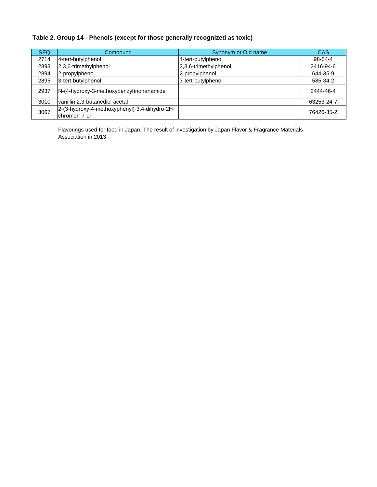## **Table 2. Group 14 - Phenols (except for those generally recognized as toxic)**

| <b>SEQ</b> | Compound                                                      | Synonym or Old name   | CAS        |
|------------|---------------------------------------------------------------|-----------------------|------------|
| 2714       | 4-tert-butylphenol                                            | 4-tert-butylphenol    | 98-54-4    |
| 2893       | 2,3,6-trimethylphenol                                         | 2,3,6-trimethylphenol | 2416-94-6  |
| 2894       | 2-propylphenol                                                | 2-propylphenol        | 644-35-9   |
| 2895       | 3-tert-butylphenol                                            | 3-tert-butylphenol    | 585-34-2   |
| 2937       | N-(4-hydroxy-3-methoxybenzyl)nonanamide                       |                       | 2444-46-4  |
| 3010       | vanillin 2,3-butanediol acetal                                |                       | 63253-24-7 |
| 3067       | 2-(3-hydroxy-4-methoxyphenyl)-3,4-dihydro-2H-<br>chromen-7-ol |                       | 76426-35-2 |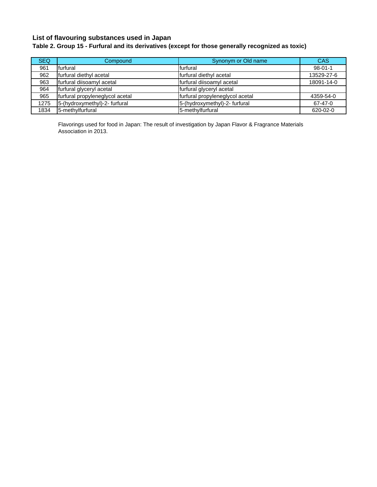## **List of flavouring substances used in Japan**

## **Table 2. Group 15 - Furfural and its derivatives (except for those generally recognized as toxic)**

| <b>SEQ</b> | Compound                        | Synonym or Old name             | CAS           |
|------------|---------------------------------|---------------------------------|---------------|
| 961        | furfural                        | furfural                        | $98 - 01 - 1$ |
| 962        | furfural diethyl acetal         | furfural diethyl acetal         | 13529-27-6    |
| 963        | furfural diisoamyl acetal       | furfural diisoamyl acetal       | 18091-14-0    |
| 964        | furfural glyceryl acetal        | furfural glyceryl acetal        |               |
| 965        | furfural propyleneglycol acetal | furfural propyleneglycol acetal | 4359-54-0     |
| 1275       | 5-(hydroxymethyl)-2- furfural   | 5-(hydroxymethyl)-2- furfural   | 67-47-0       |
| 1834       | 5-methylfurfural                | 5-methylfurfural                | 620-02-0      |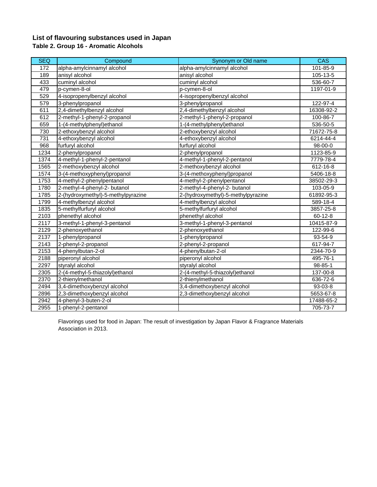## **List of flavouring substances used in Japan Table 2. Group 16 - Aromatic Alcohols**

| <b>SEQ</b> | Compound                           | Synonym or Old name                | $\overline{CAS}$ |
|------------|------------------------------------|------------------------------------|------------------|
| 172        | alpha-amylcinnamyl alcohol         | alpha-amylcinnamyl alcohol         | 101-85-9         |
| 189        | anisyl alcohol                     | anisyl alcohol                     | 105-13-5         |
| 433        | cuminyl alcohol                    | cuminyl alcohol                    | 536-60-7         |
| 479        | p-cymen-8-ol                       | p-cymen-8-ol                       | 1197-01-9        |
| 529        | 4-isopropenylbenzyl alcohol        | 4-isopropenylbenzyl alcohol        |                  |
| 579        | 3-phenylpropanol                   | 3-phenylpropanol                   | 122-97-4         |
| 611        | 2,4-dimethylbenzyl alcohol         | 2,4-dimethylbenzyl alcohol         | 16308-92-2       |
| 612        | 2-methyl-1-phenyl-2-propanol       | 2-methyl-1-phenyl-2-propanol       | 100-86-7         |
| 659        | 1-(4-methylphenyl)ethanol          | 1-(4-methylphenyl)ethanol          | 536-50-5         |
| 730        | 2-ethoxybenzyl alcohol             | 2-ethoxybenzyl alcohol             | 71672-75-8       |
| 731        | 4-ethoxybenzyl alcohol             | 4-ethoxybenzyl alcohol             | 6214-44-4        |
| 968        | furfuryl alcohol                   | furfuryl alcohol                   | 98-00-0          |
| 1234       | 2-phenylpropanol                   | 2-phenylpropanol                   | 1123-85-9        |
| 1374       | 4-methyl-1-phenyl-2-pentanol       | 4-methyl-1-phenyl-2-pentanol       | 7779-78-4        |
| 1565       | 2-methoxybenzyl alcohol            | 2-methoxybenzyl alcohol            | 612-16-8         |
| 1574       | 3-(4-methoxyphenyl)propanol        | 3-(4-methoxyphenyl)propanol        | 5406-18-8        |
| 1753       | 4-methyl-2-phenylpentanol          | 4-methyl-2-phenylpentanol          | 38502-29-3       |
| 1780       | 2-methyl-4-phenyl-2- butanol       | 2-methyl-4-phenyl-2- butanol       | 103-05-9         |
| 1785       | 2-(hydroxymethyl)-5-methylpyrazine | 2-(hydroxymethyl)-5-methylpyrazine | 61892-95-3       |
| 1799       | 4-methylbenzyl alcohol             | 4-methylbenzyl alcohol             | 589-18-4         |
| 1835       | 5-methylfurfuryl alcohol           | 5-methylfurfuryl alcohol           | 3857-25-8        |
| 2103       | phenethyl alcohol                  | phenethyl alcohol                  | $60 - 12 - 8$    |
| 2117       | 3-methyl-1-phenyl-3-pentanol       | 3-methyl-1-phenyl-3-pentanol       | 10415-87-9       |
| 2129       | 2-phenoxyethanol                   | 2-phenoxyethanol                   | 122-99-6         |
| 2137       | 1-phenylpropanol                   | 1-phenylpropanol                   | 93-54-9          |
| 2143       | 2-phenyl-2-propanol                | 2-phenyl-2-propanol                | 617-94-7         |
| 2153       | 4-phenylbutan-2-ol                 | 4-phenylbutan-2-ol                 | 2344-70-9        |
| 2188       | piperonyl alcohol                  | piperonyl alcohol                  | 495-76-1         |
| 2297       | styralyl alcohol                   | styralyl alcohol                   | $98 - 85 - 1$    |
| 2305       | 2-(4-methyl-5-thiazolyl)ethanol    | 2-(4-methyl-5-thiazolyl)ethanol    | $137 - 00 - 8$   |
| 2370       | 2-thienylmethanol                  | 2-thienylmethanol                  | 636-72-6         |
| 2494       | 3,4-dimethoxybenzyl alcohol        | 3,4-dimethoxybenzyl alcohol        | 93-03-8          |
| 2896       | 2,3-dimethoxybenzyl alcohol        | 2,3-dimethoxybenzyl alcohol        | 5653-67-8        |
| 2942       | 4-phenyl-3-buten-2-ol              |                                    | 17488-65-2       |
| 2955       | 1-phenyl-2-pentanol                |                                    | 705-73-7         |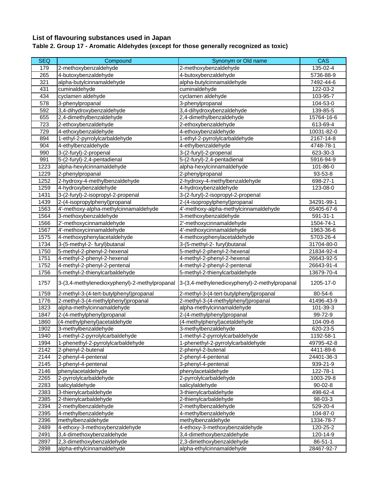## **List of flavouring substances used in Japan**

# **Table 2. Group 17 - Aromatic Aldehydes (except for those generally recognized as toxic)**

| <b>SEQ</b> | Compound                                      | Synonym or Old name                           | CAS            |
|------------|-----------------------------------------------|-----------------------------------------------|----------------|
| 179        | 2-methoxybenzaldehyde                         | 2-methoxybenzaldehyde                         | 135-02-4       |
| 265        | 4-butoxybenzaldehyde                          | 4-butoxybenzaldehyde                          | 5736-88-9      |
| 321        | alpha-butylcinnamaldehyde                     | alpha-butylcinnamaldehyde                     | 7492-44-6      |
| 431        | cuminaldehyde                                 | cuminaldehyde                                 | 122-03-2       |
| 434        | cyclamen aldehyde                             | cyclamen aldehyde                             | 103-95-7       |
| 578        | 3-phenylpropanal                              | 3-phenylpropanal                              | 104-53-0       |
| 592        | 3,4-dihydroxybenzaldehyde                     | 3,4-dihydroxybenzaldehyde                     | $139 - 85 - 5$ |
| 655        | 2,4-dimethylbenzaldehyde                      | 2,4-dimethylbenzaldehyde                      | 15764-16-6     |
| 723        | 2-ethoxybenzaldehyde                          | 2-ethoxybenzaldehyde                          | 613-69-4       |
| 729        | 4-ethoxybenzaldehyde                          | 4-ethoxybenzaldehyde                          | 10031-82-0     |
| 894        | 1-ethyl-2-pyrrolylcarbaldehyde                | 1-ethyl-2-pyrrolylcarbaldehyde                | 2167-14-8      |
| 904        | 4-ethylbenzaldehyde                           | 4-ethylbenzaldehyde                           | 4748-78-1      |
| 990        | 3-(2-furyl)-2-propenal                        | 3-(2-furyl)-2-propenal                        | 623-30-3       |
| 991        | 5-(2-furyl)-2,4-pentadienal                   | 5-(2-furyl)-2,4-pentadienal                   | 5916-94-9      |
| 1223       | alpha-hexylcinnamaldehyde                     | alpha-hexylcinnamaldehyde                     | 101-86-0       |
| 1229       | 2-phenylpropanal                              | 2-phenylpropanal                              | 93-53-8        |
| 1252       | 2-hydroxy-4-methylbenzaldehyde                | 2-hydroxy-4-methylbenzaldehyde                | 698-27-1       |
| 1259       | 4-hydroxybenzaldehyde                         | 4-hydroxybenzaldehyde                         | 123-08-0       |
| 1431       | 3-(2-furyl)-2-isopropyl-2-propenal            | 3-(2-furyl)-2-isopropyl-2-propenal            |                |
| 1439       | 2-(4-isopropylphenyl)propanal                 | 2-(4-isopropylphenyl)propanal                 | 34291-99-1     |
| 1563       | 4'-methoxy-alpha-methylcinnamaldehyde         | 4'-methoxy-alpha-methylcinnamaldehyde         | 65405-67-6     |
| 1564       | 3-methoxybenzaldehyde                         | 3-methoxybenzaldehyde                         | 591-31-1       |
| 1566       | 2'-methoxycinnamaldehyde                      | 2'-methoxycinnamaldehyde                      | 1504-74-1      |
| 1567       | 4'-methoxycinnamaldehyde                      | 4'-methoxycinnamaldehyde                      | 1963-36-6      |
| 1575       | 4-methoxyphenylacetaldehyde                   | 4-methoxyphenylacetaldehyde                   | 5703-26-4      |
| 1734       | 3-(5-methyl-2- furyl)butanal                  | 3-(5-methyl-2- furyl) butanal                 | 31704-80-0     |
| 1750       | 5-methyl-2-phenyl-2-hexenal                   | 5-methyl-2-phenyl-2-hexenal                   | 21834-92-4     |
| 1751       | 4-methyl-2-phenyl-2-hexenal                   | 4-methyl-2-phenyl-2-hexenal                   | 26643-92-5     |
| 1752       | 4-methyl-2-phenyl-2-pentenal                  | 4-methyl-2-phenyl-2-pentenal                  | 26643-91-4     |
| 1756       | 5-methyl-2-thienylcarbaldehyde                | 5-methyl-2-thienylcarbaldehyde                | 13679-70-4     |
| 1757       | 3-(3,4-methylenedioxyphenyl)-2-methylpropanal | 3-(3,4-methylenedioxyphenyl)-2-methylpropanal | 1205-17-0      |
| 1759       | 2-methyl-3-(4-tert-butylphenyl)propanal       | 2-methyl-3-(4-tert-butylphenyl)propanal       | 80-54-6        |
| 1776       | 2-methyl-3-(4-methylphenyl)propanal           | 2-methyl-3-(4-methylphenyl)propanal           | 41496-43-9     |
| 1823       | alpha-methylcinnamaldehyde                    | alpha-methylcinnamaldehyde                    | 101-39-3       |
| 1847       | 2-(4-methylphenyl)propanal                    | 2-(4-methylphenyl)propanal                    | 99-72-9        |
| 1860       | (4-methylphenyl)acetaldehyde                  | (4-methylphenyl)acetaldehyde                  | 104-09-6       |
| 1902       | 3-methylbenzaldehyde                          | 3-methylbenzaldehyde                          | 620-23-5       |
| 1940       | 1-methyl-2-pyrrolylcarbaldehyde               | 1-methyl-2-pyrrolylcarbaldehyde               | 1192-58-1      |
| 1994       | 1-phenethyl-2-pyrrolylcarbaldehyde            | 1-phenethyl-2-pyrrolylcarbaldehyde            | 49795-42-8     |
| 2142       | 2-phenyl-2-butenal                            | 2-phenyl-2-butenal                            | 4411-89-6      |
| 2144       | 2-phenyl-4-pentenal                           | 2-phenyl-4-pentenal                           | 24401-36-3     |
| 2145       | 3-phenyl-4-pentenal                           | 3-phenyl-4-pentenal                           | 939-21-9       |
| 2146       | phenylacetaldehyde                            | phenylacetaldehyde                            | 122-78-1       |
| 2265       | 2-pyrrolylcarbaldehyde                        | 2-pyrrolylcarbaldehyde                        | 1003-29-8      |
| 2283       | salicylaldehyde                               | salicylaldehyde                               | $90 - 02 - 8$  |
| 2383       | 3-thienylcarbaldehyde                         | 3-thienylcarbaldehyde                         | 498-62-4       |
| 2385       | 2-thienylcarbaldehyde                         | 2-thienylcarbaldehyde                         | 98-03-3        |
| 2394       | 2-methylbenzaldehyde                          | 2-methylbenzaldehyde                          | 529-20-4       |
| 2395       | 4-methylbenzaldehyde                          | 4-methylbenzaldehyde                          | 104-87-0       |
| 2396       | methylbenzaldehyde                            | methylbenzaldehyde                            | 1334-78-7      |
| 2489       | 4-ethoxy-3-methoxybenzaldehyde                | 4-ethoxy-3-methoxybenzaldehyde                | 120-25-2       |
| 2491       | 3,4-dimethoxybenzaldehyde                     | 3,4-dimethoxybenzaldehyde                     | 120-14-9       |
| 2897       | 2,3-dimethoxybenzaldehyde                     | 2,3-dimethoxybenzaldehyde                     | $86 - 51 - 1$  |
| 2898       | alpha-ethylcinnamaldehyde                     | alpha-ethylcinnamaldehyde                     | 28467-92-7     |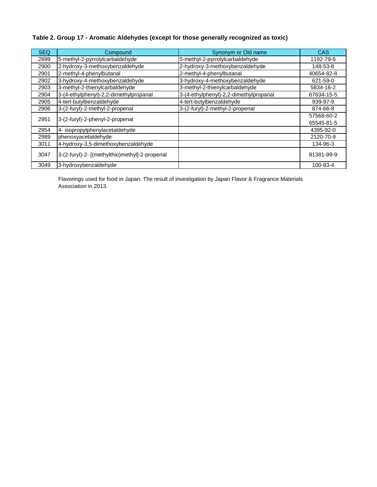### **Table 2. Group 17 - Aromatic Aldehydes (except for those generally recognized as toxic)**

| <b>SEQ</b> | Compound                                       | Synonym or Old name                    | <b>CAS</b> |
|------------|------------------------------------------------|----------------------------------------|------------|
| 2899       | 5-methyl-2-pyrrolylcarbaldehyde                | 5-methyl-2-pyrrolylcarbaldehyde        | 1192-79-6  |
| 2900       | 2-hydroxy-3-methoxybenzaldehyde                | 2-hydroxy-3-methoxybenzaldehyde        | 148-53-8   |
| 2901       | 2-methyl-4-phenylbutanal                       | 2-methyl-4-phenylbutanal               | 40654-82-8 |
| 2902       | 3-hydroxy-4-methoxybenzaldehyde                | 3-hydroxy-4-methoxybenzaldehyde        | 621-59-0   |
| 2903       | 3-methyl-2-thienylcarbaldehyde                 | 3-methyl-2-thienylcarbaldehyde         | 5834-16-2  |
| 2904       | 3-(4-ethylphenyl)-2,2-dimethylpropanal         | 3-(4-ethylphenyl)-2,2-dimethylpropanal | 67634-15-5 |
| 2905       | 4-tert-butylbenzaldehyde                       | 4-tert-butylbenzaldehyde               | 939-97-9   |
| 2906       | 3-(2-furyl)-2-methyl-2-propenal                | 3-(2-furyl)-2-methyl-2-propenal        | 874-66-8   |
| 2951       | 3-(2-furyl)-2-phenyl-2-propenal                |                                        | 57568-60-2 |
|            |                                                |                                        | 65545-81-5 |
| 2954       | 4- isopropylphenylacetaldehyde                 |                                        | 4395-92-0  |
| 2989       | phenoxyacetaldehyde                            |                                        | 2120-70-9  |
| 3011       | 4-hydroxy-3,5-dimethoxybenzaldehyde            |                                        | 134-96-3   |
| 3047       | 3-(2-furyl)-2- [(methylthio)methyl]-2-propenal |                                        | 81381-99-9 |
| 3049       | 3-hydroxybenzaldehyde                          |                                        | 100-83-4   |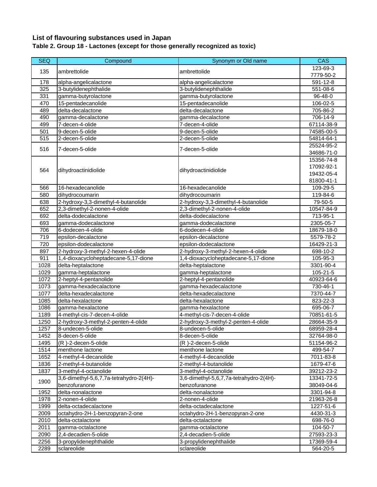### **List of flavouring substances used in Japan Table 2. Group 18 - Lactones (except for those generally recognized as toxic)**

| <b>SEQ</b>   | Compound                                          | Synonym or Old name                               | <b>CAS</b>             |
|--------------|---------------------------------------------------|---------------------------------------------------|------------------------|
| 135          | ambrettolide                                      | ambrettolide                                      | 123-69-3               |
|              |                                                   |                                                   | 7779-50-2              |
| 178          | alpha-angelicalactone                             | alpha-angelicalactone                             | 591-12-8               |
| 325          | 3-butylidenephthalide                             | 3-butylidenephthalide                             | 551-08-6               |
| 331          | gamma-butyrolactone                               | gamma-butyrolactone                               | 96-48-0                |
| 470          | 15-pentadecanolide                                | 15-pentadecanolide                                | 106-02-5               |
| 489          | delta-decalactone                                 | delta-decalactone                                 | 705-86-2               |
| 490          | gamma-decalactone                                 | gamma-decalactone                                 | 706-14-9               |
| 499          | 7-decen-4-olide                                   | 7-decen-4-olide                                   | 67114-38-9             |
| 501          | 9-decen-5-olide                                   | 9-decen-5-olide                                   | 74585-00-5             |
| 515          | 2-decen-5-olide                                   | 2-decen-5-olide                                   | 54814-64-1             |
| 516          | 7-decen-5-olide                                   | 7-decen-5-olide                                   | 25524-95-2             |
|              |                                                   |                                                   | 34686-71-0             |
|              |                                                   |                                                   | 15356-74-8             |
| 564          | dihydroactinidiolide                              | dihydroactinidiolide                              | 17092-92-1             |
|              |                                                   |                                                   | 19432-05-4             |
|              |                                                   |                                                   | 81800-41-1             |
| 566          | 16-hexadecanolide                                 | 16-hexadecanolide                                 | $109 - 29 - 5$         |
| 580          | dihydrocoumarin                                   | dihydrocoumarin                                   | 119-84-6               |
| 638          | 2-hydroxy-3,3-dimethyl-4-butanolide               | 2-hydroxy-3,3-dimethyl-4-butanolide               | 79-50-5                |
| 652          | 2,3-dimethyl-2-nonen-4-olide                      | 2,3-dimethyl-2-nonen-4-olide                      | 10547-84-9             |
| 692          | delta-dodecalactone                               | delta-dodecalactone                               | 713-95-1               |
| 693          | gamma-dodecalactone                               | gamma-dodecalactone                               | 2305-05-7              |
| 706          | 6-dodecen-4-olide                                 | 6-dodecen-4-olide                                 | 18679-18-0             |
| 719          | epsilon-decalactone                               | epsilon-decalactone                               | 5579-78-2              |
| 720          | epsilon-dodecalactone                             | epsilon-dodecalactone                             | 16429-21-3             |
| 897          | 2-hydroxy-3-methyl-2-hexen-4-olide                | 2-hydroxy-3-methyl-2-hexen-4-olide                | 698-10-2               |
| 911          | 1,4-dioxacycloheptadecane-5,17-dione              | 1,4-dioxacycloheptadecane-5,17-dione              | 105-95-3               |
| 1028         | delta-heptalactone                                | delta-heptalactone                                | 3301-90-4              |
| 1029         | gamma-heptalactone                                | gamma-heptalactone                                | 105-21-5               |
| 1072         | 2-heptyl-4-pentanolide                            | 2-heptyl-4-pentanolide                            | 40923-64-6             |
| 1073         | gamma-hexadecalactone                             | gamma-hexadecalactone                             | 730-46-1               |
| 1077<br>1085 | delta-hexadecalactone                             | delta-hexadecalactone                             | 7370-44-7              |
|              | delta-hexalactone                                 | delta-hexalactone                                 | 823-22-3               |
| 1086<br>1189 | gamma-hexalactone<br>4-methyl-cis-7-decen-4-olide | gamma-hexalactone<br>4-methyl-cis-7-decen-4-olide | 695-06-7<br>70851-61-5 |
| 1250         | 2-hydroxy-3-methyl-2-penten-4-olide               | 2-hydroxy-3-methyl-2-penten-4-olide               | 28664-35-9             |
| 1257         | 8-undecen-5-olide                                 | 8-undecen-5-olide                                 | 68959-28-4             |
| 1452         | 8-decen-5-olide                                   | 8-decen-5-olide                                   | 32764-98-0             |
| 1495         | (R)-2-decen-5-olide                               | (R)-2-decen-5-olide                               | 51154-96-2             |
| 1514         | menthone lactone                                  | menthone lactone                                  | 499-54-7               |
| 1652         | 4-methyl-4-decanolide                             | 4-methyl-4-decanolide                             | 7011-83-8              |
| 1836         | 2-methyl-4-butanolide                             | 2-methyl-4-butanolide                             | 1679-47-6              |
| 1837         | 3-methyl-4-octanolide                             | 3-methyl-4-octanolide                             | 39212-23-2             |
|              | 3,6-dimethyl-5,6,7,7a-tetrahydro-2(4H)-           | 3,6-dimethyl-5,6,7,7a-tetrahydro-2(4H)-           | 13341-72-5             |
| 1900         | benzofuranone                                     | benzofuranone                                     | 38049-04-6             |
| 1952         | delta-nonalactone                                 | delta-nonalactone                                 | 3301-94-8              |
| 1978         | 2-nonen-4-olide                                   | 2-nonen-4-olide                                   | 21963-26-8             |
| 1999         | delta-octadecalactone                             | delta-octadecalactone                             | 1227-51-6              |
| 2009         | octahydro-2H-1-benzopyran-2-one                   | octahydro-2H-1-benzopyran-2-one                   | 4430-31-3              |
| 2010         | delta-octalactone                                 | delta-octalactone                                 | 698-76-0               |
| 2011         | gamma-octalactone                                 | gamma-octalactone                                 | 104-50-7               |
| 2090         | 2,4-decadien-5-olide                              | 2,4-decadien-5-olide                              | 27593-23-3             |
| 2256         | 3-propylidenephthalide                            | 3-propylidenephthalide                            | 17369-59-4             |
| 2289         | sclareolide                                       | sclareolide                                       | 564-20-5               |